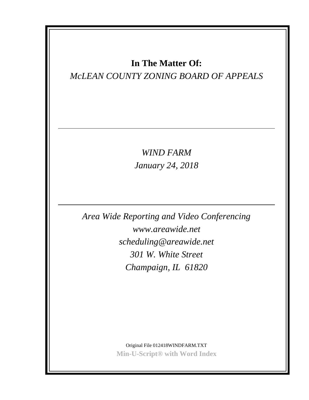# **In The Matter Of:**

# *McLEAN COUNTY ZONING BOARD OF APPEALS*

*WIND FARM January 24, 2018*

*Area Wide Reporting and Video Conferencing www.areawide.net scheduling@areawide.net 301 W. White Street Champaign, IL 61820*

> Original File 012418WINDFARM.TXT **Min-U-Script® with Word Index**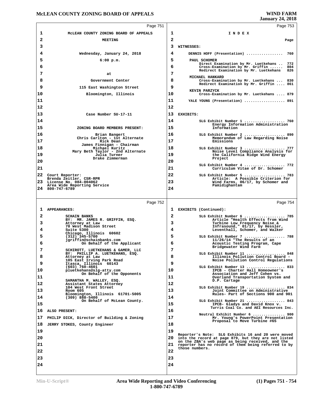# **McLEAN COUNTY ZONING BOARD OF APPEALS**

|          | Page 751                                                             |          | Page 753                                                                                                    |
|----------|----------------------------------------------------------------------|----------|-------------------------------------------------------------------------------------------------------------|
| 1        | MCLEAN COUNTY ZONING BOARD OF APPEALS                                | 1        | INDEX                                                                                                       |
| 2        | <b>MEETING</b>                                                       | 2        | Page                                                                                                        |
| 3        |                                                                      | 3        | WITNESSES:                                                                                                  |
| 4        | Wednesday, January 24, 2018                                          | 4        | DENNIS HOFF (Presentation)<br>760                                                                           |
| 5        | 6:00 p.m.                                                            | 5        | PAUL SCHOMER<br>Direct Examination by Mr. Luetkehans<br>772                                                 |
| 6        |                                                                      | 6        | Cross-Examination by Mr. Griffin<br>804<br>Redirect Examination by Mr. Luetkehans<br>826                    |
| 7        | at                                                                   | 7        | MICHAEL HANKARD                                                                                             |
| 8        | Government Center                                                    | 8        | Cross-Examination by Mr. Luetkehans  830                                                                    |
| 9        | 115 East Washington Street                                           | 9        | Redirect Examination by Mr. Griffin  861<br>KEVIN PARZYCK                                                   |
| 10       | Bloomington, Illinois                                                | 10       | Cross-Examination by Mr. Luetkehans  879                                                                    |
| 11       |                                                                      | 11       | YALE YOUNG (Presentation)  891                                                                              |
| 12       |                                                                      | 12       |                                                                                                             |
| 13       | Case Number SU-17-11                                                 | 13       | EXHIBITS:                                                                                                   |
| 14       |                                                                      | 14       | SLG Exhibit Number 1  760                                                                                   |
| 15       | ZONING BOARD MEMBERS PRESENT:                                        | 15       | Energy Information Administration<br>Information                                                            |
| 16       | Brian Bangert                                                        | 16       | SLG Exhibit Number 2  890                                                                                   |
| 17       | Chris Carlton - 1st Alternate<br>Rick Dean                           | 17       | Memorandum of Law Regarding Noise<br>Emissions                                                              |
| 18       | James Finnigan - Chairman<br>Michael Kuritz                          | 18       | SLG Exhibit Number 3  777                                                                                   |
| 19       | Mary Beth Taylor - 2nd Alternate<br>Julia Turner                     | 19       | Noise Level Compliance Analysis for<br>the California Ridge Wind Energy                                     |
| 20       | Drake Zimmerman                                                      | 20       | Project                                                                                                     |
| 21       |                                                                      | 21       | SLG Exhibit Number 4  772<br>Curriculum Vitae of Dr. Schomer                                                |
|          | 22 Court Reporter:                                                   | 22       | SLG Exhibit Number 5  783                                                                                   |
|          | Brenda Zeitler, CSR-RPR<br>23 License No. 084-004062                 | 23       | Article: A Possible Criterion for<br>Wind Farms, 06/17, by Schomer and                                      |
|          | Area Wide Reporting Service<br>24 800-747-6789                       | 24       | Pamidighantam                                                                                               |
|          |                                                                      |          |                                                                                                             |
|          |                                                                      |          |                                                                                                             |
|          | Page 752                                                             |          | Page 754                                                                                                    |
| ı        | <b>APPEARANCES:</b>                                                  | ı        | EXHIBITS (Continued):                                                                                       |
| 2        | <b>SCHAIN BANKS</b>                                                  | 2        | SLG Exhibit Number 6  785                                                                                   |
| 3        | BY: MR. JAMES R. GRIFFIN, ESQ.<br>Attorney at Law                    | з        | Article "Health Effects from Wind<br>Turbine Low Frequency Noise &                                          |
| 4        | 70 West Madison Street<br>Suite 5300                                 | 4        | Infrasound," 01/17, by Hessler,<br>Leventhall, Schomer, and Walker                                          |
| 5        | Chicago, Illinois 60602<br>$(312)$ 345-5700                          | 5        | SLG Exhibit Number 7  788                                                                                   |
| 6        | jgriffin@schainbanks.com                                             | 6        | $11/26/14$ "The Results of an                                                                               |
| 7        | On Behalf of the Applicant<br>SCHIROTT, LUETKEHANS & GAMER, LLC      | 7        | Acoustic Testing Program, Cape<br>Bridgewater Wind Farm                                                     |
| 8        | BY: PHILLIP A. LUETKEHANS, ESQ.<br>Attorney at Law                   | 8        | SLG Exhibit Number 11  848<br>Illinois Pollution Control Board -                                            |
| 9        | 105 East Irving Park Road                                            | 9        | Noise Pollution Control Regulations                                                                         |
| 10       | Itasca, Illinois 60143<br>(603) 760-4601<br>pluetkehans@slg-atty.com | 10       | SLG Exhibit Number 13  833<br>IPCB - Charter Hall Homeowner's                                               |
| 11       | On Behalf of the Opponents                                           | 11       | Association and Jeff Cohen vs.<br>Overland Transportation System and                                        |
| 12       | SAMANTHA M. WALLEY, ESQ.<br>Assistant States Attorney                | 12       | D.P. Cartage                                                                                                |
| 13       | 104 West Front Street<br>Room 605                                    | 13       | SLG Exhibit Number 19  834<br>Joint Committee on Administrative                                             |
| 14       | Bloomington, Illinois 61701-5005<br>$(309)$ 888-5400                 | 14       | Rules- Part of Sections 900 and 901                                                                         |
| 15       | On Behalf of McLean County.                                          | 15       | SLG Exhibit Number 21  843<br>IPCB- Gladys and David Knox v.                                                |
| 16       | ALSO PRESENT:                                                        | 16       | Turris Coal Co. and AEI Resources Inc.                                                                      |
| 17       |                                                                      | 17       | Neutral Exhibit Number 6  900                                                                               |
| 18       | PHILIP DICK, Director of Building & Zoning                           | 18       | Mr. Young's PowerPoint Presentation<br>Proposal to Move Turbine #65                                         |
|          | JERRY STOKES, County Engineer                                        |          |                                                                                                             |
| 19       |                                                                      | 19       | Reporter's Note: SLG Exhibits 16 and 20 were moved                                                          |
| 20       |                                                                      |          | 20 into the record at page 879, but they are not listed<br>on the ZBA's web page as being received, and the |
| 21       |                                                                      | 21       | reporter has no record of them being referred to by<br>those numbers.                                       |
| 22       |                                                                      | 22       |                                                                                                             |
| 23<br>24 |                                                                      | 23<br>24 |                                                                                                             |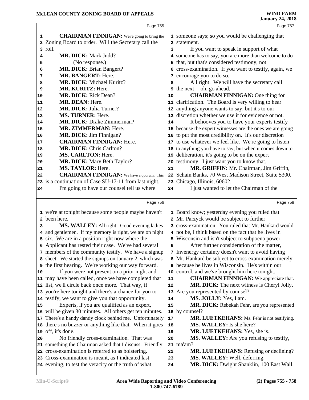|    | Page 755                                                                                                       |            | Page 757                                                                |  |
|----|----------------------------------------------------------------------------------------------------------------|------------|-------------------------------------------------------------------------|--|
| 1  | <b>CHAIRMAN FINNIGAN:</b> We're going to bring the                                                             |            | 1 someone says; so you would be challenging that                        |  |
| 2  | Zoning Board to order. Will the Secretary call the                                                             |            | 2 statement.                                                            |  |
| 3  | roll.                                                                                                          | 3          | If you want to speak in support of what                                 |  |
| 4  | <b>MR. DICK: Mark Judd?</b>                                                                                    |            | 4 someone has to say, you are more than welcome to do                   |  |
| 5  | (No response.)                                                                                                 |            | 5 that, but that's considered testimony, not                            |  |
| 6  | <b>MR. DICK: Brian Bangert?</b>                                                                                |            | 6 cross-examination. If you want to testify, again, we                  |  |
| 7  | MR. BANGERT: Here.                                                                                             |            | 7 encourage you to do so.                                               |  |
| 8  | MR. DICK: Michael Kuritz?                                                                                      | 8          | All right. We will have the secretary call                              |  |
| 9  | MR. KURITZ: Here.                                                                                              |            | <b>9</b> the next -- oh, go ahead.                                      |  |
| 10 | MR. DICK: Rick Dean?                                                                                           | 10         | <b>CHAIRMAN FINNIGAN:</b> One thing for                                 |  |
| 11 | MR. DEAN: Here.                                                                                                |            | 11 clarification. The Board is very willing to hear                     |  |
| 12 | MR. DICK: Julia Turner?                                                                                        |            | 12 anything anyone wants to say, but it's to our                        |  |
| 13 | <b>MS. TURNER: Here.</b>                                                                                       |            | 13 discretion whether we use it for evidence or not.                    |  |
| 14 | <b>MR. DICK: Drake Zimmerman?</b>                                                                              | 14         | It behooves you to have your experts testify                            |  |
| 15 | MR. ZIMMERMAN: Here.                                                                                           |            | 15 because the expert witnesses are the ones we are going               |  |
| 16 | MR. DICK: Jim Finnigan?                                                                                        |            | 16 to put the most credibility on. It's our discretion                  |  |
| 17 | <b>CHAIRMAN FINNIGAN: Here.</b>                                                                                |            | 17 to use whatever we feel like. We're going to listen                  |  |
| 18 | MR. DICK: Chris Carlton?                                                                                       |            | 18 to anything you have to say; but when it comes down to               |  |
| 19 | <b>MS. CARLTON: Here.</b>                                                                                      |            | 19 deliberation, it's going to be on the expert                         |  |
| 20 | MR. DICK: Mary Beth Taylor?                                                                                    |            | 20 testimony. I just want you to know that.                             |  |
| 21 | MS. TAYLOR: Here.                                                                                              | 21         | MR. GRIFFIN: Mr. Chairman, Jim Griffin,                                 |  |
| 22 | <b>CHAIRMAN FINNIGAN:</b> We have a quorum. This                                                               | 22         | Schain Banks, 70 West Madison Street, Suite 5300,                       |  |
|    | 23 is a continuation of Case SU-17-11 from last night.                                                         |            | 23 Chicago, Illinois, 60602.                                            |  |
| 24 | I'm going to have our counsel tell us where                                                                    | 24         | I just wanted to let the Chairman of the                                |  |
|    |                                                                                                                |            |                                                                         |  |
|    |                                                                                                                |            |                                                                         |  |
|    | Page 756                                                                                                       |            | Page 758                                                                |  |
|    | 1 we're at tonight because some people maybe haven't                                                           |            | 1 Board know; yesterday evening you ruled that                          |  |
|    | 2 been here.                                                                                                   |            | 2 Mr. Parzyck would be subject to further                               |  |
| 3  | MS. WALLEY: All right. Good evening ladies                                                                     |            | 3 cross-examination. You ruled that Mr. Hankard would                   |  |
|    | 4 and gentlemen. If my memory is right, we are on night                                                        |            | 4 not be, I think based on the fact that he lives in                    |  |
|    | 5 six. We are in a position right now where the                                                                |            | 5 Wisconsin and isn't subject to subpoena power.                        |  |
|    | 6 Applicant has rested their case. We've had several                                                           | 6          | After further consideration of the matter,                              |  |
|    | 7 members of the community testify. We have a signup                                                           |            | 7 Invenergy certainty doesn't want to avoid having                      |  |
|    | 8 sheet. We started the signups on January 2, which was                                                        |            | 8 Mr. Hankard be subject to cross-examination merely                    |  |
|    | 9 the first hearing. We're working our way forward.                                                            |            | 9 because he lives in Wisconsin. He's within our                        |  |
| 10 | If you were not present on a prior night and                                                                   |            | 10 control, and we've brought him here tonight.                         |  |
|    | 11 may have been called, once we have completed that                                                           | 11         | <b>CHAIRMAN FINNIGAN:</b> We appreciate that.                           |  |
|    | 12 list, we'll circle back once more. That way, if                                                             | 12         | MR. DICK: The next witness is Cheryl Jolly.                             |  |
|    | 13 you're here tonight and there's a chance for you to                                                         | 13         | Are you represented by counsel?                                         |  |
| 15 | 14 testify, we want to give you that opportunity.                                                              | 14<br>15   | MS. JOLLY: Yes, I am.                                                   |  |
|    | Experts, if you are qualified as an expert,                                                                    |            | MR. DICK: Rebekah Fehr, are you represented                             |  |
|    | 16 will be given 30 minutes. All others get ten minutes.                                                       | 16<br>17   | by counsel?                                                             |  |
|    | 17 There's a handy dandy clock behind me. Unfortunately                                                        | 18         | MR. LUETKEHANS: Ms. Fehr is not testifying.<br>MS. WALLEY: Is she here? |  |
|    | 18 there's no buzzer or anything like that. When it goes<br>19 off, it's done.                                 | 19         | MR. LUETKEHANS: Yes, she is.                                            |  |
| 20 |                                                                                                                | 20         |                                                                         |  |
|    | No friendly cross-examination. That was                                                                        |            | MS. WALLEY: Are you refusing to testify,<br>$21$ ma'am?                 |  |
|    | 21 something the Chairman asked that I discuss. Friendly<br>22 cross-examination is referred to as bolstering. | 22         |                                                                         |  |
|    | 23 Cross-examination is meant, as I indicated last                                                             | 23         | MR. LUETKEHANS: Refusing or declining?<br>MS. WALLEY: Well, deferring.  |  |
|    | 24 evening, to test the veracity or the truth of what                                                          | ${\bf 24}$ | MR. DICK: Dwight Shanklin, 100 East Wall,                               |  |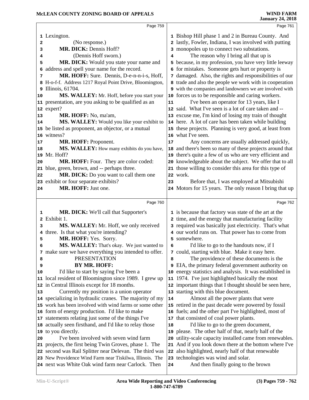|    | Page 759                                                                                                           |    | Page 761                                                                                                     |
|----|--------------------------------------------------------------------------------------------------------------------|----|--------------------------------------------------------------------------------------------------------------|
|    | 1 Lexington.                                                                                                       |    | 1 Bishop Hill phase 1 and 2 in Bureau County. And                                                            |
| 2  | (No response.)                                                                                                     |    | 2 lastly, Fowler, Indiana, I was involved with putting                                                       |
| 3  | MR. DICK: Dennis Hoff?                                                                                             |    | 3 monopoles up to connect two substations.                                                                   |
| 4  | (Dennis Hoff sworn.)                                                                                               | 4  | The reason why I bring all that up is                                                                        |
| 5  | MR. DICK: Would you state your name and                                                                            | 5  | because, in my profession, you have very little leeway                                                       |
| 6  | address and spell your name for the record.                                                                        | 6  | for mistakes. Someone gets hurt or property is                                                               |
| 7  | MR. HOFF: Sure. Dennis, D-e-n-n-i-s, Hoff,                                                                         | 7  | damaged. Also, the rights and responsibilities of our                                                        |
|    | 8 H-o-f-f. Address 1217 Royal Point Drive, Bloomington,                                                            |    | 8 trade and also the people we work with in cooperation                                                      |
|    | 9 Illinois, 61704.                                                                                                 |    | 9 with the companies and landowners we are involved with                                                     |
| 10 | MS. WALLEY: Mr. Hoff, before you start your                                                                        |    | 10 forces us to be responsible and caring workers.                                                           |
|    | 11 presentation, are you asking to be qualified as an                                                              | 11 | I've been an operator for 13 years, like I                                                                   |
|    | 12 expert?                                                                                                         |    | 12 said. What I've seen is a lot of care taken and --                                                        |
| 13 | MR. HOFF: No, ma'am,                                                                                               |    | 13 excuse me, I'm kind of losing my train of thought                                                         |
| 14 | MS. WALLEY: Would you like your exhibit to                                                                         |    | 14 here. A lot of care has been taken while building                                                         |
|    | 15 be listed as proponent, an objector, or a mutual                                                                |    | 15 these projects. Planning is very good, at least from                                                      |
|    | 16 witness?                                                                                                        |    | 16 what I've seen.                                                                                           |
| 17 | MR. HOFF: Proponent.                                                                                               | 17 | Any concerns are usually addressed quickly,                                                                  |
| 18 | MS. WALLEY: How many exhibits do you have,                                                                         |    | 18 and there's been so many of these projects around that                                                    |
|    | 19 Mr. Hoff?                                                                                                       |    | 19 there's quite a few of us who are very efficient and                                                      |
| 20 | MR. HOFF: Four. They are color coded:                                                                              |    | 20 knowledgeable about the subject. We offer that to all                                                     |
|    | 21 blue, green, brown, and -- perhaps three.                                                                       |    | 21 those willing to consider this area for this type of                                                      |
| 22 | MR. DICK: Do you want to call them one                                                                             |    | 22 work.                                                                                                     |
|    | 23 exhibit or four separate exhibits?                                                                              | 23 | Before that, I was employed at Mitsubishi                                                                    |
| 24 | MR. HOFF: Just one.                                                                                                |    | 24 Motors for 15 years. The only reason I bring that up                                                      |
|    |                                                                                                                    |    |                                                                                                              |
|    | Page 760                                                                                                           |    | Page 762                                                                                                     |
|    |                                                                                                                    |    |                                                                                                              |
| ı  | <b>MR. DICK:</b> We'll call that Supporter's                                                                       |    | 1 is because that factory was state of the art at the                                                        |
| 2  | Exhibit 1.                                                                                                         |    | 2 time, and the energy that manufacturing facility                                                           |
| з  | MS. WALLEY: Mr. Hoff, we only received                                                                             |    | 3 required was basically just electricity. That's what                                                       |
|    | 4 three. Is that what you're intending?                                                                            |    | 4 our world runs on. That power has to come from                                                             |
| 5  | MR. HOFF: Yes. Sorry.                                                                                              |    | 5 somewhere.                                                                                                 |
| 6  | MS. WALLEY: That's okay. We just wanted to                                                                         | 6  | I'd like to go to the handouts now, if I                                                                     |
|    |                                                                                                                    |    |                                                                                                              |
| 8  | 7 make sure we have everything you intended to offer.<br><b>PRESENTATION</b>                                       | 8  | 7 could, starting with blue. Make it easy here.                                                              |
| 9  | BY MR. HOFF:                                                                                                       |    | The providence of these documents is the                                                                     |
| 10 |                                                                                                                    |    | <b>9</b> EIA, the primary federal government authority on                                                    |
|    | I'd like to start by saying I've been a                                                                            |    | 10 energy statistics and analysis. It was established in                                                     |
|    | 11 local resident of Bloomington since 1989. I grew up<br>12 in Central Illinois except for 18 months.             |    | 11 1974. I've just highlighted basically the most<br>12 important things that I thought should be seen here, |
| 13 |                                                                                                                    |    |                                                                                                              |
|    | Currently my position is a union operator                                                                          | 14 | 13 starting with this blue document.                                                                         |
|    | 14 specializing in hydraulic cranes. The majority of my<br>15 work has been involved with wind farms or some other |    | Almost all the power plants that were                                                                        |
|    |                                                                                                                    |    | 15 retired in the past decade were powered by fossil                                                         |
|    | 16 form of energy production. I'd like to make                                                                     |    | 16 fuels; and the other part I've highlighted, most of                                                       |
|    | 17 statements relating just some of the things I've                                                                |    | 17 that consisted of coal power plants.                                                                      |
|    | 18 actually seen firsthand, and I'd like to relay those                                                            | 18 | I'd like to go to the green document,                                                                        |
|    | 19 to you directly.                                                                                                |    | 19 please. The other half of that, nearly half of the                                                        |
| 20 | I've been involved with seven wind farm                                                                            |    | 20 utility-scale capacity installed came from renewables.                                                    |
|    | 21 projects, the first being Twin Groves, phase 1. The                                                             |    | 21 And if you look down there at the bottom where I've                                                       |
|    | 22 second was Rail Splitter near Delevan. The third was                                                            |    | 22 also highlighted, nearly half of that renewable                                                           |
|    | 23 New Providence Wind Farm near Tiskilwa, Illinois. The<br>24 next was White Oak wind farm near Carlock. Then     | 24 | 23 technologies was wind and solar.<br>And then finally going to the brown                                   |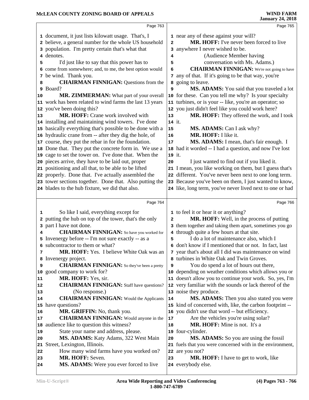# **McLEAN COUNTY ZONING BOARD OF APPEALS**

|          |                                                             |              | January 24, 2010                                                   |
|----------|-------------------------------------------------------------|--------------|--------------------------------------------------------------------|
|          | Page 763                                                    |              | Page 765                                                           |
|          | 1 document, it just lists kilowatt usage. That's, I         |              | 1 near any of these against your will?                             |
|          | 2 believe, a general number for the whole US household      | $\mathbf{2}$ | MR. HOFF: I've never been forced to live                           |
|          | 3 population. I'm pretty certain that's what that           |              | 3 anywhere I never wished to be.                                   |
|          | 4 denotes.                                                  | 4            | (Audience Member having                                            |
| 5        | I'd just like to say that this power has to                 | 5            | conversation with Ms. Adams.)                                      |
|          | 6 come from somewhere; and, to me, the best option would    | 6            | <b>CHAIRMAN FINNIGAN:</b> We're not going to have                  |
|          | 7 be wind. Thank you.                                       |              | 7 any of that. If it's going to be that way, you're                |
| 8        | <b>CHAIRMAN FINNIGAN: Questions from the</b>                |              | a going to leave.                                                  |
|          | 9 Board?                                                    | 9            | MS. ADAMS: You said that you traveled a lot                        |
| 10       | MR. ZIMMERMAN: What part of your overall                    |              | 10 for these. Can you tell me why? Is your specialty               |
|          | 11 work has been related to wind farms the last 13 years    |              | 11 turbines, or is your -- like, you're an operator; so            |
|          | 12 you've been doing this?                                  |              | 12 you just didn't feel like you could work here?                  |
| 13       | <b>MR. HOFF:</b> Crane work involved with                   | 13           | MR. HOFF: They offered the work, and I took                        |
|          | 14 installing and maintaining wind towers. I've done        | 14 it.       |                                                                    |
|          | 15 basically everything that's possible to be done with a   |              | MS. ADAMS: Can I ask why?                                          |
|          | 16 hydraulic crane from -- after they dig the hole, of      | 15           | MR. HOFF: I like it.                                               |
|          |                                                             | 16           |                                                                    |
|          | 17 course, they put the rebar in for the foundation.        | 17           | MS. ADAMS: I mean, that's fair enough. I                           |
|          | 18 Done that. They put the concrete form in. We use a       |              | 18 had it worded -- I had a question, and now I've lost            |
|          | 19 cage to set the tower on. I've done that. When the       | 19 it.       |                                                                    |
|          | 20 pieces arrive, they have to be laid out, proper          | 20           | I just wanted to find out if you liked it.                         |
|          | 21 positioning and all that, to be able to be lifted        |              | 21 I mean, you like working on them, but I guess that's            |
|          | 22 properly. Done that. I've actually assembled the         |              | 22 different. You've never been next to one long term.             |
|          | 23 tower sections together. Done that. Also putting the     |              | 23 Because you've been on them, I just wanted to know,             |
|          | 24 blades to the hub fixture, we did that also.             |              | 24 like, long term, you've never lived next to one or had          |
|          | Page 764                                                    |              | Page 766                                                           |
|          | So like I said, everything except for                       |              | 1 to feel it or hear it or anything?                               |
| 1        | 2 putting the hub on top of the tower, that's the only      |              | MR. HOFF: Well, in the process of putting                          |
|          | 3 part I have not done.                                     | $\mathbf{2}$ | 3 them together and taking them apart, sometimes you go            |
|          |                                                             |              |                                                                    |
|          |                                                             |              |                                                                    |
| 4        | <b>CHAIRMAN FINNIGAN:</b> So have you worked for            |              | 4 through quite a few hours at that site.                          |
|          | 5 Invenergy before -- I'm not sure exactly -- as a          | 5            | I do a lot of maintenance also, which I                            |
|          | 6 subcontractor to them or what?                            |              | 6 don't know if I mentioned that or not. In fact, last             |
| 7        | <b>MR. HOFF:</b> Yes. I believe White Oak was an            |              | 7 year that's about all I did was maintenance on wind              |
|          | 8 Invenergy project.                                        |              | 8 turbines in White Oak and Twin Groves.                           |
| 9        | <b>CHAIRMAN FINNIGAN:</b> So they've been a pretty          | 9            | You do spend a lot of hours out there,                             |
|          | 10 good company to work for?                                |              | 10 depending on weather conditions which allows you or             |
| 11       | MR. HOFF: Yes, sir.                                         |              | 11 doesn't allow you to continue your work. So, yes, I'm           |
| 12       | <b>CHAIRMAN FINNIGAN:</b> Staff have questions?             |              | 12 very familiar with the sounds or lack thereof of the            |
| 13       | (No response.)                                              |              | 13 noise they produce.                                             |
| 14       | <b>CHAIRMAN FINNIGAN:</b> Would the Applicants              | 14           | MS. ADAMS: Then you also stated you were                           |
|          | 15 have questions?                                          |              | 15 kind of concerned with, like, the carbon footprint --           |
| 16       | MR. GRIFFIN: No, thank you.                                 |              | 16 you didn't use that word -- but efficiency.                     |
| 17       | <b>CHAIRMAN FINNIGAN:</b> Would anyone in the               | 17           | Are the vehicles you're using solar?                               |
|          | 18 audience like to question this witness?                  | 18           | MR. HOFF: Mine is not. It's a                                      |
| 19       | State your name and address, please.                        |              | 19 four-cylinder.                                                  |
| 20       | MS. ADAMS: Katy Adams, 322 West Main                        | 20           | MS. ADAMS: So you are using the fossil                             |
|          | 21 Street, Lexington, Illinois.                             |              | 21 fuels that you were concerned with in the environment,          |
| 22       | How many wind farms have you worked on?                     |              | 22 are you not?                                                    |
| 23<br>24 | MR. HOFF: Seven.<br>MS. ADAMS: Were you ever forced to live | 23           | <b>MR. HOFF:</b> I have to get to work, like<br>24 everybody else. |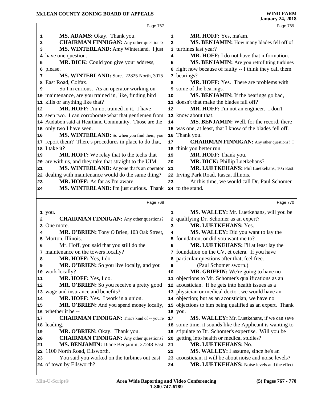|              | Page 767                                                          |    | Page 769                                                                  |
|--------------|-------------------------------------------------------------------|----|---------------------------------------------------------------------------|
| 1            | MS. ADAMS: Okay. Thank you.                                       | 1  | MR. HOFF: Yes, ma'am.                                                     |
| 2            | <b>CHAIRMAN FINNIGAN:</b> Any other questions?                    | 2  | MS. BENJAMIN: How many blades fell off of                                 |
| 3            | MS. WINTERLAND: Amy Winterland. I just                            | 3  | turbines last year?                                                       |
|              | 4 have one question.                                              | 4  | MR. HOFF: I do not have that information.                                 |
| 5            | MR. DICK: Could you give your address,                            | 5  | <b>MS. BENJAMIN:</b> Are you retrofitting turbines                        |
|              | 6 please.                                                         | 6  | right now because of faulty -- I think they call them                     |
| 7            | MS. WINTERLAND: Sure. 22825 North, 3075                           |    | 7 bearings?                                                               |
| 8            | East Road, Colfax.                                                | 8  | <b>MR. HOFF:</b> Yes. There are problems with                             |
| 9            | So I'm curious. As an operator working on                         | 9  | some of the bearings.                                                     |
|              | 10 maintenance, are you trained in, like, finding bird            | 10 | MS. BENJAMIN: If the bearings go bad,                                     |
|              | 11 kills or anything like that?                                   |    | 11 doesn't that make the blades fall off?                                 |
| 12           | MR. HOFF: I'm not trained in it. I have                           | 12 | MR. HOFF: I'm not an engineer. I don't                                    |
|              | 13 seen two. I can corroborate what that gentlemen from           | 13 | know about that.                                                          |
|              | 14 Audubon said at Heartland Community. Those are the             | 14 | MS. BENJAMIN: Well, for the record, there                                 |
|              | 15 only two I have seen.                                          |    | 15 was one, at least, that I know of the blades fell off.                 |
| 16           | MS. WINTERLAND: So when you find them, you                        | 16 | Thank you.                                                                |
|              | 17 report them? There's procedures in place to do that,           | 17 | <b>CHAIRMAN FINNIGAN:</b> Any other questions? I                          |
|              | 18 I take it?                                                     |    | 18 think you better run.                                                  |
| 19           | <b>MR. HOFF:</b> We relay that to the techs that                  | 19 | MR. HOFF: Thank you.                                                      |
|              | 20 are with us, and they take that straight to the UIM.           | 20 | MR. DICK: Phillip Luetkehans?                                             |
| 21           | MS. WINTERLAND: Anyone that's an operator                         | 21 | MR. LUETKEHANS: Phil Luetkehans, 105 East                                 |
|              | 22 dealing with maintenance would do the same thing?              | 22 | Irving Park Road, Itasca, Illinois.                                       |
| 23           | MR. HOFF: As far as I'm aware.                                    | 23 | At this time, we would call Dr. Paul Schomer                              |
| 24           | MS. WINTERLAND: I'm just curious. Thank                           |    | 24 to the stand.                                                          |
|              |                                                                   |    |                                                                           |
|              |                                                                   |    |                                                                           |
|              | Page 768                                                          |    | Page 770                                                                  |
|              |                                                                   | 1  |                                                                           |
| $\mathbf{2}$ | 1 you.                                                            | 2  | MS. WALLEY: Mr. Luetkehans, will you be                                   |
| 3            | <b>CHAIRMAN FINNIGAN:</b> Any other questions?<br>One more.       | 3  | qualifying Dr. Schomer as an expert?<br>MR. LUETKEHANS: Yes.              |
|              |                                                                   | 4  |                                                                           |
|              | MR. O'BRIEN: Tony O'Brien, 103 Oak Street,<br>5 Morton, Illinois. | 5  | MS. WALLEY: Did you want to lay the<br>foundation, or did you want me to? |
| 6            | Mr. Hoff, you said that you still do the                          | 6  | MR. LUETKEHANS: I'll at least lay the                                     |
|              | 7 maintenance on the towers locally?                              |    | 7 foundation on the CV, et cetera. If you have                            |
| 8            | MR. HOFF: Yes, I do.                                              | 8  | particular questions after that, feel free.                               |
| 9            | MR. O'BRIEN: So you live locally, and you                         | 9  | (Paul Schomer sworn.)                                                     |
| 10           | work locally?                                                     | 10 | MR. GRIFFIN: We're going to have no                                       |
| 11           | MR. HOFF: Yes, I do.                                              |    | 11 objections to Mr. Schomer's qualifications as an                       |
|              | MR. O'BRIEN: So you receive a pretty good                         |    | 12 acoustician. If he gets into health issues as a                        |
| 12           | 13 wage and insurance and benefits?                               |    | 13 physician or medical doctor, we would have an                          |
|              | MR. HOFF: Yes. I work in a union.                                 |    | 14 objection; but as an acoustician, we have no                           |
|              | MR. O'BRIEN: And you spend money locally,                         |    | 15 objections to him being qualified as an expert. Thank                  |
| 14<br>15     | 16 whether it be --                                               |    | 16 you.                                                                   |
| 17           | <b>CHAIRMAN FINNIGAN:</b> That's kind of -- you're                | 17 | MS. WALLEY: Mr. Luetkehans, if we can save                                |
|              | 18 leading.                                                       | 18 | some time, it sounds like the Applicant is wanting to                     |
| 19           | MR. O'BRIEN: Okay. Thank you.                                     |    | 19 stipulate to Dr. Schomer's expertise. Will you be                      |
| 20           | <b>CHAIRMAN FINNIGAN:</b> Any other questions?                    |    | 20 getting into health or medical studies?                                |
| 21           | MS. BENJAMIN: Diane Benjamin, 27248 East                          | 21 | MR. LUETKEHANS: No.                                                       |
| 22           | 1100 North Road, Ellsworth.                                       | 22 | MS. WALLEY: I assume, since he's an                                       |
| 23           | You said you worked on the turbines out east                      | 23 | acoustician, it will be about noise and noise levels?                     |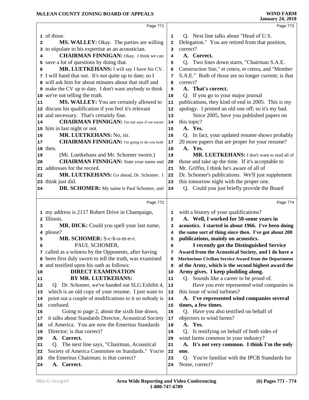|          | Page 771                                                |              | Page 773                                                                           |
|----------|---------------------------------------------------------|--------------|------------------------------------------------------------------------------------|
|          | 1 of those.                                             | 1            | Q. Next line talks about "Head of U.S.                                             |
| 2        | <b>MS. WALLEY:</b> Okay. The parties are willing        | $\mathbf{2}$ | Delegation." You are retired from that position,                                   |
|          | 3 to stipulate to his expertise as an acoustician.      | 3            | correct?                                                                           |
| 4        | <b>CHAIRMAN FINNIGAN:</b> Okay. I think we can          | 4            | A. Correct.                                                                        |
|          | 5 save a lot of questions by doing that.                | 5            | Q. Two lines down starts, "Chairman S.A.E.                                         |
| 6        | MR. LUETKEHANS: I will say I have his CV.               | 6            | Construction Site," et cetera, et cetera, and "Member                              |
|          | 7 I will hand that out. It's not quite up to date; so I | 7            | S.A.E." Both of those are no longer current; is that                               |
|          | 8 will ask him for about minutes about that stuff and   | 8            | correct?                                                                           |
|          | 9 make the CV up to date. I don't want anybody to think | 9            | A. That's correct.                                                                 |
|          | 10 we're not telling the truth.                         | 10           | Q. If you go to your major journal                                                 |
| 11       | MS. WALLEY: You are certainly allowed to                | 11           | publications, they kind of end in 2005. This is my                                 |
|          | 12 discuss his qualification if you feel it's relevant  | 12           | apology. I printed an old one off; so it's my bad.                                 |
|          | 13 and necessary. That's certainly fine.                | 13           | Since 2005, have you published papers on                                           |
| 14       | <b>CHAIRMAN FINNIGAN:</b> I'm not sure if we swore      | 14           | this topic?                                                                        |
|          | 15 him in last night or not.                            | 15           | A. Yes.                                                                            |
| 16       | MR. LUETKEHANS: No, sir.                                | 16           | Q. In fact, your updated resume shows probably                                     |
| 17       | <b>CHAIRMAN FINNIGAN:</b> I'm going to do you both      | 17           | 20 more papers that are proper for your resume?                                    |
| 18       | then.                                                   | 18           | A. Yes.                                                                            |
| 19       | (Mr. Luetkehans and Mr. Schomer sworn.)                 | 19           | MR. LUETKEHANS: I don't want to read all of                                        |
| 20       | <b>CHAIRMAN FINNIGAN:</b> State your name and           | 20           | those and take up the time. If it's acceptable to                                  |
| 21       | addresses for the record.                               | 21           | Mr. Griffin, I think he's aware of all of                                          |
| 22       | MR. LUETKEHANS: Go ahead, Dr. Schomer. I                | 22           | Dr. Schomer's publications. We'll just supplement                                  |
|          | 23 think just did.                                      | 23           | this tomorrow night with the proper one.                                           |
| 24       | <b>DR. SCHOMER:</b> My name is Paul Schomer, and        | 24           | Q. Could you just briefly provide the Board                                        |
|          | Page 772                                                |              | Page 774                                                                           |
|          | 1 my address is 2117 Robert Drive in Champaign,         | 1            | with a history of your qualifications?                                             |
|          | 2 Illinois.                                             | 2            | A. Well, I worked for 50-some years in                                             |
| з        | MR. DICK: Could you spell your last name,               | 3            | acoustics. I started in about 1966. I've been doing                                |
|          | 4 please?                                               | 4            | the same sort of thing since then. I've got about 200                              |
| 5        | MR. SCHOMER: S-c-h-o-m-e-r.                             | 5            | publications, mainly on acoustics.                                                 |
| 6        | PAUL SCHOMER,                                           | 6            | I recently got the Distinguished Service                                           |
|          | 7 called as a witness by the Opponents, after having    | 7            | Award from the Acoustical Society, and I do have a                                 |
|          | 8 been first duly sworn to tell the truth, was examined | 8            | Meritorious Civilian Service Award from the Department                             |
| 9        | and testified upon his oath as follows:                 | 9            | of the Army, which is the second highest award the                                 |
| 10       | <b>DIRECT EXAMINATION</b>                               | 10           | Army gives. I keep plodding along.                                                 |
| 11       | BY MR. LUETKEHANS:                                      | 11           | Q. Sounds like a career to be proud of.                                            |
| 12       | Q. Dr. Schomer, we've handed out SLG Exhibit 4,         | 12           | Have you ever represented wind companies in                                        |
| 13       | which is an old copy of your resume. I just want to     | 13           | this issue of wind turbines?                                                       |
| 14       | point out a couple of modifications to it so nobody is  | 14           | A. I've represented wind companies several                                         |
| 15       | confused.                                               | 15           | times, a few times.                                                                |
| 16       | Going to page 2, about the sixth line down,             | 16           | Q. Have you also testified on behalf of                                            |
| 17       | it talks about Standards Director, Acoustical Society   | 17           | objectors to wind farms?                                                           |
| 18       | of America. You are now the Emeritus Standards          | 18           | A. Yes.                                                                            |
| 19       | Director; is that correct?<br>A. Correct.               | 19           | Q. Is testifying on behalf of both sides of<br>wind farms common in your industry? |
| 20       | Q. The next line says, "Chairman, Acoustical            | 20           | A. It's not very common. I think I'm the only                                      |
| 21<br>22 | Society of America Committee on Standards." You're      | 21<br>22     | one.                                                                               |
| 23       | the Emeritus Chairman; is that correct?                 | 23           | Q. You're familiar with the IPCB Standards for                                     |
|          |                                                         |              |                                                                                    |
| 24       | A. Correct.                                             | 24           | Noise, correct?                                                                    |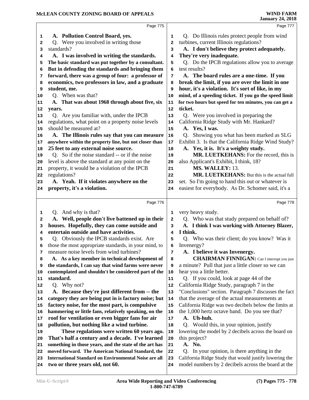|                                                                | Page 775                                                                                                           |            | Page 777                                                                                                      |
|----------------------------------------------------------------|--------------------------------------------------------------------------------------------------------------------|------------|---------------------------------------------------------------------------------------------------------------|
|                                                                |                                                                                                                    |            |                                                                                                               |
| 1                                                              | A. Pollution Control Board, yes.                                                                                   | 1          | Q. Do Illinois rules protect people from wind                                                                 |
| $\mathbf{2}$                                                   | Q. Were you involved in writing those                                                                              | 2          | turbines, current Illinois regulations?                                                                       |
| 3                                                              | standards?                                                                                                         | 3          | A. I don't believe they protect adequately.                                                                   |
| 4                                                              | A. I was involved in writing the standards.                                                                        | 4          | They're very inadequate.                                                                                      |
| 5                                                              | The basic standard was put together by a consultant.                                                               | 5          | Q. Do the IPCB regulations allow you to average                                                               |
| 6                                                              | But in defending the standards and bringing them                                                                   | 6          | test results?                                                                                                 |
| 7                                                              | forward, there was a group of four: a professor of                                                                 | 7          | A. The board rules are a one-time. If you                                                                     |
| 8                                                              | economics, two professors in law, and a graduate                                                                   | 8          | break the limit, if you are over the limit in one                                                             |
| 9                                                              | student, me.                                                                                                       | 9          | hour, it's a violation. It's sort of like, in my                                                              |
| 10                                                             | Q. When was that?                                                                                                  | 10         | mind, of a speeding ticket. If you go the speed limit                                                         |
| 11                                                             | A. That was about 1968 through about five, six                                                                     | 11         | for two hours but speed for ten minutes, you can get a                                                        |
| 12                                                             | years.                                                                                                             | 12         | ticket.                                                                                                       |
| 13                                                             | Q. Are you familiar with, under the IPCB                                                                           | 13         | Q. Were you involved in preparing the                                                                         |
| 14                                                             | regulations, what point on a property noise levels                                                                 | 14         | California Ridge Study with Mr. Hankard?                                                                      |
| 15                                                             | should be measured at?                                                                                             | 15         | A. Yes, I was.                                                                                                |
| 16                                                             | A. The Illinois rules say that you can measure                                                                     | ${\bf 16}$ | Q. Showing you what has been marked as SLG                                                                    |
| 17                                                             | anywhere within the property line, but not closer than                                                             | $17\,$     | Exhibit 3. Is that the California Ridge Wind Study?                                                           |
| 18                                                             | 25 feet to any external noise source.                                                                              | 18         | A. Yes, it is. It's a weighty study.                                                                          |
| 19                                                             | Q. So if the noise standard -- or if the noise                                                                     | 19         | MR. LUETKEHANS: For the record, this is                                                                       |
| 20                                                             | level is above the standard at any point on the                                                                    | 20         | also Applicant's Exhibit, I think, 18?                                                                        |
| 21                                                             | property, it would be a violation of the IPCB                                                                      | 21         | MS. WALLEY: 13.                                                                                               |
| 22                                                             | regulations?                                                                                                       | 22         | MR. LUETKEHANS: But this is the actual full                                                                   |
| 23                                                             | A. Yeah. If it violates anywhere on the                                                                            | 23         | set. So I'm going to hand this out or whatever is                                                             |
| 24                                                             | property, it's a violation.                                                                                        | 24         | easiest for everybody. As Dr. Schomer said, it's a                                                            |
|                                                                |                                                                                                                    |            |                                                                                                               |
|                                                                | Page 776                                                                                                           |            | Page 778                                                                                                      |
| 1                                                              | Q. And why is that?                                                                                                | 1          | very heavy study.                                                                                             |
|                                                                |                                                                                                                    |            |                                                                                                               |
| $\mathbf{2}$                                                   | A. Well, people don't live battened up in their                                                                    | 2          | Q. Who was that study prepared on behalf of?                                                                  |
| 3                                                              | houses. Hopefully, they can come outside and                                                                       | 3          | A. I think I was working with Attorney Blazer,                                                                |
| 4                                                              | entertain outside and have activities.                                                                             | 4          | I think.                                                                                                      |
| 5                                                              | Q. Obviously the IPCB standards exist. Are                                                                         | 5          | Q. Who was their client; do you know? Was it                                                                  |
| 6                                                              | those the most appropriate standards, in your mind, to                                                             | 6          | Invenergy?                                                                                                    |
| 7                                                              | measure noise levels from wind turbines?                                                                           | 7          | A. I believe it was Invenergy.                                                                                |
| 8                                                              | A. As a key member in technical development of                                                                     | 8          | <b>CHAIRMAN FINNIGAN:</b> Can I interrupt you just                                                            |
| 9                                                              | the standards, I can say that wind farms were never                                                                | 9          | a minute? Pull that just a little closer so we can                                                            |
|                                                                | contemplated and shouldn't be considered part of the                                                               | 10         | hear you a little better.                                                                                     |
|                                                                | standard.                                                                                                          | 11         | Q. If you could, look at page 44 of the                                                                       |
|                                                                | Q. Why not?                                                                                                        | 12         | California Ridge Study, paragraph 7 in the                                                                    |
|                                                                | A. Because they're just different from -- the                                                                      | 13         | "Conclusions" section. Paragraph 7 discusses the fact                                                         |
|                                                                | category they are being put in is factory noise; but                                                               | 14         | that the average of the actual measurements at                                                                |
|                                                                | factory noise, for the most part, is compulsive                                                                    | 15         | California Ridge was two decibels below the limits at                                                         |
|                                                                | hammering or little fans, relatively speaking, on the                                                              | 16         | the 1,000 hertz octave band. Do you see that?                                                                 |
|                                                                | roof for ventilation or even bigger fans for air                                                                   | 17         | A. Uh-huh.                                                                                                    |
|                                                                | pollution, but nothing like a wind turbine.                                                                        | 18         |                                                                                                               |
|                                                                |                                                                                                                    | 19         | Q. Would this, in your opinion, justify<br>lowering the model by 2 decibels across the board on               |
| 10<br>11<br>12<br>13<br>14<br>15<br>16<br>17<br>18<br>19<br>20 | These regulations were written 60 years ago.                                                                       | 20         |                                                                                                               |
| 21                                                             | That's half a century and a decade. I've learned                                                                   | 21         | this project?<br>A. No.                                                                                       |
| 22                                                             | something in those years, and the state of the art has                                                             | 22         | Q.                                                                                                            |
| 23                                                             | moved forward. The American National Standard, the<br><b>International Standard on Environmental Noise are all</b> | 23         | In your opinion, is there anything in the                                                                     |
| 24                                                             | two or three years old, not 60.                                                                                    | 24         | California Ridge Study that would justify lowering the<br>model numbers by 2 decibels across the board at the |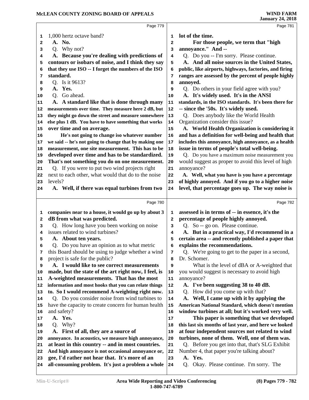|        | Page 779                                                                                            |         | Page 781                                                                                          |
|--------|-----------------------------------------------------------------------------------------------------|---------|---------------------------------------------------------------------------------------------------|
| 1      | 1,000 hertz octave band?                                                                            | 1       | lot of the time.                                                                                  |
| 2      | A. No.                                                                                              | 2       | For those people, we term that "high                                                              |
| 3      | Q. Why not?                                                                                         | 3       | annoyance." And --                                                                                |
| 4      | A. Because you're dealing with predictions of                                                       | 4       | Q. Do you -- I'm sorry. Please continue.                                                          |
| 5      | contours or isobars of noise, and I think they say                                                  | 5       | A. And all noise sources in the United States,                                                    |
| 6      | that they use ISO -- I forget the numbers of the ISO                                                | 6       | public, like airports, highways, factories, and firing                                            |
| 7      | standard.                                                                                           | 7       | ranges are assessed by the percent of people highly                                               |
| 8      | O. Is it 9613?                                                                                      | 8       | annoyed.                                                                                          |
| 9      | A. Yes.                                                                                             | 9       | Q. Do others in your field agree with you?                                                        |
| 10     | Q. Go ahead.                                                                                        | 10      | A. It's widely used. It's in the ANSI                                                             |
| 11     | A. A standard like that is done through many                                                        | 11      | standards, in the ISO standards. It's been there for                                              |
| 12     | measurements over time. They measure here 2 dB, but                                                 | 12      | -- since the '50s. It's widely used.                                                              |
| 13     | they might go down the street and measure somewhere                                                 | 13      | Q. Does anybody like the World Health                                                             |
| 14     | else plus 1 dB. You have to have something that works                                               | 14      | Organization consider this issue?                                                                 |
| 15     | over time and on average.                                                                           | 15      | A. World Health Organization is considering it                                                    |
| 16     | He's not going to change iso whatever number                                                        | 16      | and has a definition for well-being and health that                                               |
| 17     | we said -- he's not going to change that by making one                                              | 17      | includes this annoyance, high annoyance, as a health                                              |
| 18     | measurement, one site measurement. This has to be                                                   | 18      | issue in terms of people's total well-being.                                                      |
| 19     | developed over time and has to be standardized.                                                     | 19      | Q. Do you have a maximum noise measurement you                                                    |
| 20     | That's not something you do on one measurement.                                                     | 20      | would suggest as proper to avoid this level of high                                               |
| 21     | Q. If you were to put two wind projects right                                                       | 21      | annoyance?                                                                                        |
| 22     | next to each other, what would that do to the noise                                                 | 22      | A. Well, what you have is you have a percentage                                                   |
| 23     | levels?                                                                                             | 23      | of highly annoyed. And if you go to a higher noise                                                |
| 24     | A. Well, if there was equal turbines from two                                                       | 24      | level, that percentage goes up. The way noise is                                                  |
|        |                                                                                                     |         |                                                                                                   |
|        |                                                                                                     |         |                                                                                                   |
|        | Page 780                                                                                            |         | Page 782                                                                                          |
|        |                                                                                                     |         |                                                                                                   |
| 1      | companies near to a house, it would go up by about 3                                                | 1       | assessed is in terms of -- in essence, it's the                                                   |
| 2      | dB from what was predicted.                                                                         | 2       | percentage of people highly annoyed.                                                              |
| 3<br>4 | Q. How long have you been working on noise<br>issues related to wind turbines?                      | 3<br>4  | Q. So -- go on. Please continue.                                                                  |
| 5      |                                                                                                     |         | A. But in a practical way, I'd recommend in a                                                     |
| 6      | A. About ten years.                                                                                 | 5<br>6  | certain area -- and recently published a paper that                                               |
| 7      | Q. Do you have an opinion as to what metric                                                         |         | explains the recommendations.                                                                     |
| 8      | this Board should be using to judge whether a wind                                                  | 7<br>8  | Q. We're going to get to the paper in a second,                                                   |
| 9      | project is safe for the public?                                                                     |         | Dr. Schomer.                                                                                      |
| 10     | A. I would like to see correct measurements                                                         | 9<br>10 | What is the level of dBA or A-weighted that                                                       |
| 11     | made, but the state of the art right now, I feel, is                                                | 11      | you would suggest is necessary to avoid high                                                      |
| 12     | A-weighted measurements. That has the most<br>information and most hooks that you can relate things | 12      | annoyance?<br>A. I've been suggesting 38 to 40 dB.                                                |
| 13     | to. So I would recommend A-weighting right now.                                                     | 13      | Q. How did you come up with that?                                                                 |
| 14     | Q. Do you consider noise from wind turbines to                                                      | 14      | A. Well, I came up with it by applying the                                                        |
| 15     | have the capacity to create concern for human health                                                | 15      | American National Standard, which doesn't mention                                                 |
| 16     | and safety?                                                                                         | 16      | window turbines at all; but it's worked very well.                                                |
| 17     | A. Yes.                                                                                             | $17\,$  |                                                                                                   |
| 18     | Q. Why?                                                                                             | 18      | This paper is something that we developed                                                         |
| 19     | A. First of all, they are a source of                                                               | 19      | this last six months of last year, and here we looked                                             |
| 20     | annoyance. In acoustics, we measure high annoyance,                                                 | 20      | at four independent sources not related to wind                                                   |
| 21     | at least in this country -- and in most countries.                                                  | 21      | turbines, none of them. Well, one of them was.<br>Q. Before you get into that, that's SLG Exhibit |
| 22     | And high annoyance is not occasional annoyance or,                                                  | 22      | Number 4, that paper you're talking about?                                                        |
| 23     | gee, I'd rather not hear that. It's more of an                                                      | 23      | A. Yes.                                                                                           |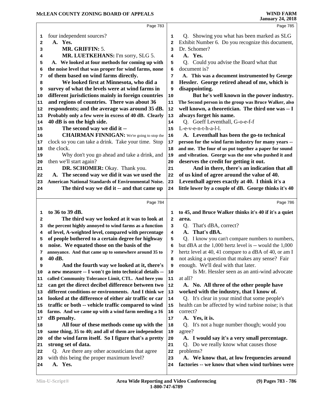|    | Page 783                                                   |                         | Page 785                                               |
|----|------------------------------------------------------------|-------------------------|--------------------------------------------------------|
| 1  | four independent sources?                                  | 1                       | Q. Showing you what has been marked as SLG             |
| 2  | A. Yes.                                                    | $\overline{\mathbf{2}}$ | Exhibit Number 6. Do you recognize this document,      |
| з  | MR. GRIFFIN: 5.                                            | 3                       | Dr. Schomer?                                           |
| 4  | MR. LUETKEHANS: I'm sorry, SLG 5.                          | 4                       | A. Yes.                                                |
| 5  | A. We looked at four methods for coming up with            | 5                       | Could you advise the Board what that<br>O.             |
| 6  | the noise level that was proper for wind farms, none       | 6                       | document is?                                           |
| 7  | of them based on wind farms directly.                      | 7                       | A. This was a document instrumented by George          |
| 8  | We looked first at Minnesota, who did a                    | 8                       | Hessler. George retired ahead of me, which is          |
| 9  | survey of what the levels were at wind farms in            | 9                       | disappointing.                                         |
| 10 | different jurisdictions mainly in foreign countries        | 10                      | But he's well known in the power industry.             |
| 11 | and regions of countries. There was about 36               | 11                      | The Second person in the group was Bruce Walker, also  |
| 12 | respondents; and the average was around 35 dB.             | 12                      | well known, a theoretician. The third one was -- I     |
| 13 | Probably only a few were in excess of 40 dB. Clearly       | 13                      | always forget his name.                                |
| 14 | 40 dB is on the high side.                                 | 14                      | Q. Goeff Leventhall, G-o-e-f-f                         |
| 15 | The second way we did it --                                | 15                      | L-e-v-e-n-t-h-a-l-l.                                   |
| 16 | <b>CHAIRMAN FINNIGAN:</b> We're going to stop the          | 16                      | A. Leventhall has been the go-to technical             |
| 17 | clock so you can take a drink. Take your time. Stop        | 17                      | person for the wind farm industry for many years --    |
| 18 | the clock.                                                 | 18                      | and me. The four of us put together a paper for sound  |
| 19 | Why don't you go ahead and take a drink, and               | 19                      | and vibration. George was the one who pushed it and    |
| 20 | then we'll start again?                                    | 20                      | deserves the credit for getting it out.                |
| 21 | DR. SCHOMER: Okay. Thank you.                              | 21                      | And in there, there's an indication that all           |
| 22 | A. The second way we did it was we used the                | 22                      | of us kind of agree around the value of 40.            |
| 23 | <b>American National Standards of Environmental Noise.</b> | 23                      | Leventhall agrees exactly at 40. I think it's a        |
| 24 | The third way we did it -- and that came up                | 24                      | little lower by a couple of dB. George thinks it's 40  |
|    |                                                            |                         |                                                        |
|    | Page 784                                                   |                         | Page 786                                               |
| 1  | to 36 to 39 dB.                                            | 1                       | to 45, and Bruce Walker thinks it's 40 if it's a quiet |
| 2  | The third way we looked at it was to look at               | $\mathbf{2}$            | area.                                                  |
| 3  | the percent highly annoyed to wind farms as a function     | 3                       | That's dBA, correct?<br>Q.                             |
| 4  | of level, A-weighted level, compared with percentage       | 4                       | A. That's dBA.                                         |
| 5  | of people bothered to a certain degree for highway         | 5                       | Q. I know you can't compare numbers to numbers,        |
| 6  | noise. We equated those on the basis of the                | 6                       | but dBA at the 1,000 hertz level is -- would the 1,000 |
| 7  | annoyance. And that came up to somewhere around 35 to      | 7                       | hertz level at 40, 41 compare to a dBA of 40, or am I  |
| 8  | 40 dB.                                                     | 8                       | not asking a question that makes any sense? Fair       |
| 9  | And the fourth way we looked at it, there's                | 9                       | enough. We'll deal with that later.                    |
| 10 | a new measure -- I won't go into technical details --      | 10                      | Is Mr. Hessler seen as an anti-wind advocate           |
| 11 | called Community Tolerance Limit, CTL. And here you        | 11                      | at all?                                                |
| 12 | can get the direct decibel difference between two          | 12                      | A. No. All three of the other people have              |
| 13 | different conditions or environments. And I think we       | 13                      | worked with the industry, that I know of.              |
| 14 | looked at the difference of either air traffic or car      | 14                      | Q. It's clear in your mind that some people's          |
| 15 | traffic or both -- vehicle traffic compared to wind        | 15                      | health can be affected by wind turbine noise; is that  |
| 16 | farms. And we came up with a wind farm needing a 16        | 16                      | correct?                                               |
| 17 | dB penalty.                                                | 17                      | A. Yes, it is.                                         |
| 18 | All four of these methods come up with the                 | 18                      | Q. It's not a huge number though; would you            |
| 19 | same thing, 35 to 40; and all of them are independent      | 19                      | agree?                                                 |
| 20 | of the wind farm itself. So I figure that's a pretty       | 20                      | A. I would say it's a very small percentage.           |
| 21 | strong set of data.                                        | 21                      | Q. Do we really know what causes those                 |
| 22 | Q. Are there any other acousticians that agree             | 22                      | problems?                                              |
| 23 | with this being the proper maximum level?                  | 23                      | A. We know that, at low frequencies around             |
| 24 | A. Yes.                                                    | 24                      | factories -- we know that when wind turbines were      |
|    |                                                            |                         |                                                        |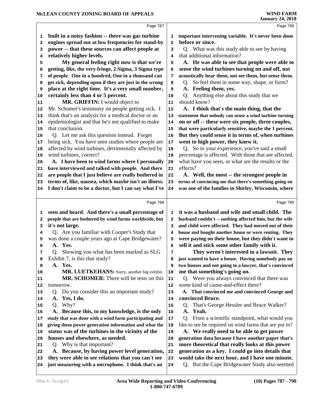|              | Page 787                                                                                                       |          | Page 789                                                                                                       |
|--------------|----------------------------------------------------------------------------------------------------------------|----------|----------------------------------------------------------------------------------------------------------------|
| 1            | built in a noisy fashion -- there was gas turbine                                                              | 1        | important intervening variable. It's never been done                                                           |
| $\mathbf{2}$ | engines spread out at low frequencies for stand-by                                                             | 2        | before or since.                                                                                               |
| 3            | power -- that these sources can affect people at                                                               | 3        | Q. What was this study able to see by having                                                                   |
| 4            | relatively higher levels.                                                                                      | 4        | that additional information?                                                                                   |
| 5            | My general feeling right now is that we're                                                                     | 5        | A. He was able to see that people were able to                                                                 |
| 6            | getting, like, the very fringe, 2 Sigma, 3 Sigma type                                                          | 6        | sense the wind turbines turning on and off, not                                                                |
| 7            | of people. One in a hundred, One in a thousand can                                                             | 7        | acoustically hear them, not see them, but sense them.                                                          |
| 8            | get sick, depending upon if they are just in the wrong                                                         | 8        | So feel them in some way, shape, or form?<br>Q.                                                                |
| 9            | place at the right time. It's a very small number,                                                             | 9        | A. Feeling them, yes.                                                                                          |
| 10           | certainly less than 4 or 5 percent.                                                                            | 10       | Anything else about this study that we<br>Q.                                                                   |
| 11           | MR. GRIFFIN: I would object to                                                                                 | 11       | should know?                                                                                                   |
| 12           | Mr. Schomer's testimony on people getting sick. I                                                              | 12       | A. I think that's the main thing, that the                                                                     |
| 13           | think that's an analysis for a medical doctor or an                                                            | 13       | statement that nobody can sense a wind turbine turning                                                         |
| 14           | epidemiologist and that he's not qualified to make                                                             | 14       | on or off -- these were six people, three couples,                                                             |
| 15           | that conclusion.                                                                                               | 15       | that were particularly sensitive, maybe the 1 percent.                                                         |
| 16           | Q. Let me ask this question instead. Forget                                                                    | 16       | But they could sense it in terms of, when turbines                                                             |
| 17           | being sick. You have seen studies where people are                                                             | 17       | went to high power, they knew it.                                                                              |
| 18           | affected by wind turbines, detrimentally affected by                                                           | 18       | Q. So in your experience, you've said a small                                                                  |
| 19           | wind turbines, correct?                                                                                        | 19       | percentage is affected. With those that are affected,                                                          |
| 20           | A. I have been to wind farms where I personally                                                                | 20       | what have you seen, or what are the results or the                                                             |
| 21           | have interviewed and talked with people. And there                                                             | 21       | effects?                                                                                                       |
| 22           | are people that I just believe are really bothered in                                                          | 22       | A. Well, the most -- the strongest people in                                                                   |
| 23           | terms of, like, nausea, which maybe isn't an illness.<br>I don't claim to be a doctor, but I can say what I've | 23       | terms of convincing me that there's something going on<br>was one of the families in Shirley, Wisconsin, where |
| 24           |                                                                                                                | 24       |                                                                                                                |
|              |                                                                                                                |          |                                                                                                                |
|              | Page 788                                                                                                       |          | Page 790                                                                                                       |
|              |                                                                                                                |          |                                                                                                                |
| 1            | seen and heard. And there's a small percentage of                                                              | 1        | it was a husband and wife and small child. The                                                                 |
| 2            | people that are bothered by wind farms worldwide, but                                                          | 2        | husband couldn't -- nothing affected him, but the wife                                                         |
| 3            | it's not large.                                                                                                | 3        | and child were affected. They had moved out of their                                                           |
| 4            | Q. Are you familiar with Cooper's Study that                                                                   | 4        | house and bought another house or were renting. They                                                           |
| 5            | was done a couple years ago at Cape Bridgewater?                                                               | 5        | were paying on their house, but they didn't want to                                                            |
| 6            | A. Yes.                                                                                                        | 6<br>7   | sell it and stick some other family with it.                                                                   |
| 7<br>8       | Q. Showing you what has been marked as SLG<br>Exhibit 7, is this that study?                                   | 8        | They weren't interested in a lawsuit. They<br>just wanted to have a house. Having somebody pay on              |
| 9            | A. Yes.                                                                                                        | 9        | two houses and not going to a lawyer, that's convinced                                                         |
| 10           | MR. LUETKEHANS: Sorry, another big exhibit.                                                                    | 10       | me that something's going on.                                                                                  |
| 11           | MR. SCHOMER: There will be tests on this                                                                       | 11       | Q. Were you always convinced that there was                                                                    |
| 12           | tomorrow.                                                                                                      | 12       | some kind of cause-and-effect there?                                                                           |
| 13           | Q. Do you consider this an important study?                                                                    | 13       | A. That convinced me and convinced George and                                                                  |
| 14           | Yes, I do.<br>А.                                                                                               | 14       | convinced Bruce.                                                                                               |
| 15           | Why?<br>Q.                                                                                                     | 15       | That's George Hessler and Bruce Walker?<br>Q.                                                                  |
| 16           | A. Because this, to my knowledge, is the only                                                                  | 16       | Yeah.<br>A.                                                                                                    |
| 17           | study that was done with a wind farm participating and                                                         | $17\,$   | Q. From a scientific standpoint, what would you                                                                |
| 18           | giving them power generation information and what the                                                          | 18       | like to see be required on wind farms that are put in?                                                         |
| 19           | status was of the turbines in the vicinity of the                                                              | 19       | A. We really need to be able to get power                                                                      |
| 20           | houses and elsewhere, as needed.                                                                               | 20       | generation data because I have another paper that's                                                            |
| 21           | Q. Why is that important?                                                                                      | 21       | more theoretical that really looks at this power                                                               |
| 22           | A. Because, by having power level generation,                                                                  | 22       | generation as a key. I could go into details that                                                              |
| 23<br>24     | they were able to see relations that you can't see<br>just measuring with a microphone. I think that's an      | 23<br>24 | would take the next hour, and I have one minute.<br>Q. But the Cape Bridgewater Study also seemed              |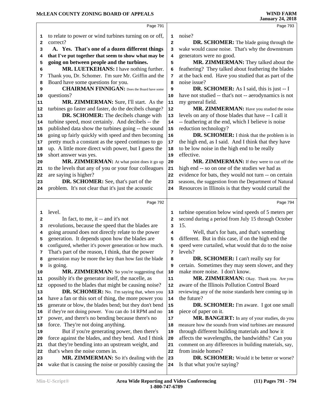# **McLEAN COUNTY ZONING BOARD OF APPEALS**

|                                                          |                                                                                                   |                         | January 24, 2018                                                         |
|----------------------------------------------------------|---------------------------------------------------------------------------------------------------|-------------------------|--------------------------------------------------------------------------|
|                                                          | Page 791                                                                                          |                         | Page 793                                                                 |
| 1                                                        | to relate to power or wind turbines turning on or off,                                            | 1                       | noise?                                                                   |
| 2                                                        | correct?                                                                                          | $\overline{a}$          | <b>DR. SCHOMER:</b> The blade going through the                          |
| 3                                                        | A. Yes. That's one of a dozen different things                                                    | 3                       | wake would cause noise. That's why the downstream                        |
| 4                                                        | that I've put together that seem to show what may be                                              | 4                       | generators were no good.                                                 |
| 5                                                        | going on between people and the turbines.                                                         | 5                       | MR. ZIMMERMAN: They talked about the                                     |
| 6                                                        | MR. LUETKEHANS: I have nothing further.                                                           | 6                       | feathering? They talked about feathering the blades                      |
| 7                                                        | Thank you, Dr. Schomer. I'm sure Mr. Griffin and the                                              | 7                       | at the back end. Have you studied that as part of the                    |
| 8                                                        | Board have some questions for you.                                                                | 8                       | noise issue?                                                             |
| 9                                                        | <b>CHAIRMAN FINNIGAN:</b> Does the Board have some                                                | 9                       | <b>DR. SCHOMER:</b> As I said, this is just -- I                         |
| $10$                                                     | questions?                                                                                        | 10                      | have not studied -- that's not -- aerodynamics is not                    |
| 11                                                       | MR. ZIMMERMAN: Sure, I'll start. As the                                                           | 11                      | my general field.                                                        |
| 12                                                       | turbines go faster and faster, do the decibels change?                                            | 12                      | MR. ZIMMERMAN: Have you studied the noise                                |
| 13                                                       | DR. SCHOMER: The decibels change with                                                             | 13                      | levels on any of those blades that have -- I call it                     |
| 14                                                       | turbine speed, most certainly. And decibels -- the                                                | 14                      | -- feathering at the end, which I believe is noise                       |
| 15                                                       | published data show the turbines going -- the sound                                               | 15                      | reduction technology?                                                    |
| 16                                                       | going up fairly quickly with speed and then becoming                                              | 16                      | DR. SCHOMER: I think that the problem is in                              |
| 17                                                       | pretty much a constant as the speed continues to go                                               | 17                      | the high end, as I said. And I think that they have                      |
| 18                                                       | up. A little more direct with power, but I guess the                                              | 18                      | to be low noise in the high end to be really                             |
| 19                                                       | short answer was yes.                                                                             | 19                      | effective.                                                               |
| 20                                                       | MR. ZIMMERMAN: At what point does it go up                                                        | 20                      | MR. ZIMMERMAN: If they were to cut off the                               |
| 21                                                       | to the levels that any of you or your four colleagues                                             | 21                      | high end -- so on one of the studies we had as                           |
| 22                                                       | are saying is higher?                                                                             | 22                      | evidence for bats, they would not turn -- on certain                     |
| 23                                                       | DR. SCHOMER: See, that's part of the                                                              | 23                      | seasons, the suggestion from the Department of Natural                   |
| 24                                                       | problem. It's not clear that it's just the acoustic                                               | 24                      | Resources in Illinois is that they would curtail the                     |
|                                                          | Page 792                                                                                          |                         | Page 794                                                                 |
|                                                          |                                                                                                   |                         |                                                                          |
| 1                                                        | level.                                                                                            | 1                       | turbine operation below wind speeds of 5 meters per                      |
| 2                                                        | In fact, to me, it -- and it's not                                                                | $\overline{\mathbf{2}}$ | second during a period from July 15 through October                      |
| 3                                                        | revolutions, because the speed that the blades are                                                | 3                       | 15.                                                                      |
| 4                                                        | going around does not directly relate to the power                                                | 4                       | Well, that's for bats, and that's something                              |
| 5                                                        | generation. It depends upon how the blades are                                                    | 5                       | different. But in this case, if on the high end the                      |
| 6                                                        | configured, whether it's power generation or how much.                                            | 6                       | speed were curtailed, what would that do to the noise                    |
| 7                                                        | That's part of the reason, I think, that the power                                                | 7                       | levels?                                                                  |
| 8                                                        | generation may be more the key than how fast the blade                                            | 8                       | DR. SCHOMER: I can't really say for                                      |
| 9                                                        | is going.                                                                                         | 9                       | certain. Sometimes they may seem slower, and they                        |
|                                                          | MR. ZIMMERMAN: So you're suggesting that                                                          | 10                      | make more noise. I don't know.                                           |
|                                                          | possibly it's the generator itself, the nacelle, as                                               | 11                      | MR. ZIMMERMAN: Okay. Thank you. Are you                                  |
|                                                          | opposed to the blades that might be causing noise?                                                | 12                      | aware of the Illinois Pollution Control Board                            |
|                                                          | DR. SCHOMER: No. I'm saying that, when you                                                        | 13                      | reviewing any of the noise standards here coming up in                   |
|                                                          | have a fan or this sort of thing, the more power you                                              | 14                      | the future?                                                              |
|                                                          | generate or blow, the blades bend; but they don't bend                                            | 15                      | <b>DR. SCHOMER:</b> I'm aware. I got one small                           |
|                                                          | if they're not doing power. You can do 14 RPM and no                                              | 16                      | piece of paper on it.                                                    |
|                                                          | power, and there's no bending because there's no                                                  | $17$                    | MR. BANGERT: In any of your studies, do you                              |
|                                                          | force. They're not doing anything.                                                                | 18                      | measure how the sounds from wind turbines are measured                   |
| 10<br>11<br>12<br>13<br>14<br>15<br>16<br>17<br>18<br>19 | But if you're generating power, then there's                                                      | 19                      | through different building materials and how it                          |
| 20                                                       | force against the blades, and they bend. And I think                                              | 20                      | affects the wavelengths, the bandwidths? Can you                         |
| 21                                                       | that they're bending into an upstream weight, and                                                 | 21                      | comment on any differences in building materials, say,                   |
|                                                          | that's when the noise comes in.                                                                   | 22                      | from inside homes?                                                       |
| 22<br>23<br>24                                           | MR. ZIMMERMAN: So it's dealing with the<br>wake that is causing the noise or possibly causing the | 23<br>24                | DR. SCHOMER: Would it be better or worse?<br>Is that what you're saying? |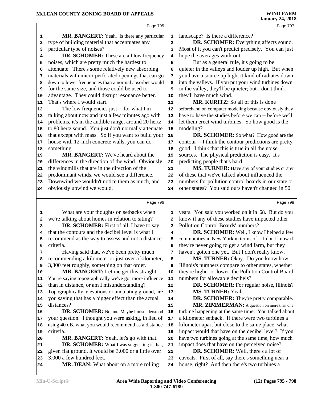|    | Page 795                                               |                         | Page 797                                               |
|----|--------------------------------------------------------|-------------------------|--------------------------------------------------------|
| 1  | <b>MR. BANGERT:</b> Yeah. Is there any particular      | $\mathbf{1}$            | landscape? Is there a difference?                      |
| 2  | type of building material that accentuates any         | $\overline{\mathbf{2}}$ | DR. SCHOMER: Everything affects sound.                 |
| з  | particular type of noises?                             | 3                       | Most of it you can't predict precisely. You can just   |
| 4  | DR. SCHOMER: These are all low frequency               | 4                       | hope the averages work out.                            |
| 5  | noises, which are pretty much the hardest to           | 5                       | But as a general rule, it's going to be                |
| 6  | attenuate. There's some relatively new absorbing       | 6                       | quieter in the valleys and louder up high. But when    |
| 7  | materials with micro-perforated openings that can go   | 7                       | you have a source up high, it kind of radiates down    |
| 8  | down to lower frequencies than a normal absorber would | 8                       | into the valleys. If you put your wind turbines down   |
| 9  | for the same size, and those could be used to          | 9                       | in the valley, they'll be quieter; but I don't think   |
| 10 | advantage. They could disrupt resonance better.        | 10                      | they'll have much wind.                                |
| 11 | That's where I would start.                            | 11                      | MR. KURITZ: So all of this is done                     |
| 12 | The low frequencies just -- for what I'm               | 12                      | beforehand on computer modeling because obviously they |
| 13 | talking about now and just a few minutes ago with      | 13                      | have to have the studies before we can -- before we'll |
| 14 | problems, it's in the audible range, around 20 hertz   | 14                      | let them erect wind turbines. So how good is the       |
| 15 | to 80 hertz sound. You just don't normally attenuate   | 15                      | modeling?                                              |
| 16 | that except with mass. So if you want to build your    | 16                      | <b>DR. SCHOMER:</b> So what? How good are the          |
| 17 | house with 12-inch concrete walls, you can do          | 17                      | contour -- I think the contour predictions are pretty  |
| 18 | something.                                             | 18                      | good. I think that this is true in all the noise       |
| 19 | <b>MR. BANGERT:</b> We've heard about the              | 19                      | sources. The physical prediction is easy. It's         |
| 20 | differences in the direction of the wind. Obviously    | 20                      | predicting people that's hard.                         |
| 21 | the windmills that are in the direction of the         | 21                      | MS. TURNER: Have any of your studies or any            |
| 22 | predominant winds, we would see a difference.          | 22                      | of these that we've talked about influenced the        |
| 23 | Downwind we wouldn't notice them as much, and          | 23                      | numbers for pollution control boards in our state or   |
| 24 | obviously upwind we would.                             | 24                      | other states? You said ours haven't changed in 50      |
|    |                                                        |                         |                                                        |
|    | Page 796                                               |                         | Page 798                                               |
| 1  | What are your thoughts on setbacks when                | 1                       | years. You said you worked on it in '68. But do you    |
| 2  | we're talking about homes in relation to siting?       | 2                       | know if any of these studies have impacted other       |
| 3  | DR. SCHOMER: First of all, I have to say               | 3                       | Pollution Control Boards' numbers?                     |
| 4  | that the contours and the decibel level is what I      | 4                       | DR. SCHOMER: Well, I know I helped a few               |
| 5  | recommend as the way to assess and not a distance      | 5                       | communities in New York in terms of -- I don't know if |
| 6  | criteria.                                              | 6                       | they're never going to get a wind farm, but they       |
| 7  | Having said that, we've been pretty much               | 7                       | haven't gotten one yet. But I don't really know.       |
| 8  | recommending a kilometer or just over a kilometer,     | 8                       | MS. TURNER: Okay. Do you know how                      |
| 9  | 3,300 feet roughly, something on that order.           | 9                       | Illinois's numbers compare to other states, whether    |
| 10 | MR. BANGERT: Let me get this straight.                 | 10                      | they're higher or lower, the Pollution Control Board   |
| 11 | You're saying topographically we've got more influence | 11                      | numbers for allowable decibels?                        |
| 12 | than in distance, or am I misunderstanding?            | $12\,$                  | <b>DR. SCHOMER:</b> For regular noise, Illinois?       |
| 13 | Topographically, elevations or undulating ground, are  | 13                      | MS. TURNER: Yeah.                                      |
| 14 | you saying that has a bigger effect than the actual    | 14                      | DR. SCHOMER: They're pretty comparable.                |
| 15 | distances?                                             | 15                      | MR. ZIMMERMAN: A question on more than one             |
| 16 | DR. SCHOMER: No, no. Maybe I misunderstood             | 16                      | turbine happening at the same time. You talked about   |
| 17 | your question. I thought you were asking, in lieu of   | 17                      | a kilometer setback. If there were two turbines a      |
| 18 | using 40 dB, what you would recommend as a distance    | 18                      | kilometer apart but close to the same place, what      |
| 19 | criteria.                                              | 19                      | impact would that have on the decibel level? If you    |
| 20 | <b>MR. BANGERT:</b> Yeah, let's go with that.          | 20                      | have two turbines going at the same time, how much     |
| 21 | <b>DR. SCHOMER:</b> What I was suggesting is that,     | 21                      | impact does that have on the perceived noise?          |
| 22 | given flat ground, it would be 3,000 or a little over  | ${\bf 22}$              | DR. SCHOMER: Well, there's a lot of                    |

3,000 a few hundred feet.

 **MR. DEAN:** What about on a more rolling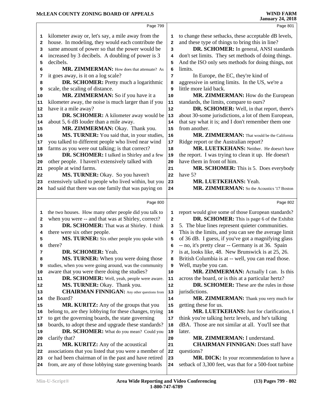|          | Page 799                                                                                                       |              | Page 801                                                                                             |
|----------|----------------------------------------------------------------------------------------------------------------|--------------|------------------------------------------------------------------------------------------------------|
| 1        | kilometer away or, let's say, a mile away from the                                                             | 1            | to change these setbacks, these acceptable dB levels,                                                |
| 2        | house. In modeling, they would each contribute the                                                             | 2            | and these type of things to bring this in line?                                                      |
| 3        | same amount of power so that the power would be                                                                | 3            | DR. SCHOMER: In general, ANSI standards                                                              |
| 4        | increased by 3 decibels. A doubling of power is 3                                                              | 4            | don't set limits. They set methods of doing things.                                                  |
| 5        | decibels.                                                                                                      | 5            | And the ISO only sets methods for doing things, not                                                  |
| 6        | MR. ZIMMERMAN: How does that attenuate? As                                                                     | 6            | limits.                                                                                              |
| 7        | it goes away, is it on a log scale?                                                                            | 7            | In Europe, the EC, they're kind of                                                                   |
| 8        | DR. SCHOMER: Pretty much a logarithmic                                                                         | 8            | aggressive in setting limits. In the US, we're a                                                     |
| 9        | scale, the scaling of distance.                                                                                | 9            | little more laid back.                                                                               |
| 10       | MR. ZIMMERMAN: So if you have it a                                                                             | 10           | MR. ZIMMERMAN: How do the European                                                                   |
| 11       | kilometer away, the noise is much larger than if you                                                           | 11           | standards, the limits, compare to ours?                                                              |
| 12       | have it a mile away?                                                                                           | 12           | DR. SCHOMER: Well, in that report, there's                                                           |
| 13       | DR. SCHOMER: A kilometer away would be                                                                         | 13           | about 30-some jurisdictions, a lot of them European,                                                 |
| 14       | about 5, 6 dB louder than a mile away.                                                                         | 14           | that say what it is; and I don't remember them one                                                   |
| 15       | MR. ZIMMERMAN: Okay. Thank you.                                                                                | 15           | from another.                                                                                        |
| 16       | MS. TURNER: You said that, in your studies,                                                                    | 16           | MR. ZIMMERMAN: That would be the California                                                          |
| 17       | you talked to different people who lived near wind                                                             | 17           | Ridge report or the Australian report?                                                               |
| 18       | farms as you were out talking; is that correct?                                                                | 18           | MR. LUETKEHANS: Neither. He doesn't have                                                             |
| 19       | DR. SCHOMER: I talked in Shirley and a few                                                                     | 19           | the report. I was trying to clean it up. He doesn't                                                  |
| 20       | other people. I haven't extensively talked with                                                                | 20           | have them in front of him.                                                                           |
| 21       | people at wind farms.                                                                                          | 21           | MR. SCHOMER: This is 5. Does everybody                                                               |
| 22       | MS. TURNER: Okay. So you haven't                                                                               | 22           | have 5?                                                                                              |
| 23       | extensively talked to people who lived within, but you                                                         | 23           | MR. LUETKEHANS: Yeah.                                                                                |
| 24       | had said that there was one family that was paying on                                                          | 24           | MR. ZIMMERMAN: So the Acoustics '17 Boston                                                           |
|          |                                                                                                                |              |                                                                                                      |
|          | Page 800                                                                                                       |              | Page 802                                                                                             |
|          |                                                                                                                |              |                                                                                                      |
| 1        | the two houses. How many other people did you talk to                                                          | 1            | report would give some of those European standards?                                                  |
| 2        | when you were -- and that was at Shirley, correct?                                                             | $\mathbf{2}$ | DR. SCHOMER: This is page 6 of the Exhibit                                                           |
| 3        | DR. SCHOMER: That was at Shirley. I think                                                                      | з            | 5. The blue lines represent quieter communities.                                                     |
| 4        | there were six other people.                                                                                   | 4            | This is the limits, and you can see the average limit                                                |
| 5        | MS. TURNER: Six other people you spoke with                                                                    | 5            | of 36 dB. I guess, if you've got a magnifying glass                                                  |
| 6        | there?                                                                                                         | 6            | -- no, it's pretty clear -- Germany is at 36. Spain                                                  |
| 7        | DR. SCHOMER: Yeah.                                                                                             | 7            | is at, looks like, 48. New Brunswick is at 25, 26.                                                   |
| 8        | MS. TURNER: When you were doing those                                                                          | 8            | British Columbia is at -- well, you can read those.                                                  |
| 9        | studies, when you were going around, was the community                                                         | 9            | Well, maybe you can.                                                                                 |
| 10       | aware that you were there doing the studies?                                                                   | 10           | MR. ZIMMERMAN: Actually I can. Is this                                                               |
| 11       | DR. SCHOMER: Well, yeah, people were aware.                                                                    | 11           | across the board, or is this at a particular hertz?                                                  |
| 12       | MS. TURNER: Okay. Thank you.                                                                                   | 12           | DR. SCHOMER: These are the rules in those                                                            |
| 13       | <b>CHAIRMAN FINNIGAN:</b> Any other questions from                                                             | 13           | jurisdictions.                                                                                       |
| 14       | the Board?                                                                                                     | 14           | MR. ZIMMERMAN: Thank you very much for                                                               |
| 15       | MR. KURITZ: Any of the groups that you                                                                         | 15           | getting these for us.                                                                                |
| 16       | belong to, are they lobbying for these changes, trying                                                         | 16           | MR. LUETKEHANS: Just for clarification, I                                                            |
| 17       | to get the governing boards, the state governing                                                               | 17           | think you're talking hertz levels, and he's talking                                                  |
| 18       | boards, to adopt these and upgrade these standards?                                                            | 18           | dBA. Those are not similar at all. You'll see that                                                   |
| 19       | DR. SCHOMER: What do you mean? Could you                                                                       | 19           | later.                                                                                               |
| 20       | clarify that?                                                                                                  | 20           | MR. ZIMMERMAN: I understand.                                                                         |
| 21       | MR. KURITZ: Any of the acoustical                                                                              | 21           | <b>CHAIRMAN FINNIGAN:</b> Does staff have                                                            |
| 22       | associations that you listed that you were a member of                                                         | 22           | questions?                                                                                           |
| 23<br>24 | or had been chairman of in the past and have retired<br>from, are any of those lobbying state governing boards | 23<br>24     | MR. DICK: In your recommendation to have a<br>setback of 3,300 feet, was that for a 500-foot turbine |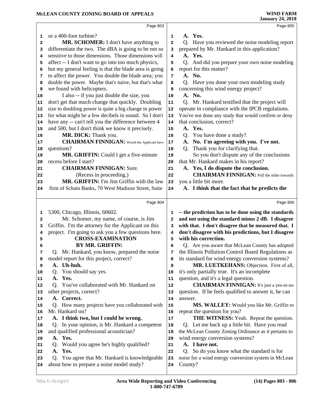# **McLEAN COUNTY ZONING BOARD OF APPEALS**

|                                                                                          | Page 803                                               |              | Page 805                                             |
|------------------------------------------------------------------------------------------|--------------------------------------------------------|--------------|------------------------------------------------------|
| 1                                                                                        | or a 400-foot turbine?                                 | 1            | A. Yes.                                              |
| 2                                                                                        | MR. SCHOMER: I don't have anything to                  | $\mathbf{2}$ | Q. Have you reviewed the noise modeling report       |
| 3                                                                                        | differentiate the two. The dBA is going to be not so   | з            | prepared by Mr. Hankard in this application?         |
| 4                                                                                        | sensitive to those dimensions. Those dimensions will   | 4            | A. Yes.                                              |
| 5                                                                                        | affect -- I don't want to go into too much physics,    | 5            | Q. And did you prepare your own noise modeling       |
| 6                                                                                        | but my general feeling is that the blade area is going | 6            | report for this matter?                              |
| 7                                                                                        | to affect the power. You double the blade area; you    | 7            | A. No.                                               |
| 8                                                                                        | double the power. Maybe that's naive, but that's what  | 8            | Q. Have you done your own modeling study             |
| 9                                                                                        | we found with helicopters.                             | 9            | concerning this wind energy project?                 |
| 10                                                                                       | I also -- if you just double the size, you             | 10           | A. No.                                               |
| 11                                                                                       | don't get that much change that quickly. Doubling      | 11           | Q. Mr. Hankard testified that the project will       |
| 12                                                                                       | size to doubling power is quite a big change in power  | 12           | operate in compliance with the IPCB regulations.     |
| 13                                                                                       | for what might be a few decibels in sound. So I don't  | 13           | You've not done any study that would confirm or deny |
| 14                                                                                       | have any -- can't tell you the difference between 4    | 14           | that conclusion, correct?                            |
| 15                                                                                       | and 500, but I don't think we know it precisely.       | 15           | A. Yes.                                              |
| 16                                                                                       | MR. DICK: Thank you.                                   | 16           | Q. You have done a study?                            |
| 17                                                                                       | <b>CHAIRMAN FINNIGAN:</b> Would the Applicant have     | $17\,$       | A. No. I'm agreeing with you. I've not.              |
| 18                                                                                       | questions?                                             | 18           | Thank you for clarifying that.<br>Q.                 |
| 19                                                                                       | MR. GRIFFIN: Could I get a five-minute                 | 19           | So you don't dispute any of the conclusions          |
| 20                                                                                       | recess before I start?                                 | 20           | that Mr. Hankard makes in his report?                |
| 21                                                                                       | <b>CHAIRMAN FINNIGAN: Sure.</b>                        | 21           | A. Yes, I do dispute the conclusion.                 |
| 22                                                                                       | (Recess in proceeding.)                                | 22           | <b>CHAIRMAN FINNIGAN:</b> Pull the mike towards      |
| 23                                                                                       | MR. GRIFFIN: I'm Jim Griffin with the law              | 23           | you a little bit more.                               |
| 24                                                                                       | firm of Schain Banks, 70 West Madison Street, Suite    | 24           | A. I think that the fact that he predicts the        |
|                                                                                          |                                                        |              |                                                      |
|                                                                                          | Page 804                                               |              | Page 806                                             |
| 1                                                                                        | 5300, Chicago, Illinois, 60602.                        | 1            | -- the prediction has to be done using the standards |
| 2                                                                                        | Mr. Schomer, my name, of course, is Jim                | $\mathbf{2}$ | and not using the standard minus 2 dB. I disagree    |
| 3                                                                                        | Griffin. I'm the attorney for the Applicant on this    |              |                                                      |
|                                                                                          |                                                        |              |                                                      |
|                                                                                          |                                                        | 3            | with that. I don't disagree that he measured that. I |
| 4                                                                                        | project. I'm going to ask you a few questions here.    | 4            | don't disagree with his predictions, but I disagree  |
| 5                                                                                        | <b>CROSS-EXAMINATION</b>                               | 5            | with his correction.                                 |
|                                                                                          | <b>BY MR. GRIFFIN:</b>                                 | 6            | Q. Are you aware that McLean County has adopted      |
| 7                                                                                        | Q. Mr. Hankard, you know, prepared the noise           | 7            | the Illinois Pollution Control Board Regulations as  |
| 8                                                                                        | model report for this project, correct?                | 8            | its standard for wind energy conversion systems?     |
| 9                                                                                        | A. Uh-huh.                                             | 9            | MR. LUETKEHANS: Objection. First of all,             |
|                                                                                          | You should say yes.<br>Q.                              | 10           | it's only partially true. It's an incomplete         |
|                                                                                          | A. Yes.                                                | 11           | question, and it's a legal question.                 |
|                                                                                          | Q. You've collaborated with Mr. Hankard on             | 12           | <b>CHAIRMAN FINNIGAN:</b> It's just a yes-or-no      |
|                                                                                          | other projects, correct?                               | 13           | question. If he feels qualified to answer it, he can |
|                                                                                          | A. Correct.                                            | 14           | answer.                                              |
|                                                                                          | Q. How many projects have you collaborated with        | 15           | MS. WALLEY: Would you like Mr. Griffin to            |
|                                                                                          | Mr. Hankard on?                                        | 16           | repeat the question for you?                         |
|                                                                                          | A. I think two, but I could be wrong.                  | $17\,$       | THE WITNESS: Yeah. Repeat the question.              |
|                                                                                          | Q. In your opinion, is Mr. Hankard a competent         | 18           | Q. Let me back up a little bit. Have you read        |
|                                                                                          | and qualified professional acoustician?                | 19           | the McLean County Zoning Ordinance as it pertains to |
|                                                                                          | A. Yes.                                                | 20           | wind energy conversion systems?                      |
|                                                                                          | Q. Would you agree he's highly qualified?              | 21           | A. I have not.                                       |
|                                                                                          | A. Yes.                                                | 22           | Q. So do you know what the standard is for           |
| 10<br>11<br>12<br> 13<br>14<br>15<br>16<br>17<br>18<br> 19<br>20<br>21<br>22<br>23<br>24 | Q. You agree that Mr. Hankard is knowledgeable         | 23           | noise for a wind energy conversion system in McLean  |
|                                                                                          | about how to prepare a noise model study?              | 24           | County?                                              |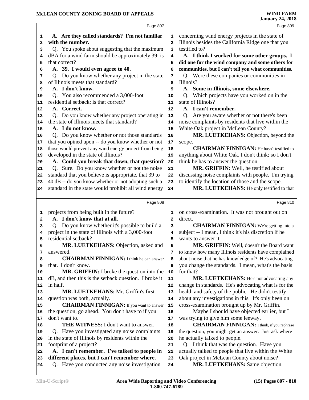|          | Page 807                                                                                            |                | Page 809                                                                    |  |
|----------|-----------------------------------------------------------------------------------------------------|----------------|-----------------------------------------------------------------------------|--|
| 1        | A. Are they called standards? I'm not familiar                                                      | 1              | concerning wind energy projects in the state of                             |  |
| 2        | with the number.                                                                                    | $\overline{a}$ | Illinois besides the California Ridge one that you                          |  |
| 3        | Q. You spoke about suggesting that the maximum                                                      | 3              | testified to?                                                               |  |
| 4        | dBA for a wind farm should be approximately 39; is                                                  | 4              | A. I think I worked for some other groups. I                                |  |
| 5        | that correct?                                                                                       | 5              | did one for the wind company and some others for                            |  |
| 6        | A. 39. I would even agree to 40.                                                                    | 6              | communities, but I can't tell you what communities.                         |  |
| 7        | Q. Do you know whether any project in the state                                                     | 7              | Q. Were these companies or communities in                                   |  |
| 8        | of Illinois meets that standard?                                                                    | 8              | Illinois?                                                                   |  |
| 9        | A. I don't know.                                                                                    | 9              | A. Some in Illinois, some elsewhere.                                        |  |
| 10       | Q. You also recommended a 3,000-foot                                                                | 10             | Which projects have you worked on in the<br>Q.                              |  |
| 11       | residential setback; is that correct?                                                               | 11             | state of Illinois?                                                          |  |
| 12       | A. Correct.                                                                                         | 12             | A. I can't remember.                                                        |  |
| 13       | Q. Do you know whether any project operating in                                                     | 13             | Q. Are you aware whether or not there's been                                |  |
| 14       | the state of Illinois meets that standard?<br>A. I do not know.                                     | 14             | noise complaints by residents that live within the                          |  |
| 15       |                                                                                                     | 15             | White Oak project in McLean County?                                         |  |
| 16       | Q. Do you know whether or not those standards<br>that you opined upon -- do you know whether or not | 16             | MR. LUETKEHANS: Objection, beyond the                                       |  |
| 17<br>18 | those would prevent any wind energy project from being                                              | $17\,$<br>18   | scope.<br><b>CHAIRMAN FINNIGAN:</b> He hasn't testified to                  |  |
| 19       | developed in the state of Illinois?                                                                 | 19             | anything about White Oak, I don't think; so I don't                         |  |
| 20       | A. Could you break that down, that question?                                                        | 20             | think he has to answer the question.                                        |  |
| 21       | Sure. Do you know whether or not the noise<br>O.                                                    | 21             | MR. GRIFFIN: Well, he testified about                                       |  |
| 22       | standard that you believe is appropriate, that 39 to                                                | 22             | discussing noise complaints with people. I'm trying                         |  |
| 23       | 40 dB -- do you know whether or not adopting such a                                                 | 23             | to identify the location of those and the scope.                            |  |
| 24       | standard in the state would prohibit all wind energy                                                | 24             | MR. LUETKEHANS: He only testified to that                                   |  |
|          |                                                                                                     |                |                                                                             |  |
|          |                                                                                                     |                |                                                                             |  |
|          | Page 808                                                                                            |                | Page 810                                                                    |  |
| 1        | projects from being built in the future?                                                            | 1              | on cross-examination. It was not brought out on                             |  |
| 2        | A. I don't know that at all.                                                                        | $\mathbf{2}$   | direct.                                                                     |  |
| 3        | Q. Do you know whether it's possible to build a                                                     | 3              | <b>CHAIRMAN FINNIGAN:</b> We're getting into a                              |  |
| 4        | project in the state of Illinois with a 3,000-foot                                                  | 4              | subject -- I mean, I think it's his discretion if he                        |  |
| 5        | residential setback?                                                                                | 5              | wants to answer it.                                                         |  |
| 6        | MR. LUETKEHANS: Objection, asked and                                                                | 6              | MR. GRIFFIN: Well, doesn't the Board want                                   |  |
| 7        | answered.                                                                                           | 7              | to know how many Illinois residents have complained                         |  |
| 8        | <b>CHAIRMAN FINNIGAN:</b> I think he can answer                                                     | 8              | about noise that he has knowledge of? He's advocating                       |  |
| 9        | that. I don't know.                                                                                 | 9              | you change the standards. I mean, what's the basis                          |  |
| 10       | <b>MR. GRIFFIN:</b> I broke the question into the                                                   | ${\bf 10}$     | for that?                                                                   |  |
| 11       | dB, and then this is the setback question. I broke it                                               | 11             | MR. LUETKEHANS: He's not advocating any                                     |  |
| 12       | in half.                                                                                            | 12             | change in standards. He's advocating what is for the                        |  |
| 13       | MR. LUETKEHANS: Mr. Griffin's first                                                                 | 13             | health and safety of the public. He didn't testify                          |  |
| 14       | question was both, actually.                                                                        | 14             | about any investigations in this. It's only been on                         |  |
| 15       | <b>CHAIRMAN FINNIGAN:</b> If you want to answer                                                     | 15             | cross-examination brought up by Mr. Griffin.                                |  |
| 16       | the question, go ahead. You don't have to if you                                                    | 16<br>17       | Maybe I should have objected earlier, but I                                 |  |
| 17<br>18 | don't want to.<br><b>THE WITNESS:</b> I don't want to answer.                                       |                | was trying to give him some leeway.                                         |  |
| 19       |                                                                                                     | 18<br>19       | <b>CHAIRMAN FINNIGAN:</b> I think, if you rephrase                          |  |
| 20       | Q. Have you investigated any noise complaints<br>in the state of Illinois by residents within the   | 20             | the question, you might get an answer. Just ask where                       |  |
| 21       | footprint of a project?                                                                             | 21             | he actually talked to people.<br>Q. I think that was the question. Have you |  |
| 22       | A. I can't remember. I've talked to people in                                                       | 22             | actually talked to people that live within the White                        |  |
| 23       | different places, but I can't remember where.                                                       | 23             | Oak project in McLean County about noise?                                   |  |
| 24       | Q. Have you conducted any noise investigation                                                       | 24             | MR. LUETKEHANS: Same objection.                                             |  |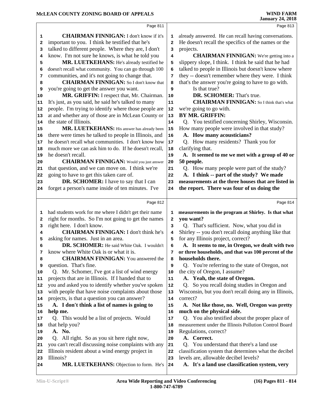|              | Page 811                                                                                                  |                         | Page 813                                                                                            |
|--------------|-----------------------------------------------------------------------------------------------------------|-------------------------|-----------------------------------------------------------------------------------------------------|
| 1            | <b>CHAIRMAN FINNIGAN: I don't know if it's</b>                                                            | 1                       | already answered. He can recall having conversations.                                               |
| $\mathbf{2}$ | important to you. I think he testified that he's                                                          | $\overline{\mathbf{2}}$ | He doesn't recall the specifics of the names or the                                                 |
| 3            | talked to different people. Where they are, I don't                                                       | 3                       | projects.                                                                                           |
| 4            | know. I'm not sure he knows, is what he told you                                                          | 4                       | <b>CHAIRMAN FINNIGAN:</b> We're getting into a                                                      |
| 5            | MR. LUETKEHANS: He's already testified he                                                                 | 5                       | slippery slope, I think. I think he said that he had                                                |
| 6            | doesn't recall what community. You can go through 100                                                     | 6                       | talked to people in Illinois but doesn't know where                                                 |
| 7            | communities, and it's not going to change that.                                                           | 7                       | they -- doesn't remember where they were. I think                                                   |
| 8            | <b>CHAIRMAN FINNIGAN:</b> So I don't know that                                                            | 8                       | that's the answer you're going to have to go with.                                                  |
| 9            | you're going to get the answer you want.                                                                  | 9                       | Is that true?                                                                                       |
| 10           | MR. GRIFFIN: I respect that, Mr. Chairman.                                                                | 10                      | DR. SCHOMER: That's true.                                                                           |
| 11           | It's just, as you said, he said he's talked to many                                                       | 11                      | <b>CHAIRMAN FINNIGAN:</b> So I think that's what                                                    |
| 12           | people. I'm trying to identify where those people are                                                     | 12                      | we're going to go with.                                                                             |
| 13           | at and whether any of those are in McLean County or                                                       | 13                      | <b>BY MR. GRIFFIN:</b>                                                                              |
| 14           | the state of Illinois.                                                                                    | 14                      | Q. You testified concerning Shirley, Wisconsin.                                                     |
| 15           | MR. LUETKEHANS: His answer has already been                                                               | 15                      | How many people were involved in that study?                                                        |
| 16           | there were times he talked to people in Illinois, and                                                     | 16                      | A. How many acousticians?                                                                           |
| 17           | he doesn't recall what communities. I don't know how                                                      | $17$                    | Q. How many residents? Thank you for                                                                |
| 18           | much more we can ask him to do. If he doesn't recall,                                                     | 18                      | clarifying that.                                                                                    |
| 19           | he doesn't recall.                                                                                        | 19                      | A. It seemed to me we met with a group of 40 or                                                     |
| 20           | <b>CHAIRMAN FINNIGAN:</b> Would you just answer                                                           | 20                      | 50 people.                                                                                          |
| 21           | that question, and we can move on. I think we're                                                          | 21                      | Q. How many people were part of the study?                                                          |
| 22           | going to have to get this taken care of.                                                                  | 22                      | A. I think -- part of the study? We made                                                            |
| 23           | DR. SCHOMER: I have to say that I can                                                                     | 23                      | measurements at the three houses that are listed in                                                 |
| 24           | forget a person's name inside of ten minutes. I've                                                        | 24                      | the report. There was four of us doing the                                                          |
|              |                                                                                                           |                         |                                                                                                     |
|              | Page 812                                                                                                  |                         | Page 814                                                                                            |
| 1            | had students work for me where I didn't get their name                                                    | 1                       | measurements in the program at Shirley. Is that what                                                |
| $\mathbf{2}$ | right for months. So I'm not going to get the names                                                       | 2                       | you want?                                                                                           |
| 3            | right here. I don't know.                                                                                 | 3                       | Q. That's sufficient. Now, what you did in                                                          |
| 4            | <b>CHAIRMAN FINNIGAN: I don't think he's</b>                                                              | $\overline{\mathbf{4}}$ | Shirley -- you don't recall doing anything like that                                                |
| 5            | asking for names. Just in an area.                                                                        |                         | for any Illinois project, correct?                                                                  |
| 6            |                                                                                                           |                         |                                                                                                     |
|              |                                                                                                           | 5                       |                                                                                                     |
|              | DR. SCHOMER: He said White Oak. I wouldn't                                                                | 6                       | A. It seems to me, in Oregon, we dealt with two                                                     |
| 7            | know where White Oak is or what it is.                                                                    | 7                       | or three households, and that was 100 percent of the                                                |
| 8            | <b>CHAIRMAN FINNIGAN:</b> You answered the                                                                | 8                       | households there.                                                                                   |
| 9            | question. That's fine.                                                                                    | 9                       | Q. You're referring to the state of Oregon, not                                                     |
| 10<br>11     | Q. Mr. Schomer, I've got a list of wind energy                                                            | 10<br>11                | the city of Oregon, I assume?                                                                       |
| 12           | projects that are in Illinois. If I handed that to<br>you and asked you to identify whether you've spoken | 12                      | A. Yeah, the state of Oregon.<br>Q.                                                                 |
| 13           | with people that have noise complaints about those                                                        | $13$                    | So you recall doing studies in Oregon and<br>Wisconsin, but you don't recall doing any in Illinois, |
| 14           | projects, is that a question you can answer?                                                              | 14                      | correct?                                                                                            |
| 15           | A. I don't think a list of names is going to                                                              | 15                      | A. Not like those, no. Well, Oregon was pretty                                                      |
| 16           | help me.                                                                                                  | 16                      | much on the physical side.                                                                          |
| 17           | Q. This would be a list of projects. Would                                                                | 17                      | Q. You also testified about the proper place of                                                     |
| 18           | that help you?                                                                                            | 18                      | measurement under the Illinois Pollution Control Board                                              |
| 19           | A. No.                                                                                                    | 19                      | Regulations, correct?                                                                               |
| 20           | Q. All right. So as you sit here right now,                                                               | 20                      | A. Correct.                                                                                         |
| 21           | you can't recall discussing noise complaints with any                                                     | 21                      | Q. You understand that there's a land use                                                           |
| 22           | Illinois resident about a wind energy project in                                                          | 22                      | classification system that determines what the decibel                                              |
| 23           | Illinois?                                                                                                 | 23                      | levels are, allowable decibel levels?                                                               |
| 24           | MR. LUETKEHANS: Objection to form. He's                                                                   | 24                      | A. It's a land use classification system, very                                                      |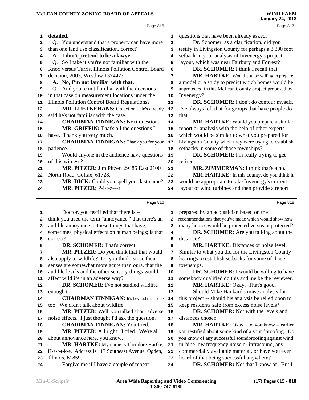|    | Page 815                                                                                                |                | Page 817                                                       |
|----|---------------------------------------------------------------------------------------------------------|----------------|----------------------------------------------------------------|
| 1  | detailed.                                                                                               | 1              | questions that have been already asked.                        |
| 2  | Q. You understand that a property can have more                                                         | $\overline{a}$ | Dr. Schomer, as a clarification, did you                       |
| 3  | than one land use classification, correct?                                                              | 3              | testify in Livingston County for perhaps a 3,300 foot          |
| 4  | A. I don't pretend to be a lawyer.                                                                      | 4              | setback in your analysis of Invenergy's project                |
| 5  | Q. So I take it you're not familiar with the                                                            | 5              | layout, which was near Fairbury and Forrest?                   |
| 6  | Knox versus Turris, Illinois Pollution Control Board                                                    | 6              | DR. SCHOMER: I think I recall that.                            |
| 7  | decision, 2003, Westlaw 137447?                                                                         | 7              | MR. HARTKE: Would you be willing to prepare                    |
| 8  | A. No, I'm not familiar with that.                                                                      | 8              | a model or a study to predict which homes would be             |
| 9  | And you're not familiar with the decisions<br>Q.                                                        | 9              | unprotected in this McLean County project proposed by          |
| 10 | in that case on measurement locations under the                                                         | 10             | Invenergy?                                                     |
| 11 | Illinois Pollution Control Board Regulations?                                                           | 11             | DR. SCHOMER: I don't do contour myself.                        |
| 12 | MR. LUETKEHANS: Objection. He's already                                                                 | 12             | I've always left that for groups that have people do           |
| 13 | said he's not familiar with the case.                                                                   | 13             | that.                                                          |
| 14 | <b>CHAIRMAN FINNIGAN: Next question.</b>                                                                | 14             | MR. HARTKE: Would you prepare a similar                        |
| 15 | MR. GRIFFIN: That's all the questions I                                                                 | 15             | report or analysis with the help of other experts              |
| 16 | have. Thank you very much.                                                                              | 16             | which would be similar to what you prepared for                |
| 17 | <b>CHAIRMAN FINNIGAN:</b> Thank you for your                                                            | 17             | Livingston County when they were trying to establish           |
| 18 | patience.                                                                                               | 18             | setbacks in some of those townships?                           |
| 19 | Would anyone in the audience have questions                                                             | 19             | <b>DR. SCHOMER:</b> I'm really trying to get                   |
| 20 | of this witness?                                                                                        | 20             | retired.                                                       |
| 21 | MR. PITZER: Jim Pitzer, 29485 East 2100                                                                 | 21             | MR. ZIMMERMAN: I think that's a no.                            |
| 22 | North Road, Colfax, 61728.                                                                              | 22             | MR. HARTKE: In this county, do you think it                    |
| 23 | MR. DICK: Could you spell your last name?                                                               | 23             | would be appropriate to take Invenergy's current               |
| 24 | MR. PITZER: P-i-t-z-e-r.                                                                                | 24             | layout of wind turbines and then provide a report              |
|    |                                                                                                         |                |                                                                |
|    | Page 816                                                                                                |                | Page 818                                                       |
|    |                                                                                                         |                |                                                                |
| 1  |                                                                                                         |                |                                                                |
| 2  | Doctor, you testified that there is -- I                                                                | 1<br>2         | prepared by an acoustician based on the                        |
| 3  | think you used the term "annoyance," that there's an                                                    | 3              | recommendations that you've made which would show how          |
| 4  | audible annoyance to these things that have,                                                            | 4              | many homes would be protected versus unprotected?              |
| 5  | sometimes, physical effects on human beings; is that                                                    | 5              | DR. SCHOMER: Are you talking about the                         |
| 6  | correct?                                                                                                | 6              | distance?                                                      |
| 7  | DR. SCHOMER: That's correct.                                                                            | 7              | MR. HARTKE: Distances or noise level.                          |
| 8  | <b>MR. PITZER:</b> Do you think that that would                                                         | 8              | Similar to what you did for the Livingston County              |
| 9  | also apply to wildlife? Do you think, since their<br>senses are somewhat more acute than ours, that the | 9              | hearings to establish setbacks for some of those<br>townships. |
| 10 | audible levels and the other sensory things would                                                       | 10             | DR. SCHOMER: I would be willing to have                        |
| 11 | affect wildlife in an adverse way?                                                                      | 11             | somebody qualified do this and me be the reviewer.             |
| 12 | DR. SCHOMER: I've not studied wildlife                                                                  | 12             | MR. HARTKE: Okay. That's good.                                 |
| 13 | enough to --                                                                                            | 13             | Should Mike Hankard's noise analysis for                       |
| 14 | <b>CHAIRMAN FINNIGAN:</b> It's beyond the scope                                                         | 14             | this project -- should his analysis be relied upon to          |
| 15 | too. We didn't talk about wildlife.                                                                     | 15             | keep residents safe from excess noise levels?                  |
| 16 | MR. PITZER: Well, you talked about adverse                                                              | ${\bf 16}$     | DR. SCHOMER: Not with the levels and                           |
| 17 | noise effects. I just thought I'd ask the question.                                                     | 17             | distances chosen.                                              |
| 18 | <b>CHAIRMAN FINNIGAN: You tried.</b>                                                                    | 18             | MR. HARTKE: Okay. Do you know -- earlier                       |
| 19 | MR. PITZER: All right. I tried. We're all                                                               | 19             | you testified about some kind of a soundproofing. Do           |
| 20 | about annoyance here, you know.                                                                         | 20             | you know of any successful soundproofing against wind          |
| 21 | MR. HARTKE: My name is Theodore Hartke,                                                                 | 21             | turbine low frequency noise or infrasound, any                 |
| 22 | H-a-r-t-k-e. Address is 117 Southeast Avenue, Ogden,                                                    | 22             | commercially available material, or have you ever              |
| 23 | Illinois, 61859.                                                                                        | 23             | heard of that being successful anywhere?                       |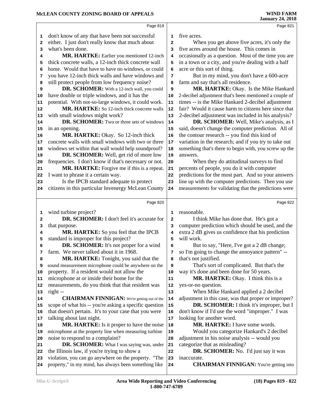# **McLEAN COUNTY ZONING BOARD OF APPEALS**

|    | Page 819                                               |              | Page 821                                               |
|----|--------------------------------------------------------|--------------|--------------------------------------------------------|
| 1  | don't know of any that have been not successful        | 1            | five acres.                                            |
| 2  | either. I just don't really know that much about       | $\mathbf{2}$ | When you get above five acres, it's only the           |
| 3  | what's been done.                                      | 3            | five acres around the house. This comes in             |
| 4  | MR. HARTKE: Earlier you mentioned 12-inch              | 4            | occasionally as a question. Most of the time you are   |
| 5  | thick concrete walls, a 12-inch thick concrete wall    | 5            | in a town or a city, and you're dealing with a half    |
| 6  | home. Would that have to have no windows, or could     | 6            | acre or this sort of thing.                            |
| 7  | you have 12-inch thick walls and have windows and      | 7            | But in my mind, you don't have a 600-acre              |
| 8  | still protect people from low frequency noise?         | 8            | farm and say that's all residence.                     |
| 9  | DR. SCHOMER: With a 12-inch wall, you could            | 9            | MR. HARTKE: Okay. Is the Mike Hankard                  |
| 10 | have double or triple windows, and it has the          | 10           | 2-decibel adjustment that's been mentioned a couple of |
| 11 | potential. With not-so-large windows, it could work.   | 11           | times -- is the Mike Hankard 2-decibel adjustment      |
| 12 | MR. HARTKE: So 12-inch thick concrete walls            | 12           | fair? Would it cause harm to citizens here since that  |
| 13 | with small windows might work?                         | 13           | 2-decibel adjustment was included in his analysis?     |
| 14 | DR. SCHOMER: Two or three sets of windows              | 14           | DR. SCHOMER: Well, Mike's analysis, as I               |
| 15 | in an opening.                                         | 15           | said, doesn't change the computer prediction. All of   |
| 16 | MR. HARTKE: Okay. So 12-inch thick                     | 16           | the contour research -- you find this kind of          |
| 17 | concrete walls with small windows with two or three    | 17           | variation in the research; and if you try to take out  |
| 18 | windows set within that wall would help soundproof?    | 18           | something that's there to begin with, you screw up the |
| 19 | DR. SCHOMER: Well, get rid of more low                 | 19           | answers.                                               |
| 20 | frequencies. I don't know if that's necessary or not.  | 20           | When they do attitudinal surveys to find               |
| 21 | MR. HARTKE: Forgive me if this is a repeat.            | 21           | percents of people, you do it with computer            |
| 22 | I want to phrase it a certain way.                     | 22           | predictions for the most part. And so your answers     |
| 23 | Is the IPCB standard adequate to protect               | 23           | line up with the computer predictions. Then you use    |
| 24 | citizens in this particular Invenergy McLean County    | 24           | measurements for validating that the predictions were  |
|    |                                                        |              |                                                        |
|    | Page 820                                               |              | Page 822                                               |
| 1  | wind turbine project?                                  | 1            | reasonable.                                            |
| 2  | DR. SCHOMER: I don't feel it's accurate for            | $\mathbf{2}$ | I think Mike has done that. He's got a                 |
| з  | that purpose.                                          | 3            | computer prediction which should be used, and the      |
| 4  | MR. HARTKE: So you feel that the IPCB                  | 4            | extra 2 dB gives us confidence that his prediction     |
| 5  | standard is improper for this project?                 | 5            | will work.                                             |
| 6  | <b>DR. SCHOMER:</b> It's not proper for a wind         | 6            | But to say, "Here, I've got a 2 dB change;             |
| 7  | farm. We never talked about it in 1968.                | 7            | so I'm going to change the annoyance pattern" --       |
| 8  | MR. HARTKE: Tonight, you said that the                 | 8            | that's not justified.                                  |
| 9  | sound measurement microphone could be anywhere on the  | 9            | That's sort of complicated. But that's the             |
| 10 | property. If a resident would not allow the            | 10           | way it's done and been done for 50 years.              |
| 11 | microphone at or inside their home for the             | 11           | MR. HARTKE: Okay. I think this is a                    |
| 12 | measurements, do you think that that resident was      | 12           | yes-or-no question.                                    |
| 13 | right --                                               | 13           | When Mike Hankard applied a 2 decibel                  |
| 14 | <b>CHAIRMAN FINNIGAN:</b> We're getting out of the     | ${\bf 14}$   | adjustment in this case, was that proper or improper?  |
| 15 | scope of what his -- you're asking a specific question | 15           | DR. SCHOMER: I think it's improper, but I              |
| 16 | that doesn't pertain. It's to your case that you were  | 16           | don't know if I'd use the word "improper." I was       |
| 17 | talking about last night.                              | 17           | looking for another word.                              |
| 18 | MR. HARTKE: Is it proper to have the noise             | 18           | MR. HARTKE: I have some words.                         |
| 19 | microphone at the property line when measuring turbine | 19           | Would you categorize Hankard's 2 decibel               |
| 20 | noise to respond to a complaint?                       | 20           | adjustment in his noise analysis -- would you          |
| 21 | DR. SCHOMER: What I was saying was, under              | 21           | categorize that as misleading?                         |
| 22 | the Illinois law, if you're trying to show a           | 22           | DR. SCHOMER: No. I'd just say it was                   |
| 23 | violation, you can go anywhere on the property. "The   | 23           | inaccurate.                                            |
| 24 | property," in my mind, has always been something like  | 24           | <b>CHAIRMAN FINNIGAN:</b> You're getting into          |
|    |                                                        |              |                                                        |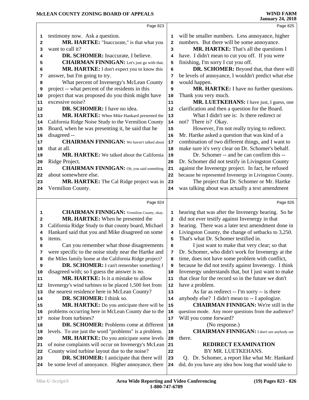|          | Page 823                                                                                         |              | Page 825                                                                                                |  |
|----------|--------------------------------------------------------------------------------------------------|--------------|---------------------------------------------------------------------------------------------------------|--|
| 1        | testimony now. Ask a question.                                                                   | 1            | will be smaller numbers. Less annoyance, higher                                                         |  |
| 2        | MR. HARTKE: "Inaccurate," is that what you                                                       | $\mathbf{2}$ | numbers. But there will be some annoyance.                                                              |  |
| 3        | want to call it?                                                                                 | 3            | MR. HARTKE: That's all the questions I                                                                  |  |
| 4        | DR. SCHOMER: Inaccurate, I believe.                                                              | 4            | have. I didn't mean to cut you off. If you were                                                         |  |
| 5        | <b>CHAIRMAN FINNIGAN:</b> Let's just go with that.                                               | 5            | finishing, I'm sorry I cut you off.                                                                     |  |
| 6        | MR. HARTKE: I don't expect you to know this                                                      | 6            | DR. SCHOMER: Beyond that, that there will                                                               |  |
| 7        | answer, but I'm going to try.                                                                    | 7            | be levels of annoyance, I wouldn't predict what else                                                    |  |
| 8        | What percent of Invenergy's McLean County                                                        | 8            | would happen.                                                                                           |  |
| 9        | project -- what percent of the residents in this                                                 | 9            | MR. HARTKE: I have no further questions.                                                                |  |
| 10       | project that was proposed do you think might have                                                | 10           | Thank you very much.                                                                                    |  |
| 11       | excessive noise?                                                                                 | 11           | MR. LUETKEHANS: I have just, I guess, one                                                               |  |
| 12       | DR. SCHOMER: I have no idea.                                                                     | 12           | clarification and then a question for the Board.                                                        |  |
| 13       | MR. HARTKE: When Mike Hankard presented the                                                      | 13           | What I didn't see is: Is there redirect or                                                              |  |
| 14       | California Ridge Noise Study to the Vermilion County                                             | 14           | not? There is? Okay.                                                                                    |  |
| 15       | Board, when he was presenting it, he said that he                                                | 15           | However, I'm not really trying to redirect.                                                             |  |
| 16       | disagreed --                                                                                     | 16           | Mr. Hartke asked a question that was kind of a                                                          |  |
| 17       | <b>CHAIRMAN FINNIGAN:</b> We haven't talked about                                                | 17           | combination of two different things, and I want to                                                      |  |
| 18       | that at all.                                                                                     | 18           | make sure it's very clear on Dr. Schomer's behalf.                                                      |  |
| 19       | MR. HARTKE: We talked about the California                                                       | 19           | Dr. Schomer -- and he can confirm this --                                                               |  |
| 20       | Ridge Project.                                                                                   | 20           | Dr. Schomer did not testify in Livingston County                                                        |  |
| 21       | <b>CHAIRMAN FINNIGAN:</b> Oh, you said something                                                 | 21           | against the Invenergy project. In fact, he refused                                                      |  |
| 22       | about somewhere else.                                                                            | 22           | because he represented Invenergy in Livingston County.                                                  |  |
| 23       | MR. HARTKE: The Cal Ridge project was in                                                         | 23           | The project that Dr. Schomer or Mr. Hartke                                                              |  |
| 24       | Vermilion County.                                                                                | 24           | was talking about was actually a text amendment                                                         |  |
|          |                                                                                                  |              |                                                                                                         |  |
|          |                                                                                                  |              |                                                                                                         |  |
|          | Page 824                                                                                         |              | Page 826                                                                                                |  |
| 1        | <b>CHAIRMAN FINNIGAN:</b> Vermilion County, okay.                                                | 1            | hearing that was after the Invenergy hearing. So he                                                     |  |
| 2        | MR. HARTKE: When he presented the                                                                | $\mathbf{2}$ | did not ever testify against Invenergy in that                                                          |  |
| 3        | California Ridge Study to that county board, Michael                                             | 3            | hearing. There was a later text amendment done in                                                       |  |
| 4        | Hankard said that you and Mike disagreed on some                                                 | 4            | Livingston County, the change of setbacks to 3,250.                                                     |  |
| 5        | items.                                                                                           | 5            | That's what Dr. Schomer testified in.                                                                   |  |
| 6        | Can you remember what those disagreements                                                        | 6            | I just want to make that very clear; so that                                                            |  |
| 7        | were specific to the noise study near the Hartke and                                             | 7            | Dr. Schomer, who didn't work for Invenergy at the                                                       |  |
| 8        | the Miles family home at the California Ridge project?                                           | 8            | time, does not have some problem with conflict,                                                         |  |
| 9        | DR. SCHOMER: I can't remember something I                                                        | 9            | because he did not testify against Invenergy. I think                                                   |  |
| 10       | disagreed with; so I guess the answer is no.                                                     | 10           | Invenergy understands that, but I just want to make                                                     |  |
| 11       | MR. HARTKE: Is it a mistake to allow                                                             | 11           | that clear for the record so in the future we don't                                                     |  |
|          | Invenergy's wind turbines to be placed 1,500 feet from                                           | 12           | have a problem.                                                                                         |  |
| 12<br>13 | the nearest residence here in McLean County?                                                     | 13           | As far as redirect -- I'm sorry -- is there                                                             |  |
| 14       | DR. SCHOMER: I think so.                                                                         | 14           | anybody else? I didn't mean to -- I apologize.                                                          |  |
| 15       | MR. HARTKE: Do you anticipate there will be                                                      | 15           | <b>CHAIRMAN FINNIGAN:</b> We're still in the                                                            |  |
| 16       | problems occurring here in McLean County due to the                                              | 16           | question mode. Any more questions from the audience?                                                    |  |
| 17       | noise from turbines?                                                                             | 17           | Will you come forward?                                                                                  |  |
| 18       | <b>DR. SCHOMER:</b> Problems come at different                                                   | 18           | (No response.)                                                                                          |  |
| 19       | levels. To use just the word "problems" is a problem.                                            | 19           | <b>CHAIRMAN FINNIGAN:</b> I don't see anybody out                                                       |  |
| 20       | MR. HARTKE: Do you anticipate some levels                                                        | 20           | there.                                                                                                  |  |
| 21       | of noise complaints will occur on Invenergy's McLean                                             | 21           | <b>REDIRECT EXAMINATION</b>                                                                             |  |
| 22       | County wind turbine layout due to the noise?                                                     | 22           | BY MR. LUETKEHANS.                                                                                      |  |
| 23<br>24 | DR. SCHOMER: I anticipate that there will<br>be some level of annoyance. Higher annoyance, there | 23<br>24     | Q. Dr. Schomer, a report like what Mr. Hankard<br>did, do you have any idea how long that would take to |  |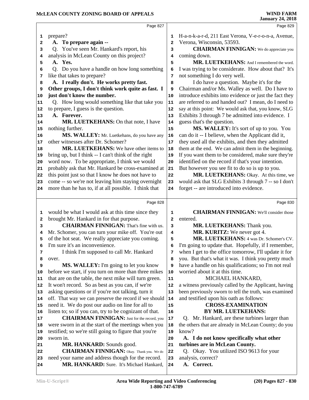|                                  | Page 827                                                                                      |                | Page 829                                               |
|----------------------------------|-----------------------------------------------------------------------------------------------|----------------|--------------------------------------------------------|
| 1                                | prepare?                                                                                      | 1              | H-a-n-k-a-r-d, 211 East Verona, V-e-r-o-n-a, Avenue,   |
| 2                                | A. To prepare again --                                                                        | $\mathbf{2}$   | Verona, Wisconsin, 53593.                              |
| з                                | Q. You've seen Mr. Hankard's report, his                                                      | 3              | <b>CHAIRMAN FINNIGAN:</b> We do appreciate you         |
| 4                                | analysis in McLean County on this project?                                                    | 4              | coming down.                                           |
| 5                                | A. Yes.                                                                                       | 5              | MR. LUETKEHANS: And I remembered the word.             |
| 6                                | Q. Do you have a handle on how long something                                                 | 6              | I was trying to be considerate. How about that? It's   |
| 7                                | like that takes to prepare?                                                                   | 7              | not something I do very well.                          |
| 8                                | A. I really don't. He works pretty fast.                                                      | 8              | I do have a question. Maybe it's for the               |
| 9                                | Other groups, I don't think work quite as fast. I                                             | 9              | Chairman and/or Ms. Walley as well. Do I have to       |
| 10                               | just don't know the number.                                                                   | 10             | introduce exhibits into evidence or just the fact they |
| 11                               | Q. How long would something like that take you                                                | 11             | are referred to and handed out? I mean, do I need to   |
| 12                               | to prepare, I guess is the question.                                                          | 12             | say at this point: We would ask that, you know, SLG    |
| 13                               | A. Forever.                                                                                   | 13             | Exhibits 3 through 7 be admitted into evidence. I      |
| 14                               | MR. LUETKEHANS: On that note, I have                                                          | 14             | guess that's the question.                             |
| 15                               | nothing further.                                                                              | 15             | MS. WALLEY: It's sort of up to you. You                |
| 16                               | MS. WALLEY: Mr. Luetkehans, do you have any                                                   | 16             | can do it -- I believe, when the Applicant did it,     |
| 17                               | other witnesses after Dr. Schomer?                                                            | 17             | they used all the exhibits, and then they admitted     |
| 18                               | MR. LUETKEHANS: We have other items to                                                        | 18             | them at the end. We can admit them in the beginning.   |
| 19                               | bring up, but I think -- I can't think of the right                                           | 19             | If you want them to be considered, make sure they're   |
| 20                               | word now. To be appropriate, I think we would                                                 | 20             | identified on the record if that's your intention.     |
| 21                               | probably ask that Mr. Hankard be cross-examined at                                            | 21             | But however you see fit to do so is up to you.         |
| 22                               | this point just so that I know he does not have to                                            | 22             | MR. LUETKEHANS: Okay. At this time, we                 |
| 23                               | come -- so we're not leaving him staying overnight                                            | 23             | would ask that SLG Exhibits 3 through 7 -- so I don't  |
| 24                               | more than he has to, if at all possible. I think that                                         | 24             | forget -- are introduced into evidence.                |
|                                  |                                                                                               |                |                                                        |
|                                  | Page 828                                                                                      |                | Page 830                                               |
| 1                                | would be what I would ask at this time since they                                             | 1              | <b>CHAIRMAN FINNIGAN:</b> We'll consider those         |
| 2                                | brought Mr. Hankard in for that purpose.                                                      | $\overline{a}$ | entered.                                               |
|                                  | <b>CHAIRMAN FINNIGAN:</b> That's fine with us.                                                | 3              | MR. LUETKEHANS: Thank you.                             |
| 3                                |                                                                                               |                |                                                        |
| 4                                | Mr. Schomer, you can turn your mike off. You're out                                           | 4              | MR. KURITZ: We never got 4.                            |
| 5                                | of the hot seat. We really appreciate you coming.                                             | 5              | MR. LUETKEHANS: 4 was Dr. Schomer's CV.                |
| 6                                | I'm sure it's an inconvenience.                                                               | 6              | I'm going to update that. Hopefully, if I remember,    |
| 7                                | I think I'm supposed to call Mr. Hankard                                                      | 7              | when I get to the office tomorrow, I'll update it for  |
| 8                                | over.                                                                                         | 8              | you. But that's what it was. I think you pretty much   |
| 9                                | MS. WALLEY: I'm going to let you know                                                         | 9              | have a handle on his qualifications; so I'm not real   |
|                                  | before we start, if you turn on more than three mikes                                         | 10             | worried about it at this time.                         |
|                                  | that are on the table, the next mike will turn green.                                         | ${\bf 11}$     | MICHAEL HANKARD,                                       |
|                                  | It won't record. So as best as you can, if we're                                              | 12             | a witness previously called by the Applicant, having   |
|                                  | asking questions or if you're not talking, turn it                                            | 13             | been previously sworn to tell the truth, was examined  |
|                                  | off. That way we can preserve the record if we should                                         | 14             | and testified upon his oath as follows:                |
|                                  | need it. We do post our audio on line for all to                                              | 15             | <b>CROSS-EXAMINATION</b>                               |
|                                  | listen to; so if you can, try to be cognizant of that.                                        | 16             | BY MR. LUETKEHANS:                                     |
|                                  | <b>CHAIRMAN FINNIGAN:</b> Just for the record, you                                            | 17             | Q. Mr. Hankard, are these turbines larger than         |
|                                  | were sworn in at the start of the meetings when you                                           | 18             | the others that are already in McLean County; do you   |
| 10<br>18<br>19                   | testified; so we're still going to figure that you're                                         | 19             | know?                                                  |
| 11<br>14<br>15<br>16<br>17<br>20 | sworn in.                                                                                     | 20             | A. I do not know specifically what other               |
| 12<br>13<br>21                   | MR. HANKARD: Sounds good.                                                                     | 21             | turbines are in McLean County.                         |
| 22                               | <b>CHAIRMAN FINNIGAN:</b> Okay. Thank you. We do                                              | 22             | Q. Okay. You utilized ISO 9613 for your                |
| 23<br>24                         | need your name and address though for the record.<br>MR. HANKARD: Sure. It's Michael Hankard, | 23<br>24       | analysis, correct?<br>A. Correct.                      |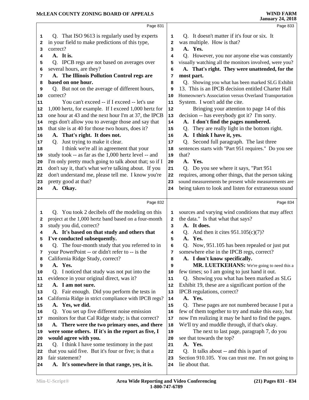|          | Page 831                                                                 |            | Page 833                                                                                                  |  |
|----------|--------------------------------------------------------------------------|------------|-----------------------------------------------------------------------------------------------------------|--|
| 1        | Q. That ISO 9613 is regularly used by experts                            | 1          | Q. It doesn't matter if it's four or six. It                                                              |  |
| 2        | in your field to make predictions of this type,                          | 2          | was multiple. How is that?                                                                                |  |
| 3        | correct?                                                                 | 3          | A. Yes.                                                                                                   |  |
| 4        | A. It is.                                                                | 4          | Q. However, you nor anyone else was constantly                                                            |  |
| 5        | Q. IPCB regs are not based on averages over                              | 5          | visually watching all the monitors involved, were you?                                                    |  |
| 6        | several hours, are they?                                                 | 6          | A. That's right. They were unattended, for the                                                            |  |
| 7        | A. The Illinois Pollution Control regs are<br>based on one hour.         | 7          | most part.                                                                                                |  |
| 8        | Q. But not on the average of different hours,                            | 8<br>9     | Q. Showing you what has been marked SLG Exhibit<br>13. This is an IPCB decision entitled Charter Hall     |  |
| 9<br>10  | correct?                                                                 | 10         | Homeowner's Association versus Overland Transportation                                                    |  |
| 11       | You can't exceed -- if I exceed -- let's use                             | 11         | System. I won't add the cite.                                                                             |  |
| 12       | 1,000 hertz, for example. If I exceed 1,000 hertz for                    | ${\bf 12}$ | Bringing your attention to page 14 of this                                                                |  |
| 13       | one hour at 43 and the next hour I'm at 37, the IPCB                     | 13         | decision -- has everybody got it? I'm sorry.                                                              |  |
| 14       | regs don't allow you to average those and say that                       | 14         | A. I don't find the pages numbered.                                                                       |  |
| 15       | that site is at 40 for those two hours, does it?                         | 15         | Q. They are really light in the bottom right.                                                             |  |
| 16       | A. That's right. It does not.                                            | 16         | A. I think I have it, yes.                                                                                |  |
| 17       | Q. Just trying to make it clear.                                         | 17         | Q. Second full paragraph. The last three                                                                  |  |
| 18       | I think we're all in agreement that your                                 | 18         | sentences starts with "Part 951 requires." Do you see                                                     |  |
| 19       | study took -- as far as the 1,000 hertz level -- and                     | 19         | that?                                                                                                     |  |
| 20       | I'm only pretty much going to talk about that; so if I                   | 20         | A. Yes.                                                                                                   |  |
| 21       | don't say it, that's what we're talking about. If you                    | 21         | Q. Do you see where it says, "Part 951                                                                    |  |
| 22       | don't understand me, please tell me. I know you're                       | 22         | requires, among other things, that the person taking                                                      |  |
| 23       | pretty good at that?                                                     | 23         | sound measurements be present while measurements are                                                      |  |
| 24       | A. Okay.                                                                 | 24         | being taken to look and listen for extraneous sound                                                       |  |
|          | Page 832                                                                 |            | Page 834                                                                                                  |  |
| 1        | Q. You took 2 decibels off the modeling on this                          | 1          | sources and varying wind conditions that may affect                                                       |  |
| 2        | project at the 1,000 hertz band based on a four-month                    | 2          | the data." Is that what that says?                                                                        |  |
| 3        | study you did, correct?                                                  | 3          | A. It does.                                                                                               |  |
| 4        | A. It's based on that study and others that                              | 4          | Q. And then it cites $951.105(c)(7)?$                                                                     |  |
| 5        | I've conducted subsequently.                                             | 5          | A. Yes.                                                                                                   |  |
| 6        | Q. The four-month study that you referred to in                          | 6          | Q. Now, 951.105 has been repealed or just put                                                             |  |
| 7        | your PowerPoint -- or didn't refer to -- is the                          | 7          | somewhere else in the IPCB regs, correct?                                                                 |  |
| 8        | California Ridge Study, correct?                                         | 8          | A. I don't know specifically.                                                                             |  |
| 9        | A. Yes.                                                                  | 9          | MR. LUETKEHANS: We're going to need this a                                                                |  |
| 10       | Q. I noticed that study was not put into the                             | 10         | few times; so I am going to just hand it out.                                                             |  |
| 11       | evidence in your original direct, was it?                                | 11         | Q. Showing you what has been marked as SLG                                                                |  |
| 12       | A. I am not sure.                                                        | 12         | Exhibit 19, these are a significant portion of the                                                        |  |
| 13       | Q. Fair enough. Did you perform the tests in                             | 13         | IPCB regulations, correct?<br>A. Yes.                                                                     |  |
| 14       | California Ridge in strict compliance with IPCB regs?<br>A. Yes, we did. | 14<br>15   |                                                                                                           |  |
| 15<br>16 | Q. You set up five different noise emission                              | 16         | These pages are not numbered because I put a<br>Q.<br>few of them together to try and make this easy, but |  |
| 17       | monitors for that Cal Ridge study; is that correct?                      | 17         | now I'm realizing it may be hard to find the pages.                                                       |  |
| 18       | A. There were the two primary ones, and there                            | 18         | We'll try and muddle through, if that's okay.                                                             |  |
| 19       | were some others. If it's in the report as five, I                       | 19         | The next to last page, paragraph 7, do you                                                                |  |
| 20       | would agree with you.                                                    | 20         | see that towards the top?                                                                                 |  |
| 21       | Q. I think I have some testimony in the past                             | 21         | A. Yes.                                                                                                   |  |
| 22       | that you said five. But it's four or five; is that a                     | 22         | Q. It talks about -- and this is part of                                                                  |  |
| 23       | fair statement?                                                          | 23         | Section 910.105. You can trust me. I'm not going to                                                       |  |
| 24       | A. It's somewhere in that range, yes, it is.                             | 24         | lie about that.                                                                                           |  |
|          |                                                                          |            |                                                                                                           |  |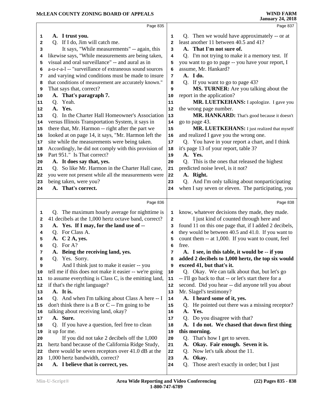|              | Page 835                                                              |                | Page 837                                                       |
|--------------|-----------------------------------------------------------------------|----------------|----------------------------------------------------------------|
| 1            | A. I trust you.                                                       | 1              | Q. Then we would have approximately -- or at                   |
| $\mathbf{2}$ | Q. If I do, Jim will catch me.                                        | $\overline{a}$ | least another 11 between 40.5 and 41?                          |
| 3            | It says, "While measurements" -- again, this                          | 3              | A. That I'm not sure of.                                       |
| 4            | likewise says, "While measurements are being taken,                   | 4              | Q. I'm not trying to make it a memory test. If                 |
| 5            | visual and oral surveillance" -- and aural as in                      | 5              | you want to go to page -- you have your report, I              |
| 6            | a-u-r-a-l -- "surveillance of extraneous sound sources                | 6              | assume, Mr. Hankard?                                           |
| 7            | and varying wind conditions must be made to insure                    | 7              | A. I do.                                                       |
| 8            | that conditions of measurement are accurately known."                 | 8              | Q. If you want to go to page 43?                               |
| 9            | That says that, correct?                                              | 9              | MS. TURNER: Are you talking about the                          |
| 10           | A. That's paragraph 7.                                                | 10             | report in the application?                                     |
| 11           | Q. Yeah.                                                              | 11             | MR. LUETKEHANS: I apologize. I gave you                        |
| 12           | A. Yes.                                                               | 12             | the wrong page number.                                         |
| 13           | Q. In the Charter Hall Homeowner's Association                        | 13             | MR. HANKARD: That's good because it doesn't                    |
| 14           | versus Illinois Transportation System, it says in                     | 14             | go to page 43.                                                 |
| 15           | there that, Mr. Harmon -- right after the part we                     | $15$           | MR. LUETKEHANS: I just realized that myself                    |
| 16           | looked at on page 14, it says, "Mr. Harmon left the                   | 16             | and realized I gave you the wrong one.                         |
| 17           | site while the measurements were being taken.                         | 17             | Q. You have in your report a chart, and I think                |
| 18           | Accordingly, he did not comply with this provision of                 | 18             | it's page 13 of your report, table 3?                          |
| 19           | Part 951." Is That correct?                                           | 19             | A. Yes.                                                        |
| 20           | A. It does say that, yes.                                             | 20             | Q. This is the ones that released the highest                  |
| 21           | Q. So like Mr. Harmon in the Charter Hall case,                       | 21             | predicted noise level, is it not?                              |
| 22           | you were not present while all the measurements were                  | 22             | A. Right.                                                      |
| 23           | being taken, were you?                                                | 23             | Q. And I'm only talking about nonparticipating                 |
| 24           | A. That's correct.                                                    | 24             | when I say seven or eleven. The participating, you             |
|              |                                                                       |                |                                                                |
|              | Page 836                                                              |                | Page 838                                                       |
| 1            | Q. The maximum hourly average for nighttime is                        | 1              | know, whatever decisions they made, they made.                 |
|              | 41 decibels at the 1,000 hertz octave band, correct?                  |                |                                                                |
| 2            |                                                                       | $\mathbf{z}$   | I just kind of counted through here and                        |
| 3            | A. Yes. If I may, for the land use of --                              | 3              | found 11 on this one page that, if I added 2 decibels,         |
| 4            | Q. For Class A.                                                       | 4              | they would be between 40.5 and 41.0. If you want to            |
| 5            | A. C 2 A, yes.                                                        | 5              | count them -- at 1,000. If you want to count, feel             |
| 6            | Q. For A?                                                             | 6              | free.                                                          |
| 7            | A. Being the receiving land, yes.                                     | 7              | A. I see, in this table, it would be -- if you                 |
| 8            | Q. Yes. Sorry.                                                        | 8              | added 2 decibels to 1,000 hertz, the top six would             |
| 9            | And I think just to make it easier -- you                             | 9              | exceed 41, but that's it.                                      |
| 10           | tell me if this does not make it easier -- we're going                | 10             | Q. Okay. We can talk about that, but let's go                  |
| 11           | to assume everything is Class C, is the emitting land,                | 11             | -- I'll go back to that -- or let's start there for a          |
| 12           | if that's the right language?                                         | 12             | second. Did you hear -- did anyone tell you about              |
| 13           | A. It is.                                                             | 13             | Mr. Slagel's testimony?                                        |
| 14           | Q. And when I'm talking about Class A here -- I                       | 14             | A. I heard some of it, yes.                                    |
| 15           | don't think there is a B or C -- I'm going to be                      | 15             | He pointed out there was a missing receptor?<br>Q.             |
| 16           | talking about receiving land, okay?                                   | 16             | Yes.<br>A.                                                     |
| 17           | A. Sure.                                                              | $17\,$         | Q. Do you disagree with that?                                  |
| 18           | Q. If you have a question, feel free to clean                         | 18             | A. I do not. We chased that down first thing                   |
| 19           | it up for me.                                                         | 19             | this morning.                                                  |
| 20           | If you did not take 2 decibels off the 1,000                          | 20             | That's how I get to seven.<br>Q.                               |
| 21           | hertz band because of the California Ridge Study,                     | 21             | Okay. Fair enough. Seven it is.<br>A.                          |
| 22           | there would be seven receptors over 41.0 dB at the                    | 22             | Now let's talk about the 11.<br>Q.                             |
| 23<br>24     | 1,000 hertz bandwidth, correct?<br>A. I believe that is correct, yes. | 23<br>24       | Okay.<br>A.<br>Those aren't exactly in order; but I just<br>Q. |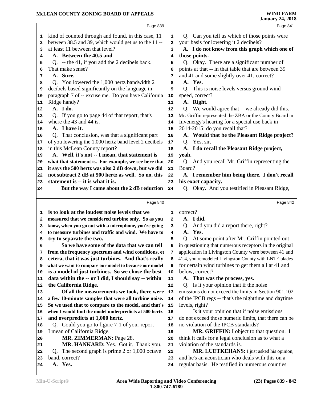|    | Page 839                                               |              | Page 841                                                                                             |
|----|--------------------------------------------------------|--------------|------------------------------------------------------------------------------------------------------|
| 1  | kind of counted through and found, in this case, 11    | 1            | Q. Can you tell us which of those points were                                                        |
| 2  | between 38.5 and 39, which would get us to the 11 --   | $\mathbf{2}$ | your basis for lowering it 2 decibels?                                                               |
| 3  | at least 11 between that level?                        | 3            | A. I do not know from this graph which one of                                                        |
| 4  | A. Between the 40.5 and --                             | 4            | those points.                                                                                        |
| 5  | Q. -- the 41, if you add the 2 decibels back.          | 5            | Q. Okay. There are a significant number of                                                           |
| 6  | That make sense?                                       | 6            | points at that -- in that table that are between 39                                                  |
| 7  | A. Sure.                                               | 7            | and 41 and some slightly over 41, correct?                                                           |
| 8  | Q. You lowered the 1,000 hertz bandwidth 2             | 8            | A. Yes.                                                                                              |
| 9  | decibels based significantly on the language in        | 9            | Q. This is noise levels versus ground wind                                                           |
| 10 | paragraph 7 of -- excuse me. Do you have California    | 10           | speed, correct?                                                                                      |
| 11 | Ridge handy?                                           | 11           | A. Right.                                                                                            |
| 12 | A. I do.                                               | 12           | Q. We would agree that -- we already did this.                                                       |
| 13 | Q. If you go to page 44 of that report, that's         | 13           | Mr. Griffin represented the ZBA or the County Board in                                               |
| 14 | where the 43 and 44 is.                                | 14           | Invenergy's hearing for a special use back in                                                        |
| 15 | A. I have it.                                          | 15           | 2014-2015; do you recall that?                                                                       |
| 16 | Q. That conclusion, was that a significant part        | 16           | A. Would that be the Pleasant Ridge project?                                                         |
| 17 | of you lowering the 1,000 hertz band level 2 decibels  | $17\,$       | Q. Yes, sir.                                                                                         |
| 18 | in this McLean County report?                          | 18           | A. I do recall the Pleasant Ridge project,                                                           |
| 19 | A. Well, it's not -- I mean, that statement is         | 19           | yeah.                                                                                                |
| 20 | what that statement is. For example, we see here that  | 20           | Q. And you recall Mr. Griffin representing the                                                       |
| 21 | it says the 500 hertz was also 2 dB down, but we did   | 21           | Board?                                                                                               |
| 22 | not subtract 2 dB at 500 hertz as well. So no, this    | 22           | A. I remember him being there. I don't recall                                                        |
| 23 | statement is -- it is what it is.                      | 23           | his exact capacity.                                                                                  |
| 24 | But the way I came about the 2 dB reduction            | 24           | Q. Okay. And you testified in Pleasant Ridge,                                                        |
|    |                                                        |              |                                                                                                      |
|    |                                                        |              |                                                                                                      |
|    | Page 840                                               |              | Page 842                                                                                             |
| 1  | is to look at the loudest noise levels that we         | 1            | correct?                                                                                             |
| 2  | measured that we considered turbine only. So as you    | 2            | A. I did.                                                                                            |
| з  | know, when you go out with a microphone, you're going  | з            | Q. And you did a report there, right?                                                                |
| 4  | to measure turbines and traffic and wind. We have to   | 4            | A. Yes.                                                                                              |
| 5  | try to separate the two.                               | 5            | Q. At some point after Mr. Griffin pointed out                                                       |
| 6  | So we have some of the data that we can tell           | 6            | in questioning that numerous receptors in the original                                               |
| 7  | from the frequency spectrum and wind conditions, et    | 7            | application in Livingston County were between 41 and                                                 |
| 8  | cetera, that it was just turbines. And that's really   | 8            | 41.4, you remodeled Livingston County with LNTE blades                                               |
| 9  | what we want to compare our model to because our model | 9            | for certain wind turbines to get them all at 41 and                                                  |
| 10 | is a model of just turbines. So we chose the best      | 10           | below, correct?                                                                                      |
| 11 | data within the -- or I did, I should say -- within    | 11           | A. That was the process, yes.                                                                        |
| 12 | the California Ridge.                                  | 12           | Q. Is it your opinion that if the noise                                                              |
| 13 | Of all the measurements we took, there were            | 13           | emissions do not exceed the limits in Section 901.102                                                |
| 14 | a few 10-minute samples that were all turbine noise.   | 14           | of the IPCB regs -- that's the nighttime and daytime                                                 |
| 15 | So we used that to compare to the model, and that's    | 15           | levels, right?                                                                                       |
| 16 | when I would find the model underpredicts at 500 hertz | 16           | Is it your opinion that if noise emissions                                                           |
| 17 | and overpredicts at 1,000 hertz.                       | 17           | do not exceed those numeric limits, that there can be                                                |
| 18 | Q. Could you go to figure 7-1 of your report --        | 18           | no violation of the IPCB standards?                                                                  |
| 19 | I mean of California Ridge.                            | 19           | MR. GRIFFIN: I object to that question. I                                                            |
| 20 | MR. ZIMMERMAN: Page 28.                                | 20           | think it calls for a legal conclusion as to what a                                                   |
| 21 | MR. HANKARD: Yes. Got it. Thank you.                   | 21           | violation of the standards is.                                                                       |
| 22 | Q. The second graph is prime $2$ or $1,000$ octave     | 22           | MR. LUETKEHANS: I just asked his opinion,                                                            |
| 23 | band, correct?<br>A. Yes.                              | 23           | and he's an acoustician who deals with this on a<br>regular basis. He testified in numerous counties |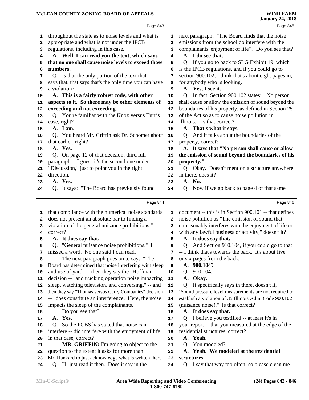|              | Page 843                                               |                | Page 845                                               |  |
|--------------|--------------------------------------------------------|----------------|--------------------------------------------------------|--|
| 1            | throughout the state as to noise levels and what is    | 1              | next paragraph: "The Board finds that the noise        |  |
| $\mathbf{2}$ | appropriate and what is not under the IPCB             | $\overline{a}$ | emissions from the school do interfere with the        |  |
| 3            | regulations, including in this case.                   | 3              | complainants' enjoyment of life"? Do you see that?     |  |
| 4            | A. Well, I can read you the text, which says           | 4              | A. I do see that.                                      |  |
| 5            | that no one shall cause noise levels to exceed those   | 5              | Q. If you go to back to SLG Exhibit 19, which          |  |
| 6            | numbers.                                               | 6              | is the IPCB regulations, and if you could go to        |  |
| 7            | Q. Is that the only portion of the text that           | 7              | section 900.102, I think that's about eight pages in,  |  |
| 8            | says that, that says that's the only time you can have | 8              | for anybody who is looking.                            |  |
| 9            | a violation?                                           | 9              | A. Yes, I see it.                                      |  |
| 10           | A. This is a fairly robust code, with other            | 10             | Q. In fact, Section 900.102 states: "No person         |  |
| 11           | aspects to it. So there may be other elements of       | 11             | shall cause or allow the emission of sound beyond the  |  |
| 12           | exceeding and not exceeding.                           | 12             | boundaries of his property, as defined in Section 25   |  |
| 13           | Q. You're familiar with the Knox versus Turris         | 13             | of the Act so as to cause noise pollution in           |  |
| 14           | case, right?                                           | 14             | Illinois." Is that correct?                            |  |
| 15           | A. I am.                                               | 15             | A. That's what it says.                                |  |
| 16           | Q. You heard Mr. Griffin ask Dr. Schomer about         | 16             | Q. And it talks about the boundaries of the            |  |
| 17           | that earlier, right?                                   | 17             | property, correct?                                     |  |
| 18           | A. Yes.                                                | 18             | A. It says that "No person shall cause or allow        |  |
| 19           | Q. On page 12 of that decision, third full             | 19             | the emission of sound beyond the boundaries of his     |  |
| 20           | paragraph -- I guess it's the second one under         | 20             | property."                                             |  |
| 21           | "Discussion," just to point you in the right           | 21             | Q. Okay. Doesn't mention a structure anywhere          |  |
| 22           | direction.                                             | 22             | in there, does it?                                     |  |
| 23           | A. Yes.                                                | 23             | A. No.                                                 |  |
| 24           | Q. It says: "The Board has previously found            | 24             | Q. Now if we go back to page 4 of that same            |  |
|              |                                                        |                |                                                        |  |
|              | Page 844                                               |                | Page 846                                               |  |
| 1            | that compliance with the numerical noise standards     | 1              | document -- this is in Section 900.101 -- that defines |  |
| 2            | does not present an absolute bar to finding a          | $\mathbf{2}$   | noise pollution as "The emission of sound that         |  |
| 3            | violation of the general nuisance prohibitions,"       | 3              | unreasonably interferes with the enjoyment of life or  |  |
| 4            | correct?                                               | 4              | with any lawful business or activity," doesn't it?     |  |
| 5            | A. It does say that.                                   | 5              | A. It does say that.                                   |  |
| 6            | Q. "General nuisance noise prohibitions." I            | 6              | Q. And Section 910.104, if you could go to that        |  |
| 7            | missed a word. No one said I can read.                 | 7              | -- I think that's towards the back. It's about five    |  |
| 8            | The next paragraph goes on to say: "The                | 8              | or six pages from the back.                            |  |
| 9            | Board has determined that noise interfering with sleep | 9              | A. 900.104?                                            |  |
| 10           | and use of yard" -- then they say the "Hoffman"        | 10             | 910.104.<br>Q.                                         |  |
| 11           | decision -- "and trucking operation noise impacting    | 11             | A. Okay.                                               |  |
| 12           | sleep, watching television, and conversing," -- and    | 12             | Q. It specifically says in there, doesn't it,          |  |
| 13           | then they say "Thomas versus Carry Companies" decision | 13             | "Sound pressure level measurements are not required to |  |
| 14           | -- "does constitute an interference. Here, the noise   | 14             | establish a violation of 35 Illinois Adm. Code 900.102 |  |
| 15           | impacts the sleep of the complainants."                | 15             | (nuisance noise)." Is that correct?                    |  |
| 16           | Do you see that?                                       | 16             | A. It does say that.                                   |  |
| 17           | A. Yes.                                                | 17             | Q. I believe you testified -- at least it's in         |  |
| 18           | Q. So the PCBS has stated that noise can               | 18             | your report -- that you measured at the edge of the    |  |
| 19           | interfere -- did interfere with the enjoyment of life  | 19             | residential structures, correct?                       |  |
| 20           | in that case, correct?                                 | 20             | A. Yeah.                                               |  |
| 21           | MR. GRIFFIN: I'm going to object to the                | 21             | You modeled?<br>O.                                     |  |
| 22           | question to the extent it asks for more than           | 22             | A. Yeah. We modeled at the residential                 |  |
| 23           | Mr. Hankard to just acknowledge what is written there. | 23             | structures.                                            |  |
| 24           | Q. I'll just read it then. Does it say in the          | 24             | Q. I say that way too often; so please clean me        |  |
|              |                                                        |                |                                                        |  |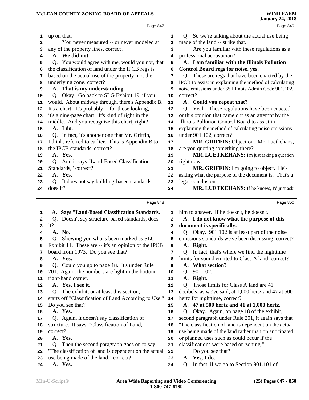|    | Page 847                                               |              | Page 849                                               |
|----|--------------------------------------------------------|--------------|--------------------------------------------------------|
| 1  | up on that.                                            | 1            | Q. So we're talking about the actual use being         |
| 2  | You never measured -- or never modeled at              | $\mathbf{2}$ | made of the land -- strike that.                       |
| 3  | any of the property lines, correct?                    | 3            | Are you familiar with these regulations as a           |
| 4  | A. We did not.                                         | 4            | professional acoustician?                              |
| 5  | Q. You would agree with me, would you not, that        | 5            | A. I am familiar with the Illinois Pollution           |
| 6  | the classification of land under the IPCB regs is      | 6            | Control Board regs for noise, yes.                     |
| 7  | based on the actual use of the property, not the       | 7            | Q. These are regs that have been enacted by the        |
| 8  | underlying zone, correct?                              | 8            | IPCB to assist in explaining the method of calculating |
| 9  | A. That is my understanding.                           | 9            | noise emissions under 35 Illinois Admin Code 901.102,  |
| 10 | Q. Okay. Go back to SLG Exhibit 19, if you             | 10           | correct?                                               |
| 11 | would. About midway through, there's Appendix B.       | 11           | A. Could you repeat that?                              |
| 12 | It's a chart. It's probably -- for those looking,      | 12           | Q. Yeah. These regulations have been enacted,          |
| 13 | it's a nine-page chart. It's kind of right in the      | 13           | or this opinion that came out as an attempt by the     |
|    | middle. And you recognize this chart, right?           |              | Illinois Pollution Control Board to assist in          |
| 14 | A. I do.                                               | 14           |                                                        |
| 15 |                                                        | 15           | explaining the method of calculating noise emissions   |
| 16 | Q. In fact, it's another one that Mr. Griffin,         | 16           | under 901.102, correct?                                |
| 17 | I think, referred to earlier. This is Appendix B to    | 17           | MR. GRIFFIN: Objection. Mr. Luetkehans,                |
| 18 | the IPCB standards, correct?                           | 18           | are you quoting something there?                       |
| 19 | A. Yes.                                                | 19           | MR. LUETKEHANS: I'm just asking a question             |
| 20 | Q. And it says "Land-Based Classification              | 20           | right now.                                             |
| 21 | Standards," correct?                                   | 21           | MR. GRIFFIN: I'm going to object. He's                 |
| 22 | A. Yes.                                                | 22           | asking what the purpose of the document is. That's a   |
| 23 | Q. It does not say building-based standards,           | 23           | legal conclusion.                                      |
| 24 | does it?                                               | 24           | MR. LUETKEHANS: If he knows, I'd just ask              |
|    | Page 848                                               |              | Page 850                                               |
|    |                                                        |              |                                                        |
| 1  | A. Says "Land-Based Classification Standards."         | 1            | him to answer. If he doesn't, he doesn't.              |
| 2  | Doesn't say structure-based standards, does<br>Q.      | $\mathbf{2}$ | A. I do not know what the purpose of this              |
| 3  | it?                                                    | 3            | document is specifically.                              |
| 4  | A. No.                                                 | 4            | Q. Okay. 901.102 is at least part of the noise         |
| 5  | Q. Showing you what's been marked as SLG               |              |                                                        |
| 6  |                                                        | 5            | emissions standards we've been discussing, correct?    |
|    | Exhibit 11. These are -- it's an opinion of the IPCB   | 6            | A. Right.                                              |
| 7  | board from 1973. Do you see that?                      | 7            | Q. In fact, that's where we find the nighttime         |
| 8  | A. Yes.                                                | 8            | limits for sound emitted to Class A land, correct?     |
| 9  | Q. Could you go to page 18. It's under Rule            | 9            | A. What section?                                       |
| 10 | 201. Again, the numbers are light in the bottom        | 10           | 901.102.<br>Q.                                         |
| 11 | right-hand corner.                                     | 11           | A. Right.                                              |
| 12 | A. Yes, I see it.                                      | 12           | Q. Those limits for Class A land are 41                |
| 13 | Q. The exhibit, or at least this section,              | 13           | decibels, as we've said, at 1,000 hertz and 47 at 500  |
| 14 | starts off "Classification of Land According to Use."  | 14           | hertz for nighttime, correct?                          |
| 15 | Do you see that?                                       | 15           | A. 47 at 500 hertz and 41 at 1,000 hertz.              |
| 16 | A. Yes.                                                | 16           | Q. Okay. Again, on page 18 of the exhibit,             |
| 17 | Q. Again, it doesn't say classification of             | 17           | second paragraph under Rule 201, it again says that    |
| 18 | structure. It says, "Classification of Land,"          | 18           | "The classification of land is dependent on the actual |
| 19 | correct?                                               | 19           | use being made of the land rather than on anticipated  |
| 20 | A. Yes.                                                | 20           | or planned uses such as could occur if the             |
| 21 | Q. Then the second paragraph goes on to say,           | 21           | classifications were based on zoning."                 |
| 22 | "The classification of land is dependent on the actual | 22           | Do you see that?                                       |
| 23 | use being made of the land," correct?                  | 23           | A. Yes, I do.                                          |
| 24 | A. Yes.                                                | 24           | In fact, if we go to Section 901.101 of<br>Q.          |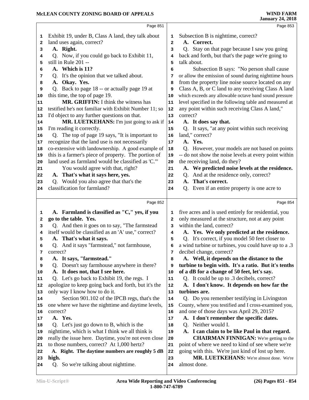|              | Page 851                                                                                                  |                | Page 853                                                                                                 |
|--------------|-----------------------------------------------------------------------------------------------------------|----------------|----------------------------------------------------------------------------------------------------------|
| 1            | Exhibit 19, under B, Class A land, they talk about                                                        | 1              | Subsection B is nighttime, correct?                                                                      |
| $\mathbf{2}$ | land uses again, correct?                                                                                 | $\overline{a}$ | A. Correct.                                                                                              |
| 3            | A. Right.                                                                                                 | 3              | Q. Stay on that page because I saw you going                                                             |
| 4            | Q. Now, if you could go back to Exhibit 11,                                                               | 4              | back and forth, but that's the page we're going to                                                       |
| 5            | still in Rule 201 --                                                                                      | 5              | talk about.                                                                                              |
| 6            | A. Which is 11?                                                                                           | 6              | Subsection B says: "No person shall cause                                                                |
| 7            | Q. It's the opinion that we talked about.                                                                 | 7              | or allow the emission of sound during nighttime hours                                                    |
| 8            | A. Okay. Yes.                                                                                             | 8              | from the property line noise source located on any                                                       |
| 9            | Q. Back to page 18 -- or actually page 19 at                                                              | 9              | Class A, B, or C land to any receiving Class A land                                                      |
| 10           | this time, the top of page 19.                                                                            | 10             | which exceeds any allowable octave band sound pressure                                                   |
| 11           | <b>MR. GRIFFIN:</b> I think the witness has                                                               | 11             | level specified in the following table and measured at                                                   |
| 12           | testified he's not familiar with Exhibit Number 11; so                                                    | 12             | any point within such receiving Class A land,"                                                           |
| 13           | I'd object to any further questions on that.                                                              | 13             | correct?                                                                                                 |
| 14           | MR. LUETKEHANS: I'm just going to ask if                                                                  | 14             | A. It does say that.                                                                                     |
| 15           | I'm reading it correctly.                                                                                 | 15             | Q. It says, "at any point within such receiving                                                          |
| 16           | Q. The top of page 19 says, "It is important to                                                           | 16             | land," correct?<br>A. Yes.                                                                               |
| 17           | recognize that the land use is not necessarily<br>co-extensive with landownership. A good example of      | 17             |                                                                                                          |
| 18<br>19     | this is a farmer's piece of property. The portion of                                                      | 18<br>19       | Q. However, your models are not based on points<br>-- do not show the noise levels at every point within |
| 20           | land used as farmland would be classified as 'C."                                                         | 20             | the receiving land, do they?                                                                             |
| 21           | You would agree with that, right?                                                                         | 21             | A. We predicted noise levels at the residence.                                                           |
| 22           | A. That's what it says here, yes.                                                                         | 22             | Q. And at the residence only, correct?                                                                   |
| 23           | Q. Would you also agree that that's the                                                                   | 23             | A. That's correct.                                                                                       |
| 24           | classification for farmland?                                                                              | 24             | Q. Even if an entire property is one acre to                                                             |
|              |                                                                                                           |                |                                                                                                          |
|              | Page 852                                                                                                  |                | Page 854                                                                                                 |
| 1            | A. Farmland is classified as "C," yes, if you                                                             | 1              | five acres and is used entirely for residential, you                                                     |
| $\mathbf{2}$ | go to the table. Yes.                                                                                     | $\mathbf{2}$   | only measured at the structure, not at any point                                                         |
| 3            | Q. And then it goes on to say, "The farmstead                                                             | 3              | within the land, correct?                                                                                |
| 4            | itself would be classified as an 'A' use," correct?                                                       | 4              | A. Yes. We only predicted at the residence.                                                              |
| 5            | A. That's what it says.                                                                                   | 5              | Q. It's correct, if you model 50 feet closer to                                                          |
| 6            | Q. And it says "farmstead," not farmhouse,                                                                | 6              | a wind turbine or turbines, you could have up to a .3                                                    |
| 7            | correct?                                                                                                  | 7              | decibel change, correct?                                                                                 |
| 8            | A. It says, "farmstead."                                                                                  | 8              | A. Well, it depends on the distance to the                                                               |
| 9            | Doesn't say farmhouse anywhere in there?<br>O.                                                            | 9              | turbine to begin with. It's a ratio. But it's tenths                                                     |
| 10           | A. It does not, that I see here.                                                                          | 10             | of a dB for a change of 50 feet, let's say.                                                              |
| 11           | Q. Let's go back to Exhibit 19, the regs. I                                                               | 11             | Q. It could be up to .3 decibels, correct?<br>A. I don't know. It depends on how far the                 |
| 12           |                                                                                                           |                |                                                                                                          |
| 13           | apologize to keep going back and forth, but it's the                                                      | 12             |                                                                                                          |
|              | only way I know how to do it.                                                                             | 13             | turbines are.                                                                                            |
| 14           | Section 901.102 of the IPCB regs, that's the                                                              | 14             | Q. Do you remember testifying in Livingston                                                              |
| 15           | one where we have the nighttime and daytime levels,                                                       | 15             | County, where you testified and I cross-examined you,                                                    |
| 16           | correct?                                                                                                  | 16             | and one of those days was April 29, 2015?                                                                |
| 17<br>18     | A. Yes.                                                                                                   | 17<br>18       | A. I don't remember the specific dates.                                                                  |
| 19           | Q. Let's just go down to B, which is the                                                                  | 19             | Q. Neither would I.                                                                                      |
| 20           | nighttime, which is what I think we all think is<br>really the issue here. Daytime, you're not even close | 20             | A. I can claim to be like Paul in that regard.<br><b>CHAIRMAN FINNIGAN:</b> We're getting to the         |
| 21           | to those numbers, correct? At 1,000 hertz?                                                                | 21             | point of where we need to kind of see where we're                                                        |
| 22           | A. Right. The daytime numbers are roughly 5 dB                                                            | 22             | going with this. We're just kind of lost up here.                                                        |
| 23           | high.                                                                                                     | 23             | MR. LUETKEHANS: We're almost done. We're                                                                 |
| 24           | Q. So we're talking about nighttime.                                                                      | 24             | almost done.                                                                                             |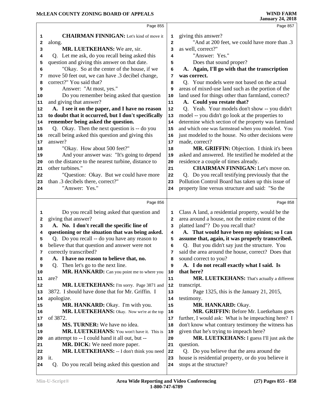|          | Page 855                                                 |                         | Page 857                                                                       |
|----------|----------------------------------------------------------|-------------------------|--------------------------------------------------------------------------------|
|          | <b>CHAIRMAN FINNIGAN:</b> Let's kind of move it          | 1                       | giving this answer?                                                            |
| 1<br>2   | along.                                                   | $\overline{\mathbf{2}}$ | "And at 200 feet, we could have more than .3                                   |
| 3        | MR. LUETKEHANS: We are, sir.                             | 3                       | as well, correct?"                                                             |
| 4        | Q. Let me ask, do you recall being asked this            | 4                       | "Answer: Yes."                                                                 |
| 5        | question and giving this answer on that date.            | 5                       | Does that sound proper?                                                        |
| 6        | "Okay. So at the center of the house, if we              | 6                       | A. Again, I'll go with that the transcription                                  |
| 7        | move 50 feet out, we can have .3 decibel change,         | 7                       | was correct.                                                                   |
| 8        | correct?" You said that?                                 | 8                       | Q. Your models were not based on the actual                                    |
| 9        | Answer: "At most, yes."                                  | 9                       | areas of mixed-use land such as the portion of the                             |
| 10       | Do you remember being asked that question                | 10                      | land used for things other than farmland, correct?                             |
| 11       | and giving that answer?                                  | 11                      | A. Could you restate that?                                                     |
| 12       | A. I see it on the paper, and I have no reason           | 12                      | Q. Yeah. Your models don't show -- you didn't                                  |
| 13       | to doubt that it occurred, but I don't specifically      | 13                      | model -- you didn't go look at the properties to                               |
| 14       | remember being asked the question.                       | 14                      | determine which section of the property was farmland                           |
| 15       | Q. Okay. Then the next question is -- do you             | 15                      | and which one was farmstead when you modeled. You                              |
| 16       | recall being asked this question and giving this         | 16                      | just modeled to the house. No other decisions were                             |
| 17       | answer?                                                  | 17                      | made, correct?                                                                 |
| 18       | "Okay. How about 500 feet?"                              | 18                      | MR. GRIFFIN: Objection. I think it's been                                      |
| 19       | And your answer was: "It's going to depend               | 19                      | asked and answered. He testified he modeled at the                             |
| 20       | on the distance to the nearest turbine, distance to      | 20                      | residence a couple of times already.                                           |
| 21       | other turbines."                                         | 21                      | <b>CHAIRMAN FINNIGAN:</b> Let's move on.                                       |
| 22       | "Question: Okay. But we could have more                  | 22                      | Q. Do you recall testifying previously that the                                |
| 23       | than .3 decibels there, correct?"                        | 23                      | Pollution Control Board has taken up this issue of                             |
| 24       | "Answer: Yes."                                           | 24                      | property line versus structure and said: "So the                               |
|          |                                                          |                         |                                                                                |
|          |                                                          |                         |                                                                                |
|          | Page 856                                                 |                         | Page 858                                                                       |
| 1        | Do you recall being asked that question and              | 1                       | Class A land, a residential property, would be the                             |
| 2        | giving that answer?                                      | $\overline{\mathbf{2}}$ | area around a house, not the entire extent of the                              |
| 3        | A. No. I don't recall the specific line of               | 3                       | platted land"? Do you recall that?                                             |
| 4        | questioning or the situation that was being asked.       | 4                       | A. That would have been my opinion; so I can                                   |
| 5        | Q. Do you recall -- do you have any reason to            | 5                       | assume that, again, it was properly transcribed.                               |
| 6        | believe that that question and answer were not           | 6                       | Q. But you didn't say just the structure. You                                  |
| 7        | correctly transcribed?                                   | 7                       | said the area around the house, correct? Does that                             |
| 8        | A. I have no reason to believe that, no.                 | 8                       | sound correct to you?                                                          |
| 9        | Then let's go to the next line.<br>Q.                    | 9                       | A. I do not recall exactly what I said. Is                                     |
| 10       | MR. HANKARD: Can you point me to where you               | 10                      | that here?                                                                     |
| 11       | are?                                                     | 11                      | MR. LUETKEHANS: That's actually a different                                    |
| 12       | MR. LUETKEHANS: I'm sorry. Page 3871 and                 | 12                      | transcript.                                                                    |
| 13       | 3872. I should have done that for Mr. Griffin. I         | 13                      | Page 1325, this is the January 21, 2015,                                       |
| 14       | apologize.                                               | 14                      | testimony.                                                                     |
| 15       | MR. HANKARD: Okay. I'm with you.                         | 15                      | MR. HANKARD: Okay.                                                             |
| 16       | MR. LUETKEHANS: Okay. Now we're at the top               | 16                      | MR. GRIFFIN: Before Mr. Luetkehans goes                                        |
| 17       | of 3872.                                                 | 17                      | further, I would ask: What is he impeaching here? I                            |
| 18       | MS. TURNER: We have no idea.                             | 18                      | don't know what contrary testimony the witness has                             |
| 19       | MR. LUETKEHANS: You won't have it. This is               | 19                      | given that he's trying to impeach here?                                        |
| 20       | an attempt to -- I could hand it all out, but --         | 20                      | MR. LUETKEHANS: I guess I'll just ask the                                      |
| 21       | MR. DICK: We need more paper.                            | 21                      | question.                                                                      |
| 22       | MR. LUETKEHANS: -- I don't think you need                | 22                      | Q. Do you believe that the area around the                                     |
| 23<br>24 | it.<br>Do you recall being asked this question and<br>Q. | 23<br>24                | house is residential property, or do you believe it<br>stops at the structure? |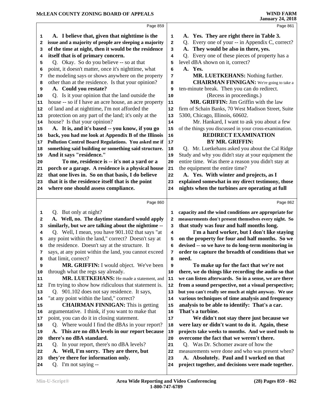|          | Page 859                                                    |          | Page 861                                                                                        |
|----------|-------------------------------------------------------------|----------|-------------------------------------------------------------------------------------------------|
| 1        | A. I believe that, given that night time is the             | 1        | A. Yes. They are right there in Table 3.                                                        |
| 2        | issue and a majority of people are sleeping a majority      | 2        | Q. Every one of your -- in Appendix C, correct?                                                 |
| 3        | of the time at night, then it would be the residence        | 3        | They would be also in there, yes.                                                               |
| 4        | itself that is of primary concern.                          | 4        | Q. Every one of these pieces of property has a                                                  |
| 5        | Q. Okay. So do you believe -- so at that                    | 5        | level dBA shown on it, correct?                                                                 |
| 6        | point, it doesn't matter, once it's nighttime, what         | 6        | A. Yes.                                                                                         |
| 7        | the modeling says or shows anywhere on the property         | 7        | MR. LUETKEHANS: Nothing further.                                                                |
| 8        | other than at the residence. Is that your opinion?          | 8        | <b>CHAIRMAN FINNIGAN:</b> We're going to take a                                                 |
| 9        | A. Could you restate?                                       | 9        | ten-minute break. Then you can do redirect.                                                     |
| 10       | Q. Is it your opinion that the land outside the             | 10       | (Recess in proceedings.)                                                                        |
| 11       | house -- so if I have an acre house, an acre property       | 11       | MR. GRIFFIN: Jim Griffin with the law                                                           |
| 12       | of land and at nighttime, I'm not afforded the              | 12       | firm of Schain Banks, 70 West Madison Street, Suite                                             |
| 13       | protection on any part of the land; it's only at the        | 13       | 5300, Chicago, Illinois, 60602.                                                                 |
| 14       | house? Is that your opinion?                                | 14       | Mr. Hankard, I want to ask you about a few                                                      |
| 15       | A. It is, and it's based -- you know, if you go             | 15       | of the things you discussed in your cross-examination.                                          |
| 16       | back, you had me look at Appendix B of the Illinois         | 16       | <b>REDIRECT EXAMINATION</b>                                                                     |
| 17       | Pollution Control Board Regulations. You asked me if        | 17       | <b>BY MR. GRIFFIN:</b>                                                                          |
| 18       | something said building or something said structure.        | 18       | Q. Mr. Luetkehans asked you about the Cal Ridge                                                 |
| 19       | And it says "residence."                                    | 19       | Study and why you didn't stay at your equipment the                                             |
| 20       | To me, residence is -- it's not a yard or a                 | 20       | entire time. Was there a reason you didn't stay at                                              |
| 21       | porch or a garage. A residence is a physical house          | 21       | the equipment the entire time?                                                                  |
| 22       | that one lives in. So on that basis, I do believe           | 22       | A. Yes. With winter and projects, as I                                                          |
| 23       | that it is the residence itself that is the point           | 23       | explained somewhat in my direct testimony, those                                                |
| 24       | where one should assess compliance.                         | 24       | nights when the turbines are operating at full                                                  |
|          |                                                             |          |                                                                                                 |
|          | Page 860                                                    |          | Page 862                                                                                        |
| 1        | Q. But only at night?                                       | 1        | capacity and the wind conditions are appropriate for                                            |
| 2        | A. Well, no. The daytime standard would apply               |          | measurements don't present themselves every night. So                                           |
|          |                                                             | 2        |                                                                                                 |
| з        | similarly, but we are talking about the nighttime --        | 3        | that study was four and half months long.                                                       |
| 4        | Q. Well, I mean, you have 901.102 that says "at             | 4        | I'm a hard worker, but I don't like staying                                                     |
| 5        | any point within the land," correct? Doesn't say at         | 5        | on the property for four and half months. So we                                                 |
| 6        | the residence. Doesn't say at the structure. It             | 6        | devised -- so we have to do long-term monitoring in                                             |
| 7        | says, at any point within the land, you cannot exceed       | 7        | order to capture the breadth of conditions that we                                              |
| 8        | that limit, correct?                                        | 8        | need.                                                                                           |
| 9        | MR. GRIFFIN: I would object. We've been                     | 9        | To make up for the fact that we're not                                                          |
| 10       | through what the regs say already.                          | 10       | there, we do things like recording the audio so that                                            |
| 11       | MR. LUETKEHANS: He made a statement, and                    | 11       | we can listen afterwards. So in a sense, we are there                                           |
| 12       | I'm trying to show how ridiculous that statement is.        | 12       | from a sound perspective, not a visual perspective;                                             |
| 13       | Q. 901.102 does not say residence. It says,                 | 13       | but you can't really see much at night anyway. We use                                           |
| 14       | "at any point within the land," correct?                    | 14       | various techniques of time analysis and frequency                                               |
| 15       | <b>CHAIRMAN FINNIGAN:</b> This is getting                   | 15       | analysis to be able to identify: That's a car.                                                  |
| 16       | argumentative. I think, if you want to make that            | 16       | That's a turbine.                                                                               |
| 17       | point, you can do it in closing statement.                  | $17\,$   | We didn't not stay there just because we                                                        |
| 18       | Q. Where would I find the dBAs in your report?              | 18       | were lazy or didn't want to do it. Again, these                                                 |
| 19       | A. This are no dBA levels in our report because             | 19       | projects take weeks to months. And we used tools to                                             |
| 20       | there's no dBA standard.                                    | 20       | overcome the fact that we weren't there.                                                        |
| 21       | Q. In your report, there's no dBA levels?                   | 21       | Q. Was Dr. Schomer aware of how the                                                             |
| 22       | A. Well, I'm sorry. They are there, but                     | 22       | measurements were done and who was present when?                                                |
| 23<br>24 | they're there for information only.<br>Q. I'm not saying -- | 23<br>24 | A. Absolutely. Paul and I worked on that<br>project together, and decisions were made together. |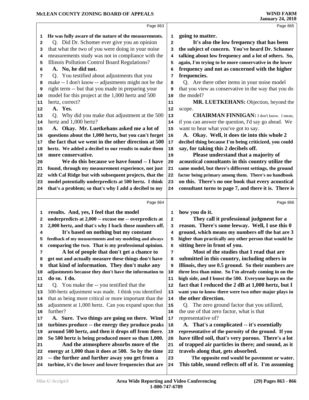# **McLEAN COUNTY ZONING BOARD OF APPEALS**

|    |                                                        |    | Janual y 27, 2010                                      |
|----|--------------------------------------------------------|----|--------------------------------------------------------|
|    | Page 863                                               |    | Page 865                                               |
| 1  | He was fully aware of the nature of the measurements.  | 1  | going to matter.                                       |
| 2  | Q. Did Dr. Schomer ever give you an opinion            | 2  | It's also the low frequency that has been              |
| з  | that what the two of you were doing in your noise      | з  | the subject of concern. You've heard Dr. Schomer       |
| 4  | measurements study was not in compliance with the      | 4  | talking about low frequency and a lot of others. So,   |
| 5  | Illinois Pollution Control Board Regulations?          | 5  | again, I'm trying to be more conservative in the lower |
| 6  | A. No, he did not.                                     | 6  | frequency and not as concerned with the higher         |
| 7  | Q. You testified about adjustments that you            | 7  | frequencies.                                           |
| 8  | make -- I don't know -- adjustments might not be the   | 8  | Q. Are there other items in your noise model           |
| 9  | right term -- but that you made in preparing your      | 9  | that you view as conservative in the way that you do   |
| 10 | model for this project at the 1,000 hertz and 500      | 10 | the model?                                             |
| 11 | hertz, correct?                                        | 11 | MR. LUETKEHANS: Objection, beyond the                  |
| 12 | A. Yes.                                                | 12 | scope.                                                 |
| 13 | Q. Why did you make that adjustment at the 500         | 13 | <b>CHAIRMAN FINNIGAN:</b> I don't know. I mean,        |
| 14 | hertz and 1,000 hertz?                                 | 14 | if you can answer the question, I'd say go ahead. We   |
| 15 | A. Okay. Mr. Luetkehans asked me a lot of              | 15 | want to hear what you've got to say.                   |
| 16 | questions about the 1,000 hertz, but you can't forget  | 16 | A. Okay. Well, it does tie into this whole 2           |
| 17 | the fact that we went in the other direction at 500    | 17 | decibel thing because I'm being criticized, you could  |
| 18 | hertz. We added a decibel to our results to make them  | 18 | say, for taking this 2 decibels off.                   |
| 19 | more conservative.                                     | 19 | Please understand that a majority of                   |
| 20 | We do this because we have found -- I have             | 20 | acoustical consultants in this country utilize the     |
| 21 | found, through my measurement experience, not just     | 21 | same model, but there's different settings, the ground |
| 22 | with Cal Ridge but with subsequent projects, that the  | 22 | factor being primary among them. There's no handbook   |
| 23 | model potentially underpredicts at 500 hertz. I think  | 23 | on this. There's no one book that every acoustical     |
| 24 | that's a problem; so that's why I add a decibel to my  | 24 | consultant turns to page 7, and there it is. There is  |
|    |                                                        |    |                                                        |
|    | Page 864                                               |    | Page 866                                               |
| 1  | results. And, yes, I feel that the model               | 1  | how you do it.                                         |
| 2  | underpredicts at 2,000 -- excuse me -- overpredicts at | 2  | They call it professional judgment for a               |
| з  | 2,000 hertz, and that's why I back those numbers off.  | з  | reason. There's some leeway. Well, I use this 0        |
| 4  | It's based on nothing but my constant                  | 4  | ground, which means my numbers off the bat are 3       |
| 5  | feedback of my measurements and my modeling and always | 5  | higher than practically any other person that would be |
|    | comparing the two. That is my professional opinion.    | 6  | sitting here in front of you.                          |
| 7  | A lot of people that don't get a chance to             | 7  | Most of the studies that I read that are               |
| 8  | get out and actually measure these things don't have   | 8  | submitted in this country, including others in         |
| 9  | that kind of information. They don't make any          | 9  | Illinois, they use 0.5 ground. So their numbers are    |
| 10 | adjustments because they don't have the information to | 10 | three less than mine. So I'm already coming in on the  |
| 11 | do so. I do.                                           | 11 | high side, and I boost the 500. Everyone harps on the  |
| 12 | Q. You make the -- you testified that the              | 12 | fact that I reduced the 2 dB at 1,000 hertz, but I     |
| 13 | 500-hertz adjustment was made. I think you identified  | 13 | want you to know there were two other major plays in   |
| 14 | that as being more critical or more important than the | 14 | the other direction.                                   |
| 15 | adjustment at 1,000 hertz. Can you expand upon that    | 15 | Q. The zero ground factor that you utilized,           |
| 16 | further?                                               | 16 | the use of that zero factor, what is that              |
| 17 | A. Sure. Two things are going on there. Wind           | 17 | representative of?                                     |
| 18 | turbines produce -- the energy they produce peaks      | 18 | A. That's a complicated -- it's essentially            |
| 19 | around 500 hertz, and then it drops off from there.    | 19 | representative of the porosity of the ground. If you   |
| 20 | So 500 hertz is being produced more so than 1,000.     | 20 | have tilled soil, that's very porous. There's a lot    |
| 21 | And the atmosphere absorbs more of the                 | 21 | of trapped air particles in there; and sound, as it    |
| 22 | energy at 1,000 than it does at 500. So by the time    | 22 | travels along that, gets absorbed.                     |
| 23 | -- the further and further away you get from a         | 23 | The opposite end would be pavement or water.           |
|    | turbine, it's the lower and lower frequencies that are |    | This table, sound reflects off of it. I'm assuming     |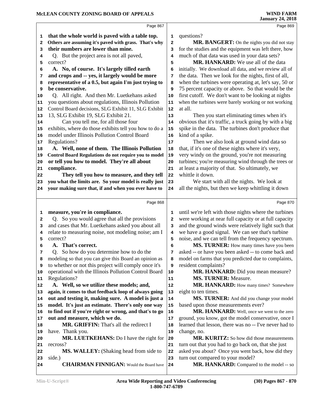# **McLEAN COUNTY ZONING BOARD OF APPEALS**

|    |                                                        |          | $0$ anuary 27, 2010                                    |
|----|--------------------------------------------------------|----------|--------------------------------------------------------|
|    | Page 867                                               |          | Page 869                                               |
| 1  | that the whole world is paved with a table top.        | 1        | questions?                                             |
| 2  | Others are assuming it's paved with grass. That's why  | 2        | MR. BANGERT: On the nights you did not stay            |
| з  | their numbers are lower than mine.                     | 3        | for the studies and the equipment was left there, how  |
| 4  | Q. But the project area is not all paved,              | 4        | much of that data was used in your data sets?          |
| 5  | correct?                                               | 5        | MR. HANKARD: We use all of the data                    |
| 6  | A. No, of course. It's largely tilled earth            | 6        | initially. We download all data, and we review all of  |
| 7  | and crops and -- yes, it largely would be more         | 7        | the data. Then we look for the nights, first of all,   |
| 8  | representative of a 0.5, but again I'm just trying to  | 8        | when the turbines were operating at, let's say, 50 or  |
| 9  | be conservative.                                       | 9        | 75 percent capacity or above. So that would be the     |
| 10 | Q. All right. And then Mr. Luetkehans asked            | 10       | first cutoff. We don't want to be looking at nights    |
| 11 | you questions about regulations, Illinois Pollution    | 11       | when the turbines were barely working or not working   |
| 12 | Control Board decisions, SLG Exhibit 11, SLG Exhibit   | 12       | at all.                                                |
| 13 | 13, SLG Exhibit 19, SLG Exhibit 21.                    | 13       | Then you start eliminating times when it's             |
|    | Can you tell me, for all those four                    | 14       | obvious that it's traffic, a truck going by with a big |
| 14 | exhibits, where do those exhibits tell you how to do a | 15       | spike in the data. The turbines don't produce that     |
| 15 | model under Illinois Pollution Control Board           | 16       | kind of a spike.                                       |
| 16 | Regulations?                                           | 17       | Then we also look at ground wind data so               |
| 17 | A. Well, none of them. The Illinois Pollution          |          | that, if it's one of these nights where it's very,     |
| 18 | Control Board Regulations do not require you to model  | 18       | very windy on the ground, you're not measuring         |
| 19 | or tell you how to model. They're all about            | 19<br>20 | turbines; you're measuring wind through the trees or   |
| 20 | compliance.                                            |          | at least a majority of that. So ultimately, we         |
| 21 | They tell you how to measure, and they tell            | 21<br>22 | whittle it down.                                       |
| 22 |                                                        |          |                                                        |
| 23 | you what the limits are. So your model is really just  | 23       | We start with all the nights. We look at               |
| 24 | your making sure that, if and when you ever have to    | 24       | all the nights, but then we keep whittling it down     |
|    | Page 868                                               |          | Page 870                                               |
| 1  | measure, you're in compliance.                         | 1        | until we're left with those nights where the turbines  |
| 2  | Q. So you would agree that all the provisions          | 2        | were working at near full capacity or at full capacity |
| з  | and cases that Mr. Luetkehans asked you about all      | 3        | and the ground winds were relatively light such that   |
| 4  | relate to measuring noise, not modeling noise; am I    | 4        | we have a good signal. We can see that's turbine       |
| 5  | correct?                                               | 5        | noise, and we can tell from the frequency spectrum.    |
| 6  | A. That's correct.                                     | 6        | MS. TURNER: How many times have you been               |
| 7  | Q. So how do you determine how to do the               | 7        | asked -- or have you been asked -- to come back and    |
| 8  | modeling so that you can give this Board an opinion as | 8        | model on farms that you predicted due to complaints,   |
| 9  | to whether or not this project will comply once it's   | 9        | resident complaints?                                   |
| 10 | operational with the Illinois Pollution Control Board  | 10       | MR. HANKARD: Did you mean measure?                     |
| 11 | Regulations?                                           | 11       | <b>MS. TURNER: Measure.</b>                            |
| 12 | A. Well, so we utilize these models; and,              | 12       | MR. HANKARD: How many times? Somewhere                 |
| 13 | again, it comes to that feedback loop of always going  | 13       | eight to ten times.                                    |
| 14 | out and testing it, making sure. A model is just a     | 14       | MS. TURNER: And did you change your model              |
| 15 | model. It's just an estimate. There's only one way     | 15       | based upon those measurements ever?                    |
| 16 | to find out if you're right or wrong, and that's to go | 16       | MR. HANKARD: Well, once we went to the zero            |
| 17 | out and measure, which we do.                          | 17       | ground, you know, got the model conservative, once I   |
| 18 | <b>MR. GRIFFIN:</b> That's all the redirect I          | 18       | learned that lesson, there was no -- I've never had to |
| 19 | have. Thank you.                                       | 19       | change, no.                                            |
| 20 | MR. LUETKEHANS: Do I have the right for                | 20       | <b>MR. KURITZ:</b> So how did those measurements       |
| 21 | recross?                                               | 21       | turn out that you had to go back on, that she just     |
| 22 | <b>MS. WALLEY:</b> (Shaking head from side to          | 22       | asked you about? Once you went back, how did they      |
| 23 | side.)                                                 | 23       | turn out compared to your model?                       |
|    | <b>CHAIRMAN FINNIGAN:</b> Would the Board have         | 24       | MR. HANKARD: Compared to the model -- so               |
| 24 |                                                        |          |                                                        |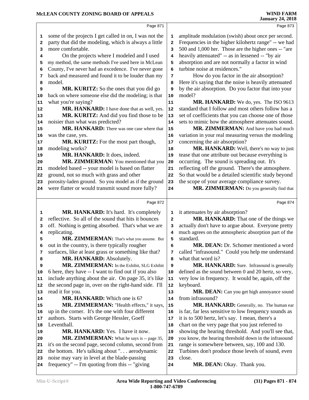|              | MCLEAN COUNTY ZONING BOARD OF APPEALS                  |            | <b>WIND FARM</b><br><b>January 24, 2018</b>            |
|--------------|--------------------------------------------------------|------------|--------------------------------------------------------|
|              | Page 871                                               |            | Page 873                                               |
| 1            | some of the projects I get called in on, I was not the | 1          | amplitude modulation (swish) about once per second.    |
| $\mathbf{2}$ | party that did the modeling, which is always a little  | 2          | Frequencies in the higher kilohertz range" -- we had   |
| 3            | more comfortable.                                      | 3          | 500 and 1,000 her. Those are the higher ones -- "are   |
| 4            | On the projects where I modeled and I used             | 4          | heavily attenuated" -- as in lessened -- "by air       |
| 5            | my method, the same methods I've used here in McLean   | 5          | absorption and are not normally a factor in wind       |
| 6            | County, I've never had an excedence. I've never gone   | 6          | turbine noise at residences."                          |
| 7            | back and measured and found it to be louder than my    | 7          | How do you factor in the air absorption?               |
| 8            | model.                                                 | 8          | Here it's saying that the noise is heavily attenuated  |
| 9            | MR. KURITZ: So the ones that you did go                | 9          | by the air absorption. Do you factor that into your    |
| 10           | back on where someone else did the modeling; is that   | 10         | model?                                                 |
| 11           | what you're saying?                                    | 11         | MR. HANKARD: We do, yes. The ISO 9613                  |
| 12           | MR. HANKARD: I have done that as well, yes.            | 12         | standard that I follow and most others follow has a    |
| 13           | MR. KURITZ: And did you find those to be               | 13         | set of coefficients that you can choose one of those   |
| 14           | noisier than what was predicted?                       | 14         | sets to mimic how the atmosphere attenuates sound.     |
| 15           | MR. HANKARD: There was one case where that             | 15         | MR. ZIMMERMAN: And have you had much                   |
| 16           | was the case, yes.                                     | 16         | variation in your real measuring versus the modeling   |
| 17           | MR. KURITZ: For the most part though,                  | $17$       | concerning the air absorption?                         |
| 18           | modeling works?                                        | 18         | MR. HANKARD: Well, there's no way to just              |
| 19           | MR. HANKARD: It does, indeed.                          | 19         | tease that one attribute out because everything is     |
| 20           | MR. ZIMMERMAN: You mentioned that you                  | 20         | occurring. The sound is spreading out. It's            |
| 21           | modeled based -- your model is based on flatter        | 21         | reflecting off the ground. There's the atmosphere.     |
| 22           | ground, not so much with grass and other               | 22         | So that would be a detailed scientific study beyond    |
| 23           | porosity-laden ground. So you model as if the ground   | 23         | the scope of your average compliance survey.           |
| 24           | were flatter or would transmit sound more fully?       | 24         | MR. ZIMMERMAN: Do you generally find that              |
|              | Page 872                                               |            | Page 874                                               |
| 1            | MR. HANKARD: It's hard. It's completely                | 1          | it attenuates by air absorption?                       |
| 2            | reflective. So all of the sound that hits it bounces   | 2          | MR. HANKARD: That one of the things we                 |
| з            | off. Nothing is getting absorbed. That's what we are   | 3          | actually don't have to argue about. Everyone pretty    |
| 4            | replicating.                                           | 4          | much agrees on the atmospheric absorption part of the  |
| 5            | MR. ZIMMERMAN: That's what you assume. But             | 5          | standard.                                              |
| 6            | out in the country, is there typically rougher         | 6          | <b>MR. DEAN:</b> Dr. Schomer mentioned a word          |
| 7            | surfaces, like at least grass or something like that?  | 7          | called "infrasound." Could you help me understand      |
| 8            | MR. HANKARD: Absolutely.                               | 8          | what that word is?                                     |
| 9            | MR. ZIMMERMAN: In the Exhibit, SLG Exhibit             | 9          | MR. HANKARD: Sure. Infrasound is generally             |
| 10           | 6 here, they have -- I want to find out if you also    | 10         | defined as the sound between 0 and 20 hertz, so very,  |
| 11           | include anything about the air. On page 35, it's like  | 11         | very low in frequency. It would be, again, off the     |
| 12           | the second page in, over on the right-hand side. I'll  | 12         | keyboard.                                              |
| 13           | read it for you.                                       | 13         | MR. DEAN: Can you get high annoyance sound             |
| 14           | MR. HANKARD: Which one is 6?                           | 14         | from infrasound?                                       |
| 15           | MR. ZIMMERMAN: "Health effects," it says,              | 15         | MR. HANKARD: Generally, no. The human ear              |
| 16           | up in the corner. It's the one with four different     | 16         | is far, far less sensitive to low frequency sounds as  |
| 17           | authors. Starts with George Hessler, Goeff             | 17         | it is to 500 hertz, let's say. I mean, there's a       |
| 18           | Leventhall.                                            | 18         | chart on the very page that you just referred to       |
| 19           | MR. HANKARD: Yes. I have it now.                       | 19         | showing the hearing threshold. And you'll see that,    |
| 20           | MR. ZIMMERMAN: What he says is -- page 35,             | ${\bf 20}$ | you know, the hearing threshold down in the infrasound |
| 21           | it's on the second page, second column, second from    | 21         | range is somewhere between, say, 100 and 130.          |
| 22           | the bottom. He's talking about ". aerodynamic          | 22         | Turbines don't produce those levels of sound, even     |
|              |                                                        |            |                                                        |

close.

MR. DEAN: Okay. Thank you.

noise may vary in level at the blade-passing

frequency" -- I'm quoting from this -- "giving 24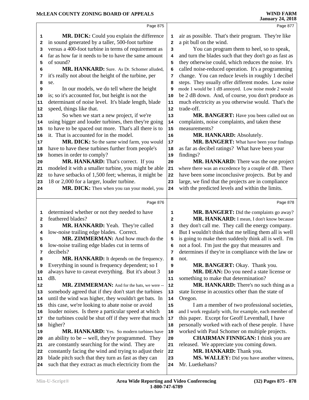|    | Page 875                                                                                                     |                         | Page 877                                                             |
|----|--------------------------------------------------------------------------------------------------------------|-------------------------|----------------------------------------------------------------------|
| 1  | MR. DICK: Could you explain the difference                                                                   | 1                       | air as possible. That's their program. They're like                  |
| 2  | in sound generated by a taller, 500-foot turbine                                                             | $\overline{\mathbf{2}}$ | a pit bull on the wind.                                              |
| 3  | versus a 400-foot turbine in terms of requirement as                                                         | 3                       | You can program them to heel, so to speak,                           |
| 4  | far as how far it needs to be to have the same amount                                                        | 4                       | and turn the blades such that they don't go as fast as               |
| 5  | of sound?                                                                                                    | 5                       | they otherwise could, which reduces the noise. It's                  |
| 6  | MR. HANKARD: Sure. As Dr. Schomer alluded,                                                                   | 6                       | called noise-reduced operation. It's a programming                   |
| 7  | it's really not about the height of the turbine, per                                                         | 7                       | change. You can reduce levels in roughly 1 decibel                   |
| 8  | se.                                                                                                          | 8                       | steps. They usually offer different modes. Low noise                 |
| 9  | In our models, we do tell where the height                                                                   | 9                       | mode 1 would be 1 dB annoyed. Low noise mode 2 would                 |
| 10 | is; so it's accounted for, but height is not the                                                             | 10                      | be 2 dB down. And, of course, you don't produce as                   |
| 11 | determinant of noise level. It's blade length, blade                                                         | 11                      | much electricity as you otherwise would. That's the                  |
| 12 | speed, things like that.                                                                                     | 12                      | trade-off.                                                           |
| 13 | So when we start a new project, if we're                                                                     | 13                      | MR. BANGERT: Have you been called out on                             |
| 14 | using bigger and louder turbines, then they're going                                                         | 14                      | complaints, noise complaints, and taken these                        |
| 15 | to have to be spaced out more. That's all there is to                                                        | 15                      | measurements?                                                        |
| 16 | it. That is accounted for in the model.                                                                      | 16                      | MR. HANKARD: Absolutely.                                             |
| 17 | MR. DICK: So the same wind farm, you would                                                                   | 17                      | MR. BANGERT: What have been your findings                            |
| 18 | have to have these turbines further from people's                                                            | 18                      | as far as decibel ratings? What have been your                       |
| 19 | homes in order to comply?                                                                                    | 19                      | findings?                                                            |
| 20 | MR. HANKARD: That's correct. If you                                                                          | 20                      | MR. HANKARD: There was the one project                               |
| 21 | modeled it with a smaller turbine, you might be able                                                         | 21                      | where there was an excedence by a couple of dB. There                |
| 22 | to have setbacks of 1,500 feet; whereas, it might be                                                         | 22                      | have been some inconclusive projects. But by and                     |
| 23 | 18 or 2,000 for a larger, louder turbine.                                                                    | 23                      | large, we find that the projects are in compliance                   |
| 24 | MR. DICK: Then when you ran your model, you                                                                  | 24                      | with the predicted levels and within the limits.                     |
|    |                                                                                                              |                         |                                                                      |
|    | Page 876                                                                                                     |                         | Page 878                                                             |
| 1  | determined whether or not they needed to have                                                                | 1                       | MR. BANGERT: Did the complaints go away?                             |
| 2  | feathered blades?                                                                                            | $\mathbf{2}$            | MR. HANKARD: I mean, I don't know because                            |
| 3  | MR. HANKARD: Yeah. They're called                                                                            | 3                       | they don't call me. They call the energy company.                    |
| 4  | low-noise trailing edge blades. Correct.                                                                     |                         | But I wouldn't think that me telling them all is well                |
|    |                                                                                                              | 4                       |                                                                      |
| 5  | MR. ZIMMERMAN: And how much do the                                                                           | 5                       | is going to make them suddenly think all is well. I'm                |
| 6  | low-noise trailing edge blades cut in terms of                                                               | 6                       | not a fool. I'm just the guy that measures and                       |
| 7  | decibels?                                                                                                    | 7                       | determines if they're in compliance with the law or                  |
| 8  | MR. HANKARD: It depends on the frequency.                                                                    | 8                       | not.                                                                 |
| 9  | Everything in sound is frequency dependent; so I                                                             | 9                       | MR. BANGERT: Okay. Thank you.                                        |
| 10 | always have to caveat everything. But it's about 3                                                           | 10                      | MR. DEAN: Do you need a state license or                             |
| 11 | dB.                                                                                                          | 11                      | something to make that determination?                                |
| 12 | MR. ZIMMERMAN: And for the bats, we were --                                                                  | 12                      | MR. HANKARD: There's no such thing as a                              |
| 13 | somebody agreed that if they don't start the turbines                                                        | 13                      | state license in acoustics other than the state of                   |
| 14 | until the wind was higher, they wouldn't get bats. In                                                        | 14                      | Oregon.                                                              |
| 15 | this case, we're looking to abate noise or avoid                                                             | 15                      | I am a member of two professional societies,                         |
| 16 | louder noises. Is there a particular speed at which                                                          | 16                      | and I work regularly with, for example, each member of               |
| 17 | the turbines could be shut off if they were that much                                                        | 17                      | this paper. Except for Geoff Leventhall, I have                      |
| 18 | higher?                                                                                                      | 18                      | personally worked with each of these people. I have                  |
| 19 | MR. HANKARD: Yes. So modern turbines have                                                                    | 19                      | worked with Paul Schomer on multiple projects.                       |
| 20 | an ability to be -- well, they're programmed. They                                                           | 20                      | <b>CHAIRMAN FINNIGAN: I think you are</b>                            |
| 21 | are constantly searching for the wind. They are                                                              | 21                      | released. We appreciate you coming down.                             |
| 22 | constantly facing the wind and trying to adjust their<br>blade pitch such that they turn as fast as they can | 22<br>23                | MR. HANKARD: Thank you.<br>MS. WALLEY: Did you have another witness, |

 **MS. WALLEY:** Did you have another witness, Mr. Luetkehans?

such that they extract as much electricity from the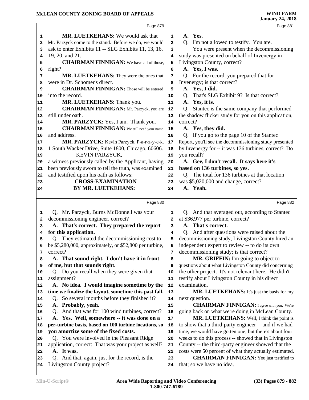|    |                                                                               |                | <b>January 24, 2018</b>                                                                           |
|----|-------------------------------------------------------------------------------|----------------|---------------------------------------------------------------------------------------------------|
|    | Page 879                                                                      |                | Page 881                                                                                          |
| 1  | <b>MR. LUETKEHANS:</b> We would ask that                                      | 1              | A. Yes.                                                                                           |
| 2  | Mr. Parzyck come to the stand. Before we do, we would                         | $\overline{a}$ | Q. I'm not allowed to testify. You are.                                                           |
| 3  | ask to enter Exhibits 11 -- SLG Exhibits 11, 13, 16,                          | 3              | You were present when the decommissioning                                                         |
| 4  | 19, 20, and 21.                                                               | 4              | study was presented on behalf of Invenergy in                                                     |
| 5  | <b>CHAIRMAN FINNIGAN:</b> We have all of those,                               | 5              | Livingston County, correct?                                                                       |
| 6  | right?                                                                        | 6              | A. Yes, I was.                                                                                    |
| 7  | MR. LUETKEHANS: They were the ones that                                       | 7              | Q. For the record, you prepared that for                                                          |
| 8  | were in Dr. Schomer's direct.                                                 | 8              | Invenergy; is that correct?                                                                       |
| 9  | <b>CHAIRMAN FINNIGAN:</b> Those will be entered                               | 9              | A. Yes, I did.                                                                                    |
| 10 | into the record.                                                              | 10             | That's SLG Exhibit 9? Is that correct?<br>Q.                                                      |
| 11 | MR. LUETKEHANS: Thank you.                                                    | 11             | A. Yes, it is.                                                                                    |
| 12 | <b>CHAIRMAN FINNIGAN:</b> Mr. Parzyck, you are                                | 12             | Q. Stantec is the same company that performed                                                     |
| 13 | still under oath.                                                             | 13             | the shadow flicker study for you on this application,                                             |
| 14 | MR. PARZYCK: Yes, I am. Thank you.                                            | 14             | correct?                                                                                          |
| 15 | <b>CHAIRMAN FINNIGAN:</b> We still need your name                             | 15             | A. Yes, they did.                                                                                 |
| 16 | and address.                                                                  | 16             | Q. If you go to the page 10 of the Stantec                                                        |
| 17 | MR. PARZYCK: Kevin Parzyck, P-a-r-z-y-c-k.                                    | 17             | Report, you'll see the decommissioning study presented                                            |
| 18 | 1 South Wacker Drive, Suite 1800, Chicago, 60606.                             | 18             | by Invenergy for -- it was 136 turbines, correct? Do                                              |
| 19 | KEVIN PARZYCK,                                                                | 19             | you recall?                                                                                       |
| 20 | a witness previously called by the Applicant, having                          | 20             | A. Gee, I don't recall. It says here it's                                                         |
| 21 | been previously sworn to tell the truth, was examined                         | 21             | based on 136 turbines, so yes.                                                                    |
| 22 | and testified upon his oath as follows:                                       | 22             | Q. The total for 136 turbines at that location                                                    |
| 23 | <b>CROSS-EXAMINATION</b>                                                      | 23             | was \$5,020,000 and change, correct?                                                              |
| 24 | BY MR. LUETKEHANS:                                                            | 24             | A. Yeah.                                                                                          |
|    |                                                                               |                |                                                                                                   |
|    |                                                                               |                |                                                                                                   |
|    | Page 880                                                                      |                | Page 882                                                                                          |
| 1  |                                                                               | 1              |                                                                                                   |
| 2  | Q. Mr. Parzyck, Burns McDonnell was your                                      | 2              | Q. And that averaged out, according to Stantec                                                    |
| 3  | decommissioning engineer, correct?                                            | 3              | at \$36,977 per turbine, correct?<br>A. That's correct.                                           |
| 4  | A. That's correct. They prepared the report<br>for this application.          | 4              |                                                                                                   |
| 5  | Q. They estimated the decommissioning cost to                                 | 5              | Q. And after questions were raised about the<br>decommissioning study, Livingston County hired an |
| 6  |                                                                               | 6              | independent expert to review -- to do its own                                                     |
| 7  | be \$5,280,000, approximately, or \$52,800 per turbine,<br>correct?           | 7              | decommissioning study; is that correct?                                                           |
| 8  | A. That sound right. I don't have it in front                                 | 8              | MR. GRIFFIN: I'm going to object to                                                               |
| 9  | of me, but that sounds right.                                                 | 9              | questions about what Livingston County did concerning                                             |
| 10 | Q. Do you recall when they were given that                                    | 10             | the other project. It's not relevant here. He didn't                                              |
| 11 | assignment?                                                                   | 11             | testify about Livingston County in his direct                                                     |
| 12 | A. No idea. I would imagine sometime by the                                   | 12             | examination.                                                                                      |
| 13 | time we finalize the layout, sometime this past fall.                         | 13             | MR. LUETKEHANS: It's just the basis for my                                                        |
| 14 | So several months before they finished it?<br>Q.                              | 14             | next question.                                                                                    |
| 15 | A. Probably, yeah.                                                            | 15             | <b>CHAIRMAN FINNIGAN:</b> I agree with you. We're                                                 |
| 16 | Q. And that was for 100 wind turbines, correct?                               | 16             | going back on what we're doing in McLean County.                                                  |
| 17 | A. Yes. Well, somewhere -- it was done on a                                   | 17             | MR. LUETKEHANS: Well, I think the point is                                                        |
| 18 | per-turbine basis, based on 100 turbine locations, so                         | 18             | to show that a third-party engineer -- and if we had                                              |
| 19 | you amortize some of the fixed costs.                                         | 19             | time, we would have gotten one; but there's about four                                            |
| 20 | Q. You were involved in the Pleasant Ridge                                    | 20             | weeks to do this process -- showed that in Livingston                                             |
| 21 | application, correct: That was your project as well?                          | 21             | County -- the third-party engineer showed that the                                                |
| 22 | A. It was.                                                                    | 22             | costs were 50 percent of what they actually estimated.                                            |
| 23 | Q. And that, again, just for the record, is the<br>Livingston County project? | 23<br>24       | <b>CHAIRMAN FINNIGAN:</b> You just testified to<br>that; so we have no idea.                      |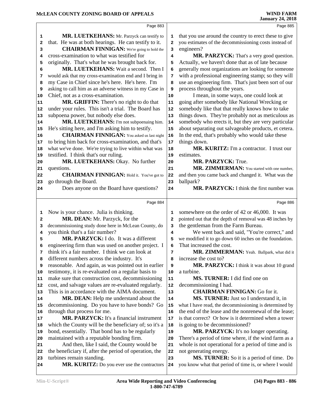| Page 883                                                                                                    |                                                                                                                                                                                                                                                                                                                                                                                                                                                                                                                                                                                                                                                                                                                                                                                                                                                                                                                                                                                         | Page 885                                                                                                                                                                                                                                                                        |
|-------------------------------------------------------------------------------------------------------------|-----------------------------------------------------------------------------------------------------------------------------------------------------------------------------------------------------------------------------------------------------------------------------------------------------------------------------------------------------------------------------------------------------------------------------------------------------------------------------------------------------------------------------------------------------------------------------------------------------------------------------------------------------------------------------------------------------------------------------------------------------------------------------------------------------------------------------------------------------------------------------------------------------------------------------------------------------------------------------------------|---------------------------------------------------------------------------------------------------------------------------------------------------------------------------------------------------------------------------------------------------------------------------------|
| MR. LUETKEHANS: Mr. Parzyck can testify to                                                                  | 1                                                                                                                                                                                                                                                                                                                                                                                                                                                                                                                                                                                                                                                                                                                                                                                                                                                                                                                                                                                       | that you use around the country to erect these to give                                                                                                                                                                                                                          |
| that. He was at both hearings. He can testify to it.                                                        | 2                                                                                                                                                                                                                                                                                                                                                                                                                                                                                                                                                                                                                                                                                                                                                                                                                                                                                                                                                                                       | you estimates of the decommissioning costs instead of                                                                                                                                                                                                                           |
| <b>CHAIRMAN FINNIGAN:</b> We're going to hold the                                                           | 3                                                                                                                                                                                                                                                                                                                                                                                                                                                                                                                                                                                                                                                                                                                                                                                                                                                                                                                                                                                       | engineers?                                                                                                                                                                                                                                                                      |
| cross-examination to what was testified for                                                                 | 4                                                                                                                                                                                                                                                                                                                                                                                                                                                                                                                                                                                                                                                                                                                                                                                                                                                                                                                                                                                       | MR. PARZYCK: That's a very good question.                                                                                                                                                                                                                                       |
|                                                                                                             | 5                                                                                                                                                                                                                                                                                                                                                                                                                                                                                                                                                                                                                                                                                                                                                                                                                                                                                                                                                                                       | Actually, we haven't done that as of late because                                                                                                                                                                                                                               |
|                                                                                                             | 6                                                                                                                                                                                                                                                                                                                                                                                                                                                                                                                                                                                                                                                                                                                                                                                                                                                                                                                                                                                       | generally most organizations are looking for someone                                                                                                                                                                                                                            |
|                                                                                                             |                                                                                                                                                                                                                                                                                                                                                                                                                                                                                                                                                                                                                                                                                                                                                                                                                                                                                                                                                                                         | with a professional engineering stamp; so they will                                                                                                                                                                                                                             |
|                                                                                                             |                                                                                                                                                                                                                                                                                                                                                                                                                                                                                                                                                                                                                                                                                                                                                                                                                                                                                                                                                                                         | use an engineering firm. That's just been sort of our                                                                                                                                                                                                                           |
|                                                                                                             |                                                                                                                                                                                                                                                                                                                                                                                                                                                                                                                                                                                                                                                                                                                                                                                                                                                                                                                                                                                         | process throughout the years.                                                                                                                                                                                                                                                   |
|                                                                                                             |                                                                                                                                                                                                                                                                                                                                                                                                                                                                                                                                                                                                                                                                                                                                                                                                                                                                                                                                                                                         | I mean, in some ways, one could look at                                                                                                                                                                                                                                         |
|                                                                                                             |                                                                                                                                                                                                                                                                                                                                                                                                                                                                                                                                                                                                                                                                                                                                                                                                                                                                                                                                                                                         | going after somebody like National Wrecking or                                                                                                                                                                                                                                  |
|                                                                                                             |                                                                                                                                                                                                                                                                                                                                                                                                                                                                                                                                                                                                                                                                                                                                                                                                                                                                                                                                                                                         | somebody like that that really knows how to take                                                                                                                                                                                                                                |
|                                                                                                             |                                                                                                                                                                                                                                                                                                                                                                                                                                                                                                                                                                                                                                                                                                                                                                                                                                                                                                                                                                                         | things down. They're probably not as meticulous as                                                                                                                                                                                                                              |
|                                                                                                             |                                                                                                                                                                                                                                                                                                                                                                                                                                                                                                                                                                                                                                                                                                                                                                                                                                                                                                                                                                                         | somebody who erects it, but they are very particular                                                                                                                                                                                                                            |
|                                                                                                             |                                                                                                                                                                                                                                                                                                                                                                                                                                                                                                                                                                                                                                                                                                                                                                                                                                                                                                                                                                                         | about separating out salvageable products, et cetera.                                                                                                                                                                                                                           |
|                                                                                                             |                                                                                                                                                                                                                                                                                                                                                                                                                                                                                                                                                                                                                                                                                                                                                                                                                                                                                                                                                                                         | In the end, that's probably who would take these                                                                                                                                                                                                                                |
|                                                                                                             |                                                                                                                                                                                                                                                                                                                                                                                                                                                                                                                                                                                                                                                                                                                                                                                                                                                                                                                                                                                         | things down.                                                                                                                                                                                                                                                                    |
|                                                                                                             |                                                                                                                                                                                                                                                                                                                                                                                                                                                                                                                                                                                                                                                                                                                                                                                                                                                                                                                                                                                         | MR. KURITZ: I'm a contractor. I trust our                                                                                                                                                                                                                                       |
|                                                                                                             |                                                                                                                                                                                                                                                                                                                                                                                                                                                                                                                                                                                                                                                                                                                                                                                                                                                                                                                                                                                         | estimates.                                                                                                                                                                                                                                                                      |
|                                                                                                             |                                                                                                                                                                                                                                                                                                                                                                                                                                                                                                                                                                                                                                                                                                                                                                                                                                                                                                                                                                                         | <b>MR. PARZYCK: True.</b>                                                                                                                                                                                                                                                       |
|                                                                                                             |                                                                                                                                                                                                                                                                                                                                                                                                                                                                                                                                                                                                                                                                                                                                                                                                                                                                                                                                                                                         | MR. ZIMMERMAN: You started with one number,                                                                                                                                                                                                                                     |
|                                                                                                             |                                                                                                                                                                                                                                                                                                                                                                                                                                                                                                                                                                                                                                                                                                                                                                                                                                                                                                                                                                                         | and then you came back and changed it. What was the                                                                                                                                                                                                                             |
|                                                                                                             |                                                                                                                                                                                                                                                                                                                                                                                                                                                                                                                                                                                                                                                                                                                                                                                                                                                                                                                                                                                         | ballpark?                                                                                                                                                                                                                                                                       |
|                                                                                                             |                                                                                                                                                                                                                                                                                                                                                                                                                                                                                                                                                                                                                                                                                                                                                                                                                                                                                                                                                                                         | MR. PARZYCK: I think the first number was                                                                                                                                                                                                                                       |
|                                                                                                             |                                                                                                                                                                                                                                                                                                                                                                                                                                                                                                                                                                                                                                                                                                                                                                                                                                                                                                                                                                                         |                                                                                                                                                                                                                                                                                 |
| Page 884                                                                                                    |                                                                                                                                                                                                                                                                                                                                                                                                                                                                                                                                                                                                                                                                                                                                                                                                                                                                                                                                                                                         | Page 886                                                                                                                                                                                                                                                                        |
|                                                                                                             | 1                                                                                                                                                                                                                                                                                                                                                                                                                                                                                                                                                                                                                                                                                                                                                                                                                                                                                                                                                                                       | somewhere on the order of 42 or 46,000. It was                                                                                                                                                                                                                                  |
| MR. DEAN: Mr. Parzyck, for the                                                                              | 2                                                                                                                                                                                                                                                                                                                                                                                                                                                                                                                                                                                                                                                                                                                                                                                                                                                                                                                                                                                       | pointed out that the depth of removal was 48 inches by                                                                                                                                                                                                                          |
| decommissioning study done here in McLean County, do                                                        | 3                                                                                                                                                                                                                                                                                                                                                                                                                                                                                                                                                                                                                                                                                                                                                                                                                                                                                                                                                                                       | the gentleman from the Farm Bureau.                                                                                                                                                                                                                                             |
| you think that's a fair number?                                                                             | 4                                                                                                                                                                                                                                                                                                                                                                                                                                                                                                                                                                                                                                                                                                                                                                                                                                                                                                                                                                                       |                                                                                                                                                                                                                                                                                 |
| MR. PARZYCK: I do. It was a different                                                                       |                                                                                                                                                                                                                                                                                                                                                                                                                                                                                                                                                                                                                                                                                                                                                                                                                                                                                                                                                                                         |                                                                                                                                                                                                                                                                                 |
|                                                                                                             | 5                                                                                                                                                                                                                                                                                                                                                                                                                                                                                                                                                                                                                                                                                                                                                                                                                                                                                                                                                                                       |                                                                                                                                                                                                                                                                                 |
| engineering firm than was used on another project. I                                                        | 6                                                                                                                                                                                                                                                                                                                                                                                                                                                                                                                                                                                                                                                                                                                                                                                                                                                                                                                                                                                       | We went back and said, "You're correct," and<br>we modified it to go down 60 inches on the foundation.<br>That increased the cost.                                                                                                                                              |
| think it's a fair number. I think we can look at                                                            | 7                                                                                                                                                                                                                                                                                                                                                                                                                                                                                                                                                                                                                                                                                                                                                                                                                                                                                                                                                                                       | MR. ZIMMERMAN: Yeah. Ballpark, what did it                                                                                                                                                                                                                                      |
| different numbers across the industry. It's                                                                 | 8                                                                                                                                                                                                                                                                                                                                                                                                                                                                                                                                                                                                                                                                                                                                                                                                                                                                                                                                                                                       | increase the cost to?                                                                                                                                                                                                                                                           |
|                                                                                                             | 9                                                                                                                                                                                                                                                                                                                                                                                                                                                                                                                                                                                                                                                                                                                                                                                                                                                                                                                                                                                       |                                                                                                                                                                                                                                                                                 |
| reasonable. And again, as was pointed out in earlier<br>testimony, it is re-evaluated on a regular basis to | 10                                                                                                                                                                                                                                                                                                                                                                                                                                                                                                                                                                                                                                                                                                                                                                                                                                                                                                                                                                                      | a turbine.                                                                                                                                                                                                                                                                      |
| make sure that construction cost, decommissioning                                                           | 11                                                                                                                                                                                                                                                                                                                                                                                                                                                                                                                                                                                                                                                                                                                                                                                                                                                                                                                                                                                      | MS. TURNER: I did find one on                                                                                                                                                                                                                                                   |
| cost, and salvage values are re-evaluated regularly.                                                        | 12                                                                                                                                                                                                                                                                                                                                                                                                                                                                                                                                                                                                                                                                                                                                                                                                                                                                                                                                                                                      | decommissioning I had.                                                                                                                                                                                                                                                          |
| This is in accordance with the AIMA document.                                                               | 13                                                                                                                                                                                                                                                                                                                                                                                                                                                                                                                                                                                                                                                                                                                                                                                                                                                                                                                                                                                      | <b>CHAIRMAN FINNIGAN: Go for it.</b>                                                                                                                                                                                                                                            |
| MR. DEAN: Help me understand about the                                                                      | 14                                                                                                                                                                                                                                                                                                                                                                                                                                                                                                                                                                                                                                                                                                                                                                                                                                                                                                                                                                                      | MS. TURNER: Just so I understand it, in                                                                                                                                                                                                                                         |
|                                                                                                             | 15                                                                                                                                                                                                                                                                                                                                                                                                                                                                                                                                                                                                                                                                                                                                                                                                                                                                                                                                                                                      |                                                                                                                                                                                                                                                                                 |
| decommissioning. Do you have to have bonds? Go                                                              | 16                                                                                                                                                                                                                                                                                                                                                                                                                                                                                                                                                                                                                                                                                                                                                                                                                                                                                                                                                                                      |                                                                                                                                                                                                                                                                                 |
| through that process for me.                                                                                |                                                                                                                                                                                                                                                                                                                                                                                                                                                                                                                                                                                                                                                                                                                                                                                                                                                                                                                                                                                         |                                                                                                                                                                                                                                                                                 |
| MR. PARZYCK: It's a financial instrument                                                                    | 17                                                                                                                                                                                                                                                                                                                                                                                                                                                                                                                                                                                                                                                                                                                                                                                                                                                                                                                                                                                      |                                                                                                                                                                                                                                                                                 |
| which the County will be the beneficiary of; so it's a                                                      | 18                                                                                                                                                                                                                                                                                                                                                                                                                                                                                                                                                                                                                                                                                                                                                                                                                                                                                                                                                                                      | is going to be decommissioned?                                                                                                                                                                                                                                                  |
| bond, essentially. That bond has to be regularly                                                            | 19                                                                                                                                                                                                                                                                                                                                                                                                                                                                                                                                                                                                                                                                                                                                                                                                                                                                                                                                                                                      | MR. PARZYCK: It's no longer operating.                                                                                                                                                                                                                                          |
| maintained with a reputable bonding firm.                                                                   | ${\bf 20}$                                                                                                                                                                                                                                                                                                                                                                                                                                                                                                                                                                                                                                                                                                                                                                                                                                                                                                                                                                              | MR. PARZYCK: I think it was about 10 grand<br>what I have read, the decommissioning is determined by<br>the end of the lease and the nonrenewal of the lease;<br>is that correct? Or how is it determined when a tower<br>There's a period of time where, if the wind farm as a |
| And then, like I said, the County would be<br>the beneficiary if, after the period of operation, the        | 21<br>22                                                                                                                                                                                                                                                                                                                                                                                                                                                                                                                                                                                                                                                                                                                                                                                                                                                                                                                                                                                | whole is not operational for a period of time and is<br>not generating energy.                                                                                                                                                                                                  |
|                                                                                                             | originally. That's what he was brought back for.<br>MR. LUETKEHANS: Wait a second. Then I<br>would ask that my cross-examination end and I bring in<br>my Case in Chief since he's here. He's here. I'm<br>asking to call him as an adverse witness in my Case in<br>Chief, not as a cross-examination.<br>MR. GRIFFIN: There's no right to do that<br>under your rules. This isn't a trial. The Board has<br>subpoena power, but nobody else does.<br>MR. LUETKEHANS: I'm not subpoenaing him.<br>He's sitting here, and I'm asking him to testify.<br><b>CHAIRMAN FINNIGAN:</b> You asked us last night<br>to bring him back for cross-examination, and that's<br>what we've done. We're trying to live within what was<br>testified. I think that's our ruling.<br>MR. LUETKEHANS: Okay. No further<br>questions.<br><b>CHAIRMAN FINNIGAN:</b> Hold it. You've got to<br>go through the Board.<br>Does anyone on the Board have questions?<br>Now is your chance. Julia is thinking. | 7<br>8<br>9<br>10<br>11<br>12<br>13<br>14<br>15<br>16<br>$17\,$<br>18<br>19<br>20<br>21<br>22<br>23<br>24                                                                                                                                                                       |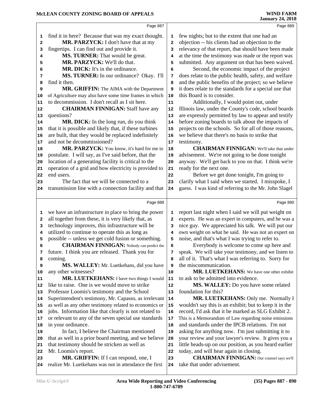|              | Page 887                                               |                         | Page 889                                               |
|--------------|--------------------------------------------------------|-------------------------|--------------------------------------------------------|
| 1            | find it in here? Because that was my exact thought.    | 1                       | few nights; but to the extent that one had an          |
| $\mathbf{2}$ | MR. PARZYCK: I don't have that at my                   | $\overline{\mathbf{2}}$ | objection -- his clients had an objection to the       |
| 3            | fingertips. I can find out and provide it.             | 3                       | relevancy of that report, that should have been made   |
|              | MS. TURNER: That would be great.                       |                         | at the time the testimony was made or the report was   |
| 4            | MR. PARZYCK: We'll do that.                            | 4                       |                                                        |
| 5            |                                                        | 5                       | submitted. Any argument on that has been waived.       |
| 6            | MR. DICK: It's in the ordinance.                       | 6                       | Second, the economic impact of the project             |
| 7            | MS. TURNER: In our ordinance? Okay. I'll               | 7                       | does relate to the public health, safety, and welfare  |
| 8            | find it then.                                          | 8                       | and the public benefits of the project; so we believe  |
| 9            | MR. GRIFFIN: The AIMA with the Department              | 9                       | it does relate to the standards for a special use that |
| 10           | of Agriculture may also have some time frames in which | 10                      | this Board is to consider.                             |
| 11           | to decommission. I don't recall as I sit here.         | 11                      | Additionally, I would point out, under                 |
| 12           | <b>CHAIRMAN FINNIGAN: Staff have any</b>               | 12                      | Illinois law, under the County's code, school boards   |
| 13           | questions?                                             | 13                      | are expressly permitted by law to appear and testify   |
| 14           | MR. DICK: In the long run, do you think                | 14                      | before zoning boards to talk about the impacts of      |
| 15           | that it is possible and likely that, if these turbines | 15                      | projects on the schools. So for all of those reasons,  |
| 16           | are built, that they would be replaced indefinitely    | 16                      | we believe that there's no basis to strike that        |
| 17           | and not be decommissioned?                             | 17                      | testimony.                                             |
| 18           | MR. PARZYCK: You know, it's hard for me to             | 18                      | <b>CHAIRMAN FINNIGAN:</b> We'll take that under        |
| 19           | postulate. I will say, as I've said before, that the   | 19                      | advisement. We're not going to be done tonight         |
| 20           | location of a generating facility is critical to the   | 20                      | anyway. We'll get back to you on that. I think we're   |
| 21           | operation of a grid and how electricity is provided to | 21                      | ready for the next one.                                |
| 22           | end users.                                             | 22                      | Before we get done tonight, I'm going to               |
| 23           | The fact that we will be connected to a                | 23                      | clarify what I said when we started. I misspoke, I     |
| 24           | transmission line with a connection facility and that  | 24                      | guess. I was kind of referring to the Mr. John Slagel  |
|              |                                                        |                         |                                                        |
|              |                                                        |                         |                                                        |
|              | Page 888                                               |                         | Page 890                                               |
|              |                                                        |                         |                                                        |
| 1            | we have an infrastructure in place to bring the power  | 1<br>$\mathbf{2}$       | report last night when I said we will put weight on    |
| $\mathbf{2}$ | all together from these, it is very likely that, as    |                         | experts. He was an expert in computers, and he was a   |
| 3            | technology improves, this infrastructure will be       | 3                       | nice guy. We appreciated his talk. We will put our     |
| 4            | utilized to continue to operate this as long as        | 4                       | own weight on what he said. He was not an expert on    |
| 5            | possible -- unless we get cold fusion or something.    | 5                       | noise, and that's what I was trying to refer to.       |
| 6            | <b>CHAIRMAN FINNIGAN:</b> Nobody can predict the       | 6                       | Everybody is welcome to come up here and               |
| 7            | future. I think you are released. Thank you for        | 7                       | speak. We will take your testimony, and we listen to   |
| 8            | coming.                                                | 8                       | all of it. That's what I was referring to. Sorry for   |
| 9            | MS. WALLEY: Mr. Luetkehans, did you have               | 9                       | the miscommunication.                                  |
| 10           | any other witnesses?                                   | 10                      | MR. LUETKEHANS: We have one other exhibit              |
| 11           | MR. LUETKEHANS: I have two things I would              | 11                      | to ask to be admitted into evidence.                   |
| 12           | like to raise. One is we would move to strike          | 12                      | MS. WALLEY: Do you have some related                   |
| 13           | Professor Loomis's testimony and the School            | 13                      | foundation for this?                                   |
| 14           | Superintendent's testimony, Mr. Capasso, as irrelevant | 14                      | MR. LUETKEHANS: Only me. Normally I                    |
| 15           | as well as any other testimony related to economics or | 15                      | wouldn't say this is an exhibit; but to keep it in the |
| 16           | jobs. Information like that clearly is not related to  | 16                      | record, I'd ask that it be marked as SLG Exhibit 2.    |
| 17           | or relevant to any of the seven special use standards  | 17                      | This is a Memorandum of Law regarding noise emissions  |
| 18           | in your ordinance.                                     | 18                      | and standards under the IPCB relations. I'm not        |
| 19           | In fact, I believe the Chairman mentioned              | 19                      | asking for anything now. I'm just submitting it to     |
| 20           | that as well in a prior board meeting, and we believe  | 20                      | your review and your lawyer's review. It gives you a   |
| 21           | that testimony should be stricken as well as           | 21                      | little heads-up on our position, as you heard earlier  |
| 22           | Mr. Loomis's report.                                   | 22                      | today, and will hear again in closing.                 |
| 23           | MR. GRIFFIN: If I can respond, one, I                  | 23                      | <b>CHAIRMAN FINNIGAN:</b> Our counsel says we'll       |
| 24           | realize Mr. Luetkehans was not in attendance the first | 24                      | take that under advisement.                            |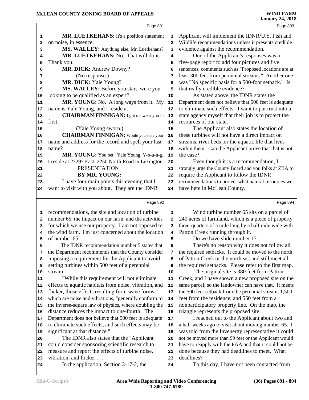|          | Page 891                                                                                                   |                         | Page 893                                                       |
|----------|------------------------------------------------------------------------------------------------------------|-------------------------|----------------------------------------------------------------|
|          |                                                                                                            |                         |                                                                |
| 1        | MR. LUETKEHANS: It's a position statement                                                                  | 1                       | Applicant will implement the IDNR/U.S. Fish and                |
| 2        | on noise, in essence.                                                                                      | $\overline{\mathbf{2}}$ | Wildlife recommendations unless it presents credible           |
| з        | MS. WALLEY: Anything else, Mr. Luetkehans?                                                                 | з                       | evidence against the recommendation.                           |
| 4        | MR. LUETKEHANS: No. That will do it.                                                                       | 4                       | One of the Applicant's responses was a                         |
| 5        | Thank you.                                                                                                 | 5                       | five-page report to add four pictures and five                 |
| 6        | MR. DICK: Andrew Downy?                                                                                    | 6                       | sentences, comments such as "Proposed locations are at         |
| 7        | (No response.)                                                                                             | 7                       | least 300 feet from perennial streams." Another one            |
| 8        | MR. DICK: Yale Young?                                                                                      | 8                       | was "No specific basis for a 500-foot setback." Is             |
| 9        | MS. WALLEY: Before you start, were you                                                                     | 9                       | that really credible evidence?                                 |
| 10       | looking to be qualified as an expert?                                                                      | 10                      | As stated above, the IDNR states the                           |
| 11       | MR. YOUNG: No. A long ways from it. My                                                                     | ${\bf 11}$              | Department does not believe that 500 feet is adequate          |
| 12       | name is Yale Young, and I reside at --                                                                     | 12                      | to eliminate such effects. I want to put trust into a          |
| 13       | <b>CHAIRMAN FINNIGAN:</b> I got to swear you in                                                            | 13                      | state agency myself that their job is to protect the           |
| 14       | first.                                                                                                     | 14                      | resources of our state.                                        |
| 15       | (Yale Young sworn.)                                                                                        | 15                      | The Applicant also states the location of                      |
| 16       | <b>CHAIRMAN FINNIGAN:</b> Would you state your                                                             | 16                      | these turbines will not have a direct impact on                |
| 17       | name and address for the record and spell your last                                                        | 17                      | streams, river beds, or the aquatic life that lives            |
| 18       | name?                                                                                                      | 18                      | within them. Can the Applicant prove that that is not          |
| 19       | MR. YOUNG: You bet. Yale Young, Y-o-u-n-g.                                                                 | 19                      | the case?                                                      |
| 20       | I reside at 27297 East, 2250 North Road in Lexington.                                                      | 20                      | Even though it is a recommendation, I                          |
| 21       | <b>PRESENTATION</b>                                                                                        | 21                      | strongly urge the County Board and you folks at ZBA to         |
| 22       | BY MR. YOUNG:                                                                                              | 22                      | require the Applicant to follow the IDNR                       |
| 23       | I have four main points this evening that I                                                                | 23                      | recommendations to protect what natural resources we           |
| 24       | want to visit with you about. They are the IDNR                                                            | 24                      | have here in McLean County.                                    |
|          |                                                                                                            |                         |                                                                |
|          |                                                                                                            |                         |                                                                |
|          | Page 892                                                                                                   |                         | Page 894                                                       |
| 1        |                                                                                                            | 1                       |                                                                |
| 2        | recommendations, the site and location of turbine<br>number 65, the impact on our farm, and the activities | 2                       | Wind turbine number 65 sits on a parcel of                     |
| 3        |                                                                                                            | 3                       | 240 acres of farmland, which is a piece of property            |
| 4        | for which we use our property. I am not opposed to                                                         | 4                       | three-quarters of a mile long by a half mile wide with         |
| 5        | the wind farm. I'm just concerned about the location<br>of number 65.                                      | 5                       | Patton Creek running through it.<br>Do we have slide number 1? |
| 6        |                                                                                                            | 6                       |                                                                |
| 7        | The IDNR recommendation number 5 states that                                                               | 7                       | There's no reason why it does not follow all                   |
| 8        | the Department recommends that the County consider                                                         | 8                       | the required setbacks. It could be moved to the north          |
|          | imposing a requirement for the Applicant to avoid                                                          | 9                       | of Patton Creek or the northeast and still meet all            |
| 9<br>10  | setting turbines within 500 feet of a perennial<br>stream.                                                 | 10                      | the required setbacks. Please refer to the first map.          |
|          |                                                                                                            |                         | The original site is 380 feet from Patton                      |
| 11       | "While this requirement will not eliminate                                                                 | 11                      | Creek, and I have shown a new proposed site on the             |
| 12       | effects to aquatic habitats from noise, vibration, and                                                     | 12                      | same parcel; so the landowner can have that. It meets          |
| 13       | flicker, those effects resulting from wave forms,"                                                         | 13<br>14                | the 500 feet setback from the perennial stream, 1,500          |
| 14       | which are noise and vibrations, "generally conform to                                                      |                         | feet from the residence, and 550 feet from a                   |
| 15       | the inverse-square law of physics, where doubling the                                                      | 15                      | nonparticipatory property line. On the map, the                |
| 16       | distance reduces the impact to one-fourth. The                                                             | 16                      | triangle represents the proposed site.                         |
| 17       | Department does not believe that 500 feet is adequate                                                      | 17                      | I reached out to the Applicant about two and                   |
| 18       | to eliminate such effects, and such effects may be                                                         | 18                      | a half weeks ago to visit about moving number 65. I            |
| 19       | significant at that distance."                                                                             | 19                      | was told from the Invenergy representative it could            |
| 20       | The IDNR also states that the "Applicant"                                                                  | 20                      | not be moved more than 99 feet or the Applicant would          |
| 21       | could consider sponsoring scientific research to                                                           | 21                      | have to reapply with the FAA and that it could not be          |
| 22       | measure and report the effects of turbine noise,                                                           | 22                      | done because they had deadlines to meet. What                  |
| 23<br>24 | vibration, and flicker"<br>In the application, Section 3-17-2, the                                         | 23<br>24                | deadlines?<br>To this day, I have not been contacted from      |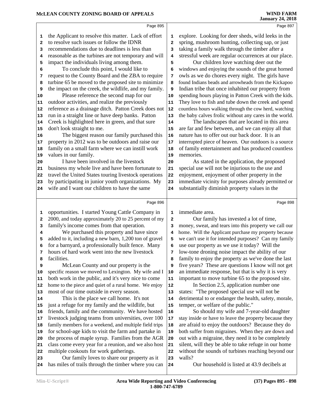|    | Page 895                                               |      | Page 897                                               |
|----|--------------------------------------------------------|------|--------------------------------------------------------|
| 1  | the Applicant to resolve this matter. Lack of effort   | 1    | explore. Looking for deer sheds, wild leeks in the     |
| 2  | to resolve such issues or follow the IDNR              | 2    | spring, mushroom hunting, collecting sap, or just      |
| з  | recommendations due to deadlines is less than          | 3    | taking a family walk through the timber after a        |
| 4  | reasonable as the turbines are not temporary and will  | 4    | stressful week are regular occurrences at our place.   |
| 5  | impact the individuals living among them.              | 5    | Our children love watching deer out the                |
| 6  | To conclude this point, I would like to                | 6    | windows and enjoying the sounds of the great horned    |
| 7  | request to the County Board and the ZBA to require     | 7    | owls as we do chores every night. The girls have       |
| 8  | turbine 65 be moved to the proposed site to minimize   | 8    | found Indians beads and arrowheads from the Kickapoo   |
| 9  | the impact on the creek, the wildlife, and my family.  | 9    | Indian tribe that once inhabited our property from     |
| 10 | Please reference the second map for our                | 10   | spending hours playing in Patton Creek with the kids.  |
| 11 | outdoor activities, and realize the previously         | 11   | They love to fish and tube down the creek and spend    |
| 12 | reference as a drainage ditch. Patton Creek does not   | $12$ | countless hours walking through the cow herd, watching |
| 13 | run in a straight line or have deep banks. Patton      | 13   | the baby calves frolic without any cares in the world. |
| 14 | Creek is highlighted here in green, and that sure      | 14   | The landscapes that are located in this area           |
| 15 | don't look straight to me.                             | 15   | are far and few between, and we can enjoy all that     |
| 16 | The biggest reason our family purchased this           | 16   | nature has to offer out our back door. It is an        |
| 17 | property in 2012 was to be outdoors and raise our      | 17   | interrupted piece of heaven. Our outdoors is a source  |
| 18 | family on a small farm where we can instill work       | 18   | of family entertainment and has produced countless     |
| 19 | values in our family.                                  | 19   | memories.                                              |
| 20 | I have been involved in the livestock                  | 20   | As stated in the application, the proposed             |
| 21 | business my whole live and have been fortunate to      | 21   | special use will not be injurious to the use and       |
| 22 | travel the United States touring livestock operations  | 22   | enjoyment, enjoyment of other property in the          |
| 23 | by participating in junior youth organizations. My     | 23   | immediate vicinity for purposes already permitted or   |
| 24 | wife and I want our children to have the same          | 24   | substantially diminish property values in the          |
|    |                                                        |      |                                                        |
|    | Page 896                                               |      | Page 898                                               |
| 1  | opportunities. I started Young Cattle Company in       | 1    | immediate area.                                        |
| 2  | 2000, and today approximately 20 to 25 percent of my   | 2    | Our family has invested a lot of time,                 |
| 3  | family's income comes from that operation.             | 3    | money, sweat, and tears into this property we call our |
| 4  | We purchased this property and have since              | 4    | home. Will the Applicant purchase my property because  |
| 5  | added to it, including a new barn, 1,200 ton of gravel | 5    | we can't use it for intended purposes? Can my family   |
| 6  | for a barnyard, a professionally built fence. Many     | 6    | use our property as we use it today? Will the          |
| 7  | hours of hard work went into the new livestock         | 7    | low-tone droning noise impact the ability of our       |
| 8  | facilities.                                            | 8    | family to enjoy the property as we've done the last    |
| 9  | McLean County and our property is the                  | 9    | five years? These are questions I know will not get    |
| 10 | specific reason we moved to Lexington. My wife and I   | 10   | an immediate response, but that is why it is very      |
| 11 | both work in the public, and it's very nice to come    | 11   | important to move turbine 65 to the proposed site.     |
| 12 | home to the piece and quiet of a rural home. We enjoy  | 12   | In Section 2.5, application number one                 |
| 13 | most of our time outside in every season.              | 13   | states: "The proposed special use will not be          |
| 14 | This is the place we call home. It's not               | 14   | detrimental to or endanger the health, safety, morale, |
| 15 | just a refuge for my family and the wildlife, but      | 15   | temper, or welfare of the public."                     |
| 16 | friends, family and the community. We have hosted      | 16   | So should my wife and 7-year-old daughter              |
| 17 | livestock judging teams from universities, over 100    | 17   | stay inside or have to leave the property because they |
| 18 | family members for a weekend, and multiple field trips | 18   | are afraid to enjoy the outdoors? Because they do      |
| 19 | for school-age kids to visit the farm and partake in   | 19   | both suffer from migraines. When they are down and     |
| 20 | the process of maple syrup. Families from the AGR      | 20   | out with a migraine, they need it to be completely     |
|    |                                                        |      |                                                        |
| 21 | class come every year for a reunion, and we also host  | 21   | silent, will they be able to take refuge in our home   |

 Our family loves to share our property as it has miles of trails through the timber where you can 24

Our household is listed at 43.9 decibels at

walls?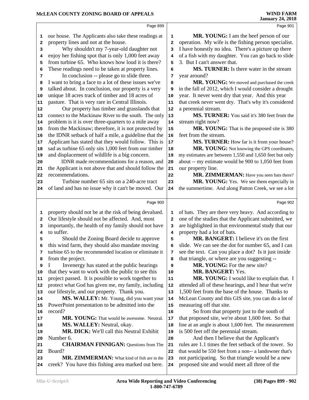|                         | Page 899                                                                                                 |                         | Page 901                                                                                            |
|-------------------------|----------------------------------------------------------------------------------------------------------|-------------------------|-----------------------------------------------------------------------------------------------------|
| 1                       | our house. The Applicants also take these readings at                                                    | 1                       | MR. YOUNG: I am the beef person of our                                                              |
| $\overline{\mathbf{2}}$ | property lines and not at the house.                                                                     | $\overline{\mathbf{2}}$ | operation. My wife is the fishing person specialist.                                                |
| 3                       | Why shouldn't my 7-year-old daughter not                                                                 | 3                       | I have honestly no idea. There's a picture up there                                                 |
| 4                       | enjoy her fishing spot that is only 1,000 feet away                                                      | 4                       | of a fish with my daughter. You can go back to slide                                                |
| 5                       | from turbine 65. Who knows how loud it is there?                                                         | 5                       | 3. But I can't answer that.                                                                         |
| 6                       | These readings need to be taken at property lines.                                                       | 6                       | MS. TURNER: Is there water in the stream                                                            |
| 7                       | In conclusion -- please go to slide three.                                                               | 7                       | year around?                                                                                        |
| 8                       | I want to bring a face to a lot of these issues we've                                                    | 8                       | MR. YOUNG: We moved and purchased the creek                                                         |
| 9                       | talked about. In conclusion, our property is a very                                                      | 9                       | in the fall of 2012, which I would consider a drought                                               |
| 10                      | unique 18 acres track of timber and 18 acres of                                                          | 10                      | year. It never went dry that year. And this year                                                    |
| 11                      | pasture. That is very rare in Central Illinois.                                                          | 11                      | that creek never went dry. That's why it's considered                                               |
| 12                      | Our property has timber and grasslands that                                                              | 12                      | a perennial stream.                                                                                 |
| 13                      | connect to the Mackinaw River to the south. The only                                                     | 13                      | MS. TURNER: You said it's 380 feet from the                                                         |
| 14                      | problem is it is over three-quarters to a mile away                                                      | 14                      | stream right now?                                                                                   |
| 15                      | from the Mackinaw; therefore, it is not protected by                                                     | 15                      | MR. YOUNG: That is the proposed site is 380                                                         |
| 16                      | the IDNR setback of half a mile, a guideline that the                                                    | 16                      | feet from the stream.                                                                               |
| 17                      | Applicant has stated that they would follow. This is                                                     | 17                      | MS. TURNER: How far is it from your house?                                                          |
| 18                      | sad as turbine 65 only sits 1,000 feet from our timber                                                   | 18                      | MR. YOUNG: Not knowing the GPS coordinates,                                                         |
| 19                      | and displacement of wildlife is a big concern.                                                           | 19                      | my estimates are between 1,550 and 1,650 feet but only                                              |
| 20                      | IDNR made recommendations for a reason, and                                                              | 20                      | about -- my estimate would be 900 to 1,050 feet from                                                |
| 21                      | the Applicant is not above that and should follow the                                                    | 21                      | our property line.                                                                                  |
| 22                      | recommendations.                                                                                         | 22                      | MR. ZIMMERMAN: Have you seen bats there?                                                            |
| 23                      | Turbine number 65 sits on a 240-acre tract                                                               | 23                      | MR. YOUNG: Yes. We see them especially in                                                           |
| 24                      | of land and has no issue why it can't be moved. Our                                                      | 24                      | the summertime. And along Patton Creek, we see a lot                                                |
|                         |                                                                                                          |                         |                                                                                                     |
|                         | Page 900                                                                                                 |                         | Page 902                                                                                            |
| 1                       | property should not be at the risk of being devalued.                                                    | 1                       | of bats. They are there very heavy. And according to                                                |
|                         | Our lifestyle should not be affected. And, most                                                          | $\overline{a}$          | one of the studies that the Applicant submitted, we                                                 |
| $\overline{2}$          |                                                                                                          |                         |                                                                                                     |
| 3                       |                                                                                                          | 3                       |                                                                                                     |
| 4                       | importantly, the health of my family should not have<br>to suffer.                                       | 4                       | are highlighted in that environmental study that our                                                |
| 5                       |                                                                                                          | 5                       | property had a lot of bats.<br>MR. BANGERT: I believe it's on the first                             |
| 6                       | Should the Zoning Board decide to approve                                                                | 6                       |                                                                                                     |
| 7                       | this wind farm, they should also mandate moving                                                          | 7                       | slide. We can see the dot for number 65, and I can                                                  |
| 8                       | turbine 65 to the recommended location or eliminate it                                                   | 8                       | see the text. Can you place a dot? Is it just inside                                                |
| 9                       | from the project.                                                                                        | 9                       | that triangle, or where are you suggesting --                                                       |
| 10                      | Invenergy has stated at the public hearings                                                              | 10                      | MR. YOUNG: For the new site?<br><b>MR. BANGERT: Yes.</b>                                            |
| 11                      | that they want to work with the public to see this<br>project passed. It is possible to work together to | 11                      |                                                                                                     |
| 12                      | protect what God has given me, my family, including                                                      | 12                      | MR. YOUNG: I would like to explain that. I<br>attended all of these hearings, and I hear that we're |
| 13                      | our lifestyle, and our property. Thank you.                                                              | 13                      | 1,500 feet from the base of the house. Thanks to                                                    |
| 14                      | MS. WALLEY: Mr. Young, did you want your                                                                 | 14                      | McLean County and this GIS site, you can do a lot of                                                |
| 15                      | PowerPoint presentation to be admitted into the                                                          | 15                      | measuring off that site.                                                                            |
| 16                      | record?                                                                                                  | 16                      |                                                                                                     |
| 17                      | MR. YOUNG: That would be awesome. Neutral.                                                               | 17                      | So from that property just to the south of<br>that proposed site, we're about 1,600 feet. So that   |
| 18                      | MS. WALLEY: Neutral, okay.                                                                               | 18                      | line at an angle is about 1,600 feet. The measurement                                               |
| 19                      | MR. DICK: We'll call this Neutral Exhibit                                                                | 19                      | is 500 feet off the perennial stream.                                                               |
| 20                      | Number 6.                                                                                                | 20                      | And then I believe that the Applicant's                                                             |
| 21                      | <b>CHAIRMAN FINNIGAN:</b> Questions from The                                                             | 21                      | rules are 1.1 times the feet setback of the tower. So                                               |
| 22                      | Board?                                                                                                   | 22                      | that would be 550 feet from a non-- a landowner that's                                              |
| 23                      | MR. ZIMMERMAN: What kind of fish are in the                                                              | 23                      | not participating. So that triangle would be a new                                                  |
| 24                      | creek? You have this fishing area marked out here.                                                       | 24                      | proposed site and would meet all three of the                                                       |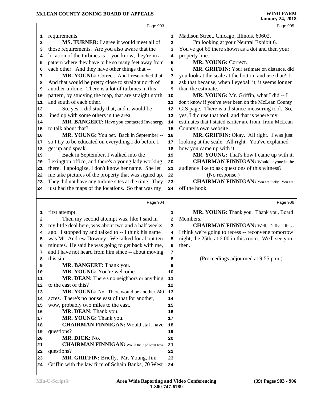|              | Page 903                                              |                         | Page 905                                              |  |
|--------------|-------------------------------------------------------|-------------------------|-------------------------------------------------------|--|
| 1            | requirements.                                         | 1                       | Madison Street, Chicago, Illinois, 60602.             |  |
| $\mathbf{2}$ | MS. TURNER: I agree it would meet all of              | $\overline{\mathbf{2}}$ | I'm looking at your Neutral Exhibit 6.                |  |
| з            | those requirements. Are you also aware that the       | 3                       | You've got 65 there shown as a dot and then your      |  |
| 4            | location of the turbines is -- you know, they're in a | $\overline{\mathbf{4}}$ | property line.                                        |  |
| 5            | pattern where they have to be so many feet away from  | 5                       | MR. YOUNG: Correct.                                   |  |
| 6            | each other. And they have other things that --        | 6                       | MR. GRIFFIN: Your estimate on distance, did           |  |
| 7            | MR. YOUNG: Correct. And I researched that.            | 7                       | you look at the scale at the bottom and use that? I   |  |
| 8            | And that would be pretty close to straight north of   | 8                       | ask that because, when I eyeball it, it seems longer  |  |
| 9            | another turbine. There is a lot of turbines in this   | 9                       | than the estimate.                                    |  |
| 10           | pattern, by studying the map, that are straight north | 10                      | MR. YOUNG: Mr. Griffin, what I did -- I               |  |
| 11           | and south of each other.                              | 11                      | don't know if you've ever been on the McLean County   |  |
| 12           | So, yes, I did study that, and it would be            | 12                      | GIS page. There is a distance-measuring tool. So,     |  |
| 13           | lined up with some others in the area.                | 13                      | yes, I did use that tool, and that is where my        |  |
| 14           | MR. BANGERT: Have you contacted Invenergy             | 14                      | estimates that I stated earlier are from, from McLean |  |
| 15           | to talk about that?                                   | 15                      | County's own website.                                 |  |
| 16           | MR. YOUNG: You bet. Back in September --              | 16                      | MR. GRIFFIN: Okay. All right. I was just              |  |
| 17           | so I try to be educated on everything I do before I   | 17                      | looking at the scale. All right. You've explained     |  |
| 18           | get up and speak.                                     | 18                      | how you came up with it.                              |  |
| 19           | Back in September, I walked into the                  | 19                      | MR. YOUNG: That's how I came up with it.              |  |
| 20           | Lexington office, and there's a young lady working    | 20                      | <b>CHAIRMAN FINNIGAN:</b> Would anyone in the         |  |
| 21           | there. I apologize, I don't know her name. She let    | 21                      | audience like to ask questions of this witness?       |  |
| 22           | me take pictures of the property that was signed up.  | 22                      | (No response.)                                        |  |
| 23           | They did not have any turbine sites at the time. They | 23                      | <b>CHAIRMAN FINNIGAN:</b> You are lucky. You are      |  |
| 24           | just had the maps of the locations. So that was my    | 24                      | off the hook.                                         |  |
|              |                                                       |                         |                                                       |  |
|              | Page 904                                              |                         | Page 906                                              |  |
| 1            | first attempt.                                        | 1                       | MR. YOUNG: Thank you. Thank you, Board                |  |
| 2            | Then my second attempt was, like I said in            | $\overline{a}$          | Members.                                              |  |
| з            | my little deal here, was about two and a half weeks   | 3                       | <b>CHAIRMAN FINNIGAN:</b> Well, it's five 'til; so    |  |
| 4            | ago. I stopped by and talked to -- I think his name   | 4                       | I think we're going to recess -- reconvene tomorrow   |  |
| 5            | was Mr. Andrew Downey. We talked for about ten        | 5                       | night, the 25th, at 6:00 in this room. We'll see you  |  |
| 6            | minutes. He said he was going to get back with me,    | 6                       | then.                                                 |  |
| 7            | and I have not heard from him since -- about moving   | 7                       |                                                       |  |
| 8            | this site.                                            | 8                       | (Proceedings adjourned at 9:55 p.m.)                  |  |
| 9            | MR. BANGERT: Thank you.                               | 9                       |                                                       |  |
| 10           | MR. YOUNG: You're welcome.                            | 10                      |                                                       |  |
| 11           | <b>MR. DEAN:</b> There's no neighbors or anything     | 11                      |                                                       |  |
| 12           | to the east of this?                                  | 12                      |                                                       |  |
| 13           | MR. YOUNG: No. There would be another 240             | 13                      |                                                       |  |
| 14           | acres. There's no house east of that for another,     | 14                      |                                                       |  |
| 15           | wow, probably two miles to the east.                  | 15                      |                                                       |  |
| 16           | MR. DEAN: Thank you.                                  | 16                      |                                                       |  |
| 17           | MR. YOUNG: Thank you.                                 | 17                      |                                                       |  |
| 18           | <b>CHAIRMAN FINNIGAN: Would staff have</b>            | 18                      |                                                       |  |
| 19           | questions?                                            | 19                      |                                                       |  |
| 20           | MR. DICK: No.                                         | 20                      |                                                       |  |
| 21           | <b>CHAIRMAN FINNIGAN:</b> Would the Applicant have    | 21                      |                                                       |  |
| 22           | questions?                                            | 22                      |                                                       |  |
| 23           | MR. GRIFFIN: Briefly. Mr. Young, Jim                  | 23                      |                                                       |  |
| 24           | Griffin with the law firm of Schain Banks, 70 West    | 24                      |                                                       |  |
|              |                                                       |                         |                                                       |  |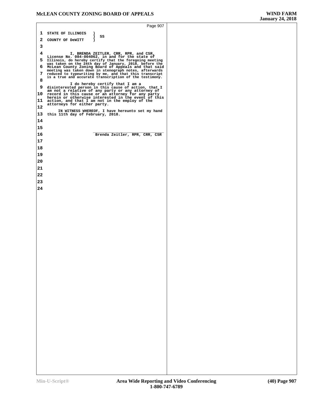|    | Page 907                                                                                                                                                      |  |
|----|---------------------------------------------------------------------------------------------------------------------------------------------------------------|--|
| 1  | STATE OF ILLINOIS<br>)                                                                                                                                        |  |
| 2  | SS<br>)<br>COUNTY OF DeWITT<br>$\lambda$                                                                                                                      |  |
| 3  |                                                                                                                                                               |  |
| 4  | I, BRENDA ZEITLER, CRR, RPR, and CSR,                                                                                                                         |  |
| 5  | License No. 084-004062, in and for the state of<br>Illinois, do hereby certify that the foregoing meeting                                                     |  |
| 6  | was taken on the 24th day of January, 2018, before the McLean County Zoning Board of Appeals and that said                                                    |  |
| 7  | meeting was taken down in stenograph notes, afterwards<br>reduced to typewriting by me, and that this transcript                                              |  |
| 8  | is a true and accurate transcription of the testimony.                                                                                                        |  |
| 9  | I do hereby certify that I am a<br>disinterested person in this cause of action, that I                                                                       |  |
| 10 | am not a relative of any party or any attorney of<br>record in this cause or an attorney for any party<br>herein or otherwise interested in the event of this |  |
| 11 | action, and that I am not in the employ of the                                                                                                                |  |
| 12 | attorneys for either party.                                                                                                                                   |  |
| 13 | IN WITNESS WHEREOF, I have hereunto set my hand<br>this 11th day of February, 2018.                                                                           |  |
| 14 |                                                                                                                                                               |  |
| 15 |                                                                                                                                                               |  |
| 16 | Brenda Zeitler, RPR, CRR, CSR                                                                                                                                 |  |
| 17 |                                                                                                                                                               |  |
| 18 |                                                                                                                                                               |  |
| 19 |                                                                                                                                                               |  |
| 20 |                                                                                                                                                               |  |
| 21 |                                                                                                                                                               |  |
| 22 |                                                                                                                                                               |  |
| 23 |                                                                                                                                                               |  |
| 24 |                                                                                                                                                               |  |
|    |                                                                                                                                                               |  |
|    |                                                                                                                                                               |  |
|    |                                                                                                                                                               |  |
|    |                                                                                                                                                               |  |
|    |                                                                                                                                                               |  |
|    |                                                                                                                                                               |  |
|    |                                                                                                                                                               |  |
|    |                                                                                                                                                               |  |
|    |                                                                                                                                                               |  |
|    |                                                                                                                                                               |  |
|    |                                                                                                                                                               |  |
|    |                                                                                                                                                               |  |
|    |                                                                                                                                                               |  |
|    |                                                                                                                                                               |  |
|    |                                                                                                                                                               |  |
|    |                                                                                                                                                               |  |
|    |                                                                                                                                                               |  |
|    |                                                                                                                                                               |  |
|    |                                                                                                                                                               |  |
|    |                                                                                                                                                               |  |
|    |                                                                                                                                                               |  |
|    |                                                                                                                                                               |  |
|    |                                                                                                                                                               |  |
|    |                                                                                                                                                               |  |
|    |                                                                                                                                                               |  |
|    |                                                                                                                                                               |  |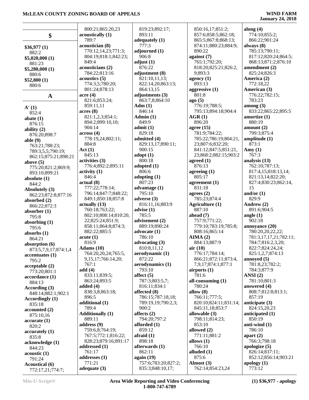|                       | 800:21;865:20,23        | 819:23;892:17;      | 850:16,17;851:2;        | along $(4)$              |
|-----------------------|-------------------------|---------------------|-------------------------|--------------------------|
| \$                    | acoustically (1)        | 893:11              | 857:6;858:5;862:18;     | 774:10;855:2;            |
|                       | 789:7                   | adequately (1)      | 865:5;867:8;868:13;     | 866:22;901:24            |
| \$36,977(1)           | acoustician (8)         | 777:3               | 874:11;880:23;884:9;    | always $(8)$             |
| 882:2                 | 770:12,14,23;771:3;     | adjourned (1)       | 890:22                  | 785:13;790:11;           |
|                       | 804:19;818:1;842:23;    | 906:8               | against $(7)$           | 817:12;820:24;864:5;     |
| \$5,020,000(1)        | 849:4                   | adjust $(1)$        | 765:1;792:20;           | 868:13;871:2;876:10      |
| 881:23                | acousticians (2)        | 876:22              | 818:20;825:21;826:2,    | amendment (2)            |
| \$5,280,000 (1)       | 784:22;813:16           | adjustment (8)      | 9;893:3                 | 825:24;826:3             |
| 880:6                 | acoustics(5)            | 821:10,11,13;       | agency $(1)$            | America (2)              |
| \$52,800(1)           | 774:3,5;780:20;         | 822:14,20;863:13;   | 893:13                  | 772:18,22                |
| 880:6                 | 801:24;878:13           | 864:13,15           | aggressive $(1)$        | American (3)             |
|                       | acre(4)                 | adjustments (3)     | 801:8                   | 776:22;782:15;           |
| $\mathbf A$           | 821:6;853:24;           | 863:7,8;864:10      |                         | 783:23                   |
|                       | 859:11,11               | Adm(1)              | ago(5)<br>776:19;788:5; | among (3)                |
| $\mathbf{A}'(1)$      | acres(8)                | 846:14              | 795:13;894:18;904:4     | 833:22;865:22;895:5      |
| 852:4                 |                         |                     |                         |                          |
| abate $(1)$           | 821:1,2,3;854:1;        | Admin(1)            | AGR(1)                  | amortize $(1)$<br>880:19 |
| 876:15                | 894:2;899:10,10;        | 849:9               | 896:20                  |                          |
| ability $(2)$         | 904:14                  | admit(1)            | agree $(15)$            | amount $(2)$             |
| 876:20;898:7          | across(4)               | 829:18              | 781:9;784:22;           | 799:3;875:4              |
| able $(9)$            | 778:19,24;802:11;       | admitted (4)        | 785:22;786:19;804:21,   | amplitude (1)            |
| 763:21;788:23;        | 884:8                   | 829:13,17;890:11;   | 23;807:6;832:20;        | 873:1                    |
| 789:3,5,5;790:19;     | Act(1)                  | 900:15              | 841:12;847:5;851:21,    | Amy $(1)$                |
| 862:15;875:21;898:21  | 845:13                  | adopt(1)            | 23;868:2;882:15;903:2   | 767:3                    |
| above $(5)$           | activities (3)          | 800:18              | agreed $(1)$            | analysis (13)            |
| 775:20;821:2;869:9;   | 776:4;892:2;895:11      | adopted $(1)$       | 876:13                  | 762:10;787:13;           |
| 893:10;899:21         | $\text{activity} (1)$   | 806:6               | agreeing $(1)$          | 817:4,15;818:13,14;      |
| absolute $(1)$        | 846:4                   | adopting $(1)$      | 805:17                  | 821:13,14;822:20;        |
| 844:2                 | actual(8)               | 807:23              | agreement $(1)$         | 827:4;830:23;862:14,     |
| Absolutely (3)        | 777:22;778:14;          | advantage $(1)$     | 831:18                  | 15                       |
| 862:23;872:8;877:16   | 796:14;847:7;848:22;    | 795:10              | agrees $(2)$            | and/or $(1)$             |
| absorbed (2)          | 849:1;850:18;857:8      | adverse $(3)$       | 785:23;874:4            | 829:9                    |
| 866:22;872:3          | actually (13)           | 816:11,16;883:9     | Agriculture (1)         | Andrew (2)               |
| absorber $(1)$        | 760:18;763:22;          | advise $(1)$        | 887:10                  | 891:6;904:5              |
| 795:8                 | 802:10;808:14;810:20,   | 785:5               | ahead (7)               | angle $(1)$              |
| absorbing $(1)$       | 22;825:24;851:9;        | advisement (2)      | 757:9;771:22;           | 902:18                   |
| 795:6                 | 858:11;864:8;874:3;     | 889:19;890:24       | 779:10;783:19;785:8;    | annoyance (20)           |
| absorbs $(1)$         | 882:22;885:5            | advocate (1)        | 808:16;865:14           | 780:20,20,22,22;         |
| 864:21                | acute(1)                | 786:10              | AIMA(2)                 | 781:3,17,17,21;782:11;   |
| absorption $(6)$      | 816:9                   | advocating $(3)$    | 884:13;887:9            | 784:7;816:2,3,20;        |
| 873:5,7,9,17;874:1,4  | Adams $(10)$            | 810:8,11,12         | air(10)                 | 822:7;824:24,24;         |
| accentuates (1)       | 764:20,20,24;765:5,     | aerodynamic (1)     | 776:17;784:14;          | 825:1,2,7;874:13         |
| 795:2                 | 9, 15, 17; 766: 14, 20; | 872:22              | 866:21;872:11;873:4,    | annoyed $(5)$            |
| acceptable(2)         | 767:1                   | aerodynamics (1)    | 7,9,17;874:1;877:1      | 781:8,23;782:2;          |
| 773:20;801:1          | add(4)                  | 793:10              | airports $(1)$          | 784:3;877:9              |
| accordance(1)         | 833:11;839:5;           | affect $(5)$        | 781:6                   | ANSI(2)                  |
| 884:13                | 863:24;893:5            | 787:3;803:5,7;      | all-consuming (1)       | 781:10:801:3             |
| According $(3)$       | added $(4)$             | 816:11;834:1        | 780:24                  | answered (4)             |
| 848:14;882:1;902:1    | 838:3,8;863:18;         | affected (8)        | allow $(8)$             | 808:7;812:8;813:1;       |
| Accordingly (1)       | 896:5                   | 786:15;787:18,18;   | 766:11;777:5;           | 857:19                   |
| 835:18                | additional (1)          | 789:19,19;790:2,3;  | 820:10;824:11;831:14;   | anticipate $(3)$         |
| accounted(2)          | 789:4                   | 900:2               | 845:11,18;853:7         | 824:15,20,23             |
| 875:10,16             | <b>Additionally (1)</b> | affects $(2)$       | allowable (3)           | anticipated $(1)$        |
| accurate(1)           | 889:11                  | 794:20;797:2        | 798:11;814:23;          | 850:19                   |
| 820:2                 | address $(9)$           | afforded $(1)$      | 853:10                  | anti-wind $(1)$          |
| accurately (1)        | 759:6,8;764:19;         | 859:12              | allowed (2)             | 786:10                   |
| 835:8                 | 767:5;772:1;816:22;     | afraid $(1)$        | 771:11;881:2            | apart $(2)$              |
| acknowledge (1)       | 828:23;879:16;891:17    | 898:18              | allows $(1)$            | 766:3;798:18             |
| 844:23                | addressed (1)           | afterwards $(1)$    | 766:10                  | apologize $(5)$          |
| acoustic(1)           | 761:17                  | 862:11              | alluded $(1)$           | 826:14;837:11;           |
| 791:24                | addresses (1)           | again $(19)$        | 875:6                   | 852:12;856:14;903:21     |
| <b>Acoustical</b> (6) | 771:21                  | 757:6;783:20;827:2; | Almost (3)              | apology $(1)$            |
| 772:17,21;774:7;      | adequate $(3)$          | 835:3;848:10,17;    | 762:14;854:23,24        | 773:12                   |
|                       |                         |                     |                         |                          |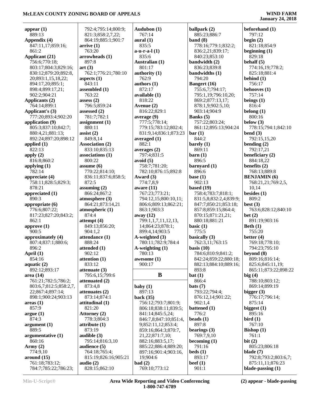| appear $(1)$<br>889:13                   | 792:4;795:14;800:9;<br>821:3;858:2,7,22; | Audubon (1)<br>767:14 | ballpark (2)<br>885:23;886:7 | beforehand (1)<br>797:12 |
|------------------------------------------|------------------------------------------|-----------------------|------------------------------|--------------------------|
| Appendix (4)                             | 864:19;885:1;901:7                       | aural(1)              | band $(8)$                   | begin $(2)$              |
| 847:11,17;859:16;                        | arrive(1)                                | 835:5                 | 778:16;779:1;832:2;          | 821:18;854:9             |
| 861:2                                    | 763:20                                   | $a-u-r-a-l(1)$        |                              |                          |
|                                          |                                          |                       | 836:2,21;839:17;             | beginning $(1)$          |
| Applicant (21)                           | arrowheads (1)                           | 835:6                 | 840:23;853:10                | 829:18                   |
| 756:6;770:18;                            | 897:8                                    | Australian (1)        | bandwidth (2)                | behalf $(5)$             |
| 803:17;804:3;829:16;                     | art(3)                                   | 801:17                | 836:23;839:8                 | 774:16,19;778:2;         |
| 830:12;879:20;892:8,                     | 762:1;776:21;780:10                      | authority $(1)$       | bandwidths (1)               | 825:18;881:4             |
| 20;893:1,15,18,22;                       | aspects $(1)$                            | 762:9                 | 794:20                       | behind $(1)$             |
| 894:17,20;895:1;                         | 843:11                                   | authors $(1)$         | <b>Bangert</b> (16)          | 756:17                   |
| 898:4;899:17,21;                         | assembled (1)                            | 872:17                | 755:6,7;794:17;              | behooves (1)             |
| 902:2;904:21                             | 763:22                                   | available (1)         | 795:1,19;796:10,20;          | 757:14                   |
| Applicants (2)                           | assess $(2)$                             | 818:22                | 869:2;877:13,17;             | beings $(1)$             |
| 764:14;899:1                             | 796:5;859:24                             | Avenue (2)            | 878:1,9;902:5,10;            | 816:4                    |
| Applicant's (3)                          | assessed $(2)$                           | 816:22;829:1          | 903:14;904:9                 | belong $(1)$             |
| 777:20;893:4;902:20                      | 781:7;782:1                              | average (9)           | Banks (5)                    | 800:16                   |
|                                          | assignment $(1)$                         | 777:5;778:14;         | 757:22;803:24;               | below $(3)$              |
| application $(9)$<br>805:3;837:10;842:7; |                                          |                       |                              | 778:15;794:1;842:10      |
|                                          | 880:11                                   | 779:15;783:12;802:4;  | 861:12;895:13;904:24         |                          |
| 880:4,21;881:13;                         | assist $(2)$                             | 831:9,14;836:1;873:23 | bar(1)                       | bend $(3)$               |
| 892:24;897:20;898:12                     | 849:8,14                                 | averaged $(1)$        | 844:2                        | 792:15,15,20             |
| applied $(1)$                            | <b>Association (2)</b>                   | 882:1                 | barely $(1)$                 | bending $(2)$            |
| 822:13                                   | 833:10;835:13                            | averages (2)          | 869:11                       | 792:17,21                |
| apply $(2)$                              | associations (1)                         | 797:4;831:5           | $\rm {barn}$ (1)             | beneficiary $(2)$        |
| 816:8;860:2                              | 800:22                                   | avoid $(5)$           | 896:5                        | 884:18,22                |
| applying $(1)$                           | assume $(6)$                             | 758:7;781:20;         | barnyard (1)                 | benefits $(2)$           |
| 782:14                                   | 770:22;814:10;                           | 782:10;876:15;892:8   | 896:6                        | 768:13;889:8             |
| appreciate $(4)$                         | 836:11;837:6;858:5;                      | Award $(3)$           | base $(1)$                   | <b>BENJAMIN</b> (6)      |
| 758:11;828:5;829:3;                      | 872:5                                    | 774:7,8,9             | 902:13                       | 768:21,21;769:2,5,       |
| 878:21                                   | assuming $(2)$                           | aware $(11)$          | based $(19)$                 | 10,14                    |
| appreciated (1)                          | 866:24;867:2                             | 767:23;773:21;        | 758:4;783:7;818:1;           | besides $(1)$            |
|                                          |                                          |                       |                              |                          |
| 890:3                                    | atmosphere (3)                           | 794:12,15;800:10,11;  | 831:5,8;832:2,4;839:9;       | 809:2                    |
| appropriate (6)                          | 864:21;873:14,21                         | 806:6;809:13;862:21;  | 847:7;850:21;853:18;         | best $(3)$               |
| 776:6;807:22;                            | atmospheric (1)                          | 863:1;903:3           | 857:8;859:15;864:4;          | 763:6;828:12;840:10      |
| 817:23;827:20;843:2;                     | 874:4                                    | away $(12)$           | 870:15;871:21,21;            | bet(2)                   |
| 862:1                                    | attempt $(4)$                            | 799:1,1,7,11,12,13,   | 880:18;881:21                | 891:19;903:16            |
| approve (1)                              | 849:13;856:20;                           | 14;864:23;878:1;      | basic $(1)$                  | Beth $(1)$               |
| 900:5                                    | 904:1,2                                  | 899:4,14;903:5        | 775:5                        | 755:20                   |
| approximately (4)                        | attendance (1)                           | A-weighted (3)        | basically (3)                | better $(4)$             |
| 807:4;837:1;880:6;                       | 888:24                                   | 780:11;782:9;784:4    | 762:3,11;763:15              | 769:18;778:10;           |
| 896:2                                    | attended (1)                             | A-weighting (1)       | basis $(10)$                 | 794:23;795:10            |
| April $(1)$                              | 902:12                                   | 780:13                | 784:6;810:9;841:2;           | beyond $(8)$             |
| 854:16                                   | attention $(1)$                          | awesome (1)           | 842:24;859:22;880:18;        | 809:16;816:14;           |
|                                          | 833:12                                   | 900:17                |                              | 825:6;845:11,19;         |
| aquatic $(2)$                            |                                          |                       | 882:13;884:10;889:16;        |                          |
| 892:12;893:17                            | attenuate $(3)$                          |                       | 893:8                        | 865:11;873:22;898:22     |
| area(14)                                 | 795:6,15;799:6                           | $\bf{B}$              | bat(1)                       | big(4)                   |
| 761:21;782:5;786:2;                      | attenuated (2)                           |                       | 866:4                        | 788:10;803:12;           |
| 803:6,7;812:5;858:2,7,                   | 873:4,8                                  | baby $(1)$            | bats(7)                      | 869:14;899:19            |
| 22;867:4;897:14;                         | attenuates $(2)$                         | 897:13                | 793:22;794:4;                | bigger $(3)$             |
| 898:1;900:24;903:13                      | 873:14;874:1                             | back $(35)$           | 876:12,14;901:22;            | 776:17;796:14;           |
| areas(1)                                 | attitudinal (1)                          | 756:12;793:7;801:9;   | 902:1,4                      | 875:14                   |
| 857:9                                    | 821:20                                   | 806:18;838:11;839:5;  | battened (1)                 | biggest $(1)$            |
| argue(1)                                 | Attorney (2)                             | 841:14;845:5,24;      | 776:2                        | 895:16                   |
| 874:3                                    | 778:3;804:3                              | 846:7,8;847:10;851:4, | beads $(1)$                  | bird(1)                  |
| argument (1)                             | attribute $(1)$                          | 9;852:11,12;853:4;    | 897:8                        | 767:10                   |
| 889:5                                    | 873:19                                   | 859:16;864:3;870:7,   | bearings $(3)$               | Bishop $(1)$             |
|                                          |                                          |                       |                              |                          |
| argumentative (1)                        | audible $(3)$                            | 21, 22; 871: 7, 10;   | 769:7,9,10                   | 761:1                    |
| 860:16                                   | 795:14;816:3,10                          | 882:16;883:5,17;      | becoming $(1)$               | bit $(2)$                |
| Army $(2)$                               | audience (5)                             | 885:22;886:4;889:20;  | 791:16                       | 805:23;806:18            |
| 774:9,10                                 | 764:18;765:4;                            | 897:16;901:4;903:16,  | beds(1)                      | blade $(7)$              |
| around (15)                              | 815:19;826:16;905:21                     | 19;904:6              | 893:17                       | 792:8;793:2;803:6,7;     |
| 761:18;783:12;                           | audio $(2)$                              | bad(2)                | beef $(1)$                   | 875:11,11;876:23         |
| 784:7;785:22;786:23;                     | 828:15;862:10                            | 769:10;773:12         | 901:1                        | blade-passing $(1)$      |
|                                          |                                          |                       |                              |                          |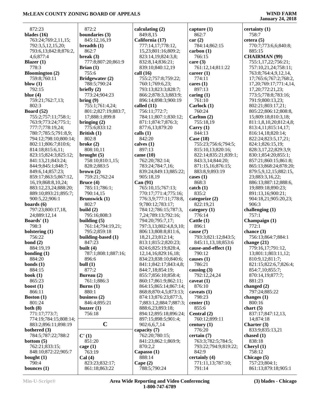872:23 **blades (16)** 763:24;769:2,11,15; 792:3,5,12,15,20; 793:6,13;842:8;876:2, 4,6;877:4 **Blazer (1)** 778:3 **Bloomington (2)** 759:8;760:11 **blow (1)** 792:15 **blue (4)** 759:21;762:7,13; 802:3 **Board (52)** 755:2;757:11;758:1; 763:9;773:24;775:1; 777:7;778:19,24; 780:7;785:5;791:8,9; 794:12;798:10;800:14; 802:11;806:7;810:6; 814:18;815:6,11; 823:15;824:3;825:12; 841:13,21;843:24; 844:9;845:1;848:7; 849:6,14;857:23; 859:17;863:5;867:12, 16,19;868:8,10,24; 883:12,23,24;888:20; 889:10;893:21;895:7; 900:5,22;906:1 **boards (6)** 797:23;800:17,18, 24;889:12,14 **Boards' (1)** 798:3 **bolstering (1)** 756:22 **bond (2)** 884:19,19 **bonding (1)** 884:20 **bonds (1)** 884:15 **book (1)** 865:23 **boost (1)** 866:11 **Boston (1)** 801:24 **both (8)** 771:17;773:7; 774:19;784:15;808:14; 883:2;896:11;898:19 **bothered (3)** 784:5;787:22;788:2 **bottom (5)** 762:21;833:15; 848:10;872:22;905:7 **bought (1)** 790:4

 872:2 **boundaries (3)** 845:12,16,19 **breadth (1)** 862:7 **break (3)** 777:8;807:20;861:9 **Brian (1)** 755:6 **Bridgewater (2)** 788:5;790:24 **briefly (2)** 773:24;904:23 **bring (9)** 755:1;761:4,24; 801:2;827:19;883:7, 17;888:1;899:8 **bringing (2)** 775:6;833:12 **British (1)** 802:8 **broke (2)** 808:10,11 **brought (5)** 758:10;810:1,15; 828:2;883:5 **brown (2)** 759:21;762:24 **Bruce (4)** 785:11;786:1; 790:14,15 **Brunswick (1)** 802:7 **build (2)** 795:16;808:3 **building (5)** 761:14;794:19,21; 795:2;859:18 **building-based (1)** 847:23 **built (4)** 787:1;808:1;887:16; 896:6 **bull (1)** 877:2 **Bureau (2)** 761:1;886:3 **Burns (1)** 880:1 **business (2)** 846:4;895:21 **buzzer (1)** 756:18 **C C' (1)** 851:20 **cage (1)** 763:19 **Cal (4)** 823:23;832:17;

861:18;863:22

| calculating $(2)$        | captu  |
|--------------------------|--------|
| 849:8,15                 | 86.    |
| California (17)          | car (1 |
| 777:14,17;778:12,        | 78     |
| 15,23;801:16;809:2;      | carb   |
| 823:14,19;824:3,8;       | 76     |
| 832:8,14;836:21;         | care   |
| 839:10;840:12,19         | 76     |
| call (16)                | caree  |
| 755:2;757:8;759:22;      | 77.    |
| 760:1;769:6,23;          | cares  |
| 793:13;823:3;828:7;      | 89′    |
| 866:2;878:3,3;883:9;     | carin  |
| 896:14;898:3;900:19      | 76     |
| called (11)              | Carl   |
| 756:11;772:7;            | 76     |
| 784:11;807:1;830:12;     | Carl   |
| 871:1;874:7;876:3;       | 75.    |
| 877:6,13;879:20          | Carr   |
| calls (1)                | 84     |
| 842:20                   | Case   |
| calves (1)               | 75.    |
| 897:13                   | 81.    |
| came (10)                | 82     |
| 762:20;782:14;           | 84     |
| 783:24;784:7,16;         | 87     |
| 839:24;849:13;885:22;    | 88.    |
| 905:18,19                | cases  |
| Can (91)                 | 86     |
| 765:10,15;767:13;        | catch  |
| 770:17;771:4;775:16;     | 83.    |
| 776:3,9;777:11;778:8,    | categ  |
| 9;780:12;783:17;         | 82     |
| 784:12;786:15;787:3,     | categ  |
| 7,24;789:13;792:16;      | 77     |
| 794:20;795:7,17;         | Cattl  |
| 797:3,13;802:4,8,9,10;   | 89     |
| 806:13;808:8;811:6,      | cause  |
| 18,21,23;812:14;         | 79.    |
| 813:1;815:2;820:23;      | 84.    |
| 824:6;825:19;828:4,      | caus   |
| 12, 14, 16; 829: 16, 18; | 791    |
| 834:23;838:10;840:6;     | cause  |
| 841:1;842:17;843:4,8;    | 78     |
| 844:7,18;854:19;         | causi  |
| 855:7;856:10;858:4;      | 79.    |
| 860:17;861:9;862:11;     | cavea  |
| 864:15;865:14;867:14;    | 87     |
| 868:8;870:4,5;873:13;    | cavea  |
| 874:13;876:23;877:3,     | 79     |
| 7;883:1,2;884:7;887:3;   | cente  |
| 888:6,23;893:18;         | 85.    |
| 894:12;895:18;896:24;    | Cent   |
| 897:15;898:5;901:4;      | 761    |
| 902:6,6,7,14             | centu  |
| capacity (7)             | 77     |
| 762:20;780:15;           | certa  |
| 841:23;862:1;869:9;      | 76     |
| 870:2,2                  | 79.    |
| Capasso (1)              | 84.    |
| 888:14                   | certa  |
| Cape $(2)$               | 77     |

**capture (1)** 862:7 **car (2)** 784:14;862:15 **bon** (1) 766:15 **c** (3) 761:12,14;811:22 **cer** (1) 774:11 **cs** (1) 897:13 **caring (1)**  $761:10$ **Carlock (1)** '60:24 **Carlton (2)** 755:18,19 **Carry (1)** 844:13 **Case (18)** 755:23;756:6;794:5; 815:10,13;820:16; 822:14;835:21;839:1; 843:3,14;844:20; 871:15,16;876:15; 883:8,9;893:19 **es** (1) 868:3 ch (1) 835:2 **cgorize** (2) 822:19,21 **egory** (1) 776:14 **Cattle (1)** 896:1 **cause (7)** 793:3;821:12;843:5; 845:11,13,18;853:6 **cause-and-effect (1)** 790:12 **cause** (1) 786:21  $\sin g(3)$  792:12,24,24 **cat** (1) 876:10 **cats** (1) 798:23 **ter** (1)  $35:6$  $n$ **tral**  $(2)$  760:12;899:11  $\tt{tury (1)}$  776:20 **certain (7)** 763:3;782:5;784:5; 793:22;794:9;819:22; 842:9 **certainly (4)** 771:11,13;787:10; 791:14

**certainty (1)** 758:7 **cetera (5)** 770:7;773:6,6;840:8; 885:15 **CHAIRMAN (99)** 755:1,17,22;756:21; 757:10,21,24;758:11; 763:8;764:4,9,12,14, 17;765:6;767:2;768:2, 17,20;769:17;771:4,14, 17,20;772:21,23; 773:5;778:8;783:16; 791:9;800:13,23; 802:21;803:17,21; 805:22;806:12;808:8, 15;809:18;810:3,18; 811:1,8,10,20;812:4,8; 813:4,11;815:14,17; 816:14,18;820:14; 822:24;823:5,17,21; 824:1;826:15,19; 828:3,17,22;829:3,9; 830:1;854:20;855:1; 857:21;860:15;861:8; 865:13;868:24;878:20; 879:5,9,12,15;882:15, 23;883:3,16,22; 886:13;887:12;888:6, 19;889:18;890:23; 891:13,16;900:21; 904:18,21;905:20,23; 906:3 **challenging (1)** 757:1 **Champaign (1)** 772:1 **chance (3)** 756:13;864:7;884:1 **change (21)** 779:16,17;791:12, 13;801:1;803:11,12; 810:9,12;811:7; 821:15;822:6,7;826:4; 854:7,10;855:7; 870:14,19;877:7; 881:23 **changed (2)** 797:24;885:22 **changes (1)** 800:16 **chart (5)** 837:17;847:12,13, 14;874:18 **Charter (3)** 833:9;835:13,21 **chased (1)** 838:18 **Cheryl (1)** 758:12 **Chicago (5)** 757:23;804:1;

**bounces (1)**

788:5;790:24

861:13;879:18;905:1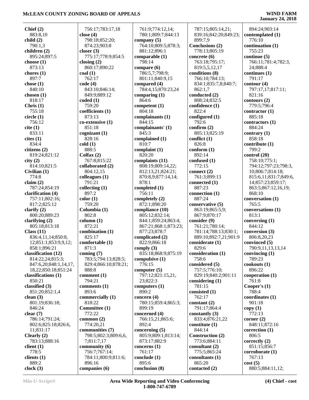| Chief $(2)$           | 756:17;783:17,18     | 761:9;774:12,14;     | 787:15;805:14,21;     | 894:24;903:14         |
|-----------------------|----------------------|----------------------|-----------------------|-----------------------|
| 883:8,10              | close $(4)$          | 780:1;809:7;844:13   | 839:16;842:20;849:23; | contemplated (1)      |
| child(2)              | 798:18;852:20;       | company $(5)$        | 899:7,9               | 776:10                |
|                       |                      |                      |                       |                       |
| 790:1,3               | 874:23;903:8         | 764:10;809:5;878:3;  | Conclusions (2)       | continuation (1)      |
| children (2)          | closer $(3)$         | 881:12;896:1         | 778:13;805:19         | 755:23                |
| 895:24;897:5          | 775:17;778:9;854:5   | comparable (1)       | concrete $(6)$        | continue (5)          |
|                       |                      |                      |                       |                       |
| choose $(1)$          | closing $(2)$        | 798:14               | 763:18;795:17;        | 766:11;781:4;782:3,   |
| 873:13                | 860:17;890:22        | compare (6)          | 819:5,5,12,17         | 24;888:4              |
| chores $(1)$          | $\text{coal}(1)$     | 786:5,7;798:9;       | conditions (8)        | continues (1)         |
|                       |                      |                      |                       |                       |
| 897:7                 | 762:17               | 801:11;840:9,15      | 766:10;784:13;        | 791:17                |
| chose $(1)$           | code(4)              | compared (4)         | 834:1;835:7,8;840:7;  | contour(4)            |
| 840:10                | 843:10;846:14;       | 784:4,15;870:23,24   | 862:1,7               | 797:17,17;817:11;     |
|                       |                      |                      |                       |                       |
| chosen $(1)$          | 849:9;889:12         | comparing $(1)$      | conducted (2)         | 821:16                |
| 818:17                | coded(1)             | 864:6                | 808:24;832:5          | contours (2)          |
| Christ (1)            | 759:20               | competent $(1)$      | confidence (1)        | 779:5;796:4           |
| 755:18                | coefficients (1)     | 804:18               | 822:4                 |                       |
|                       |                      |                      |                       | contractor $(1)$      |
| circle(1)             | 873:13               | complainants (1)     | configured $(1)$      | 885:18                |
| 756:12                | co-extensive (1)     | 844:15               | 792:6                 | contractors (1)       |
| cite (1)              | 851:18               | complainants' (1)    | confirm $(2)$         | 884:24                |
|                       |                      |                      |                       |                       |
| 833:11                | cognizant(1)         | 845:3                | 805:13;825:19         | contrary $(1)$        |
| cites(1)              | 828:16               | complained (1)       | conflict $(1)$        | 858:18                |
| 834:4                 | cold(1)              | 810:7                | 826:8                 |                       |
|                       |                      |                      |                       | contribute (1)        |
| citizens (2)          | 888:5                | complaint $(1)$      | conform(1)            | 799:2                 |
| 819:24;821:12         | Colfax $(2)$         | 820:20               | 892:14                | control (20)          |
|                       | 767:8;815:22         | complaints (11)      | confused (1)          | 758:10;775:1;         |
| city(2)               |                      |                      |                       |                       |
| 814:10;821:5          | collaborated (2)     | 808:19;809:14,22;    | 772:15                | 794:12;797:23;798:3,  |
| Civilian (1)          | 804:12,15            | 812:13,21;824:21;    | connect $(2)$         | 10;806:7;814:18;      |
| 774:8                 | colleagues $(1)$     | 870:8,9;877:14,14;   | 761:3;899:13          | 815:6,11;831:7;849:6, |
|                       |                      |                      |                       |                       |
| claim $(2)$           | 791:21               | 878:1                | connected (1)         | 14;857:23;859:17;     |
| 787:24;854:19         | collecting $(1)$     | completed (1)        | 887:23                | 863:5;867:12,16,19;   |
| clarification (4)     | 897:2                | 756:11               | connection $(1)$      | 868:10                |
|                       |                      |                      |                       |                       |
| 757:11;802:16;        | color(1)             | completely (2)       | 887:24                | conversation (1)      |
| 817:2;825:12          | 759:20               | 872:1;898:20         | conservative (5)      | 765:5                 |
| clarify $(2)$         | Columbia (1)         | compliance (10)      | 863:19;865:5,9;       | conversations (1)     |
|                       |                      |                      |                       |                       |
| 800:20;889:23         | 802:8                | 805:12;832:14;       | 867:9;870:17          | 813:1                 |
| clarifying $(2)$      | column (1)           | 844:1;859:24;863:4;  | consider (9)          | conversing $(1)$      |
| 805:18;813:18         | 872:21               | 867:21;868:1;873:23; | 761:21;780:14;        | 844:12                |
|                       |                      |                      |                       |                       |
| Class (11)            | combination (1)      | 877:23;878:7         | 781:14;788:13;830:1;  | conversion (3)        |
| 836:4,11,14;850:8,    | 825:17               | complicated (2)      | 889:10;892:7,21;901:9 | 806:8,20,23           |
| 12;851:1;853:9,9,12;  | comfortable (1)      | 822:9;866:18         | considerate (1)       | convinced (5)         |
|                       |                      |                      |                       |                       |
| 858:1;896:21          | 871:3                | comply $(3)$         | 829:6                 | 790:9,11,13,13,14     |
| classification (12)   | coming $(7)$         | 835:18;868:9;875:19  | consideration (1)     | convincing $(1)$      |
| 814:22,24;815:3;      | 783:5;794:13;828:5;  | compulsive $(1)$     | 758:6                 | 789:23                |
|                       |                      |                      |                       |                       |
| 847:6,20;848:1,14,17, | 829:4;866:10;878:21; | 776:15               | considered (5)        | $\cosh(\omega t)$     |
| 18,22;850:18;851:24   | 888:8                | computer $(5)$       | 757:5;776:10;         | 896:22                |
| classifications (1)   | comment $(1)$        | 797:12;821:15,21,    | 829:19;840:2;901:11   | cooperation (1)       |
| 850:21                | 794:21               | 23;822:3             | considering $(1)$     | 761:8                 |
|                       |                      |                      |                       |                       |
| classified (3)        | comments (1)         | computers $(1)$      | 781:15                | Cooper's $(1)$        |
| 851:20;852:1,4        | 893:6                | 890:2                | consisted (1)         | 788:4                 |
| clean $(3)$           | commercially (1)     | concern $(4)$        | 762:17                | coordinates (1)       |
|                       |                      |                      |                       |                       |
| 801:19;836:18;        | 818:22               | 780:15;859:4;865:3;  | constant (2)          | 901:18                |
| 846:24                | Committee (1)        | 899:19               | 791:17;864:4          | copy(1)               |
| clear(7)              | 772:22               | concerned (4)        | constantly $(3)$      | 772:13                |
|                       |                      |                      |                       |                       |
| 786:14;791:24;        | common $(2)$         | 766:15,21;865:6;     | 833:4;876:21,22       | corner $(2)$          |
| 802:6;825:18;826:6,   | 774:20,21            | 892:4                | constitute $(1)$      | 848:11;872:16         |
| 11;831:17             | communities (7)      | concerning $(5)$     | 844:14                | correction $(1)$      |
|                       |                      |                      |                       |                       |
| Clearly $(2)$         | 798:5;802:3;809:6,6, | 805:9;809:1;813:14;  | Construction (2)      | 806:5                 |
| 783:13;888:16         | 7;811:7,17           | 873:17;882:9         | 773:6;884:11          | correctly $(2)$       |
| client $(1)$          | community (6)        | concerns $(1)$       | consultant $(2)$      | 851:15;856:7          |
|                       |                      |                      |                       |                       |
| 778:5                 | 756:7;767:14;        | 761:17               | 775:5;865:24          | corroborate (1)       |
| clients $(1)$         | 784:11;800:9;811:6;  | conclude $(1)$       | consultants (1)       | 767:13                |
| 889:2                 | 896:16               | 895:6                | 865:20                | cost(5)               |
|                       |                      |                      |                       |                       |
| clock(3)              | companies (6)        | conclusion (8)       | contacted (2)         | 880:5;884:11,12;      |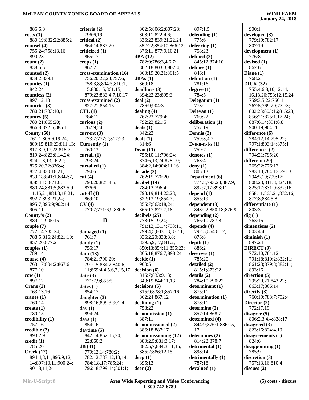| 886:6,8                                    | criteria (2)           | 802:5;806:2;807:23;      | 897:1,5             | 900:1                        |
|--------------------------------------------|------------------------|--------------------------|---------------------|------------------------------|
| costs(3)                                   | 796:6,19               | 808:11;822:4,6;          | defending $(1)$     | developed $(3)$              |
|                                            |                        |                          |                     |                              |
| 880:19;882:22;885:2                        | critical (2)           | 836:22;839:21,22,24;     | 775:6               | 779:19;782:17;               |
| counsel $(4)$                              | 864:14;887:20          | 852:22;854:10;866:12;    | deferring $(1)$     | 807:19                       |
| 755:24;758:13,16;                          | criticized (1)         | 876:11;877:9,10,21       | 758:23              | development (1)              |
| 890:23                                     | 865:17                 | dBA(12)                  | defined $(2)$       | 776:8                        |
| count(2)                                   | crops(1)               | 782:9;786:3,4,6,7;       | 845:12;874:10       | devised $(1)$                |
| 838:5,5                                    | 867:7                  | 802:18;803:3;807:4;      | defines $(1)$       | 862:6                        |
| counted (2)                                | cross-examination (16) | 860:19,20,21;861:5       | 846:1               | Diane $(1)$                  |
| 838:2;839:1                                | 756:20,22,23;757:6;    | dBAs(1)                  | definition $(1)$    | 768:21                       |
|                                            |                        |                          |                     |                              |
| counties $(1)$                             | 758:3,8;804:5;810:1,   | 860:18                   | 781:16              | DICK(32)                     |
| 842:24                                     | 15;830:15;861:15;      | deadlines(3)             | degree $(1)$        | 755:4,6,8,10,12,14,          |
| countless $(2)$                            | 879:23;883:4,7,10,17   | 894:22,23;895:3          | 784:5               | 16, 18, 20; 758: 12, 15, 24; |
| 897:12,18                                  | cross-examined (2)     | deal(2)                  | Delegation (1)      | 759:3,5,22;760:1;            |
| countries $(3)$                            | 827:21;854:15          | 786:9;904:3              | 773:2               | 767:5;769:20;772:3;          |
| 780:21;783:10,11                           | CTL(1)                 | dealing $(4)$            | Delevan (1)         | 802:23;803:16;815:23;        |
| country $(5)$                              | 784:11                 | 767:22;779:4;            | 760:22              | 856:21;875:1,17,24;          |
| 780:21;865:20;                             | curious $(2)$          | 792:23;821:5             | deliberation (1)    | 887:6,14;891:6,8;            |
|                                            | 767:9,24               | deals $(1)$              | 757:19              | 900:19:904:20                |
| 866:8;872:6;885:1                          |                        |                          |                     |                              |
| County $(50)$                              | current $(3)$          | 842:23                   | Dennis (3)          | difference (6)               |
| 761:1;806:6,19,24;                         | 773:7;777:2;817:23     | dealt(1)                 | 759:3,4,7           | 784:12,14;795:22;            |
| 809:15;810:23;811:13;                      | Currently (1)          | 814:6                    | D-e-n-n-i-s $(1)$   | 797:1;803:14;875:1           |
| 817:3,9,17,22;818:7;                       | 760:13                 | Dean $(11)$              | 759:7               | differences (2)              |
| 819:24;823:8,14,24;                        | curtail $(1)$          | 755:10,11;796:24;        | denotes $(1)$       | 794:21;795:20                |
| 824:1,3,13,16,22;                          | 793:24                 | 874:6,13,24;878:10;      | 763:4               | different (20)               |
| 825:20,22;826:4;                           | curtailed (1)          | 884:2,14;904:11,16       | deny $(1)$          | 765:22;776:13;               |
|                                            |                        |                          |                     |                              |
| 827:4;830:18,21;                           | 794:6                  | decade(2)                | 805:13              | 783:10;784:13;791:3;         |
| 839:18;841:13;842:7,                       | cut(4)                 | 762:15;776:20            | Department (6)      | 794:5,19;799:17;             |
| 8;854:15;871:6;                            | 793:20;825:4,5;        | decibel (14)             | 774:8;793:23;887:9; | 808:23;811:3;824:18;         |
| 880:24;881:5;882:5,9,                      | 876:6                  | 784:12;796:4;            | 892:7,17;893:11     | 825:17;831:9;832:16;         |
| 11, 16, 21; 884: 3, 18, 21;                | cutoff(1)              | 798:19;814:22,23;        | depend $(1)$        | 858:11;865:21;872:16;        |
| 892:7;893:21,24;                           | 869:10                 | 822:13,19;854:7;         | 855:19              | 877:8;884:5,8                |
| 895:7;896:9;902:14;                        | CV(4)                  | 855:7;863:18,24;         | dependent $(3)$     | differentiate (1)            |
| 905:11                                     | 770:7;771:6,9;830:5    | 865:17;877:7,18          | 848:22;850:18;876:9 | 803:3                        |
|                                            |                        | decibels (25)            |                     |                              |
| County's $(2)$                             |                        |                          | depending $(2)$     | dig(1)                       |
| 889:12;905:15                              | D                      | 778:15,19,24;            | 766:10;787:8        | 763:16                       |
| couple $(7)$                               |                        | 791:12,13,14;798:11;     | depends $(4)$       | dimensions $(2)$             |
| 772:14;785:24;                             | damaged (1)            | 799:4,5;803:13;832:1;    | 792:5;854:8,12;     | 803:4,4                      |
| 788:5;816:24;821:10;                       | 761:7                  | 836:2,20;838:3,8;        | 876:8               | diminish $(1)$               |
| 857:20;877:21                              | dandy $(1)$            | 839:5,9,17;841:2;        | depth(1)            | 897:24                       |
| couples $(1)$                              | 756:17                 | 850:13;854:11;855:23;    | 886:2               | DIRECT <sup>(9)</sup>        |
| 789:14                                     | data(13)               | 865:18;876:7;898:24      | deserves $(1)$      | 772:10;784:12;               |
|                                            |                        |                          |                     |                              |
| course (4)                                 | 784:21;790:20;         | decide(1)                | 785:20              | 791:18;810:2;832:11;         |
| 763:17;804:2;867:6;                        | 791:15;834:2;840:6,    | 900:5                    | detailed (2)        | 861:23;879:8;882:11;         |
| 877:10                                     | 11;869:4,4,5,6,7,15,17 | decision(6)              | 815:1;873:22        | 893:16                       |
| cov(1)                                     | date(3)                | 815:7;833:9,13;          | details(2)          | direction $(5)$              |
| 897:12                                     | 771:7,9;855:5          | 843:19;844:11,13         | 784:10;790:22       | 795:20,21;843:22;            |
| Crane $(2)$                                | dates(1)               | decisions (5)            | determinant (1)     | 863:17;866:14                |
| 763:13,16                                  | 854:17                 | 815:9;838:1;857:16;      | 875:11              | directly $(3)$               |
| cranes $(1)$                               | daughter $(3)$         | 862:24;867:12            | determination (1)   | 760:19;783:7;792:4           |
|                                            |                        |                          | 878:11              |                              |
| 760:14                                     | 898:16;899:3;901:4     | $\Delta$ declining $(1)$ |                     | Director $(2)$               |
| create $(1)$                               | day(1)                 | 758:22                   | determine (2)       | 772:17,19                    |
| 780:15                                     | 894:24                 | decommission (1)         | 857:14;868:7        | disagree $(5)$               |
| credibility $(1)$                          | days $(1)$             | 887:11                   | determined (4)      | 806:2,3,4,4;838:17           |
| 757:16                                     | 854:16                 | decommissioned (2)       | 844:9;876:1;886:15, | disagreed $(3)$              |
| $\bf{c}$ redible $(2)$                     | daytime $(5)$          | 886:18;887:17            | 17                  | 823:16;824:4,10              |
|                                            |                        | decommissioning (12)     | determines (2)      | disagreements $(1)$          |
|                                            |                        |                          |                     |                              |
| 893:2,9                                    | 842:14;852:15,20,      |                          |                     |                              |
|                                            | 22;860:2               | 880:2,5;881:3,17;        | 814:22;878:7        | 824:6                        |
| 785:20                                     | dB(31)                 | 882:5,7;884:3,11,15;     | detrimental (1)     | disappointing $(1)$          |
| Creek(12)                                  | 779:12,14;780:2;       | 885:2;886:12,15          | 898:14              | 785:9                        |
| 894:4,8,11;895:9,12,                       | 782:12;783:12,13,14;   | deep $(1)$               | detrimentally (1)   | discretion $(3)$             |
| $\text{credit}(1)$<br>14;897:10,11;900:24; | 784:1,8,17;785:24;     | 895:13                   | 787:18              | 757:13,16;810:4              |
| 901:8,11,24                                | 796:18;799:14;801:1;   | deer(2)                  | devalued (1)        | discuss(2)                   |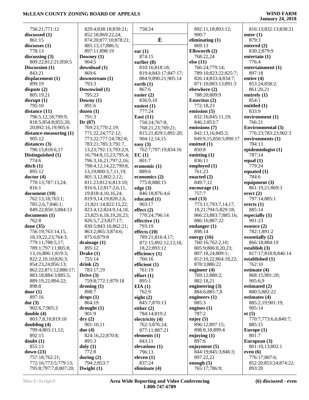| 756:21;771:12           | 829:4;838:18;839:21;         | 758:24               | 892:11,18;893:12;     | 816:13;832:13;838:21     |
|-------------------------|------------------------------|----------------------|-----------------------|--------------------------|
| discussed (1)           | 852:18;869:22,24;            |                      | 900:7                 | enter $(1)$              |
| 861:15                  | 874:20;877:10;878:21;        | E                    | eliminating $(1)$     | 879:3                    |
| discusses (1)           | 885:13,17;886:5;             |                      | 869:13                | entered $(2)$            |
| 778:13                  | 897:11;898:19                | ear(1)               | Ellsworth (2)         | 830:2;879:9              |
| discussing $(3)$        | Downey (1)                   | 874:15               | 768:22,24             | entertain $(1)$          |
| 809:22;812:21;850:5     | 904:5                        | earlier $(8)$        | else $(11)$           | 776:4                    |
| Discussion (1)          | download (1)                 | 810:16;818:18;       | 766:24;779:14;        | entertainment (1)        |
| 843:21                  | 869:6                        | 819:4;843:17;847:17; | 789:10;823:22;825:7;  | 897:18                   |
| displacement (1)        | downstream (1)               | 884:9;890:21;905:14  | 826:14;833:4;834:7;   | entire $(4)$             |
| 899:19                  | 793:3                        | earth $(1)$          | 871:10;883:13;891:3   | 853:24;858:2;            |
| dispute $(2)$           | Downwind (1)                 | 867:6                | elsewhere (2)         | 861:20,21                |
| 805:19,21               | 795:23                       | easier $(2)$         | 788:20;809:9          | entirely $(1)$           |
| disrupt(1)              | Downy $(1)$                  | 836:9,10             | Emeritus (2)          | 854:1                    |
| 795:10                  | 891:6                        | easiest $(1)$        | 772:18,23             | entitled (1)             |
| distance (11)           | dozen(1)                     | 777:24               | emission (5)          | 833:9                    |
| 796:5,12,18;799:9;      | 791:3                        | East $(11)$          | 832:16;845:11,19;     | environment (1)          |
| 818:5;854:8;855:20,     | Dr(87)                       | 758:24;767:8;        | 846:2;853:7           | 766:21                   |
| 20;892:16,19;905:6      | 769:23;770:2,19;             | 768:21,23;769:21;    | emissions (7)         | <b>Environmental</b> (3) |
| distance-measuring (1)  | 771:22,24;772:12;            | 815:21;829:1;891:20; | 842:13,16;845:2;      | 776:23;783:23;902:3      |
| 905:12                  | 773:22;777:24;782:8;         | 904:12,14,15         | 849:9,15;850:5;890:17 | environments (1)         |
| distances $(3)$         | 783:21;785:3;791:7,          | easy $(3)$           | emitted (1)           | 784:13                   |
| 796:15;818:6,17         | 13,23;792:13;793:2,9,        | 762:7;797:19;834:16  | 850:8                 | epidemiologist (1)       |
| Distinguished (1)       | 16;794:8,15,23;795:4;        | EC(1)                | emitting (1)          | 787:14                   |
| 774:6                   | 796:3,16,21;797:2,16;        | 801:7                | 836:11                | equal $(1)$              |
| $\text{ditch}(1)$       | 798:4,12,14,22;799:8,        | economic $(1)$       | employed (1)          | 779:24                   |
| 895:12                  | 13, 19; 800: 3, 7, 11, 19;   | 889:6                | 761:23                | equated $(1)$            |
| doctor(4)               | 801:3,12;802:2,12;           | economics (2)        | enacted $(2)$         | 784:6                    |
| 770:13;787:13,24;       | 811:23;812:6;813:10;         | 775:8;888:15         | 849:7,12              | equipment $(3)$          |
| 816:1                   | 816:6,12;817:2,6,11,         | edge $(3)$           | encourage (1)         | 861:19,21;869:3          |
| document(10)            | 19;818:4,10,16,24;           | 846:18;876:4,6       | 757:7                 | erect (2)                |
| 762:13,18;763:1;        | 819:9,14,19;820:2,6,         | educated (1)         | end $(13)$            | 797:14;885:1             |
| 785:2,6,7;846:1;        | 21;821:14;822:15,22;         | 903:17               | 773:11;793:7,14,17,   | erects $(1)$             |
| 849:22;850:3;884:13     | 823:4,12;824:9,14,18,        | effect $(2)$         | 18,21;794:5;829:18;   | 885:14                   |
| documents (1)           | 23;825:6,18,19,20,23;        | 770:24;796:14        | 866:23;883:7;885:16;  | especially $(1)$         |
| 762:8                   | 826:5,7,23;827:17;           | effective $(1)$      | 886:16;887:22         | 901:23                   |
| done $(35)$             | 830:5;843:16;862:21;         | 793:19               | endanger $(1)$        | essence $(2)$            |
| 756:19;763:14,15,       | 863:2;865:3;874:6;           | effects $(10)$       | 898:14                | 782:1;891:2              |
| 18, 19, 22, 23; 764: 3; | 875:6;879:8                  | 789:21;816:4,17;     | energy $(16)$         | essentially (2)          |
| 779:11;788:5,17;        | drainage $(1)$               | 872:15;892:12,13,18, | 760:16;762:2,10;      | 866:18;884:19            |
| 789:1;797:11;805:8,     | 895:12                       | 18,22;893:12         | 805:9;806:8,20,23;    | establish $(3)$          |
| 13,16;806:1;819:3;      | Drake $(1)$                  | efficiency $(1)$     | 807:18,24;809:1;      | 817:17;818:8;846:14      |
| 822:2,10,10;826:3;      | 755:14                       | 766:16               | 812:10,22;864:18,22;  | established (1)          |
| 854:23,24;856:13;       | drink(2)                     | efficient $(1)$      | 878:3;886:22          | 762:10                   |
| 862:22;871:12;880:17;   | 783:17,19                    | 761:19               | engineer $(4)$        | estimate $(4)$           |
| 883:18;884:3;885:5;     | Drive $(3)$                  | effort(1)            | 769:12:880:2:         | 868:15;901:20;           |
| 889:19,22;894:22;       | 759:8;772:1;879:18           | 895:1                | 882:18,21             | 905:6,9                  |
| 898:8                   | droning $(1)$                | EIA(1)               | engineering $(3)$     | estimated (2)            |
| door(1)                 | 898:7                        | 762:9                | 884:6;885:7,8         | 880:5;882:22             |
| 897:16                  | drops(1)                     | eight $(2)$          | engineers (1)         | estimates (4)            |
| dot(3)                  | 864:19                       | 845:7;870:13         | 885:3                 | 885:2,19;901:19;         |
| 902:6,7;905:3           | drought(1)                   | either $(2)$         | engines $(1)$         | 905:14                   |
| double(4)               | 901:9                        | 784:14;819:2         | 787:2                 | et(5)                    |
| 803:7,8,10;819:10       | $\mathbf{dry}\left(2\right)$ | electricity (4)      | enjoy $(5)$           | 770:7;773:6,6;840:7;     |
| doubling $(4)$          | 901:10,11                    | 762:3;876:24;        | 896:12;897:15;        | 885:15                   |
| 799:4;803:11,12;        | due $(4)$                    | 877:11;887:21        | 898:8,18;899:4        | Europe $(1)$             |
| 892:15                  | 824:16,22;870:8;             | elements $(1)$       | enjoying $(1)$        | 801:7                    |
| doubt(1)                | 895:3                        | 843:11               | 897:6                 | European (3)             |
| 855:13                  | duly $(1)$                   | elevations (1)       | enjoyment (5)         | 801:10,13;802:1          |
| down $(23)$             | 772:8                        | 796:13               | 844:19;845:3;846:3;   | even $(6)$               |
| 757:18;762:21;          | during $(2)$                 | eleven $(1)$         | 897:22,22             | 776:17;807:6;            |
| 772:16;773:5;779:13;    | 794:2;853:7                  | 837:24               | enough $(5)$          | 852:20;853:24;874:22;    |
| 795:8;797:7,8;807:20;   | Dwight $(1)$                 | eliminate (4)        | 765:17;786:9;         | 893:20                   |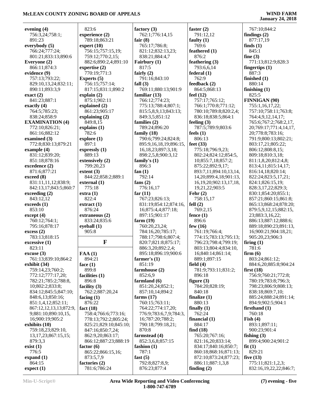**January 24, 2018**

| evening (4)                                  | 823:            |
|----------------------------------------------|-----------------|
| 756:3,24;758:1;                              | experi          |
| 891:23                                       | 789:            |
| everybody (5)                                | expert          |
| 766:24;777:24;                               | 756:            |
| 801:21;833:13;890:6                          | 759:            |
| Everyone (2)                                 | 882:            |
| 866:11;874:3                                 | expert          |
| evidence (9)                                 | 770:            |
| 757:13;793:22;<br>829:10,13,24;832:11;       | Exper<br>756:   |
| 890:11:893:3.9                               | 817:            |
| exact(2)                                     | explair         |
| 841:23;887:1                                 | 875:            |
| exactly (4)                                  | explair         |
| 764:5;785:23;                                | 861:            |
| 838:24;858:9                                 | explair         |
| <b>EXAMINATION (4)</b>                       | 849:            |
| 772:10;826:21;                               | explair         |
| 861:16;882:12                                | 782:            |
| examined (3)                                 | explor          |
| 772:8;830:13;879:21                          | 897:            |
| example (4)                                  | expres          |
| 831:12;839:20;<br>851:18;878:16              | 889:            |
| excedence (2)                                | extens<br>799:  |
| 871:6;877:21                                 | extent          |
| exceed (8)                                   | 844:            |
| 831:11,11,12;838:9;                          | extern          |
| 842:13,17;843:5;860:7                        | 775:            |
| exceeding (2)                                | extra (         |
| 843:12,12                                    | 822:            |
| exceeds (1)                                  | extrac          |
| 853:10                                       | 876:            |
| except (4)                                   | extran          |
| 760:12;764:1;                                | 833:            |
| 795:16;878:17                                | eyebal          |
| excess(2)<br>783:13;818:15                   | 905:            |
| excessive (1)                                |                 |
| 823:11                                       |                 |
| excuse(3)                                    | FAA(            |
| 761:13;839:10;864:2                          | 894:            |
| exhibit (34)                                 | face (1         |
| 759:14,23;760:2;                             | 899:            |
| 772:12;777:17,20;                            | faciliti        |
| 782:21;785:2;788:8,                          | 896:            |
| 10;802:2;833:8;                              | facility        |
| 834:12;845:5;847:10;                         | 762:            |
| 848:6,13;850:16;                             | facing          |
| 851:1,4,12;852:11;<br>867:12,12,13,13;872:9, | 876:<br>fact (1 |
| 9;881:10;890:10,15,                          | 758:            |
| 16;900:19;905:2                              | 778:            |
| exhibits (10)                                | 825:            |
| 759:18,23;829:10,                            | 847:            |
| 13, 17, 23; 867: 15, 15;                     | 862:            |
| 879:3,3                                      | 866:            |
| exist(1)                                     | factor          |
| 776:5                                        | 865:            |
| expand $(1)$                                 | 873:            |
| 864:15                                       | factori         |
| expect(1)                                    | 781:            |

| 823:6                           | factor            |
|---------------------------------|-------------------|
| experience (2)                  | 762               |
| 789:18;863:21                   | fair (8           |
| expert (10)                     | 765:              |
| 756:15;757:15,19;               | 821:              |
| 759:12;770:2,15;                | 838:              |
| 882:6;890:2,4;891:10            | Fairbı            |
| expertise (2)                   | 817:              |
| 770:19;771:3                    | fairly            |
| Experts (5)                     | 791:              |
| 756:15;757:14;                  | fall $(3)$        |
| 817:15;831:1;890:2              | 769:              |
| explain (2)                     | famili            |
| 875:1;902:11                    | 766               |
| explained (2)                   | 775:              |
| 861:23;905:17                   | 815               |
| explaining (2)                  | 849:              |
| 849:8,15                        | <b>famili</b>     |
| explains (1)                    | 789:              |
| 782:6                           | family            |
| explore (1)                     | 790:              |
| 897:1                           | 895:              |
| expressly (1)                   | 16,1              |
| 889:13                          | 898:              |
| extensively (2)                 | family            |
| 799:20,23                       | 896:              |
| extent (3)                      | fan $(1)$         |
| 844:22;858:2;889:1              | 792:              |
| external (1)<br>775:18          | fans (2           |
| extra (1)                       | 776:<br>far $(1)$ |
| 822:4                           | 767:              |
| extract (1)                     | 831:              |
| 876:24                          |                   |
|                                 |                   |
|                                 | 16;8              |
| extraneous (2)                  | 897:              |
| 833:24;835:6                    | farm (            |
| eyeball (1)                     | 760:              |
| 905:8                           | 784:              |
| F                               | 788<br>820:       |
|                                 | 886               |
| FAA(1)                          | 895               |
| 894:21                          | farme             |
| face $(1)$                      | 851:              |
| 899:8                           | farmh             |
| facilities (1)                  | 852               |
| 896:8                           | farmla            |
| facility (3)                    | 851:              |
| 762:2;887:20,24                 | 857               |
| facing (1)                      | farms             |
| 876:22                          | 760:              |
| fact $(18)$                     | 764:              |
| 758:4;766:6;773:16;             | 776:              |
| 778:13;792:2;805:24;            | 16;7              |
| 825:21;829:10;845:10;           | 790:              |
| 847:16;850:7,24;                | 870:              |
| 862:9,20;863:17;                | farmst            |
| 866:12;887:23;888:19            | 852:              |
|                                 | fashio            |
| factor (6)<br>865:22;866:15,16; | 787:              |
| 873:5,7,9                       | fast (5           |
| factories (2)<br>781:6;786:24   | 792:<br>876:      |

*f* (3) 1:776:14.15 **fair (8)** 765:17;786:8; 821:12;832:13,23; 838:21;884:4,7 **Fairbury (1)** 817:5 **fairly (2)** :16;843:10 **fall (3)** 769:11;880:13;901:9 **familiar (13)** 766:12;774:23; 775:13;788:4;807:1; 815:5,8,9,13;843:13; 849:3,5;851:12 **families (2)** 789:24;896:20 **family (18)** 790:6;799:24;824:8; 895:9,16,18,19;896:15, 8,23;897:3,18; 898:2,5,8;900:3,12 **f**s (1) :3 **fan (1)**  $:14$ **fans (2)** 776:16,17 **far (11)** 767:23;826:13; 831:19;854:12;874:16, 16;875:4,4;877:18; 897:15;901:17 **farm (19)** 760:20,23,24; 784:16,20;785:17; 788:17;798:6;807:4; 820:7;821:8;875:17; 886:3,20;892:2,4; 895:18;896:19;900:6 **farmer's (1)** 851:19 **fouse** (2) 852:6,9 **farmland (6)** 851:20,24;852:1; 857:10,14;894:2 **farms (17)** 15;763:11; 764:22;774:17,20; 776:9;783:6,7,9;784:3, 16;787:20;788:2; 790:18;799:18,21; 870:8 **fead** (4) 852:3,6,8;857:15 *f* (1) 787:1 **fast (5)** 8:827:8,9; 876:23;877:4

**faster (2)** 791:12,12 **faulty (1)** 769:6 **feathered (1)** 876:2 **feathering (3)** 793:6,6,14 **federal (1)** 762:9 **feedback (2)** 864:5;868:13 **feel (12)** 757:17;765:12; 766:1;770:8;771:12; 780:10;789:8;820:2,4; 836:18;838:5;864:1 **feeling (3)** 787:5;789:9;803:6 **feels (1)** 806:13 **feet (33)** 775:18;796:9,23; 802:24;824:12;854:5, 10;855:7,18;857:2; 875:22;892:9,17; 893:7,11;894:10,13,14, 14,20;899:4,18;901:13, 16,19,20;902:13,17,18, 19,21,22;903:5 **Fehr (2)** 758:15,17 **fell (2)** 769:2,15 **fence (1)** 896:6 **few (16)** 761:19;766:4; 774:15;783:13;795:13; 796:23;798:4;799:19; 803:13;804:4;834:10, 16;840:14;861:14; 889:1;897:15 **field (4)** 781:9;793:11;831:2; 896:18 **figure (3)** 784:20;828:19; 840:18 **finalize (1)** 880:13 **finally (1)** 762:24 **financial (1)** 884:17 **find (18)** 765:20;767:16; 821:16,20;833:14; 834:17;840:16;850:7; 860:18;868:16;871:13; 872:10;873:24;877:23; 886:11;887:1,3,8 **finding (2)**

 767:10;844:2 **findings (2)** 877:17,19 **finds (1)** 845:1 **fine (3)** 771:13;812:9;828:3 **fingertips (1)** 887:3 **finished (1)** 880:14 **finishing (1)** 825:5 **FINNIGAN (90)** 755:1,16,17,22; 757:10;758:11;763:8; 764:4,9,12,14,17; 765:6;767:2;768:2,17, 20;769:17;771:4,14,17, 20;778:8;783:16; 791:9;800:13;802:21; 803:17,21;805:22; 806:12;808:8,15; 809:18;810:3,18; 811:1,8,20;812:4,8; 813:4,11;815:14,17; 816:14,18;820:14; 822:24;823:5,17,21; 824:1;826:15,19; 828:3,17,22;829:3; 830:1;854:20;855:1; 857:21;860:15;861:8; 865:13;868:24;878:20; 879:5,9,12,15;882:15, 23;883:3,16,22; 886:13;887:12;888:6; 889:18;890:23;891:13, 16;900:21;904:18,21; 905:20,23;906:3 **firing (1)** 781:6 **firm (6)** 803:24;861:12; 884:6,20;885:8;904:24 **first (18)** 756:9;760:21;772:8; 780:19;783:8;796:3; 798:23;806:9;808:13; 838:18;869:7,10; 885:24;888:24;891:14; 894:9;902:5;904:1 **firsthand (1)** 760:18 **Fish (4)** 893:1;897:11; 900:23;901:4 **fishing (3)** 899:4;900:24;901:2 **fit (1)** 829:21 **five (13)** 775:11;821:1,2,3; 832:16,19,22,22;846:7;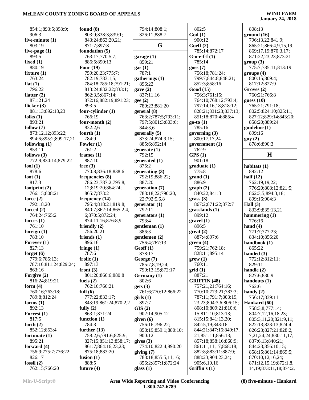| 854:1;893:5;898:9;<br>906:3<br>826:11;888:7<br>God(1)<br>ground(16)<br>803:9;838:3;839:1;<br>900:12<br>five-minute $(1)$<br>796:13,22;841:9;<br>843:24;863:20,21;<br>G<br>Goeff $(2)$<br>803:19<br>871:7;897:8<br>865:21;866:4,9,15,19;<br>foundation (5)<br>785:14;872:17<br>five-page $(1)$<br>869:17,19;870:3,17;<br>893:5<br>763:17;770:5,7;<br>871:22,23,23;873:21<br>garage (1)<br>$G-0-e-f-f(1)$<br>fixed $(1)$<br>886:5;890:13<br>785:14<br>859:21<br>group(3)<br>880:19<br>Four $(19)$<br>775:7;785:11;813:19<br>goes(7)<br>gas(1)<br>fixture $(1)$<br>759:20,23;775:7;<br>756:18;781:24;<br>787:1<br>groups (4)<br>763:24<br>782:19;783:1,5;<br>800:15;809:4;<br>799:7;844:8;848:21;<br>gatherings (1)<br>flat $(1)$<br>896:22<br>852:3;858:16<br>817:12;827:9<br>784:18;785:18;791:21;<br>796:22<br>813:24;832:22;833:1;<br>gave $(2)$<br>Good (15)<br>Groves (2)<br>756:3;761:15;<br>760:21;766:8<br>flatter $(2)$<br>862:3,5;867:14;<br>837:11,16<br>871:21,24<br>764:10;768:12;793:4;<br>guess $(10)$<br>872:16;882:19;891:23;<br>gee(2)<br>893:5<br>765:21;791:18;<br>flicker $(3)$<br>780:23;881:20<br>797:14,16,18;818:12;<br>four-cylinder $(1)$<br>881:13;892:13,23<br>828:21;831:23;837:13;<br>802:5;824:10;825:11;<br>general (8)<br>766:19<br>folks $(1)$<br>763:2;787:5;793:11;<br>851:18;870:4;885:4<br>827:12;829:14;843:20;<br>893:21<br>four-month $(2)$<br>797:5;801:3;803:6;<br>$go-to(1)$<br>858:20;889:24<br>785:16<br>follow $(7)$<br>832:2,6<br>844:3,6<br>quideline(1)<br>899:16<br>873:12,12;893:22;<br>fourth $(1)$<br>generally (5)<br>governing $(3)$<br>784:9<br>894:6;895:2;899:17,21<br>800:17,17,24<br>guy(2)<br>873:24;874:9,15;<br>Fowler $(1)$<br>885:6;892:14<br>government (1)<br>878:6;890:3<br>following $(1)$<br>761:2<br>853:11<br>762:9<br>generate $(1)$<br>H<br>frames $(1)$<br>792:15<br>GPS(1)<br>follows $(3)$<br>772:9;830:14;879:22<br>887:10<br>901:18<br>generated (1)<br>fool $(1)$<br>free $(3)$<br>875:2<br>graduate(1)<br>habitats (1)<br>878:6<br>770:8;836:18;838:6<br>775:8<br>892:12<br>generating $(3)$<br>half $(12)$<br>foot $(1)$<br>frequencies (8)<br>792:19;886:22;<br>grand(1)<br>886:9<br>817:3<br>786:23;787:2;795:8,<br>887:20<br>762:19,19,22;<br>776:20;808:12;821:5;<br>footprint $(2)$<br>12;819:20;864:24;<br>generation (7)<br>graph(2)<br>865:7;873:2<br>840:22;841:3<br>766:15;808:21<br>788:18,22;790:20,<br>862:3,5;894:3,18;<br>force $(2)$<br>frequency (14)<br>22;792:5,6,8<br>grass(3)<br>899:16;904:3<br>867:2;871:22;872:7<br>792:18,20<br>795:4;818:21;819:8;<br>generator $(1)$<br>Hall $(3)$<br>792:11<br>forced $(2)$<br>840:7;862:14;865:2,4,<br>grasslands(1)<br>833:9;835:13,21<br>764:24;765:2<br>899:12<br>6;870:5;872:24;<br>hammering $(1)$<br>generators (1)<br>776:16<br>forces $(1)$<br>793:4<br>874:11,16;876:8,9<br>gravel(1)<br>761:10<br>gentleman (1)<br>896:5<br>hand $(4)$<br>friendly $(2)$<br>foreign $(1)$<br>886:3<br>771:7;777:23;<br>756:20,21<br>$gr(2)$<br>783:10<br>887:4;897:6<br>friends $(1)$<br>834:10;856:20<br>gentlemen $(2)$<br>896:16<br>Forever $(1)$<br>756:4;767:13<br>green(4)<br>handbook (1)<br>827:13<br>759:21;762:18;<br>fringe $(1)$<br>Geoff(1)<br>865:22<br>828:11;895:14<br>787:6<br>forget $(6)$<br>878:17<br>handed $(3)$<br>779:6;785:13;<br>frolic $(1)$<br>George (7)<br>$\text{grew} \left( 1 \right)$<br>772:12;812:11;<br>787:16;811:24;829:24;<br>897:13<br>785:7,8,19,24;<br>760:11<br>829:11<br>863:16<br>handle $(2)$<br>front $(3)$<br>790:13,15;872:17<br>grid(1)<br>Forgive (2)<br>887:21<br>801:20;866:6;880:8<br>Germany (1)<br>827:6;830:9<br>802:6<br><b>GRIFFIN</b> (48)<br>816:24;819:21<br>fuels $(2)$<br>handouts $(1)$<br>form $(4)$<br>762:16;766:21<br>gets(3)<br>757:21,21;764:16;<br>762:6<br>760:16;763:18;<br>full $(6)$<br>761:6;770:12;866:22<br>770:10;773:21;783:3;<br>handy $(2)$<br>789:8;812:24<br>777:22;833:17;<br>787:11;791:7;803:19,<br>756:17;839:11<br>$\boldsymbol{\mathrm{grils}}$ (1)<br>897:7<br>23, 23; 804: 3, 6; 806: 15;<br>forms $(1)$<br>843:19;861:24;870:2,2<br>Hankard (60)<br>892:13<br>GIS(2)<br>808:10;809:21;810:6,<br>758:3,8;777:14;<br>fully $(2)$<br>863:1;871:24<br>902:14;905:12<br>15;811:10;813:13;<br>804:7,12,16,18,23;<br>Forrest $(1)$<br>817:5<br>815:15;841:13,20;<br>function $(1)$<br>given $(6)$<br>805:3,11,20;821:9,11;<br>784:3<br>forth $(2)$<br>756:16;796:22;<br>842:5,19;843:16;<br>822:13;823:13;824:4;<br>852:12;853:4<br>further $(13)$<br>844:21;847:16;849:17,<br>858:19;859:1;880:10;<br>826:23;827:21;828:2,<br>758:2,6;791:6;825:9;<br>fortunate $(1)$<br>900:12<br>21;851:11;856:13;<br>7, 21, 24, 24; 830: 11, 17;<br>895:21<br>827:15;851:13;858:17;<br>857:18;858:16;860:9;<br>gives $(3)$<br>837:6,13;840:21;<br>forward $(4)$<br>774:10;822:4;890:20<br>861:7;864:16,23,23;<br>861:11,11,17;868:18;<br>844:23;856:10,15;<br>756:9;775:7;776:22;<br>875:18;883:20<br>882:8;883:11;887:9;<br>858:15;861:14;869:5;<br>giving (7)<br>826:17<br>fusion $(1)$<br>788:18;855:5,11,16;<br>888:23;904:23,24;<br>870:10,12,16,24;<br>888:5<br>fossil $(2)$<br>856:2;857:1;872:24<br>905:6,10,16<br>871:12,15,19;872:1,8,<br>future $(4)$<br>762:15;766:20<br>glass $(1)$<br>Griffin's $(1)$<br>14, 19; 873: 11, 18; 874: 2, |             |               |       |        |
|--------------------------------------------------------------------------------------------------------------------------------------------------------------------------------------------------------------------------------------------------------------------------------------------------------------------------------------------------------------------------------------------------------------------------------------------------------------------------------------------------------------------------------------------------------------------------------------------------------------------------------------------------------------------------------------------------------------------------------------------------------------------------------------------------------------------------------------------------------------------------------------------------------------------------------------------------------------------------------------------------------------------------------------------------------------------------------------------------------------------------------------------------------------------------------------------------------------------------------------------------------------------------------------------------------------------------------------------------------------------------------------------------------------------------------------------------------------------------------------------------------------------------------------------------------------------------------------------------------------------------------------------------------------------------------------------------------------------------------------------------------------------------------------------------------------------------------------------------------------------------------------------------------------------------------------------------------------------------------------------------------------------------------------------------------------------------------------------------------------------------------------------------------------------------------------------------------------------------------------------------------------------------------------------------------------------------------------------------------------------------------------------------------------------------------------------------------------------------------------------------------------------------------------------------------------------------------------------------------------------------------------------------------------------------------------------------------------------------------------------------------------------------------------------------------------------------------------------------------------------------------------------------------------------------------------------------------------------------------------------------------------------------------------------------------------------------------------------------------------------------------------------------------------------------------------------------------------------------------------------------------------------------------------------------------------------------------------------------------------------------------------------------------------------------------------------------------------------------------------------------------------------------------------------------------------------------------------------------------------------------------------------------------------------------------------------------------------------------------------------------------------------------------------------------------------------------------------------------------------------------------------------------------------------------------------------------------------------------------------------------------------------------------------------------------------------------------------------------------------------------------------------------------------------------------------------------------------------------------------------------------------------------------------------------------------------------------------------------------------------------------------------------------------------------------------------------------------------------------------------------------------------------------------------------------------------------------------------------------------------------------------------------------------------------------------------------------------------------------------------------------------------------------------------------------------------------------------------------------------------------------------------------------------------------------------------------------------------------------------------------------------------------------------------------------------------------------------------------------------------------------------------------------------------------------------------------------------------------------------------------------------------------|-------------|---------------|-------|--------|
|                                                                                                                                                                                                                                                                                                                                                                                                                                                                                                                                                                                                                                                                                                                                                                                                                                                                                                                                                                                                                                                                                                                                                                                                                                                                                                                                                                                                                                                                                                                                                                                                                                                                                                                                                                                                                                                                                                                                                                                                                                                                                                                                                                                                                                                                                                                                                                                                                                                                                                                                                                                                                                                                                                                                                                                                                                                                                                                                                                                                                                                                                                                                                                                                                                                                                                                                                                                                                                                                                                                                                                                                                                                                                                                                                                                                                                                                                                                                                                                                                                                                                                                                                                                                                                                                                                                                                                                                                                                                                                                                                                                                                                                                                                                                                                                                                                                                                                                                                                                                                                                                                                                                                                                                                                                                          | found $(8)$ | 794:14;808:1; | 802:5 | 808:13 |
|                                                                                                                                                                                                                                                                                                                                                                                                                                                                                                                                                                                                                                                                                                                                                                                                                                                                                                                                                                                                                                                                                                                                                                                                                                                                                                                                                                                                                                                                                                                                                                                                                                                                                                                                                                                                                                                                                                                                                                                                                                                                                                                                                                                                                                                                                                                                                                                                                                                                                                                                                                                                                                                                                                                                                                                                                                                                                                                                                                                                                                                                                                                                                                                                                                                                                                                                                                                                                                                                                                                                                                                                                                                                                                                                                                                                                                                                                                                                                                                                                                                                                                                                                                                                                                                                                                                                                                                                                                                                                                                                                                                                                                                                                                                                                                                                                                                                                                                                                                                                                                                                                                                                                                                                                                                                          |             |               |       |        |
|                                                                                                                                                                                                                                                                                                                                                                                                                                                                                                                                                                                                                                                                                                                                                                                                                                                                                                                                                                                                                                                                                                                                                                                                                                                                                                                                                                                                                                                                                                                                                                                                                                                                                                                                                                                                                                                                                                                                                                                                                                                                                                                                                                                                                                                                                                                                                                                                                                                                                                                                                                                                                                                                                                                                                                                                                                                                                                                                                                                                                                                                                                                                                                                                                                                                                                                                                                                                                                                                                                                                                                                                                                                                                                                                                                                                                                                                                                                                                                                                                                                                                                                                                                                                                                                                                                                                                                                                                                                                                                                                                                                                                                                                                                                                                                                                                                                                                                                                                                                                                                                                                                                                                                                                                                                                          |             |               |       |        |
|                                                                                                                                                                                                                                                                                                                                                                                                                                                                                                                                                                                                                                                                                                                                                                                                                                                                                                                                                                                                                                                                                                                                                                                                                                                                                                                                                                                                                                                                                                                                                                                                                                                                                                                                                                                                                                                                                                                                                                                                                                                                                                                                                                                                                                                                                                                                                                                                                                                                                                                                                                                                                                                                                                                                                                                                                                                                                                                                                                                                                                                                                                                                                                                                                                                                                                                                                                                                                                                                                                                                                                                                                                                                                                                                                                                                                                                                                                                                                                                                                                                                                                                                                                                                                                                                                                                                                                                                                                                                                                                                                                                                                                                                                                                                                                                                                                                                                                                                                                                                                                                                                                                                                                                                                                                                          |             |               |       |        |
|                                                                                                                                                                                                                                                                                                                                                                                                                                                                                                                                                                                                                                                                                                                                                                                                                                                                                                                                                                                                                                                                                                                                                                                                                                                                                                                                                                                                                                                                                                                                                                                                                                                                                                                                                                                                                                                                                                                                                                                                                                                                                                                                                                                                                                                                                                                                                                                                                                                                                                                                                                                                                                                                                                                                                                                                                                                                                                                                                                                                                                                                                                                                                                                                                                                                                                                                                                                                                                                                                                                                                                                                                                                                                                                                                                                                                                                                                                                                                                                                                                                                                                                                                                                                                                                                                                                                                                                                                                                                                                                                                                                                                                                                                                                                                                                                                                                                                                                                                                                                                                                                                                                                                                                                                                                                          |             |               |       |        |
|                                                                                                                                                                                                                                                                                                                                                                                                                                                                                                                                                                                                                                                                                                                                                                                                                                                                                                                                                                                                                                                                                                                                                                                                                                                                                                                                                                                                                                                                                                                                                                                                                                                                                                                                                                                                                                                                                                                                                                                                                                                                                                                                                                                                                                                                                                                                                                                                                                                                                                                                                                                                                                                                                                                                                                                                                                                                                                                                                                                                                                                                                                                                                                                                                                                                                                                                                                                                                                                                                                                                                                                                                                                                                                                                                                                                                                                                                                                                                                                                                                                                                                                                                                                                                                                                                                                                                                                                                                                                                                                                                                                                                                                                                                                                                                                                                                                                                                                                                                                                                                                                                                                                                                                                                                                                          |             |               |       |        |
|                                                                                                                                                                                                                                                                                                                                                                                                                                                                                                                                                                                                                                                                                                                                                                                                                                                                                                                                                                                                                                                                                                                                                                                                                                                                                                                                                                                                                                                                                                                                                                                                                                                                                                                                                                                                                                                                                                                                                                                                                                                                                                                                                                                                                                                                                                                                                                                                                                                                                                                                                                                                                                                                                                                                                                                                                                                                                                                                                                                                                                                                                                                                                                                                                                                                                                                                                                                                                                                                                                                                                                                                                                                                                                                                                                                                                                                                                                                                                                                                                                                                                                                                                                                                                                                                                                                                                                                                                                                                                                                                                                                                                                                                                                                                                                                                                                                                                                                                                                                                                                                                                                                                                                                                                                                                          |             |               |       |        |
|                                                                                                                                                                                                                                                                                                                                                                                                                                                                                                                                                                                                                                                                                                                                                                                                                                                                                                                                                                                                                                                                                                                                                                                                                                                                                                                                                                                                                                                                                                                                                                                                                                                                                                                                                                                                                                                                                                                                                                                                                                                                                                                                                                                                                                                                                                                                                                                                                                                                                                                                                                                                                                                                                                                                                                                                                                                                                                                                                                                                                                                                                                                                                                                                                                                                                                                                                                                                                                                                                                                                                                                                                                                                                                                                                                                                                                                                                                                                                                                                                                                                                                                                                                                                                                                                                                                                                                                                                                                                                                                                                                                                                                                                                                                                                                                                                                                                                                                                                                                                                                                                                                                                                                                                                                                                          |             |               |       |        |
|                                                                                                                                                                                                                                                                                                                                                                                                                                                                                                                                                                                                                                                                                                                                                                                                                                                                                                                                                                                                                                                                                                                                                                                                                                                                                                                                                                                                                                                                                                                                                                                                                                                                                                                                                                                                                                                                                                                                                                                                                                                                                                                                                                                                                                                                                                                                                                                                                                                                                                                                                                                                                                                                                                                                                                                                                                                                                                                                                                                                                                                                                                                                                                                                                                                                                                                                                                                                                                                                                                                                                                                                                                                                                                                                                                                                                                                                                                                                                                                                                                                                                                                                                                                                                                                                                                                                                                                                                                                                                                                                                                                                                                                                                                                                                                                                                                                                                                                                                                                                                                                                                                                                                                                                                                                                          |             |               |       |        |
|                                                                                                                                                                                                                                                                                                                                                                                                                                                                                                                                                                                                                                                                                                                                                                                                                                                                                                                                                                                                                                                                                                                                                                                                                                                                                                                                                                                                                                                                                                                                                                                                                                                                                                                                                                                                                                                                                                                                                                                                                                                                                                                                                                                                                                                                                                                                                                                                                                                                                                                                                                                                                                                                                                                                                                                                                                                                                                                                                                                                                                                                                                                                                                                                                                                                                                                                                                                                                                                                                                                                                                                                                                                                                                                                                                                                                                                                                                                                                                                                                                                                                                                                                                                                                                                                                                                                                                                                                                                                                                                                                                                                                                                                                                                                                                                                                                                                                                                                                                                                                                                                                                                                                                                                                                                                          |             |               |       |        |
|                                                                                                                                                                                                                                                                                                                                                                                                                                                                                                                                                                                                                                                                                                                                                                                                                                                                                                                                                                                                                                                                                                                                                                                                                                                                                                                                                                                                                                                                                                                                                                                                                                                                                                                                                                                                                                                                                                                                                                                                                                                                                                                                                                                                                                                                                                                                                                                                                                                                                                                                                                                                                                                                                                                                                                                                                                                                                                                                                                                                                                                                                                                                                                                                                                                                                                                                                                                                                                                                                                                                                                                                                                                                                                                                                                                                                                                                                                                                                                                                                                                                                                                                                                                                                                                                                                                                                                                                                                                                                                                                                                                                                                                                                                                                                                                                                                                                                                                                                                                                                                                                                                                                                                                                                                                                          |             |               |       |        |
|                                                                                                                                                                                                                                                                                                                                                                                                                                                                                                                                                                                                                                                                                                                                                                                                                                                                                                                                                                                                                                                                                                                                                                                                                                                                                                                                                                                                                                                                                                                                                                                                                                                                                                                                                                                                                                                                                                                                                                                                                                                                                                                                                                                                                                                                                                                                                                                                                                                                                                                                                                                                                                                                                                                                                                                                                                                                                                                                                                                                                                                                                                                                                                                                                                                                                                                                                                                                                                                                                                                                                                                                                                                                                                                                                                                                                                                                                                                                                                                                                                                                                                                                                                                                                                                                                                                                                                                                                                                                                                                                                                                                                                                                                                                                                                                                                                                                                                                                                                                                                                                                                                                                                                                                                                                                          |             |               |       |        |
|                                                                                                                                                                                                                                                                                                                                                                                                                                                                                                                                                                                                                                                                                                                                                                                                                                                                                                                                                                                                                                                                                                                                                                                                                                                                                                                                                                                                                                                                                                                                                                                                                                                                                                                                                                                                                                                                                                                                                                                                                                                                                                                                                                                                                                                                                                                                                                                                                                                                                                                                                                                                                                                                                                                                                                                                                                                                                                                                                                                                                                                                                                                                                                                                                                                                                                                                                                                                                                                                                                                                                                                                                                                                                                                                                                                                                                                                                                                                                                                                                                                                                                                                                                                                                                                                                                                                                                                                                                                                                                                                                                                                                                                                                                                                                                                                                                                                                                                                                                                                                                                                                                                                                                                                                                                                          |             |               |       |        |
|                                                                                                                                                                                                                                                                                                                                                                                                                                                                                                                                                                                                                                                                                                                                                                                                                                                                                                                                                                                                                                                                                                                                                                                                                                                                                                                                                                                                                                                                                                                                                                                                                                                                                                                                                                                                                                                                                                                                                                                                                                                                                                                                                                                                                                                                                                                                                                                                                                                                                                                                                                                                                                                                                                                                                                                                                                                                                                                                                                                                                                                                                                                                                                                                                                                                                                                                                                                                                                                                                                                                                                                                                                                                                                                                                                                                                                                                                                                                                                                                                                                                                                                                                                                                                                                                                                                                                                                                                                                                                                                                                                                                                                                                                                                                                                                                                                                                                                                                                                                                                                                                                                                                                                                                                                                                          |             |               |       |        |
|                                                                                                                                                                                                                                                                                                                                                                                                                                                                                                                                                                                                                                                                                                                                                                                                                                                                                                                                                                                                                                                                                                                                                                                                                                                                                                                                                                                                                                                                                                                                                                                                                                                                                                                                                                                                                                                                                                                                                                                                                                                                                                                                                                                                                                                                                                                                                                                                                                                                                                                                                                                                                                                                                                                                                                                                                                                                                                                                                                                                                                                                                                                                                                                                                                                                                                                                                                                                                                                                                                                                                                                                                                                                                                                                                                                                                                                                                                                                                                                                                                                                                                                                                                                                                                                                                                                                                                                                                                                                                                                                                                                                                                                                                                                                                                                                                                                                                                                                                                                                                                                                                                                                                                                                                                                                          |             |               |       |        |
|                                                                                                                                                                                                                                                                                                                                                                                                                                                                                                                                                                                                                                                                                                                                                                                                                                                                                                                                                                                                                                                                                                                                                                                                                                                                                                                                                                                                                                                                                                                                                                                                                                                                                                                                                                                                                                                                                                                                                                                                                                                                                                                                                                                                                                                                                                                                                                                                                                                                                                                                                                                                                                                                                                                                                                                                                                                                                                                                                                                                                                                                                                                                                                                                                                                                                                                                                                                                                                                                                                                                                                                                                                                                                                                                                                                                                                                                                                                                                                                                                                                                                                                                                                                                                                                                                                                                                                                                                                                                                                                                                                                                                                                                                                                                                                                                                                                                                                                                                                                                                                                                                                                                                                                                                                                                          |             |               |       |        |
|                                                                                                                                                                                                                                                                                                                                                                                                                                                                                                                                                                                                                                                                                                                                                                                                                                                                                                                                                                                                                                                                                                                                                                                                                                                                                                                                                                                                                                                                                                                                                                                                                                                                                                                                                                                                                                                                                                                                                                                                                                                                                                                                                                                                                                                                                                                                                                                                                                                                                                                                                                                                                                                                                                                                                                                                                                                                                                                                                                                                                                                                                                                                                                                                                                                                                                                                                                                                                                                                                                                                                                                                                                                                                                                                                                                                                                                                                                                                                                                                                                                                                                                                                                                                                                                                                                                                                                                                                                                                                                                                                                                                                                                                                                                                                                                                                                                                                                                                                                                                                                                                                                                                                                                                                                                                          |             |               |       |        |
|                                                                                                                                                                                                                                                                                                                                                                                                                                                                                                                                                                                                                                                                                                                                                                                                                                                                                                                                                                                                                                                                                                                                                                                                                                                                                                                                                                                                                                                                                                                                                                                                                                                                                                                                                                                                                                                                                                                                                                                                                                                                                                                                                                                                                                                                                                                                                                                                                                                                                                                                                                                                                                                                                                                                                                                                                                                                                                                                                                                                                                                                                                                                                                                                                                                                                                                                                                                                                                                                                                                                                                                                                                                                                                                                                                                                                                                                                                                                                                                                                                                                                                                                                                                                                                                                                                                                                                                                                                                                                                                                                                                                                                                                                                                                                                                                                                                                                                                                                                                                                                                                                                                                                                                                                                                                          |             |               |       |        |
|                                                                                                                                                                                                                                                                                                                                                                                                                                                                                                                                                                                                                                                                                                                                                                                                                                                                                                                                                                                                                                                                                                                                                                                                                                                                                                                                                                                                                                                                                                                                                                                                                                                                                                                                                                                                                                                                                                                                                                                                                                                                                                                                                                                                                                                                                                                                                                                                                                                                                                                                                                                                                                                                                                                                                                                                                                                                                                                                                                                                                                                                                                                                                                                                                                                                                                                                                                                                                                                                                                                                                                                                                                                                                                                                                                                                                                                                                                                                                                                                                                                                                                                                                                                                                                                                                                                                                                                                                                                                                                                                                                                                                                                                                                                                                                                                                                                                                                                                                                                                                                                                                                                                                                                                                                                                          |             |               |       |        |
|                                                                                                                                                                                                                                                                                                                                                                                                                                                                                                                                                                                                                                                                                                                                                                                                                                                                                                                                                                                                                                                                                                                                                                                                                                                                                                                                                                                                                                                                                                                                                                                                                                                                                                                                                                                                                                                                                                                                                                                                                                                                                                                                                                                                                                                                                                                                                                                                                                                                                                                                                                                                                                                                                                                                                                                                                                                                                                                                                                                                                                                                                                                                                                                                                                                                                                                                                                                                                                                                                                                                                                                                                                                                                                                                                                                                                                                                                                                                                                                                                                                                                                                                                                                                                                                                                                                                                                                                                                                                                                                                                                                                                                                                                                                                                                                                                                                                                                                                                                                                                                                                                                                                                                                                                                                                          |             |               |       |        |
|                                                                                                                                                                                                                                                                                                                                                                                                                                                                                                                                                                                                                                                                                                                                                                                                                                                                                                                                                                                                                                                                                                                                                                                                                                                                                                                                                                                                                                                                                                                                                                                                                                                                                                                                                                                                                                                                                                                                                                                                                                                                                                                                                                                                                                                                                                                                                                                                                                                                                                                                                                                                                                                                                                                                                                                                                                                                                                                                                                                                                                                                                                                                                                                                                                                                                                                                                                                                                                                                                                                                                                                                                                                                                                                                                                                                                                                                                                                                                                                                                                                                                                                                                                                                                                                                                                                                                                                                                                                                                                                                                                                                                                                                                                                                                                                                                                                                                                                                                                                                                                                                                                                                                                                                                                                                          |             |               |       |        |
|                                                                                                                                                                                                                                                                                                                                                                                                                                                                                                                                                                                                                                                                                                                                                                                                                                                                                                                                                                                                                                                                                                                                                                                                                                                                                                                                                                                                                                                                                                                                                                                                                                                                                                                                                                                                                                                                                                                                                                                                                                                                                                                                                                                                                                                                                                                                                                                                                                                                                                                                                                                                                                                                                                                                                                                                                                                                                                                                                                                                                                                                                                                                                                                                                                                                                                                                                                                                                                                                                                                                                                                                                                                                                                                                                                                                                                                                                                                                                                                                                                                                                                                                                                                                                                                                                                                                                                                                                                                                                                                                                                                                                                                                                                                                                                                                                                                                                                                                                                                                                                                                                                                                                                                                                                                                          |             |               |       |        |
|                                                                                                                                                                                                                                                                                                                                                                                                                                                                                                                                                                                                                                                                                                                                                                                                                                                                                                                                                                                                                                                                                                                                                                                                                                                                                                                                                                                                                                                                                                                                                                                                                                                                                                                                                                                                                                                                                                                                                                                                                                                                                                                                                                                                                                                                                                                                                                                                                                                                                                                                                                                                                                                                                                                                                                                                                                                                                                                                                                                                                                                                                                                                                                                                                                                                                                                                                                                                                                                                                                                                                                                                                                                                                                                                                                                                                                                                                                                                                                                                                                                                                                                                                                                                                                                                                                                                                                                                                                                                                                                                                                                                                                                                                                                                                                                                                                                                                                                                                                                                                                                                                                                                                                                                                                                                          |             |               |       |        |
|                                                                                                                                                                                                                                                                                                                                                                                                                                                                                                                                                                                                                                                                                                                                                                                                                                                                                                                                                                                                                                                                                                                                                                                                                                                                                                                                                                                                                                                                                                                                                                                                                                                                                                                                                                                                                                                                                                                                                                                                                                                                                                                                                                                                                                                                                                                                                                                                                                                                                                                                                                                                                                                                                                                                                                                                                                                                                                                                                                                                                                                                                                                                                                                                                                                                                                                                                                                                                                                                                                                                                                                                                                                                                                                                                                                                                                                                                                                                                                                                                                                                                                                                                                                                                                                                                                                                                                                                                                                                                                                                                                                                                                                                                                                                                                                                                                                                                                                                                                                                                                                                                                                                                                                                                                                                          |             |               |       |        |
|                                                                                                                                                                                                                                                                                                                                                                                                                                                                                                                                                                                                                                                                                                                                                                                                                                                                                                                                                                                                                                                                                                                                                                                                                                                                                                                                                                                                                                                                                                                                                                                                                                                                                                                                                                                                                                                                                                                                                                                                                                                                                                                                                                                                                                                                                                                                                                                                                                                                                                                                                                                                                                                                                                                                                                                                                                                                                                                                                                                                                                                                                                                                                                                                                                                                                                                                                                                                                                                                                                                                                                                                                                                                                                                                                                                                                                                                                                                                                                                                                                                                                                                                                                                                                                                                                                                                                                                                                                                                                                                                                                                                                                                                                                                                                                                                                                                                                                                                                                                                                                                                                                                                                                                                                                                                          |             |               |       |        |
|                                                                                                                                                                                                                                                                                                                                                                                                                                                                                                                                                                                                                                                                                                                                                                                                                                                                                                                                                                                                                                                                                                                                                                                                                                                                                                                                                                                                                                                                                                                                                                                                                                                                                                                                                                                                                                                                                                                                                                                                                                                                                                                                                                                                                                                                                                                                                                                                                                                                                                                                                                                                                                                                                                                                                                                                                                                                                                                                                                                                                                                                                                                                                                                                                                                                                                                                                                                                                                                                                                                                                                                                                                                                                                                                                                                                                                                                                                                                                                                                                                                                                                                                                                                                                                                                                                                                                                                                                                                                                                                                                                                                                                                                                                                                                                                                                                                                                                                                                                                                                                                                                                                                                                                                                                                                          |             |               |       |        |
|                                                                                                                                                                                                                                                                                                                                                                                                                                                                                                                                                                                                                                                                                                                                                                                                                                                                                                                                                                                                                                                                                                                                                                                                                                                                                                                                                                                                                                                                                                                                                                                                                                                                                                                                                                                                                                                                                                                                                                                                                                                                                                                                                                                                                                                                                                                                                                                                                                                                                                                                                                                                                                                                                                                                                                                                                                                                                                                                                                                                                                                                                                                                                                                                                                                                                                                                                                                                                                                                                                                                                                                                                                                                                                                                                                                                                                                                                                                                                                                                                                                                                                                                                                                                                                                                                                                                                                                                                                                                                                                                                                                                                                                                                                                                                                                                                                                                                                                                                                                                                                                                                                                                                                                                                                                                          |             |               |       |        |
|                                                                                                                                                                                                                                                                                                                                                                                                                                                                                                                                                                                                                                                                                                                                                                                                                                                                                                                                                                                                                                                                                                                                                                                                                                                                                                                                                                                                                                                                                                                                                                                                                                                                                                                                                                                                                                                                                                                                                                                                                                                                                                                                                                                                                                                                                                                                                                                                                                                                                                                                                                                                                                                                                                                                                                                                                                                                                                                                                                                                                                                                                                                                                                                                                                                                                                                                                                                                                                                                                                                                                                                                                                                                                                                                                                                                                                                                                                                                                                                                                                                                                                                                                                                                                                                                                                                                                                                                                                                                                                                                                                                                                                                                                                                                                                                                                                                                                                                                                                                                                                                                                                                                                                                                                                                                          |             |               |       |        |
|                                                                                                                                                                                                                                                                                                                                                                                                                                                                                                                                                                                                                                                                                                                                                                                                                                                                                                                                                                                                                                                                                                                                                                                                                                                                                                                                                                                                                                                                                                                                                                                                                                                                                                                                                                                                                                                                                                                                                                                                                                                                                                                                                                                                                                                                                                                                                                                                                                                                                                                                                                                                                                                                                                                                                                                                                                                                                                                                                                                                                                                                                                                                                                                                                                                                                                                                                                                                                                                                                                                                                                                                                                                                                                                                                                                                                                                                                                                                                                                                                                                                                                                                                                                                                                                                                                                                                                                                                                                                                                                                                                                                                                                                                                                                                                                                                                                                                                                                                                                                                                                                                                                                                                                                                                                                          |             |               |       |        |
|                                                                                                                                                                                                                                                                                                                                                                                                                                                                                                                                                                                                                                                                                                                                                                                                                                                                                                                                                                                                                                                                                                                                                                                                                                                                                                                                                                                                                                                                                                                                                                                                                                                                                                                                                                                                                                                                                                                                                                                                                                                                                                                                                                                                                                                                                                                                                                                                                                                                                                                                                                                                                                                                                                                                                                                                                                                                                                                                                                                                                                                                                                                                                                                                                                                                                                                                                                                                                                                                                                                                                                                                                                                                                                                                                                                                                                                                                                                                                                                                                                                                                                                                                                                                                                                                                                                                                                                                                                                                                                                                                                                                                                                                                                                                                                                                                                                                                                                                                                                                                                                                                                                                                                                                                                                                          |             |               |       |        |
|                                                                                                                                                                                                                                                                                                                                                                                                                                                                                                                                                                                                                                                                                                                                                                                                                                                                                                                                                                                                                                                                                                                                                                                                                                                                                                                                                                                                                                                                                                                                                                                                                                                                                                                                                                                                                                                                                                                                                                                                                                                                                                                                                                                                                                                                                                                                                                                                                                                                                                                                                                                                                                                                                                                                                                                                                                                                                                                                                                                                                                                                                                                                                                                                                                                                                                                                                                                                                                                                                                                                                                                                                                                                                                                                                                                                                                                                                                                                                                                                                                                                                                                                                                                                                                                                                                                                                                                                                                                                                                                                                                                                                                                                                                                                                                                                                                                                                                                                                                                                                                                                                                                                                                                                                                                                          |             |               |       |        |
|                                                                                                                                                                                                                                                                                                                                                                                                                                                                                                                                                                                                                                                                                                                                                                                                                                                                                                                                                                                                                                                                                                                                                                                                                                                                                                                                                                                                                                                                                                                                                                                                                                                                                                                                                                                                                                                                                                                                                                                                                                                                                                                                                                                                                                                                                                                                                                                                                                                                                                                                                                                                                                                                                                                                                                                                                                                                                                                                                                                                                                                                                                                                                                                                                                                                                                                                                                                                                                                                                                                                                                                                                                                                                                                                                                                                                                                                                                                                                                                                                                                                                                                                                                                                                                                                                                                                                                                                                                                                                                                                                                                                                                                                                                                                                                                                                                                                                                                                                                                                                                                                                                                                                                                                                                                                          |             |               |       |        |
|                                                                                                                                                                                                                                                                                                                                                                                                                                                                                                                                                                                                                                                                                                                                                                                                                                                                                                                                                                                                                                                                                                                                                                                                                                                                                                                                                                                                                                                                                                                                                                                                                                                                                                                                                                                                                                                                                                                                                                                                                                                                                                                                                                                                                                                                                                                                                                                                                                                                                                                                                                                                                                                                                                                                                                                                                                                                                                                                                                                                                                                                                                                                                                                                                                                                                                                                                                                                                                                                                                                                                                                                                                                                                                                                                                                                                                                                                                                                                                                                                                                                                                                                                                                                                                                                                                                                                                                                                                                                                                                                                                                                                                                                                                                                                                                                                                                                                                                                                                                                                                                                                                                                                                                                                                                                          |             |               |       |        |
|                                                                                                                                                                                                                                                                                                                                                                                                                                                                                                                                                                                                                                                                                                                                                                                                                                                                                                                                                                                                                                                                                                                                                                                                                                                                                                                                                                                                                                                                                                                                                                                                                                                                                                                                                                                                                                                                                                                                                                                                                                                                                                                                                                                                                                                                                                                                                                                                                                                                                                                                                                                                                                                                                                                                                                                                                                                                                                                                                                                                                                                                                                                                                                                                                                                                                                                                                                                                                                                                                                                                                                                                                                                                                                                                                                                                                                                                                                                                                                                                                                                                                                                                                                                                                                                                                                                                                                                                                                                                                                                                                                                                                                                                                                                                                                                                                                                                                                                                                                                                                                                                                                                                                                                                                                                                          |             |               |       |        |
|                                                                                                                                                                                                                                                                                                                                                                                                                                                                                                                                                                                                                                                                                                                                                                                                                                                                                                                                                                                                                                                                                                                                                                                                                                                                                                                                                                                                                                                                                                                                                                                                                                                                                                                                                                                                                                                                                                                                                                                                                                                                                                                                                                                                                                                                                                                                                                                                                                                                                                                                                                                                                                                                                                                                                                                                                                                                                                                                                                                                                                                                                                                                                                                                                                                                                                                                                                                                                                                                                                                                                                                                                                                                                                                                                                                                                                                                                                                                                                                                                                                                                                                                                                                                                                                                                                                                                                                                                                                                                                                                                                                                                                                                                                                                                                                                                                                                                                                                                                                                                                                                                                                                                                                                                                                                          |             |               |       |        |
|                                                                                                                                                                                                                                                                                                                                                                                                                                                                                                                                                                                                                                                                                                                                                                                                                                                                                                                                                                                                                                                                                                                                                                                                                                                                                                                                                                                                                                                                                                                                                                                                                                                                                                                                                                                                                                                                                                                                                                                                                                                                                                                                                                                                                                                                                                                                                                                                                                                                                                                                                                                                                                                                                                                                                                                                                                                                                                                                                                                                                                                                                                                                                                                                                                                                                                                                                                                                                                                                                                                                                                                                                                                                                                                                                                                                                                                                                                                                                                                                                                                                                                                                                                                                                                                                                                                                                                                                                                                                                                                                                                                                                                                                                                                                                                                                                                                                                                                                                                                                                                                                                                                                                                                                                                                                          |             |               |       |        |
|                                                                                                                                                                                                                                                                                                                                                                                                                                                                                                                                                                                                                                                                                                                                                                                                                                                                                                                                                                                                                                                                                                                                                                                                                                                                                                                                                                                                                                                                                                                                                                                                                                                                                                                                                                                                                                                                                                                                                                                                                                                                                                                                                                                                                                                                                                                                                                                                                                                                                                                                                                                                                                                                                                                                                                                                                                                                                                                                                                                                                                                                                                                                                                                                                                                                                                                                                                                                                                                                                                                                                                                                                                                                                                                                                                                                                                                                                                                                                                                                                                                                                                                                                                                                                                                                                                                                                                                                                                                                                                                                                                                                                                                                                                                                                                                                                                                                                                                                                                                                                                                                                                                                                                                                                                                                          |             |               |       |        |
|                                                                                                                                                                                                                                                                                                                                                                                                                                                                                                                                                                                                                                                                                                                                                                                                                                                                                                                                                                                                                                                                                                                                                                                                                                                                                                                                                                                                                                                                                                                                                                                                                                                                                                                                                                                                                                                                                                                                                                                                                                                                                                                                                                                                                                                                                                                                                                                                                                                                                                                                                                                                                                                                                                                                                                                                                                                                                                                                                                                                                                                                                                                                                                                                                                                                                                                                                                                                                                                                                                                                                                                                                                                                                                                                                                                                                                                                                                                                                                                                                                                                                                                                                                                                                                                                                                                                                                                                                                                                                                                                                                                                                                                                                                                                                                                                                                                                                                                                                                                                                                                                                                                                                                                                                                                                          |             |               |       |        |
|                                                                                                                                                                                                                                                                                                                                                                                                                                                                                                                                                                                                                                                                                                                                                                                                                                                                                                                                                                                                                                                                                                                                                                                                                                                                                                                                                                                                                                                                                                                                                                                                                                                                                                                                                                                                                                                                                                                                                                                                                                                                                                                                                                                                                                                                                                                                                                                                                                                                                                                                                                                                                                                                                                                                                                                                                                                                                                                                                                                                                                                                                                                                                                                                                                                                                                                                                                                                                                                                                                                                                                                                                                                                                                                                                                                                                                                                                                                                                                                                                                                                                                                                                                                                                                                                                                                                                                                                                                                                                                                                                                                                                                                                                                                                                                                                                                                                                                                                                                                                                                                                                                                                                                                                                                                                          |             |               |       |        |
|                                                                                                                                                                                                                                                                                                                                                                                                                                                                                                                                                                                                                                                                                                                                                                                                                                                                                                                                                                                                                                                                                                                                                                                                                                                                                                                                                                                                                                                                                                                                                                                                                                                                                                                                                                                                                                                                                                                                                                                                                                                                                                                                                                                                                                                                                                                                                                                                                                                                                                                                                                                                                                                                                                                                                                                                                                                                                                                                                                                                                                                                                                                                                                                                                                                                                                                                                                                                                                                                                                                                                                                                                                                                                                                                                                                                                                                                                                                                                                                                                                                                                                                                                                                                                                                                                                                                                                                                                                                                                                                                                                                                                                                                                                                                                                                                                                                                                                                                                                                                                                                                                                                                                                                                                                                                          |             |               |       |        |
|                                                                                                                                                                                                                                                                                                                                                                                                                                                                                                                                                                                                                                                                                                                                                                                                                                                                                                                                                                                                                                                                                                                                                                                                                                                                                                                                                                                                                                                                                                                                                                                                                                                                                                                                                                                                                                                                                                                                                                                                                                                                                                                                                                                                                                                                                                                                                                                                                                                                                                                                                                                                                                                                                                                                                                                                                                                                                                                                                                                                                                                                                                                                                                                                                                                                                                                                                                                                                                                                                                                                                                                                                                                                                                                                                                                                                                                                                                                                                                                                                                                                                                                                                                                                                                                                                                                                                                                                                                                                                                                                                                                                                                                                                                                                                                                                                                                                                                                                                                                                                                                                                                                                                                                                                                                                          |             |               |       |        |
|                                                                                                                                                                                                                                                                                                                                                                                                                                                                                                                                                                                                                                                                                                                                                                                                                                                                                                                                                                                                                                                                                                                                                                                                                                                                                                                                                                                                                                                                                                                                                                                                                                                                                                                                                                                                                                                                                                                                                                                                                                                                                                                                                                                                                                                                                                                                                                                                                                                                                                                                                                                                                                                                                                                                                                                                                                                                                                                                                                                                                                                                                                                                                                                                                                                                                                                                                                                                                                                                                                                                                                                                                                                                                                                                                                                                                                                                                                                                                                                                                                                                                                                                                                                                                                                                                                                                                                                                                                                                                                                                                                                                                                                                                                                                                                                                                                                                                                                                                                                                                                                                                                                                                                                                                                                                          |             |               |       |        |
|                                                                                                                                                                                                                                                                                                                                                                                                                                                                                                                                                                                                                                                                                                                                                                                                                                                                                                                                                                                                                                                                                                                                                                                                                                                                                                                                                                                                                                                                                                                                                                                                                                                                                                                                                                                                                                                                                                                                                                                                                                                                                                                                                                                                                                                                                                                                                                                                                                                                                                                                                                                                                                                                                                                                                                                                                                                                                                                                                                                                                                                                                                                                                                                                                                                                                                                                                                                                                                                                                                                                                                                                                                                                                                                                                                                                                                                                                                                                                                                                                                                                                                                                                                                                                                                                                                                                                                                                                                                                                                                                                                                                                                                                                                                                                                                                                                                                                                                                                                                                                                                                                                                                                                                                                                                                          |             |               |       |        |
|                                                                                                                                                                                                                                                                                                                                                                                                                                                                                                                                                                                                                                                                                                                                                                                                                                                                                                                                                                                                                                                                                                                                                                                                                                                                                                                                                                                                                                                                                                                                                                                                                                                                                                                                                                                                                                                                                                                                                                                                                                                                                                                                                                                                                                                                                                                                                                                                                                                                                                                                                                                                                                                                                                                                                                                                                                                                                                                                                                                                                                                                                                                                                                                                                                                                                                                                                                                                                                                                                                                                                                                                                                                                                                                                                                                                                                                                                                                                                                                                                                                                                                                                                                                                                                                                                                                                                                                                                                                                                                                                                                                                                                                                                                                                                                                                                                                                                                                                                                                                                                                                                                                                                                                                                                                                          |             |               |       |        |
|                                                                                                                                                                                                                                                                                                                                                                                                                                                                                                                                                                                                                                                                                                                                                                                                                                                                                                                                                                                                                                                                                                                                                                                                                                                                                                                                                                                                                                                                                                                                                                                                                                                                                                                                                                                                                                                                                                                                                                                                                                                                                                                                                                                                                                                                                                                                                                                                                                                                                                                                                                                                                                                                                                                                                                                                                                                                                                                                                                                                                                                                                                                                                                                                                                                                                                                                                                                                                                                                                                                                                                                                                                                                                                                                                                                                                                                                                                                                                                                                                                                                                                                                                                                                                                                                                                                                                                                                                                                                                                                                                                                                                                                                                                                                                                                                                                                                                                                                                                                                                                                                                                                                                                                                                                                                          |             |               |       |        |
|                                                                                                                                                                                                                                                                                                                                                                                                                                                                                                                                                                                                                                                                                                                                                                                                                                                                                                                                                                                                                                                                                                                                                                                                                                                                                                                                                                                                                                                                                                                                                                                                                                                                                                                                                                                                                                                                                                                                                                                                                                                                                                                                                                                                                                                                                                                                                                                                                                                                                                                                                                                                                                                                                                                                                                                                                                                                                                                                                                                                                                                                                                                                                                                                                                                                                                                                                                                                                                                                                                                                                                                                                                                                                                                                                                                                                                                                                                                                                                                                                                                                                                                                                                                                                                                                                                                                                                                                                                                                                                                                                                                                                                                                                                                                                                                                                                                                                                                                                                                                                                                                                                                                                                                                                                                                          |             |               |       |        |
|                                                                                                                                                                                                                                                                                                                                                                                                                                                                                                                                                                                                                                                                                                                                                                                                                                                                                                                                                                                                                                                                                                                                                                                                                                                                                                                                                                                                                                                                                                                                                                                                                                                                                                                                                                                                                                                                                                                                                                                                                                                                                                                                                                                                                                                                                                                                                                                                                                                                                                                                                                                                                                                                                                                                                                                                                                                                                                                                                                                                                                                                                                                                                                                                                                                                                                                                                                                                                                                                                                                                                                                                                                                                                                                                                                                                                                                                                                                                                                                                                                                                                                                                                                                                                                                                                                                                                                                                                                                                                                                                                                                                                                                                                                                                                                                                                                                                                                                                                                                                                                                                                                                                                                                                                                                                          |             |               |       |        |
|                                                                                                                                                                                                                                                                                                                                                                                                                                                                                                                                                                                                                                                                                                                                                                                                                                                                                                                                                                                                                                                                                                                                                                                                                                                                                                                                                                                                                                                                                                                                                                                                                                                                                                                                                                                                                                                                                                                                                                                                                                                                                                                                                                                                                                                                                                                                                                                                                                                                                                                                                                                                                                                                                                                                                                                                                                                                                                                                                                                                                                                                                                                                                                                                                                                                                                                                                                                                                                                                                                                                                                                                                                                                                                                                                                                                                                                                                                                                                                                                                                                                                                                                                                                                                                                                                                                                                                                                                                                                                                                                                                                                                                                                                                                                                                                                                                                                                                                                                                                                                                                                                                                                                                                                                                                                          |             |               |       |        |
|                                                                                                                                                                                                                                                                                                                                                                                                                                                                                                                                                                                                                                                                                                                                                                                                                                                                                                                                                                                                                                                                                                                                                                                                                                                                                                                                                                                                                                                                                                                                                                                                                                                                                                                                                                                                                                                                                                                                                                                                                                                                                                                                                                                                                                                                                                                                                                                                                                                                                                                                                                                                                                                                                                                                                                                                                                                                                                                                                                                                                                                                                                                                                                                                                                                                                                                                                                                                                                                                                                                                                                                                                                                                                                                                                                                                                                                                                                                                                                                                                                                                                                                                                                                                                                                                                                                                                                                                                                                                                                                                                                                                                                                                                                                                                                                                                                                                                                                                                                                                                                                                                                                                                                                                                                                                          |             |               |       |        |
|                                                                                                                                                                                                                                                                                                                                                                                                                                                                                                                                                                                                                                                                                                                                                                                                                                                                                                                                                                                                                                                                                                                                                                                                                                                                                                                                                                                                                                                                                                                                                                                                                                                                                                                                                                                                                                                                                                                                                                                                                                                                                                                                                                                                                                                                                                                                                                                                                                                                                                                                                                                                                                                                                                                                                                                                                                                                                                                                                                                                                                                                                                                                                                                                                                                                                                                                                                                                                                                                                                                                                                                                                                                                                                                                                                                                                                                                                                                                                                                                                                                                                                                                                                                                                                                                                                                                                                                                                                                                                                                                                                                                                                                                                                                                                                                                                                                                                                                                                                                                                                                                                                                                                                                                                                                                          |             |               |       |        |
|                                                                                                                                                                                                                                                                                                                                                                                                                                                                                                                                                                                                                                                                                                                                                                                                                                                                                                                                                                                                                                                                                                                                                                                                                                                                                                                                                                                                                                                                                                                                                                                                                                                                                                                                                                                                                                                                                                                                                                                                                                                                                                                                                                                                                                                                                                                                                                                                                                                                                                                                                                                                                                                                                                                                                                                                                                                                                                                                                                                                                                                                                                                                                                                                                                                                                                                                                                                                                                                                                                                                                                                                                                                                                                                                                                                                                                                                                                                                                                                                                                                                                                                                                                                                                                                                                                                                                                                                                                                                                                                                                                                                                                                                                                                                                                                                                                                                                                                                                                                                                                                                                                                                                                                                                                                                          |             |               |       |        |
|                                                                                                                                                                                                                                                                                                                                                                                                                                                                                                                                                                                                                                                                                                                                                                                                                                                                                                                                                                                                                                                                                                                                                                                                                                                                                                                                                                                                                                                                                                                                                                                                                                                                                                                                                                                                                                                                                                                                                                                                                                                                                                                                                                                                                                                                                                                                                                                                                                                                                                                                                                                                                                                                                                                                                                                                                                                                                                                                                                                                                                                                                                                                                                                                                                                                                                                                                                                                                                                                                                                                                                                                                                                                                                                                                                                                                                                                                                                                                                                                                                                                                                                                                                                                                                                                                                                                                                                                                                                                                                                                                                                                                                                                                                                                                                                                                                                                                                                                                                                                                                                                                                                                                                                                                                                                          |             |               |       |        |
|                                                                                                                                                                                                                                                                                                                                                                                                                                                                                                                                                                                                                                                                                                                                                                                                                                                                                                                                                                                                                                                                                                                                                                                                                                                                                                                                                                                                                                                                                                                                                                                                                                                                                                                                                                                                                                                                                                                                                                                                                                                                                                                                                                                                                                                                                                                                                                                                                                                                                                                                                                                                                                                                                                                                                                                                                                                                                                                                                                                                                                                                                                                                                                                                                                                                                                                                                                                                                                                                                                                                                                                                                                                                                                                                                                                                                                                                                                                                                                                                                                                                                                                                                                                                                                                                                                                                                                                                                                                                                                                                                                                                                                                                                                                                                                                                                                                                                                                                                                                                                                                                                                                                                                                                                                                                          |             |               |       |        |
|                                                                                                                                                                                                                                                                                                                                                                                                                                                                                                                                                                                                                                                                                                                                                                                                                                                                                                                                                                                                                                                                                                                                                                                                                                                                                                                                                                                                                                                                                                                                                                                                                                                                                                                                                                                                                                                                                                                                                                                                                                                                                                                                                                                                                                                                                                                                                                                                                                                                                                                                                                                                                                                                                                                                                                                                                                                                                                                                                                                                                                                                                                                                                                                                                                                                                                                                                                                                                                                                                                                                                                                                                                                                                                                                                                                                                                                                                                                                                                                                                                                                                                                                                                                                                                                                                                                                                                                                                                                                                                                                                                                                                                                                                                                                                                                                                                                                                                                                                                                                                                                                                                                                                                                                                                                                          |             |               |       |        |
|                                                                                                                                                                                                                                                                                                                                                                                                                                                                                                                                                                                                                                                                                                                                                                                                                                                                                                                                                                                                                                                                                                                                                                                                                                                                                                                                                                                                                                                                                                                                                                                                                                                                                                                                                                                                                                                                                                                                                                                                                                                                                                                                                                                                                                                                                                                                                                                                                                                                                                                                                                                                                                                                                                                                                                                                                                                                                                                                                                                                                                                                                                                                                                                                                                                                                                                                                                                                                                                                                                                                                                                                                                                                                                                                                                                                                                                                                                                                                                                                                                                                                                                                                                                                                                                                                                                                                                                                                                                                                                                                                                                                                                                                                                                                                                                                                                                                                                                                                                                                                                                                                                                                                                                                                                                                          |             |               |       |        |
|                                                                                                                                                                                                                                                                                                                                                                                                                                                                                                                                                                                                                                                                                                                                                                                                                                                                                                                                                                                                                                                                                                                                                                                                                                                                                                                                                                                                                                                                                                                                                                                                                                                                                                                                                                                                                                                                                                                                                                                                                                                                                                                                                                                                                                                                                                                                                                                                                                                                                                                                                                                                                                                                                                                                                                                                                                                                                                                                                                                                                                                                                                                                                                                                                                                                                                                                                                                                                                                                                                                                                                                                                                                                                                                                                                                                                                                                                                                                                                                                                                                                                                                                                                                                                                                                                                                                                                                                                                                                                                                                                                                                                                                                                                                                                                                                                                                                                                                                                                                                                                                                                                                                                                                                                                                                          |             |               |       |        |
|                                                                                                                                                                                                                                                                                                                                                                                                                                                                                                                                                                                                                                                                                                                                                                                                                                                                                                                                                                                                                                                                                                                                                                                                                                                                                                                                                                                                                                                                                                                                                                                                                                                                                                                                                                                                                                                                                                                                                                                                                                                                                                                                                                                                                                                                                                                                                                                                                                                                                                                                                                                                                                                                                                                                                                                                                                                                                                                                                                                                                                                                                                                                                                                                                                                                                                                                                                                                                                                                                                                                                                                                                                                                                                                                                                                                                                                                                                                                                                                                                                                                                                                                                                                                                                                                                                                                                                                                                                                                                                                                                                                                                                                                                                                                                                                                                                                                                                                                                                                                                                                                                                                                                                                                                                                                          |             |               |       |        |
|                                                                                                                                                                                                                                                                                                                                                                                                                                                                                                                                                                                                                                                                                                                                                                                                                                                                                                                                                                                                                                                                                                                                                                                                                                                                                                                                                                                                                                                                                                                                                                                                                                                                                                                                                                                                                                                                                                                                                                                                                                                                                                                                                                                                                                                                                                                                                                                                                                                                                                                                                                                                                                                                                                                                                                                                                                                                                                                                                                                                                                                                                                                                                                                                                                                                                                                                                                                                                                                                                                                                                                                                                                                                                                                                                                                                                                                                                                                                                                                                                                                                                                                                                                                                                                                                                                                                                                                                                                                                                                                                                                                                                                                                                                                                                                                                                                                                                                                                                                                                                                                                                                                                                                                                                                                                          |             |               |       |        |
|                                                                                                                                                                                                                                                                                                                                                                                                                                                                                                                                                                                                                                                                                                                                                                                                                                                                                                                                                                                                                                                                                                                                                                                                                                                                                                                                                                                                                                                                                                                                                                                                                                                                                                                                                                                                                                                                                                                                                                                                                                                                                                                                                                                                                                                                                                                                                                                                                                                                                                                                                                                                                                                                                                                                                                                                                                                                                                                                                                                                                                                                                                                                                                                                                                                                                                                                                                                                                                                                                                                                                                                                                                                                                                                                                                                                                                                                                                                                                                                                                                                                                                                                                                                                                                                                                                                                                                                                                                                                                                                                                                                                                                                                                                                                                                                                                                                                                                                                                                                                                                                                                                                                                                                                                                                                          |             |               |       |        |
|                                                                                                                                                                                                                                                                                                                                                                                                                                                                                                                                                                                                                                                                                                                                                                                                                                                                                                                                                                                                                                                                                                                                                                                                                                                                                                                                                                                                                                                                                                                                                                                                                                                                                                                                                                                                                                                                                                                                                                                                                                                                                                                                                                                                                                                                                                                                                                                                                                                                                                                                                                                                                                                                                                                                                                                                                                                                                                                                                                                                                                                                                                                                                                                                                                                                                                                                                                                                                                                                                                                                                                                                                                                                                                                                                                                                                                                                                                                                                                                                                                                                                                                                                                                                                                                                                                                                                                                                                                                                                                                                                                                                                                                                                                                                                                                                                                                                                                                                                                                                                                                                                                                                                                                                                                                                          |             |               |       |        |
|                                                                                                                                                                                                                                                                                                                                                                                                                                                                                                                                                                                                                                                                                                                                                                                                                                                                                                                                                                                                                                                                                                                                                                                                                                                                                                                                                                                                                                                                                                                                                                                                                                                                                                                                                                                                                                                                                                                                                                                                                                                                                                                                                                                                                                                                                                                                                                                                                                                                                                                                                                                                                                                                                                                                                                                                                                                                                                                                                                                                                                                                                                                                                                                                                                                                                                                                                                                                                                                                                                                                                                                                                                                                                                                                                                                                                                                                                                                                                                                                                                                                                                                                                                                                                                                                                                                                                                                                                                                                                                                                                                                                                                                                                                                                                                                                                                                                                                                                                                                                                                                                                                                                                                                                                                                                          |             |               |       |        |
|                                                                                                                                                                                                                                                                                                                                                                                                                                                                                                                                                                                                                                                                                                                                                                                                                                                                                                                                                                                                                                                                                                                                                                                                                                                                                                                                                                                                                                                                                                                                                                                                                                                                                                                                                                                                                                                                                                                                                                                                                                                                                                                                                                                                                                                                                                                                                                                                                                                                                                                                                                                                                                                                                                                                                                                                                                                                                                                                                                                                                                                                                                                                                                                                                                                                                                                                                                                                                                                                                                                                                                                                                                                                                                                                                                                                                                                                                                                                                                                                                                                                                                                                                                                                                                                                                                                                                                                                                                                                                                                                                                                                                                                                                                                                                                                                                                                                                                                                                                                                                                                                                                                                                                                                                                                                          |             |               |       |        |
|                                                                                                                                                                                                                                                                                                                                                                                                                                                                                                                                                                                                                                                                                                                                                                                                                                                                                                                                                                                                                                                                                                                                                                                                                                                                                                                                                                                                                                                                                                                                                                                                                                                                                                                                                                                                                                                                                                                                                                                                                                                                                                                                                                                                                                                                                                                                                                                                                                                                                                                                                                                                                                                                                                                                                                                                                                                                                                                                                                                                                                                                                                                                                                                                                                                                                                                                                                                                                                                                                                                                                                                                                                                                                                                                                                                                                                                                                                                                                                                                                                                                                                                                                                                                                                                                                                                                                                                                                                                                                                                                                                                                                                                                                                                                                                                                                                                                                                                                                                                                                                                                                                                                                                                                                                                                          |             |               |       |        |
|                                                                                                                                                                                                                                                                                                                                                                                                                                                                                                                                                                                                                                                                                                                                                                                                                                                                                                                                                                                                                                                                                                                                                                                                                                                                                                                                                                                                                                                                                                                                                                                                                                                                                                                                                                                                                                                                                                                                                                                                                                                                                                                                                                                                                                                                                                                                                                                                                                                                                                                                                                                                                                                                                                                                                                                                                                                                                                                                                                                                                                                                                                                                                                                                                                                                                                                                                                                                                                                                                                                                                                                                                                                                                                                                                                                                                                                                                                                                                                                                                                                                                                                                                                                                                                                                                                                                                                                                                                                                                                                                                                                                                                                                                                                                                                                                                                                                                                                                                                                                                                                                                                                                                                                                                                                                          |             |               |       |        |
|                                                                                                                                                                                                                                                                                                                                                                                                                                                                                                                                                                                                                                                                                                                                                                                                                                                                                                                                                                                                                                                                                                                                                                                                                                                                                                                                                                                                                                                                                                                                                                                                                                                                                                                                                                                                                                                                                                                                                                                                                                                                                                                                                                                                                                                                                                                                                                                                                                                                                                                                                                                                                                                                                                                                                                                                                                                                                                                                                                                                                                                                                                                                                                                                                                                                                                                                                                                                                                                                                                                                                                                                                                                                                                                                                                                                                                                                                                                                                                                                                                                                                                                                                                                                                                                                                                                                                                                                                                                                                                                                                                                                                                                                                                                                                                                                                                                                                                                                                                                                                                                                                                                                                                                                                                                                          |             |               |       |        |
|                                                                                                                                                                                                                                                                                                                                                                                                                                                                                                                                                                                                                                                                                                                                                                                                                                                                                                                                                                                                                                                                                                                                                                                                                                                                                                                                                                                                                                                                                                                                                                                                                                                                                                                                                                                                                                                                                                                                                                                                                                                                                                                                                                                                                                                                                                                                                                                                                                                                                                                                                                                                                                                                                                                                                                                                                                                                                                                                                                                                                                                                                                                                                                                                                                                                                                                                                                                                                                                                                                                                                                                                                                                                                                                                                                                                                                                                                                                                                                                                                                                                                                                                                                                                                                                                                                                                                                                                                                                                                                                                                                                                                                                                                                                                                                                                                                                                                                                                                                                                                                                                                                                                                                                                                                                                          |             |               |       |        |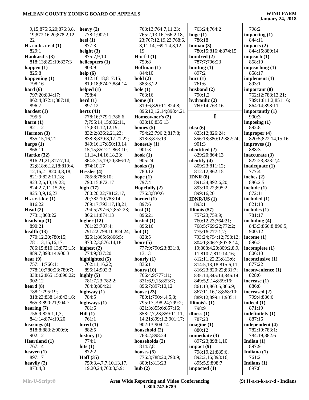| 9,15;875:6,20;876:3,8,     | heavy $(2)$                                  | 763:13;764:7,11,23;          | 763:24;764:2                  | 798:2                  |
|----------------------------|----------------------------------------------|------------------------------|-------------------------------|------------------------|
| 19;877:16,20;878:2,12,     | 778:1;902:1                                  | 765:2,13,16;766:2,18,        | huge $(1)$                    | impacting $(1)$        |
| 22                         | heel $(1)$                                   | 23;767:12,19,23;768:6,       | 786:18                        | 844:11                 |
| $H-a-n-k-a-r-d(1)$         | 877:3                                        | 8, 11, 14; 769: 1, 4, 8, 12, | human $(3)$                   | impacts $(2)$          |
| 829:1                      | height $(3)$                                 | 19                           | 780:15;816:4;874:15           | 844:15;889:14          |
| Hankard's (3)              | 875:7,9,10                                   | $H$ -o-f-f $(1)$             | hundred (2)                   | impeach $(1)$          |
|                            |                                              | 759:8                        | 787:7;796:23                  | 858:19                 |
| 818:13;822:19;827:3        | helicopters (1)                              |                              |                               |                        |
| happen $(1)$               | 803:9                                        | Hoffman (1)                  | hunting $(1)$                 | impeaching $(1)$       |
| 825:8                      | help(6)                                      | 844:10                       | 897:2                         | 858:17                 |
| happening $(1)$            | 812:16,18;817:15;                            | hold(2)                      | hurt $(1)$                    | implement (1)          |
| 798:16                     | 819:18;874:7;884:14                          | 883:3,22                     | 761:6                         | 893:1                  |
| hard $(6)$                 | helped $(1)$                                 | hole $(1)$                   | husband $(2)$                 | important $(8)$        |
| 797:20;834:17;             | 798:4                                        | 763:16                       | 790:1,2                       | 762:12;788:13,21;      |
| 862:4;872:1;887:18;        | herd $(1)$                                   | home $(8)$                   | hydraulic (2)                 | 789:1;811:2;851:16;    |
|                            | 897:12                                       |                              | 760:14;763:16                 |                        |
| 896:7                      |                                              | 819:6;820:11;824:8;          |                               | 864:14;898:11          |
| hardest $(1)$              | hertz $(41)$                                 | 896:12,12,14;898:4,21        |                               | importantly $(1)$      |
| 795:5                      | 778:16;779:1;786:6,                          | Homeowner's (2)              | $\mathbf I$                   | 900:3                  |
| harm $(1)$                 | 7;795:14,15;802:11,                          | 833:10;835:13                |                               | imposing $(1)$         |
| 821:12                     | 17;831:12,12,19;                             | homes $(5)$                  | idea $(6)$                    | 892:8                  |
| Harmon (3)                 | 832:2;836:2,21,23;                           | 794:22;796:2;817:8;          | 823:12;826:24;                | improper $(4)$         |
| 835:15,16,21               | 838:8;839:8,17,21,22;                        | 818:3;875:19                 | 856:18;880:12;882:24;         | 820:5;822:14,15,16     |
|                            |                                              |                              | 901:3                         |                        |
| harps $(1)$                | 840:16,17;850:13,14,                         | honestly $(1)$               |                               | improves(1)            |
| 866:11                     | 15, 15; 852: 21; 863: 10,                    | 901:3                        | identified (2)                | 888:3                  |
| Hartke (32)                | 11, 14, 14, 16, 18, 23;                      | hook $(1)$                   | 829:20:864:13                 | inaccurate (3)         |
| 816:21,21;817:7,14,        | 864:3,15,19,20;866:12;                       | 905:24                       | identify (4)                  | 822:23;823:2,4         |
| 22;818:6,12,18;819:4,      | 874:10,17                                    | hooks $(1)$                  | 809:23;811:12;                | inadequate $(1)$       |
| 12, 16, 21; 820: 4, 8, 18; | Hessler (4)                                  | 780:12                       | 812:12;862:15                 | 777:4                  |
| 821:9;822:11,18;           | 785:8;786:10;                                | hope $(1)$                   | IDNR $(8)$                    | inches $(2)$           |
|                            |                                              | 797:4                        |                               |                        |
| 823:2,6,13,19,23;          | 790:15;872:17                                |                              | 891:24;892:6,20;              | 886:2,5                |
| 824:2,7,11,15,20;          | high $(17)$                                  | Hopefully $(2)$              | 893:10,22;895:2;              | include $(1)$          |
| 825:3,9,16,23              | 780:20,22;781:2,17,                          | 776:3;830:6                  | 899:16,20                     | 872:11                 |
| $H-a-r-t-k-e(1)$           | 20;782:10;783:14;                            | horned $(1)$                 | IDNR/US $(1)$                 | included $(1)$         |
|                            |                                              |                              |                               |                        |
| 816:22                     | 789:17;793:17,18,21;                         | 897:6                        | 893:1                         | 821:13                 |
|                            |                                              |                              |                               |                        |
| Head $(2)$                 | 794:5;797:6,7;852:23;                        | host $(1)$                   | Illinois $(57)$               | includes $(1)$         |
| 773:1;868:22               | 866:11;874:13                                | 896:21                       | 757:23;759:9;                 | 781:17                 |
| heads-up $(1)$             | higher $(12)$                                | hosted $(1)$                 | 760:12,23;764:21;             | including $(4)$        |
| 890:21                     | 781:23;787:4;                                | 896:16                       | 768:5;769:22;772:2;           | 843:3;866:8;896:5;     |
| health $(13)$              | 791:22;798:10;824:24;                        | hot(1)                       | 775:16;777:1,2;               | 900:12                 |
| 770:12,20;780:15;          | 825:1;865:6;866:5;                           | 828:5                        | 793:24;794:12;798:12;         | income $(1)$           |
| 781:13,15,16,17;           | 873:2,3;876:14,18                            | hour $(5)$                   | 804:1;806:7;807:8,14,         | 896:3                  |
|                            | highest $(2)$                                |                              |                               |                        |
| 786:15;810:13;872:15;      |                                              | 777:9;790:23;831:8,          | 19;808:4,20;809:2,8,9,        | incomplete $(1)$       |
| 889:7;898:14;900:3         | 774:9;837:20                                 | 13,13                        | 11;810:7;811:14,16;           | 806:10                 |
| hear $(9)$                 | highlighted $(5)$                            | hourly $(1)$                 | 812:11,22,23;813:6;           | inconclusive (1)       |
| 757:11;766:1;              | 762:11,16,22;                                | 836:1                        | 814:5,13,18;815:6,11;         | 877:22                 |
| 778:10;780:23;789:7;       | 895:14;902:3                                 | hours $(10)$                 | 816:23;820:22;831:7;          | inconvenience (1)      |
| 838:12;865:15;890:22;      | highly $(5)$                                 | 766:4,9;777:11;              | 835:14;845:14;846:14;         | 828:6                  |
| 902:12                     | 781:7,23;782:2;                              | 831:6,9,15;853:7;            | 849:5,9,14;859:16;            | increase $(1)$         |
| heard $(8)$                | 784:3;804:21                                 | 896:7;897:10,12              | 861:13;863:5;866:9;           | 886:8                  |
| 788:1;795:19;              | highway $(1)$                                | house $(23)$                 | 867:11,16,18;868:10;          | increased (2)          |
|                            | 784:5                                        | 780:1;790:4,4,5,8;           |                               |                        |
| 818:23;838:14;843:16;      |                                              |                              | 889:12;899:11;905:1           | 799:4;886:6            |
| 865:3;890:21;904:7         | highways (1)                                 | 795:17;798:24;799:2;         | Illinois's (1)                | indeed $(1)$           |
| hearing $(7)$              | 781:6                                        | 821:3;855:6;857:16;          | 798:9                         | 871:19                 |
| 756:9;826:1,1,3;           | Hill(1)                                      | 858:2,7,23;859:11,11,        | illness $(1)$                 | indefinitely $(1)$     |
| 841:14;874:19,20           | 761:1                                        | 14,21;899:1,2;901:17;        | 787:23                        | 887:16                 |
| hearings $(4)$             | hired $(1)$                                  | 902:13;904:14                | imagine $(1)$                 | independent (4)        |
| 818:8;883:2;900:9;         | 882:5                                        | household (2)                | 880:12                        | 782:19;783:1;          |
| 902:12                     | history $(1)$                                | 763:2;898:24                 | immediate $(3)$               | 784:19;882:6           |
|                            | 774:1                                        |                              |                               |                        |
| Heartland (1)              |                                              | households (2)               | 897:23;898:1,10               | Indian $(1)$           |
| 767:14                     | hits $(1)$                                   | 814:7,8                      | impact $(9)$                  | 897:9                  |
| heaven $(1)$               | 872:2                                        | houses $(5)$                 | 798:19,21;889:6;              | Indiana $(1)$          |
| 897:17                     | Hoff $(35)$                                  | 776:3;788:20;790:9;          | 892:2,16;893:16;              | 761:2                  |
| heavily $(2)$<br>873:4,8   | 759:3,4,7,7,10,13,17,<br>19,20,24;760:3,5,9; | 800:1;813:23<br>hub $(2)$    | 895:5,9;898:7<br>impacted (1) | Indians $(1)$<br>897:8 |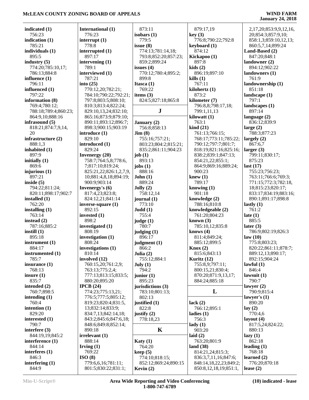| indicated (1)        | International (1)      | 873:11               | 879:17,19                 | 2,17,20;853:9,9,12,16, |
|----------------------|------------------------|----------------------|---------------------------|------------------------|
| 756:23               | 776:23                 | isobars $(1)$        | key(3)                    | 20;854:3;857:9,10;     |
| indication $(1)$     | interrupt $(1)$        | 779:5                | 776:8;790:22;792:8        | 858:1,3;859:10,12,13;  |
| 785:21               | 778:8                  | issue(8)             | keyboard (1)              | 860:5,7,14;899:24      |
| individuals (1)      | interrupted (1)        | 774:13;781:14,18;    | 874:12                    | Land-Based (2)         |
| 895:5                | 897:17                 | 793:8;852:20;857:23; | Kickapoo (1)              | 847:20;848:1           |
| industry $(5)$       | intervening $(1)$      | 859:2;899:24         | 897:8                     | landowner $(2)$        |
| 774:20;785:10,17;    | 789:1                  | issues $(4)$         | kids(2)                   | 894:12;902:22          |
| 786:13;884:8         | interviewed (1)        | 770:12;780:4;895:2;  | 896:19;897:10             | landowners (1)         |
|                      | 787:21                 | 899:8                | kills(1)                  | 761:9                  |
| influence (1)        |                        |                      |                           |                        |
| 796:11               | into $(25)$            | Itasca (1)           | 767:11                    | landownership (1)      |
| influenced (1)       | 770:12,20;782:21;      | 769:22               | kilohertz (1)             | 851:18                 |
| 797:22               | 784:10;790:22;792:21;  | items $(3)$          | 873:2                     | landscape $(1)$        |
| information (8)      | 797:8;803:5;808:10;    | 824:5;827:18;865:8   | kilometer (7)             | 797:1                  |
| 769:4;780:12;        | 810:3;813:4;822:24;    |                      | 796:8,8;798:17,18;        | landscapes $(1)$       |
| 788:18;789:4;860:23; | 829:10,13,24;832:10;   | ${\bf J}$            | 799:1,11,13               | 897:14                 |
| 864:9,10;888:16      | 865:16;873:9;879:10;   |                      | kilowatt $(1)$            | language $(2)$         |
| infrasound (5)       | 890:11;893:12;896:7;   | January (2)          | 763:1                     | 836:12;839:9           |
| 818:21;874:7,9,14,   | 898:3;900:15;903:19    | 756:8;858:13         | $\operatorname{kind}(21)$ | large $(2)$            |
| 20                   | introduce (1)          | Jim(8)               | 761:13;766:15;            | 788:3;877:23           |
| infrastructure (2)   | 829:10                 | 755:16;757:21;       | 768:17;773:11;785:22;     | largely $(2)$          |
| 888:1,3              | introduced (1)         | 803:23;804:2;815:21; | 790:12;797:7;801:7;       | 867:6,7                |
|                      | 829:24                 |                      |                           |                        |
| inhabited (1)        |                        | 835:2;861:11;904:23  | 818:19;821:16;825:16;     | larger $(3)$           |
| 897:9                | <b>Invenergy</b> (20)  | job(1)               | 838:2;839:1;847:13;       | 799:11;830:17;         |
| initially $(1)$      | 758:7;764:5,8;778:6,   | 893:13               | 854:21,22;855:1;          | 875:23                 |
| 869:6                | 7;817:10;819:24;       | jobs $(1)$           | 864:9;869:16;889:24;      | last $(17)$            |
| injurious (1)        | 825:21,22;826:1,2,7,9, | 888:16               | 900:23                    | 755:23;756:23;         |
| 897:21               | 10;881:4,8,18;894:19;  | John(1)              | knew $(1)$                | 763:11;766:6;769:3;    |
| inside $(5)$         | 900:9;903:14           | 889:24               | 789:17                    | 771:15;772:3;782:18,   |
| 794:22;811:24;       | Invenergy's (6)        | Jolly(2)             | knowing $(1)$             | 18;815:23;820:17;      |
| 820:11;898:17;902:7  | 817:4,23;823:8;        | 758:12,14            | 901:18                    | 833:17;834:19;883:16;  |
| installed (1)        | 824:12,21;841:14       | journal (1)          | knowledge (2)             | 890:1;891:17;898:8     |
| 762:20               | $inverse-square(1)$    | 773:10               | 788:16;810:8              | lastly $(1)$           |
| installing (1)       | 892:15                 | Judd(1)              | knowledgeable (2)         | 761:2                  |
|                      |                        |                      |                           |                        |
| 763:14               | invested (1)           | 755:4                | 761:20;804:23             | late $(1)$             |
| instead $(2)$        | 898:2                  | judge(1)             | known $(3)$               | 885:5                  |
| 787:16;885:2         | investigated (1)       | 780:7                | 785:10,12;835:8           | later $(3)$            |
| instill $(1)$        | 808:19                 | judging (1)          | knows $(4)$               | 786:9;802:19;826:3     |
| 895:18               | investigation (1)      | 896:17               | 811:4;849:24;             | law(10)                |
| instrument (1)       | 808:24                 | judgment $(1)$       | 885:12;899:5              | 775:8;803:23;          |
| 884:17               | investigations (1)     | 866:2                | Knox(2)                   | 820:22;861:11;878:7;   |
| instrumented (1)     | 810:14                 | Julia $(2)$          | 815:6;843:13              | 889:12,13;890:17;      |
| 785:7                | involved (12)          | 755:12;884:1         | Kuritz $(12)$             | 892:15;904:24          |
| insurance $(1)$      | 760:15,20;761:2,9;     | July (1)             | 755:8,9;797:11;           | lawful $(1)$           |
| 768:13               | 763:13;775:2,4;        | 794:2                | 800:15,21;830:4;          | 846:4                  |
| insure $(1)$         | 777:13;813:15;833:5;   | junior $(1)$         | 870:20;871:9,13,17;       | lawsuit $(1)$          |
| 835:7                | 880:20;895:20          | 895:23               | 884:24;885:18             | 790:7                  |
| intended (2)         | IPCB $(24)$            | jurisdictions (3)    |                           | lawyer $(2)$           |
| 760:7;898:5          | 774:23;775:13,21;      |                      | L                         | 790:9:815:4            |
|                      |                        | 783:10;801:13;       |                           |                        |
| intending $(1)$      | 776:5;777:5;805:12;    | 802:13               |                           | lawyer's $(1)$         |
| 760:4                | 819:23;820:4;831:5,    | justified (1)        | lack $(2)$                | 890:20                 |
| intention (1)        | 13;832:14;833:9;       | 822:8                | 766:12;895:1              | lay $(2)$              |
| 829:20               | 834:7,13;842:14,18;    | justify $(2)$        | ladies $(1)$              | 770:4,6                |
| interested (1)       | 843:2;845:6;847:6,18;  | 778:18,23            | 756:3                     | layout $(4)$           |
| 790:7                | 848:6;849:8;852:14;    |                      | $\text{lady}(1)$          | 817:5,24;824:22;       |
| interfere (3)        | 890:18                 | $\mathbf K$          | 903:20                    | 880:13                 |
| 844:19,19;845:2      | irrelevant (1)         |                      | laid $(2)$                | lazy(1)                |
| interference (1)     | 888:14                 | <b>Katy</b> $(1)$    | 763:20;801:9              | 862:18                 |
| 844:14               | Irving $(1)$           | 764:20               | land $(38)$               | leading $(1)$          |
| interferes (1)       | 769:22                 | keep(5)              | 814:21,24;815:3;          | 768:18                 |
| 846:3                | ISO(8)                 |                      |                           | learned $(2)$          |
|                      |                        | 774:10;818:15;       | 836:3,7,11,16;847:6;      |                        |
| interfering $(1)$    | 779:6,6,16;781:11;     | 852:12;869:24;890:15 | 848:14,18,22,23;849:2;    | 776:20;870:18          |
| 844:9                | 801:5;830:22;831:1;    | Kevin $(2)$          | 850:8,12,18,19;851:1,     | lease $(2)$            |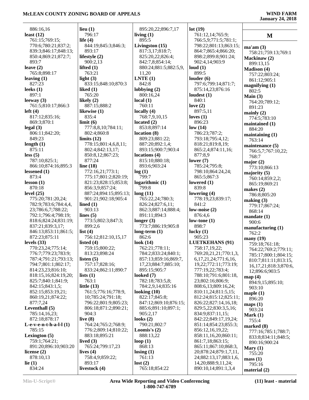| 886:16,16                                 | lieu $(1)$                                   | 895:20,22;896:7,17                  | lot(19)                                          |                              |
|-------------------------------------------|----------------------------------------------|-------------------------------------|--------------------------------------------------|------------------------------|
| least $(12)$                              | 796:17                                       | living $(1)$                        | 761:12,14;765:9;                                 | M                            |
| 761:15;769:15;                            | life $(4)$                                   | 895:5                               | 766:5,9;771:5;781:1;                             |                              |
| 770:6;780:21;837:2;                       | 844:19;845:3;846:3;                          | Livingston (15)                     | 798:22;801:13;863:15;                            | ma'am(3)                     |
| 839:3;846:17;848:13;                      | 893:17                                       | 817:3,17;818:7;                     | 864:7;865:4;866:20;                              | 758:21;759:13;769:1          |
| 850:4;869:21;872:7;                       | lifestyle (2)                                | 825:20,22;826:4;                    | 898:2;899:8;901:24;                              | Mackinaw (2)                 |
| 893:7                                     | 900:2,13                                     | 842:7,8;854:14;                     | 902:4,14;903:9                                   | 899:13,15                    |
| leave $(2)$                               | lifted $(1)$                                 | 880:24;881:5;882:5,9,               | loud(1)                                          | <b>Madison (4)</b>           |
| 765:8;898:17                              | 763:21                                       | 11,20                               | 899:5                                            | 757:22;803:24;               |
| leaving $(1)$                             | light $(3)$                                  | LNTE(1)                             | louder $(6)$                                     | 861:12;905:1                 |
| 827:23                                    | 833:15;848:10;870:3                          | 842:8                               | 797:6;799:14;871:7;                              | magnifying $(1)$             |
| leeks $(1)$<br>897:1                      | liked $(1)$<br>765:20                        | lobbying $(2)$<br>800:16,24         | 875:14,23;876:16<br>loudest $(1)$                | 802:5                        |
| leeway $(3)$                              | likely $(2)$                                 | local(1)                            | 840:1                                            | Main $(3)$                   |
| 761:5;810:17;866:3                        | 887:15;888:2                                 | 760:11                              | love $(2)$                                       | 764:20;789:12;               |
| left $(4)$                                | likewise (1)                                 | locally $(4)$                       | 897:5,11                                         | 891:23                       |
| 817:12;835:16;                            | 835:4                                        | 768:7,9,10,15                       | loves $(1)$                                      | mainly $(2)$<br>774:5;783:10 |
| 869:3;870:1                               | limit(6)                                     | located $(2)$                       | 896:23                                           | maintained (1)               |
| legal(3)                                  | 777:8,8,10;784:11;                           | 853:8;897:14                        | low(14)                                          | 884:20                       |
| 806:11;842:20;                            | 802:4;860:8                                  | location(8)                         | 786:23;787:2;                                    | maintaining $(1)$            |
| 849:23                                    | limits $(12)$                                | 809:23;881:22;                      | 793:18;795:4,12;                                 | 763:14                       |
| length $(1)$                              | 778:15;801:4,6,8,11;                         | 887:20:892:1,4:                     | 818:21;819:8,19;                                 | maintenance (5)              |
| 875:11                                    | 802:4;842:13,17;                             | 893:15;900:7;903:4                  | 865:2,4;874:11,16;                               | 766:5,7;767:10,22;           |
| less(5)                                   | 850:8,12;867:23;                             | locations (4)                       | 877:8,9                                          | 768:7                        |
| 787:10;825:1;                             | 877:24                                       | 815:10;880:18;                      | lower $(7)$                                      | major $(2)$                  |
| 866:10;874:16;895:3                       | line $(18)$                                  | 893:6;903:24                        | 785:24;795:8;                                    | 773:10;866:13                |
| lessened $(1)$                            | 772:16,21;773:1;                             | log(1)<br>799:7                     | 798:10;864:24,24;                                | majority $(5)$               |
| 873:4<br>lesson(1)                        | 775:17;801:2;820:19;<br>821:23;828:15;853:8; |                                     | 865:5;867:3<br>lowered $(1)$                     | 760:14;859:2,2;              |
| 870:18                                    | 856:3,9;857:24;                              | logarithmic(1)<br>799:8             | 839:8                                            | 865:19;869:21                |
| level $(25)$                              | 887:24;894:15;895:13;                        | long(11)                            | lowering $(4)$                                   | makes $(2)$                  |
| 775:20;781:20,24;                         | 901:21;902:18;905:4                          | 765:22,24;780:3;                    | 778:19,23;839:17;                                | 786:8;805:20                 |
| 782:9;783:6;784:4,4,                      | lined $(1)$                                  | 826:24;827:6,11;                    | 841:2                                            | making $(3)$                 |
| 23;786:6,7;788:22;                        | 903:13                                       | 862:3;887:14;888:4;                 | low-noise $(2)$                                  | 779:17;867:24;<br>868:14     |
| 792:1;796:4;798:19;                       | lines $(5)$                                  | 891:11;894:3                        | 876:4,6                                          | mandate(1)                   |
| 818:6;824:24;831:19;                      | 773:5;802:3;847:3;                           | longer $(3)$                        | low-tone $(1)$                                   | 900:6                        |
| 837:21;839:3,17;                          | 899:2,6                                      | 773:7;886:19;905:8                  | 898:7                                            | manufacturing $(1)$          |
| 846:13;853:11;861:5;                      | list $(4)$                                   | long-term $(1)$                     | lucky $(1)$                                      | 762:2                        |
| 872:23;875:11                             | 756:12;812:10,15,17                          | 862:6                               | 905:23                                           | many(19)                     |
| levels $(33)$                             | listed $(4)$                                 | look $(14)$                         | <b>LUETKEHANS (91)</b>                           | 759:18;761:18;               |
| 770:23,24;775:14;                         | 759:15;800:22;                               | 762:21;778:11;                      | 758:17,19,22;                                    | 764:22;769:2;779:11;         |
| 776:7;779:23;783:9;                       | 813:23;898:24                                | 784:2;833:24;840:1;                 | 769:20,21,21;770:1,3,                            | 785:17;800:1;804:15;         |
| 787:4;791:21;793:13;                      | listen $(5)$                                 | 857:13;859:16;869:7,                | 6, 17, 21, 24; 771: 6, 16,                       | 810:7;811:11;813:15,         |
| 794:7;801:1;802:17;                       | 757:17;828:16;                               | 17,23;884:7;885:10;<br>895:15:905:7 | 19,22;772:11;773:19;                             | 16, 17, 21; 818: 3; 870: 6,  |
| 814:23,23;816:10;<br>818:15,16;824:19,20; | 833:24;862:11;890:7<br>lists $(1)$           | looked $(7)$                        | 777:19,22;783:4;<br>788:10;791:6;801:18,         | 12;896:6;903:5               |
| 825:7;840:1;841:9;                        | 763:1                                        | 782:18;783:5,8;                     | 23;802:16;806:9;                                 | map(4)                       |
| 842:15;843:1,5;                           | little $(13)$                                | 784:2,9,14;835:16                   | 808:6,13;809:16,24;                              | 894:9,15;895:10;             |
| 852:15;853:19,21;                         | 761:5;776:16;778:9,                          | looking $(10)$                      | 810:11,24;811:5,15;                              | 903:10<br>maple $(1)$        |
| 860:19,21;874:22;                         | 10;785:24;791:18;                            | 822:17;845:8;                       | 812:24;815:12;825:11;                            | 896:20                       |
| 877:7,24                                  | 796:22;801:9;805:23;                         | 847:12;869:10;876:15;               | 826:22;827:14,16,18;                             | maps(1)                      |
| Leventhall (5)                            | 806:18;871:2;890:21;                         | 885:6;891:10;897:1;                 | 829:5,22;830:3,5,16;                             | 903:24                       |
| 785:14,16,23;                             | 904:3                                        | 905:2,17                            | 834:9;837:11,15;                                 | Mark $(1)$                   |
| 872:18;878:17                             | live $(8)$                                   | looks $(2)$                         | 842:22;849:17,19,24;                             | 755:4                        |
| $L-e-v-e-n-t-h-a-l-1(1)$                  | 764:24;765:2;768:9;                          | 790:21;802:7                        | 851:14:854:23:855:3:                             | marked (8)                   |
| 785:15                                    | 776:2;809:14;810:22;                         | Loomis's $(2)$                      | 856:12,16,19,22;                                 | 777:16;785:1;788:7;          |
| Lexington $(5)$                           | 883:18;895:21                                | 888:13,22                           | 858:11,16,20;860:11;                             | 833:8;834:11;848:5;          |
| 759:1;764:21;                             | lived $(3)$                                  | loop $(1)$                          | 861:7,18;863:15;                                 | 890:16;900:24                |
| 891:20;896:10;903:20                      | 765:24;799:17,23                             | 868:13                              | 865:11;867:10;868:3,                             | Mary $(1)$                   |
| license $(2)$<br>878:10,13                | lives $(4)$<br>758:4,9;859:22;               | $\text{losing } (1)$<br>761:13      | 20;878:24;879:1,7,11,                            | 755:20                       |
| lie $(1)$                                 | 893:17                                       | lost(2)                             | 24;882:13,17;883:1,6,<br>14, 20; 888: 9, 11, 24; | mass(1)                      |
| 834:24                                    | livestock (4)                                | 765:18;854:22                       | 890:10,14;891:1,3,4                              | 795:16                       |
|                                           |                                              |                                     |                                                  | material $(2)$               |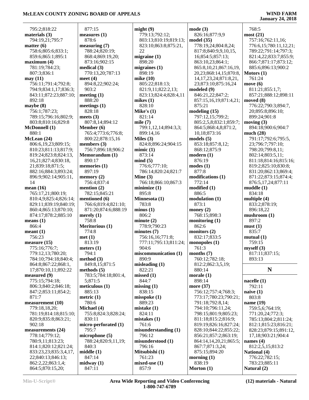795:2;818:22 **materials (3)** 794:19,21;795:7 **matter (6)** 758:6;805:6;833:1; 859:6;865:1;895:1 **maximum (4)** 781:19;784:23; 807:3;836:1 **may (11)** 756:11;791:4;792:8; 794:9;834:1,17;836:3; 843:11;872:23;887:10; 892:18 **maybe (8)** 756:1;787:23; 789:15;796:16;802:9; 803:8;810:16;829:8 **McDonnell (1)** 880:1 **McLean (24)** 806:6,19,23;809:15; 810:23;811:13;817:9; 819:24;823:8;824:13, 16,21;827:4;830:18, 21;839:18;871:5; 882:16;884:3;893:24; 896:9;902:14;905:11, 14 **mean (16)** 765:17,21;800:19; 810:4,9;825:4;826:14; 829:11;839:19;840:19; 860:4;865:13;870:10; 874:17;878:2;885:10 **means (1)** 866:4 **meant (1)** 756:23 **measure (15)** 775:16;776:7; 779:12,13;780:20; 784:10;794:18;840:4; 864:8;867:22;868:1, 17;870:10,11;892:22 **measured (9)** 775:15;794:18; 806:3;840:2;846:18; 847:2;853:11;854:2; 871:7 **measurement (10)** 779:18,18,20; 781:19;814:18;815:10; 820:9;835:8;863:21; 902:18 **measurements (24)** 778:14;779:12; 780:9,11;813:23;

 877:15 **measures (1)** 878:6 **measuring (7)** 788:24;820:19; 868:4;869:19,20; 873:16;902:15 **medical (3)** 770:13,20;787:13 **meet (4)** 894:8,22;902:24; 903:2 **meeting (1)** 888:20 **meetings (1)** 828:18 **meets (3)** 807:8,14;894:12 **Member (6)** 765:4;773:6;776:8; 800:22;878:15,16 **members (3)** 756:7;896:18;906:2 **Memorandum (1)** 890:17 **memories (1)** 897:19 **memory (2)** 756:4;837:4 **mention (2)** 782:15;845:21 **mentioned (6)** 766:6;819:4;821:10; 871:20;874:6;888:19 **merely (1)** 758:8 **Meritorious (1)** 774:8 **met (1)** 813:19 **meters (1)** 794:1 **method (3)** 849:8,15;871:5 **methods (5)** 783:5;784:18;801:4, 5;871:5 **meticulous (1)** 885:13 **metric (1)** 780:6 **Michael (4)** 755:8;824:3;828:24; 830:11 **micro-perforated (1)** 795:7 **microphone (5)** 788:24;820:9,11,19; 840:3 **middle (1)** 847:14 **midway (1)** 847:11

**might (9)** 779:13;792:12; 803:13;810:19;819:13; 823:10;863:8;875:21, 22 **migraine (1)** 898:20 **migraines (1)** 898:19 **mike (10)** 805:22;818:13; 821:9,11;822:2,13; 823:13;824:4;828:4,11 **mikes (1)** 828:10 **Mike's (1)** 821:14 **mile (7)** 799:1,12,14;894:3,3; 899:14,16 **Miles (3)** 824:8;896:24;904:15 **mimic (1)** 873:14 **mind (5)** 776:6;777:10; 786:14;820:24;821:7 **Mine (3)** 766:18;866:10;867:3 **minimize (1)** 895:8 **Minnesota (1)** 783:8 **minus (1)**  $806.2$ **minute (2)** 778:9;790:23 **minutes (7)** 756:16,16;771:8; 777:11;795:13;811:24; 904:6 **miscommunication (1)** 890:9 **misleading (1)** 822:21 **missed (1)** 844:7 **missing (1)** 838:15 **misspoke (1)** 889:23 **mistake (1)** 824:11 **mistakes (1)** 761:6 **misunderstanding (1)** 796:12 **misunderstood (1)** 796:16 **Mitsubishi (1)** 761:23 **mixed-use (1)** 857:9

**mode (3)** 826:16;877:9,9 **model (35)** 778:19,24;804:8,24; 817:8;840:9,9,10,15, 16;854:5;857:13; 863:10,23;864:1; 865:8,10,21;867:16,19, 20,23;868:14,15;870:8, 14,17,23,24;871:8,21, 23;873:10;875:16,24 **modeled (9)** 846:21,22;847:2; 857:15,16,19;871:4,21; 875:21 **modeling (15)** 797:12,15;799:2; 805:2,5,8;832:1;859:7; 864:5;868:4,8;871:2, 10,18;873:16 **models (5)** 853:18;857:8,12; 868:12;875:9 **modern (1)** 876:19 **modes (1)** 877:8 **modifications (1)** 772:14 **modified (1)** 886:5 **modulation (1)** 873:1 **money (2)** 768:15;898:3 **monitoring (1)** 862:6 **monitors (2)** 832:17;833:5 **monopoles (1)** 761:3 **months (7)** 760:12;782:18; 812:2;862:3,5,19; 880:14 **morale (1)** 898:14 **more (37)** 756:12;757:4;768:3; 773:17;780:23;790:21; 791:18;792:8,14; 794:10;796:11,24; 798:15;801:9;805:23; 811:18;815:2;816:9; 819:19;826:16;827:24; 828:10;844:22;855:22; 856:21;857:2;863:19; 864:14,14,20,21;865:5; 867:7;871:3,24; 875:15;894:20 **morning (1)** 838:19 **Morton (1)**

# **January 24, 2018**

 768:5 **most (21)** 757:16;762:11,16; 776:6,15;780:11,12,21; 789:22;791:14;797:3; 821:4,22;833:7;855:9; 866:7;871:17;873:12; 885:6;896:13;900:2 **Motors (1)** 761:24 **move (6)** 811:21;855:1,7; 857:21;888:12;898:11 **moved (8)** 776:22;790:3;894:7, 20;895:8;896:10; 899:24;901:8 **moving (3)** 894:18;900:6;904:7 **much (28)** 791:17;792:6;795:5, 23;796:7;797:10; 798:20;799:8,11; 802:14;803:5,11; 811:18;814:16;815:16; 819:2;825:10;830:8; 831:20;862:13;869:4; 871:22;873:15;874:4; 876:5,17,24;877:11 **muddle (1)** 834:18 **multiple (4)** 833:2;878:19; 896:18,22 **mushroom (1)** 897:2 **must (1)** 835:7 **mutual (1)** 759:15 **myself (3)** 817:11;837:15; 893:13 **N nacelle (1)** 792:11 **naive (1)** 803:8 **name (19)** 759:5,6;764:19; 771:20,24;772:3; 785:13;804:2;811:24; 812:1;815:23;816:21; 828:23;879:15;891:12, 17,18;903:21;904:4 **names (4)** 812:2,5,15;813:2 **National (4)** 776:22;782:15;

 814:1;820:12;821:24; 833:23,23;835:3,4,17, 22;840:13;846:13; 862:2,22;863:1,4; 864:5;870:15,20;

 783:23;885:11 **Natural (2)**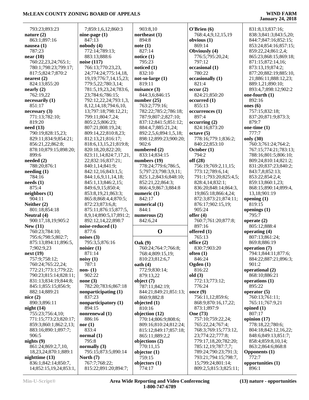| 793:23;893:23                                       | 7;859:1,6,12;860:3                    | 903:8,10                  | O'Brien(6)                                 | 831:8,13;837:16;           |
|-----------------------------------------------------|---------------------------------------|---------------------------|--------------------------------------------|----------------------------|
| nature $(2)$                                        | nine-page $(1)$                       | northeast $(1)$           | 768:4,4,9,12,15,19                         | 838:3;841:3;843:5,20;      |
| 863:1;897:16                                        | 847:13                                | 894:8                     | obvious $(1)$                              | 844:7;847:16;852:15;       |
| nausea $(1)$                                        | nobody(4)                             | note(1)                   | 869:14                                     | 853:24;854:16;857:15;      |
| 787:23                                              | 772:14;789:13;                        | 827:14                    | Obviously (4)                              | 859:22,24;861:2,4;         |
| near $(10)$                                         | 883:13:888:6                          | notice $(1)$              | 776:5;795:20,24;                           | 865:23;868:15;869:18;      |
| 760:22,23,24;765:1;                                 | noise (117)                           | 795:23                    | 797:12                                     | 871:15;872:14,16;          |
| 780:1;798:23;799:17;                                | 766:13;770:23,23,                     | noticed $(1)$             | occasional (1)                             | 873:13,19;874:2;           |
| 817:5;824:7;870:2                                   | 24;774:24;775:14,18,                  | 832:10                    | 780:22                                     | 877:20;882:19;885:10,      |
| nearest(2)                                          | 19, 19; 776: 7, 14, 15, 23;           | $not$ -so-large $(1)$     | occasionally (1)                           | 21;886:11;888:12,23;       |
|                                                     | 779:5,22;780:3,14;                    |                           |                                            |                            |
| 824:13;855:20                                       |                                       | 819:11                    | 821:4                                      | 889:1,21;890:10;           |
| nearly (2)                                          | 781:5,19,23,24;783:6,                 | nuisance (3)              | occur(2)                                   | 893:4,7;898:12;902:2       |
| 762:19,22                                           | 23;784:6;786:15;                      | 844:3,6;846:15            | 824:21;850:20                              | one-fourth (1)             |
| necessarily (1)                                     | 792:12,22,24;793:1,3,                 | number $(25)$             | occurred(1)                                | 892:16                     |
| 851:17                                              | 8, 12, 14, 18; 794: 6, 10,            | 763:2;779:16;             | 855:13                                     | ones $(6)$                 |
| necessary(3)                                        | 13;797:18;798:12,21;                  | 782:22;785:2;786:18;      | occurrences(1)                             | 757:15;832:18;             |
| 771:13;782:10;                                      | 799:11;804:7,24;                      | 787:9;807:2;827:10;       | 897:4                                      | 837:20;871:9;873:3;        |
| 819:20                                              | 805:2,5;806:23;                       | 837:12;841:5;851:12;      | occurring (2)                              | 879:7                      |
| need(13)                                            | 807:21;808:19,24;                     | 884:4,7;885:21,24;        | 824:16;873:20                              | one-time $(1)$             |
| 790:19;828:15,23;                                   | 809:14,22;810:8,23;                   | 892:2,5,6;894:1,5,18;     | octave(5)                                  | 777:7                      |
| 829:11;834:9;854:21;                                | 812:13,21;816:17;                     | 898:12;899:23;900:20;     | 778:16;779:1;836:2;                        | only (30)                  |
| 856:21,22;862:8;                                    | 818:6, 13, 15, 21; 819:8;             | 902:6                     | 840:22;853:10                              | 760:3;761:24;764:2;        |
| 878:10;879:15;898:20;                               | 820:18,20;822:20;                     | numbered (2)              | October (1)                                | 767:15;774:21;783:13;      |
| 899:6                                               | 823:11,14;824:7,17,21,                | 833:14;834:15             | 794:2                                      | 788:16;801:5;806:10;       |
| needed $(2)$                                        | 22;832:16;837:21;                     | numbers (19)              | off $(28)$                                 | 809:24;810:14;821:2;       |
| 788:20;876:1                                        | 840:1,14;841:9;                       | 778:24;779:6;786:5,       | 756:19;769:2,11,15;                        | 831:20;837:23;840:2;       |
| $\mathbf{needing}$ (1)                              | 842:12,16;843:1,5;                    | 5;797:23;798:3,9,11;      | 773:12;789:6,14;                           | 843:7,8;852:13;            |
| 784:16                                              | 844:1,6,9,11,14,18;                   | 825:1,2;843:6;848:10;     | 791:1;793:20;825:4,5;                      |                            |
|                                                     |                                       |                           |                                            | 853:22;854:2,4;            |
| needs(1)                                            | 845:1,13;846:2,15;                    | 852:21,22;864:3;          | 828:4,14;832:1;                            | 859:13;860:1,23;           |
| 875:4                                               | 849:6,9,15;850:4;                     | 866:4,9;867:3;884:8       | 836:20;848:14;864:3,                       | 868:15;890:14;899:4,       |
| neighbors (1)                                       | 853:8,19,21;863:3;                    | numeric $(1)$             | 19;865:18;866:4,24;                        | 13,18;901:19               |
|                                                     |                                       |                           |                                            |                            |
| 904:11                                              | 865:8;868:4,4;870:5;                  | 842:17                    | 872:3;873:21;874:11;                       | opening $(1)$              |
| Neither $(2)$                                       | 872:23;873:6,8;                       | numerical (1)             | 876:17;902:15,19;                          | 819:15                     |
| 801:18;854:18                                       | 875:11;876:15;877:5,                  | 844:1                     | 905:24                                     | openings $(1)$             |
| Neutral $(4)$                                       | 8,9,14;890:5,17;891:2;                | numerous $(2)$            | offer $(4)$                                | 795:7                      |
| 900:17,18,19;905:2                                  | 892:12,14,22;898:7                    | 842:6,24                  | 760:7;761:20;877:8;                        | operate $(2)$              |
| New $(11)$                                          | noise-reduced (1)                     |                           | 897:16                                     | 805:12;888:4               |
| 760:23;784:10;                                      | 877:6                                 | $\mathbf 0$               | offered $(1)$                              | operating (4)              |
| 795:6;798:5;802:7;                                  | noises $(3)$                          |                           | 765:13                                     | 807:13;861:24;             |
| 875:13;894:11;896:5,                                | 795:3,5;876:16                        | $\textbf{Oak}(9)$         | office $(2)$                               | 869:8;886:19               |
| 7;902:9,23                                          | noise(1)                              | 760:24;764:7;766:8;       | 830:7;903:20                               | operation (7)              |
|                                                     | 871:14                                | 768:4;809:15,19;          | often $(1)$                                | 794:1;844:11;877:6;        |
| 757:9;758:12;                                       | noisy(1)                              | 810:23;812:6,7            | 846:24                                     | 884:22;887:21;896:3;       |
| 760:24;765:22,24;                                   | 787:1                                 | $\alpha$ ath (4)          | Ogden (1)                                  | 901:2                      |
| 772:21;773:1;779:22;                                | non- $(1)$                            | 772:9;830:14;             | 816:22                                     | operational (2)            |
| 790:23;815:14;828:11;                               | 902:22                                | 879:13,22                 | old(3)                                     | 868:10;886:21              |
|                                                     |                                       |                           |                                            |                            |
| 831:13;834:19;844:8;                                | none $(3)$                            | object $(7)$              | 772:13;773:12;<br>776:24                   | operations (1)<br>895:22   |
| 845:1;855:15;856:9;                                 | 782:20;783:6;867:18                   | 787:11;842:19;            |                                            |                            |
| 882:14;889:21                                       | nonparticipating (1)<br>837:23        | 844:21;849:21;851:13;     | once $(9)$                                 | operator $(5)$             |
|                                                     |                                       | 860:9;882:8               | 756:11,12;859:6;                           | 760:13;761:11;             |
| 890:3;896:11                                        | nonparticipatory (1)                  | objected (1)              | 868:9;870:16,17,22;                        | 765:11;767:9,21            |
|                                                     | 894:15                                | 810:16                    | 873:1;897:9                                | opined $(1)$               |
| 755:23;756:4,10;                                    | nonrenewal (1)                        | objection (12)            | <b>One</b> (73)                            | 807:17                     |
| 771:15;773:23;820:17;                               | 886:16                                | 770:14;806:9;808:6;       | 757:10;759:22,24;                          | opinion $(17)$             |
| 859:3;860:1;862:2,13;                               | nor(1)                                | 809:16;810:24;812:24;     | 765:22,24;767:4;                           | 778:18,22;780:6;           |
| 883:16;890:1;897:7;                                 | 833:4                                 | 815:12;849:17;857:18;     | 768:3;769:15;773:12,                       | 804:18;842:12,16,22;       |
| 906:5                                               | normal $(1)$                          | 865:11;889:2,2            | 23;774:22;777:8;                           | 848:6;849:13;851:7;        |
| next(19)<br>nice $(2)$<br>night(14)<br>nights $(9)$ | 795:8                                 | objections (2)            | 779:17,18,20;782:20;                       | 858:4;859:8,10,14;         |
| 861:24;869:2,7,10,                                  | normally $(3)$                        | 770:11,15                 | 785:12,19;787:7,7;                         | 863:2;864:6;868:8          |
| 18, 23, 24; 870: 1; 889: 1                          | 795:15;873:5;890:14                   | objector $(1)$            | 789:24;790:23;791:3;                       | <b>Opponents</b> (1)       |
| nighttime $(13)$                                    | North $(7)$                           | 759:15                    | 793:21;794:15;798:7,                       | 772:7                      |
| 836:1;842:14;850:7,<br>14;852:15,19,24;853:1,       | 767:7;768:22;<br>815:22;891:20;894:7; | objectors $(1)$<br>774:17 | 15;799:24;801:14;<br>809:2,5;815:3;825:11; | opportunities (1)<br>896:1 |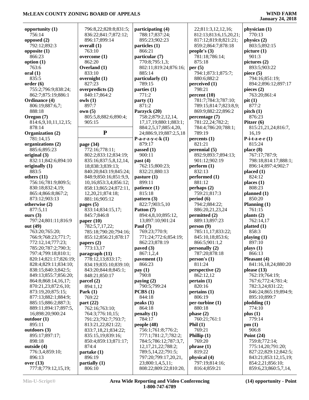| opportunity (1)                          | 796:8,22;828:8;831:5;            | participating (4)           | 22;811:3,12,12,16;                 | physician (1)          |
|------------------------------------------|----------------------------------|-----------------------------|------------------------------------|------------------------|
| 756:14                                   | 836:22;841:7;872:12;             | 788:17;837:24;              | 812:13;813:6,15,20,21;             | 770:13                 |
| opposed $(2)$                            | 896:17;899:14                    | 895:23;902:23               | 817:12;819:8;821:21;               | physics (2)            |
| 792:12;892:3                             | overall (1)                      | particles (1)               | 859:2;864:7;878:18                 | 803:5;892:15           |
| opposite $(1)$                           | 763:10                           | 866:21                      | people's $(3)$                     | picture(1)             |
| 866:23                                   | overcome (1)                     | particular (7)              | 781:18;786:14;                     | 901:3                  |
| option $(1)$                             | 862:20                           | 770:8;795:1,3;              | 875:18                             | pictures $(2)$         |
| 763:6                                    | Overland (1)                     | 802:11;819:24;876:16;       | per $(5)$                          | 893:5;903:22           |
| $\bf{oral}$ $(1)$                        | 833:10                           | 885:14                      | 794:1;873:1;875:7;                 | piece $(5)$            |
| 835:5                                    | overnight (1)                    | particularly (1)            | 880:6;882:2                        | 794:16;851:19;         |
| order(6)                                 | 827:23                           | 789:15                      | perceived (1)                      | 894:2;896:12;897:17    |
| 755:2;796:9;838:24;                      | overpredicts (2)<br>840:17:864:2 | parties $(1)$<br>771:2      | 798:21                             | pieces $(2)$           |
| 862:7;875:19;886:1<br>Ordinance (4)      | owls(1)                          |                             | percent(10)<br>781:7;784:3;787:10; | 763:20;861:4<br>pit(1) |
| 806:19;887:6,7;                          | 897:7                            | party(1)<br>871:2           | 789:15;814:7;823:8,9;              | 877:2                  |
| 888:18                                   | own(5)                           | Parzyck (20)                | 869:9;882:22;896:2                 | pitch(1)               |
| Oregon (7)                               | 805:5,8;882:6;890:4;             | 758:2;879:2,12,14,          | percentage (7)                     | 876:23                 |
| 814:6,9,10,11,12,15;                     | 905:15                           | 17, 17, 19; 880: 1; 883: 1; | 781:22,24;782:2;                   | Pitzer $(6)$           |
| 878:14                                   |                                  | 884:2,5,17;885:4,20,        | 784:4;786:20;788:1;                | 815:21,21,24;816:7,    |
| Organization (2)                         | ${\bf P}$                        | 24;886:9,19;887:2,5,18      | 789:19                             | 16,19                  |
| 781:14,15                                |                                  | $P-a-r-z-y-c-k(1)$          | percents(1)                        | P-i-t-z-e- $r(1)$      |
| organizations (2)                        | page (34)                        | 879:17                      | 821:21                             | 815:24                 |
| 885:6;895:23                             | 772:16;778:11;                   | passed (1)                  | perennial (5)                      | place $(8)$            |
| original $(3)$                           | 802:2;833:12;834:19;             | 900:11                      | 892:9;893:7;894:13;                | 767:17;787:9;          |
| 832:11;842:6;894:10                      | 835:16;837:5,8,12,14,            | past $(4)$                  | 901:12;902:19                      | 798:18;814:17;888:1;   |
| originally $(1)$                         | 18;838:3;839:13;                 | 762:15;800:23;              | perform (1)                        | 896:14;897:4;902:7     |
| 883:5                                    | 840:20;843:19;845:24;            | 832:21;880:13               | 832:13                             | placed(1)              |
| others $(11)$                            | 848:9;850:16;851:9,9,            | pasture (1)                 | performed (1)                      | 824:12                 |
| 756:16;781:9;809:5;                      | 10,16;853:3,4;856:12;            | 899:11                      | 881:12                             | places $(1)$           |
| 830:18;832:4,19;                         | 858:13;865:24;872:11,            | patience (1)                | perhaps (2)                        | 808:23                 |
| 865:4;866:8;867:2;                       | 12,20,21;874:18;                 | 815:18                      | 759:21;817:3                       | planned(1)             |
| 873:12;903:13                            | 881:16;905:12                    | pattern $(3)$               | period(6)                          | 850:20                 |
| otherwise (2)                            | pages $(5)$                      | 822:7;903:5,10              | 794:2;884:22;                      | Planning (1)           |
| 877:5,11                                 | 833:14;834:15,17;                | Patton (7)                  | 886:20,21,23,24                    | 761:15                 |
| ours $(3)$                               | 845:7;846:8                      | 894:4,8,10;895:12,          | permitted (2)                      | plants $(2)$           |
| 797:24;801:11;816:9                      | paper $(10)$                     | 13;897:10;901:24            | 889:13;897:23                      | 762:14,17              |
| out (49)                                 | 782:5,7,17,22;                   | Paul $(7)$                  | person(9)                          | platted $(1)$          |
| 763:20;765:20;                           | 785:18;790:20;794:16;            | 769:23;770:9;               | 785:11,17;833:22;                  | 858:3                  |
| 766:9;768:23;771:7;                      | 855:12;856:21;878:17             | 771:24;772:6;854:19;        | 845:10,18;853:6;                   | playing $(1)$          |
| 772:12,14;777:23;                        | papers $(2)$                     | 862:23;878:19               | 866:5;901:1,2                      | 897:10                 |
| 785:20;787:2;790:3;                      | 773:13,17                        | paved $(3)$                 | personally (2)                     | plays (1)              |
| 797:4;799:18;810:1;                      | paragraph (11)                   | 867:1,2,4                   | 787:20;878:18                      | 866:13                 |
| 820:14;821:17;826:19;                    | 778:12,13;833:17;                | pavement $(1)$              | person's $(1)$                     | Pleasant (4)           |
| 828:4;829:11;834:10;                     | 834:19;835:10;839:10;            | 866:23                      | 811:24                             | 841:16,18,24;880:20    |
| 838:15;840:3;842:5;                      | 843:20;844:8;845:1;              | pay(1)                      | perspective (2)                    | please $(13)$          |
| 849:13;855:7;856:20;                     | 848:21:850:17                    | 790:8                       | 862:12,12                          | 762:19;764:19;         |
| 864:8;868:14,16,17;                      | parcel $(2)$                     | paying $(2)$                | pertain(1)                         | 767:6;772:4;781:4;     |
| 870:21,23;872:6,10;                      | 894:1,12                         | 790:5;799:24                | 820:16                             | 782:3,24;831:22;       |
| 873:19,20;875:15;                        | Park $(1)$                       | PCBS(1)                     | pertains(1)                        | 846:24;865:19;894:9;   |
| 877:13;882:1;884:9;                      | 769:22                           | 844:18                      | 806:19                             | 895:10;899:7           |
| 885:15;886:2;887:3;                      | part $(22)$<br>762:16;763:10;    | peaks(1)                    | per-turbine (1)                    | plodding(1)            |
| 889:11;894:17;897:5,<br>16;898:20;900:24 | 764:3;776:10,15;                 | 864:18<br>penalty(1)        | 880:18<br>phase $(2)$              | 774:10<br>plus(1)      |
| outdoor(1)                               | 791:23;792:7;793:7;              | 784:17                      | 760:21;761:1                       | 779:14                 |
| 895:11                                   | 813:21,22;821:22;                | people $(48)$               | Phil $(1)$                         | pm(1)                  |
| outdoors (3)                             | 833:7,18,21;834:22;              | 756:1;761:8;776:2;          | 769:21                             | 906:8                  |
| 895:17;897:17;                           | 835:15,19;839:16;                | 777:1;781:2,7;782:2;        | Phillip $(1)$                      | Point $(24)$           |
| 898:18                                   | 850:4;859:13;871:17;             | 784:5;786:12;787:3,7,       | 769:20                             | 759:8;772:14;          |
| outside (4)                              | 874:4                            | 12, 17, 21, 22; 788: 2;     | phrase(1)                          | 775:14,20;791:20;      |
| 776:3,4;859:10;                          | partake (1)                      | 789:5,14,22;791:5;          | 819:22                             | 827:22;829:12;842:5;   |
| 896:13                                   | 896:19                           | 797:20;799:17,20,21,        | physical (4)                       | 843:21;853:12,15,19;   |
| over $(13)$                              | partially(1)                     | 23;800:1,4,5,11;            | 797:19;814:16;                     | 854:2,21;856:10;       |
| 777:8;779:12,15,19;                      | 806:10                           | 808:22;809:22;810:20,       | 816:4;859:21                       | 859:6,23;860:5,7,14,   |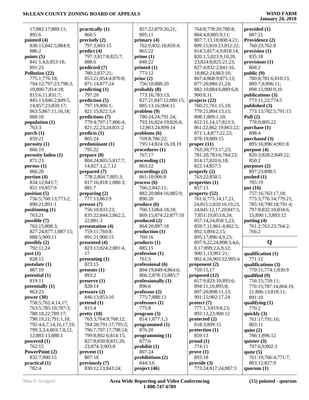**January 24, 2018**

**provided (1)** 887:21 **Providence (2)**

 17;882:17;889:11; 895:6 **pointed (4)** 838:15;842:5;884:9; 886:2 **points (5)** 841:1,4,6;853:18; 891:23 **Pollution (22)** 775:1;776:18; 794:12;797:23;798:3, 10;806:7;814:18; 815:6,11;831:7; 845:13;846:2;849:5, 14;857:23;859:17; 863:5;867:11,16,18; 868:10 **population (1)** 763:3 **porch (1)** 859:21 **porosity (1)** 866:19 **porosity-laden (1)** 871:23 **porous (1)** 866:20 **portion (4)** 834:12;843:7; 851:19;857:9 **position (5)** 756:5;760:13;773:2; 890:21;891:1 **positioning (1)** 763:21 **possible (7)** 763:15;808:3; 827:24;877:1;887:15; 888:5;900:11 **possibly (2)** 792:11,24 **post (1)** 828:15 **postulate (1)** 887:19 **potential (1)** 819:11 **potentially (1)** 863:23 **power (30)** 758:5;762:4,14,17; 763:5;785:10;787:3; 788:18,22;789:17; 790:19,21;791:1,18; 792:4,6,7,14,16,17,19; 799:3,3,4;803:7,8,12, 12;883:13;888:1 **powered (1)** 762:15 **PowerPoint (2)** 832:7;900:15 **practical (1)** 782:4

**practically (1)** 866:5 **precisely (2)** 797:3;803:15 **predict (4)** 797:3;817:8;825:7; 888:6 **predicted (7)** 780:2;837:21; 853:21;854:4;870:8; 871:14;877:24 **predicting (1)** 797:20 **prediction (5)** 797:19;806:1; 821:15;822:3,4 **predictions (7)** 779:4;797:17;806:4; 821:22,23,24;831:2 **predicts (1)** 805:24 **predominant (1)** 795:22 **prepare (8)** 804:24;805:5;817:7, 14;827:1,2,7,12 **prepared (7)** 778:2;804:7;805:3; 817:16;818:1;880:3; 881:7 **preparing (2)** 777:13;863:9 **present (7)** 756:10;833:23; 835:22;844:2;862:2, 22;881:3 **presentation (4)** 759:11;760:8; 891:21;900:15 **presented (4)** 823:13;824:2;881:4, 17 **presenting (1)** 823:15 **presents (1)** 893:2 **preserve (1)** 828:14 **pressure (2)** 846:13;853:10 **pretend (1)** 815:4 **pretty (18)** 763:3;764:9;768:12; 784:20;791:17;795:5; 796:7;797:17;798:14; 799:8;802:6;814:15; 827:8;830:8;831:20, 23;874:3;903:8 **prevent (1)** 807:18 **previously (7)** 830:12,13;843:24;

 857:22;879:20,21; 895:11 **primary (4)** 762:9;832:18;859:4; 865:22 **prime (1)** 840:22 **printed (1)** 773:12 **prior (2)** 756:10;888:20 **probably (8)** 773:16;783:13; 827:21;847:12;880:15; 885:13,16;904:15 **problem (9)** 780:24,24;791:24; 793:16;824:19;826:8, 12;863:24;899:14 **problems (6)** 769:8;786:22; 795:14;824:16,18,19 **procedures (1)** 767:17 **proceeding (1)** 803:22 **proceedings (2)** 861:10;906:8 **process (6)** 766:2;842:11; 882:20;884:16;885:9; 896:20 **produce (6)** 766:13;864:18,18; 869:15;874:22;877:10 **produced (2)** 864:20;897:18 **production (1)** 760:16 **products (1)** 885:15 **profession (1)** 761:5 **professional (6)** 804:19;849:4;864:6; 866:2;878:15;885:7 **professionally (1)** 896:6 **professor (2)** 775:7;888:13 **professors (1)** 775:8 **program (3)** 814:1;877:1,3 **programmed (1)** 876:20 **programming (1)** 877:6 **prohibit (1)** 807:24 **prohibitions (2)** 844:3,6 **project (46)**

 764:8;778:20;780:8; 804:4,8;805:9,11; 807:7,13,18;808:4,21; 809:15;810:23;812:22; 814:5;817:4,9;818:14; 820:1,5;823:9,10,20, 23;824:8;825:21,23; 827:4;832:2;841:16, 18;862:24;863:10; 867:4;868:9;875:13; 877:20;880:21,24; 882:10;884:6;889:6,8; 900:8,11 **projects (22)** 760:21;761:15,18; 779:21;804:13,15; 808:1;809:1,10; 812:11,14,17;813:3; 861:22;862:19;863:22; 871:1,4;877:22,23; 878:19;889:15 **proper (11)** 763:20;773:17,23; 781:20;783:6;784:23; 814:17;820:6,18; 822:14;857:5 **properly (2)** 763:22;858:5 **properties (1)** 857:13 **property (52)** 761:6;775:14,17,21, 24;815:2;820:10,19,23, 24;845:12,17,20;847:3, 7;851:19;853:8,24; 857:14,24;858:1,23; 859:7,11;861:4;862:5; 892:3;894:2,15; 895:17;896:4,9,23; 897:9,22,24;898:3,4,6, 8,17;899:2,6,9,12; 900:1,13;901:21; 902:4,16;903:22;905:4 **proponent (2)** 759:15,17 **proposed (12)** 817:9;823:10;893:6; 894:11,16;895:8; 897:20;898:11,13; 901:15;902:17,24 **protect (7)** 777:1,3;819:8,23; 893:13,23;900:12 **protected (2)** 818:3;899:15 **protection (1)** 859:13 **proud (1)** 774:11 **prove (1)** 893:18 **provide (3)** 773:24;817:24;887:3

 760:23;762:8 **provision (1)** 835:18 **provisions (1)** 868:2 **public (9)** 780:8;781:6;810:13; 889:7,8;896:11; 898:15;900:9,10 **publications (3)** 773:11,22;774:5 **published (3)** 773:13;782:5;791:15 **Pull (2)** 778:9;805:22 **purchase (1)** 898:4 **purchased (3)** 895:16;896:4;901:8 **purpose (4)** 820:3;828:2;849:22; 850:2 **purposes (2)** 897:23;898:5 **pushed (1)** 785:19 **put (16)** 757:16;763:17,18; 775:5;776:14;779:21; 785:18;790:18;791:4; 797:8;832:10;834:6, 15;890:1,3;893:12 **putting (4)** 761:2;763:23;764:2; 766:2

# **Q**

**qualification (1)** 771:12 **qualifications (3)** 770:11;774:1;830:9 **qualified (9)** 756:15;759:11; 770:15;787:14;804:19, 21;806:13;818:11; 891:10 **qualifying (1)** 770:2 **quickly (3)** 761:17;791:16; 803:11 **quiet (2)** 786:1;896:12 **quieter (3)** 797:6,9;802:3 **quite (5)** 761:19;766:4;771:7; 803:12;827:9 **quorum (1)**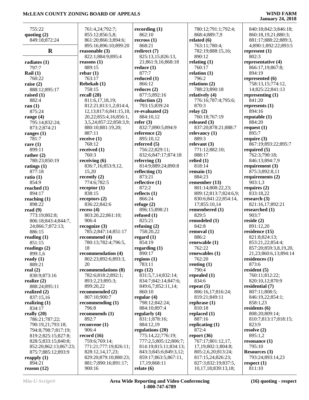| 755:22                | 761:4,24;792:7;              | recording $(1)$       | 780:12;791:1;792:4;      | 840:18;842:3;846:18;  |
|-----------------------|------------------------------|-----------------------|--------------------------|-----------------------|
| quoting $(2)$         | 855:12;856:5,8;              | 862:10                | 868:4;889:7,9            | 860:18,19,21;880:3;   |
| 849:18;872:24         | 861:20;866:3;894:6;          | recross(1)            | related $(6)$            | 881:17;888:22;889:3,  |
|                       | 895:16;896:10;899:20         | 868:21                | 763:11;780:4;            | 4;890:1;892:22;893:5  |
| $\mathbf R$           | reasonable $(3)$             | redirect (7)          | 782:19;888:15,16;        | represent $(1)$       |
|                       | 822:1;884:9;895:4            | 825:13,15;826:13,     | 890:12                   | 802:3                 |
| radiates $(1)$        | reasons $(1)$                | 21;861:9,16;868:18    | relating $(1)$           | representative (4)    |
| 797:7                 | 889:15                       | reduce $(1)$          | 760:17                   | 866:17,19;867:8;      |
| Rail $(1)$            | rebar(1)                     | 877:7                 | relation $(1)$           | 894:19                |
| 760:22                | 763:17                       | reduced $(1)$         | 796:2                    | represented (6)       |
| raise $(2)$           | Rebekah (1)                  | 866:12                | relations (2)            | 758:13,15;774:12,     |
| 888:12;895:17         | 758:15                       | reduces $(2)$         | 788:23;890:18            | 14;825:22;841:13      |
| raised $(1)$          | recall $(28)$                | 877:5;892:16          | relatively (4)           | representing $(1)$    |
| 882:4                 | 811:6,17,18,19;              | reduction $(2)$       | 776:16;787:4;795:6;      | 841:20                |
| ran $(1)$             | 812:21;813:1,2;814:4,        | 793:15;839:24         | 870:3                    | represents $(1)$      |
| 875:24                | 12, 13; 817: 6; 841: 15, 18, | re-evaluated $(2)$    | relay $(2)$              | 894:16                |
| range $(4)$           | 20, 22; 855: 4, 16; 856: 1,  | 884:10,12             | 760:18;767:19            | reputable $(1)$       |
| 795:14;832:24;        | 3,5,24;857:22;858:3,9;       | refer $(3)$           | released $(3)$           | 884:20                |
| 873:2;874:21          | 880:10;881:19,20;            | 832:7;890:5;894:9     | 837:20;878:21;888:7      | request $(1)$         |
| ranges $(1)$          | 887:11                       | reference $(2)$       | relevancy $(1)$          | 895:7                 |
| 781:7                 | receive $(1)$                | 895:10,12             | 889:3                    | require $(3)$         |
| rare $(1)$            | 768:12                       | referred $(5)$        | relevant $(3)$           | 867:19;893:22;895:7   |
| 899:11                | received (1)                 | 756:22;829:11;        | 771:12;882:10;           | required $(5)$        |
| rather $(2)$          | 760:3                        | 832:6;847:17;874:18   | 888:17                   | 762:3;790:18;         |
| 780:23;850:19         | receiving $(6)$              | referring $(3)$       | relied $(1)$             | 846:13;894:7,9        |
| ratings $(1)$         | 836:7,16;853:9,12,           | 814:9;889:24;890:8    | 818:14                   | requirement (3)       |
| 877:18                | 15,20                        | reflecting $(1)$      | remain $(1)$             | 875:3;892:8,11        |
| ratio $(1)$           | recently $(2)$               | 873:21                | 884:23                   | requirements (2)      |
| 854:9                 | 774:6;782:5                  | reflective (1)        | remember $(13)$          | 903:1,3               |
| reached $(1)$         | receptor $(1)$               | 872:2                 | 801:14;808:22,23;        | requires $(2)$        |
| 894:17                | 838:15                       | reflects $(1)$        | 809:12;813:7;824:6,9;    | 833:18,22             |
| reaching $(1)$        | receptors $(2)$              | 866:24                | 830:6;841:22;854:14,     | research $(3)$        |
| 898:22                | 836:22;842:6                 | refuge $(2)$          | 17;855:10,14             | 821:16,17;892:21      |
| read $(9)$            | recess $(4)$                 | 896:15;898:21         | remembered (1)           | researched (1)        |
| 773:19;802:8;         | 803:20,22;861:10;            | refused $(1)$         | 829:5                    | 903:7                 |
| 806:18;843:4;844:7,   | 906:4                        | 825:21                | remodeled (1)            | reside $(2)$          |
| 24;866:7;872:13;      | recognize(3)                 | refusing $(2)$        | 842:8                    | 891:12,20             |
| 886:15                | 785:2;847:14;851:17          | 758:20,22             | removal (1)              | residence (15)        |
| reading $(1)$         | recommend (4)                | regard $(1)$          | 886:2                    | 821:8;824:13;         |
| 851:15                | 780:13;782:4;796:5,          | 854:19                | renewable (1)            | 853:21,22;854:4;      |
| readings (2)          | 18                           | regarding (1)         | 762:22                   | 857:20;859:3,8,19,20, |
| 899:1,6               | recommendation (4)           | 890:17                | renewables $(1)$         | 21,23;860:6,13;894:14 |
| ready $(1)$           | 802:23;892:6;893:3,          | regions $(1)$         | 762:20                   | residences $(1)$      |
| 889:21                | 20                           | 783:11                | renting $(1)$            | 873:6                 |
| real $(2)$            | recommendations (8)          | regs(12)              | 790:4                    | resident $(5)$        |
| 830:9;873:16          | 782:6;818:2;892:1;           | 831:5,7,14;832:14;    | repealed $(1)$           | 760:11;812:22;        |
| realize $(2)$         | 893:2,23;895:3;              | 834:7;842:14;847:6;   | 834:6                    | 820:10,12;870:9       |
| 888:24;895:11         | 899:20,22                    | 849:6,7;852:11,14;    | repeat $(5)$             | residential (7)       |
| realized $(2)$        | recommended (2)              | 860:10                | 806:16,17;816:24;        | 807:11;808:5;         |
| 837:15,16             | 807:10;900:7                 | regular $(4)$         | 819:21;849:11            | 846:19,22;854:1;      |
| realizing $(1)$       | recommending $(1)$           | 798:12;842:24;        | rephrase $(1)$           | 858:1,23              |
| 834:17                | 796:8                        | 884:10;897:4          | 810:18                   | residents $(6)$       |
| really $(20)$         | recommends (1)               | regularly (4)         | replaced $(1)$           | 808:20;809:14;        |
| 786:21;787:22;        | 892:7                        | 831:1;878:16;         | 887:16                   | 810:7;813:17;818:15;  |
| 790:19,21;793:18;     | reconvene $(1)$              | 884:12,19             | replicating $(1)$        | 823:9                 |
| 794:8;798:7;817:19;   | 906:4                        | regulations (20)      | 872:4                    | resolve $(2)$         |
| 819:2;825:15;827:8;   | record(16)                   | 775:14,22;776:19;     | report (36)              | 895:1,2               |
| 828:5;833:15;840:8;   | 759:6;769:14;                | 777:2,5;805:12;806:7; | 767:17;801:12,17,        | resonance $(1)$       |
| 852:20;862:13;867:23; | 771:21;777:19;826:11;        | 814:19;815:11;834:13; | 17, 19; 802: 1; 804: 8;  | 795:10                |
| 875:7;885:12;893:9    | 828:12,14,17,23;             | 843:3;845:6;849:3,12; | 805:2,6,20;813:24;       | <b>Resources</b> (3)  |
| reapply $(1)$         | 829:20;879:10;880:23;        | 859:17;863:5;867:11,  | 817:15,24;826:23;        | 793:24;893:14,23      |
| 894:21                | 881:7;890:16;891:17;         | 17, 19; 868: 11       | 827:3;832:19;837:5,      | respect $(1)$         |
| reason (12)           | 900:16                       | relate $(6)$          | 10, 17, 18; 839: 13, 18; | 811:10                |
|                       |                              |                       |                          |                       |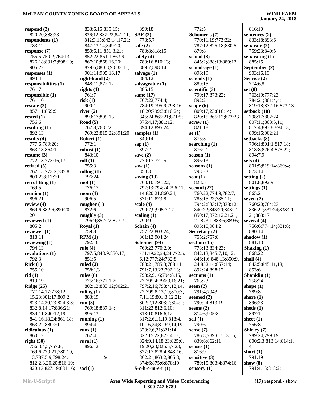| respond (2)           | 833:6,15;835:15;                     | 899:18                      | 772:5                     | 816:10                        |
|-----------------------|--------------------------------------|-----------------------------|---------------------------|-------------------------------|
| 820:20;888:23         | 836:12;837:22;841:11;                | SAE(2)                      | Schomer's (7)             | sentences (2)                 |
| respondents (1)       | 842:3,15;843:14,17,21;               | 773:5,7                     | 770:11,19;773:22;         | 833:18;893:6                  |
| 783:12                | 847:13,14;849:20;                    | safe $(2)$                  | 787:12;825:18;830:5;      | separate $(2)$                |
| response (7)          | 850:6,11;851:3,21;                   | 780:8;818:15                | 879:8                     | 759:23;840:5                  |
| 755:5;759:2;764:13;   | 852:22;861:1;863:9;                  | safety $(4)$                | school (3)                | separating $(1)$              |
| 826:18;891:7;898:10;  | 867:10;868:16,20;                    | 780:16;810:13;              | 845:2;888:13;889:12       | 885:15                        |
| 905:22                | 879:6;880:8,9;883:11;                | 889:7;898:14                | school-age $(1)$          | September (2)                 |
| responses (1)         | 901:14;905:16,17                     | salvage $(1)$               | 896:19                    | 903:16,19                     |
| 893:4                 | right-hand $(2)$                     | 884:12                      | schools $(1)$             | Service (2)                   |
| responsibilities (1)  | 848:11;872:12                        | salvageable (1)             | 889:15                    | 774:6,8                       |
| 761:7                 | rights $(1)$                         | 885:15                      | scientific $(3)$          | set $(8)$                     |
| responsible (1)       | 761:7                                | same $(17)$                 | 790:17;873:22;            | 763:19;777:23;                |
| 761:10                | risk(1)                              | 767:22;774:4;               | 892:21                    | 784:21;801:4,4;               |
| restate (2)           | 900:1                                | 784:19;795:9;798:16,        | scope $(6)$               | 819:18;832:16;873:13          |
| 857:11;859:9          | river $(2)$                          | 18, 20; 799: 3; 810: 24;    | 809:17,23;816:14;         | setback (10)                  |
| rested (1)            | 893:17;899:13                        | 845:24;865:21;871:5;        | 820:15;865:12;873:23      | 798:17;802:24;                |
| 756:6                 | Road $(5)$                           | 875:4,17;881:12;            | screw(1)                  | 807:11;808:5,11;              |
|                       | 767:8;768:22;                        | 894:12;895:24               | 821:18                    | 817:4;893:8;894:13;           |
| resulting (1)         |                                      |                             | se $(1)$                  |                               |
| 892:13                | 769:22;815:22;891:20<br>Robert $(1)$ | samples $(1)$<br>840:14     | 875:8                     | 899:16;902:21<br>setbacks (8) |
| results (4)           | 772:1                                |                             |                           |                               |
| 777:6;789:20;         | robust $(1)$                         | sap $(1)$<br>897:2          | searching $(1)$<br>876:21 | 796:1;801:1;817:18;           |
| 863:18;864:1          |                                      |                             |                           | 818:8;826:4;875:22;           |
| resume (3)            | 843:10                               | save $(2)$                  | season $(1)$              | 894:7,9                       |
| 772:13;773:16,17      | roll(1)                              | 770:17;771:5                | 896:13                    | sets $(4)$                    |
| retired (5)           | 755:3                                | saw(1)                      | seasons $(1)$             | 801:5;819:14;869:4;           |
| 762:15;773:2;785:8;   | rolling $(1)$                        | 853:3                       | 793:23                    | 873:14                        |
| 800:23;817:20         | 796:24                               | saying $(10)$               | seat $(1)$                | setting $(2)$                 |
| retrofitting (1)      | roof $(1)$                           | 760:10;791:22;              | 828:5                     | 801:8;892:9                   |
| 769:5                 | 776:17                               | 792:13;794:24;796:11,       | second $(22)$             | settings $(1)$                |
| reunion (1)           | room $(1)$                           | 14;820:21;860:24;           | 760:22;774:9;782:7;       | 865:21                        |
| 896:21                | 906:5                                | 871:11;873:8                | 783:15,22;785:11;         | seven $(7)$                   |
| review (4)            | rougher $(1)$                        | scale $(4)$                 | 794:2;833:17;838:12;      | 760:20;764:23;                |
| 869:6;882:6;890:20,   | 872:6                                | 799:7,9;905:7,17            | 840:22;843:20;848:21;     | 836:22;837:24;838:20,         |
| 20                    | roughly $(3)$                        | scaling $(1)$               | 850:17;872:12,21,21,      | 21;888:17                     |
| reviewed (1)          | 796:9;852:22;877:7                   | 799:9                       | 21;873:1;883:6;889:6;     | several $(4)$                 |
| 805:2                 | Royal $(1)$                          | Schain (4)                  | 895:10;904:2              | 756:6;774:14;831:6;           |
| reviewer (1)          | 759:8                                | 757:22;803:24;              | Secretary (2)             | 880:14                        |
| 818:11                | RPM(1)                               | 861:12;904:24               | 755:2;757:8               | shadow $(1)$                  |
| reviewing (1)         | 792:16                               | Schomer (94)                | section $(15)$            | 881:13                        |
| 794:13                | rule $(4)$                           | 769:23;770:2,9;             | 778:13;834:23;            | Shaking $(1)$                 |
| revolutions (1)       | 797:5;848:9;850:17;                  | 771:19,22,24,24;772:5,      | 842:13;845:7,10,12;       | 868:22                        |
| 792:3                 | 851:5                                | 6, 12; 777: 24; 782: 8;     | 846:1,6;848:13;850:9,     | shall $(4)$                   |
| <b>Rick</b> (1)       | ruled $(2)$                          | 783:21;785:3;788:11;        | 24;852:14;857:14;         | 843:5;845:11,18;              |
| 755:10                | 758:1,3                              | 791:7,13,23;792:13;         | 892:24;898:12             | 853:6                         |
| rid (1)               | rules $(6)$                          | 793:2,9,16;794:8,15,        | sections $(1)$            | Shanklin $(1)$                |
| 819:19                | 775:16;777:1,7;                      | 23;795:4;796:3,16,21;       | 763:23                    | 758:24                        |
| <b>Ridge (25)</b>     | 802:12;883:12;902:21                 | 797:2,16;798:4,12,14,       | seem $(2)$                | shape $(1)$                   |
| 777:14,17;778:12,     | ruling $(1)$                         | 22;799:8,13,19;800:3,       | 791:4;794:9               | 789:8                         |
| 15,23;801:17;809:2;   | 883:19                               | 7,11,19;801:3,12,21;        | seemed $(2)$              | share $(1)$                   |
| 823:14,20,23;824:3,8; | run $(3)$                            | 802:2,12;803:2;804:2;       | 790:24;813:19             | 896:23                        |
| 832:8,14,17;836:21;   | 769:18;887:14;                       | 811:23;812:6,10;            | seems $(2)$               | sheds $(1)$                   |
| 839:11;840:12,19;     | 895:13                               | 813:10;816:6,12;            | 814:6;905:8               | 897:1                         |
| 841:16,18,24;861:18;  | running $(1)$                        | 817:2,6,11,19;818:4,        | sell $(1)$                | sheet $(1)$                   |
| 863:22;880:20         | 894:4                                | 10, 16, 24; 819: 9, 14, 19; | 790:6                     | 756:8                         |
| ridiculous (1)        | runs $(1)$                           | 820:2,6,21;821:14;          | sense $(7)$               | Shirley (7)                   |
| 860:12                | 762:4                                | 822:15,22;823:4,12;         | 786:8;789:6,7,13,16;      | 789:24;799:19;                |
| right(50)             | rural $(1)$                          | 824:9,14,18,23;825:6,       | 839:6;862:11              | 800:2,3;813:14;814:1,         |
| 756:3,4,5;757:8;      | 896:12                               | 19, 20, 23; 826: 5, 7, 23;  | senses $(1)$              | 4                             |
| 769:6;779:21;780:10,  |                                      | 827:17;828:4;843:16;        | 816:9                     | short $(1)$                   |
| 13;787:5,9;798:24;    | S                                    | 862:21;863:2;865:3;         | sensitive $(3)$           | 791:19                        |
| 812:2,3,20,20;816:19; |                                      | 874:6;875:6;878:19          | 789:15;803:4;874:16       | show $(8)$                    |
| 820:13;827:19;831:16; | sad $(1)$                            | $S-c-h-o-m-e-r(1)$          | sensory $(1)$             | 791:4,15;818:2;               |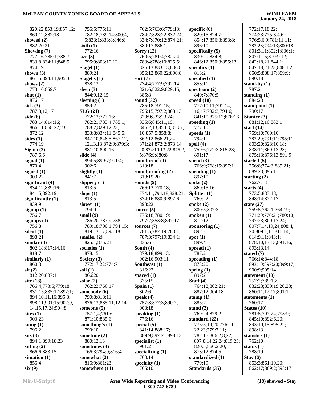| 820:22;853:19;857:12;  | 756:5;775:11;                        | 762:5;763:6;779:13;               | specific (6)                | 772:17,18,22;               |
|------------------------|--------------------------------------|-----------------------------------|-----------------------------|-----------------------------|
| 860:12;882:18          | 782:18;789:14;800:4,                 | 784:7;823:22;832:24;              | 820:15;824:7;               | 774:23;775:3,4,6;           |
| showed (2)             | 5;833:1;838:8;846:8                  | 834:7;870:12;874:21;              | 854:17;856:3;893:8;         | 776:5,6,9;781:11,11;        |
| 882:20,21              | sixth $(1)$                          | 880:17;886:1                      | 896:10                      | 783:23;794:13;800:18;       |
| Showing (7)            | 772:16                               | Sorry $(12)$                      | specifically $(5)$          | 801:3,11;802:1;806:1;       |
| 777:16;785:1;788:7;    | size $(3)$                           | 760:5;781:4;782:24;               | 830:20;834:8;               | 807:1,16;810:9,12;          |
| 833:8;834:11;848:5;    | 795:9;803:10,12                      | 783:4;788:10;825:5;               | 846:12;850:3;855:13         | 842:18,21;844:1;            |
| 874:19                 | Slagel $(1)$                         | 826:13;833:13;836:8;              | specifics $(1)$             | 847:18,21,23;848:1,2;       |
| shown $(3)$            | 889:24                               | 856:12;860:22;890:8               | 813:2                       | 850:5;888:17;889:9;         |
| 861:5;894:11;905:3     | Slagel's $(1)$                       | sort $(7)$                        | specified $(1)$             | 890:18                      |
| shows $(2)$            | 838:13                               | 774:4;777:9;792:14;               | 853:11                      | stand-by $(1)$              |
| 773:16;859:7           | sleep $(3)$                          | 821:6;822:9;829:15;               | spectrum $(2)$              | 787:2                       |
| shut $(1)$             | 844:9,12,15                          | 885:8                             | 840:7;870:5                 | standing $(1)$              |
| 876:17                 |                                      | sound $(32)$                      |                             | 884:23                      |
|                        | sleeping $(1)$<br>859:2              |                                   | speed $(10)$                |                             |
| sick $(3)$             |                                      | 785:18;791:15;                    | 777:10,11;791:14,           | standpoint $(1)$            |
| 787:8,12,17            | SLG(21)                              | 795:15;797:2;803:13;              | 16,17;792:3;794:6;          | 790:17                      |
| side $(6)$             | 772:12;777:16;                       | 820:9;833:23,24;                  | 841:10;875:12;876:16        | Stantec (3)                 |
| 783:14;814:16;         | 782:21;783:4;785:1;                  | 835:6;845:11,19;                  | speeding $(1)$              | 881:12,16;882:1             |
| 866:11;868:22,23;      | 788:7;829:12,23;                     | 846:2,13;850:8;853:7,             | 777:10                      | start $(14)$                |
| 872:12                 | 833:8;834:11;845:5;                  | 10;857:5;858:8;                   | speeds $(1)$                | 759:10;760:10;              |
| sides $(1)$            | 847:10;848:5;867:12,                 | 862:12;866:21,24;                 | 794:1                       | 783:20;791:11;795:11;       |
| 774:19                 | 12, 13, 13; 872: 9; 879: 3;          | 871:24;872:2;873:14,              | spell $(4)$                 | 803:20;828:10,18;           |
| Sigma $(2)$            | 881:10;890:16                        | 20;874:10,13,22;875:2,            | 759:6;772:3;815:23;         | 838:11;869:13,23;           |
| 787:6,6                | slide $(4)$                          | 5;876:9;880:8                     | 891:17                      | 875:13;876:13;891:9         |
| signal $(1)$           | 894:5;899:7;901:4;                   | soundproof $(1)$                  | spend $(3)$                 | started $(5)$               |
| 870:4                  | 902:6                                | 819:18                            | 766:9;768:15;897:11         | 756:8;774:3;885:21;         |
| signed $(1)$           | slightly $(1)$                       | soundproofing (2)                 | spending $(1)$              | 889:23;896:1                |
| 903:22                 | 841:7                                | 818:19,20                         | 897:10                      | starting $(2)$              |
| significant (4)        | slippery $(1)$                       | sounds $(9)$                      | spike $(2)$                 | 762:7,13                    |
|                        |                                      |                                   |                             |                             |
| 834:12;839:16;         | 813:5                                | 766:12;770:18;                    | 869:15,16                   | starts $(4)$                |
| 841:5;892:19           | slope $(1)$                          | 774:11;794:18;828:21;             | Splitter (1)                | 773:5;833:18;               |
| significantly $(1)$    | 813:5                                | 874:16;880:9;897:6;               | 760:22                      | 848:14;872:17               |
| 839:9                  | slower $(1)$                         | 898:22                            | spoke $(2)$                 | state $(27)$                |
| signup $(1)$           | 794:9                                | source $(5)$                      | 800:5;807:3                 | 759:5;762:1;764:19;         |
| 756:7                  | small $(9)$                          | 775:18;780:19;                    | spoken $(1)$                | 771:20;776:21;780:10;       |
| signups $(1)$          | 786:20;787:9;788:1;                  | 797:7;853:8;897:17                | 812:12                      | 797:23;800:17,24;           |
| 756:8                  | 789:18;790:1;794:15;                 | sources $(7)$                     | sponsoring $(1)$            | 807:7,14,19,24;808:4,       |
| silent $(1)$           | 819:13,17;895:18                     | 781:5;782:19;783:1;               | 892:21                      | 20;809:1,11;811:14;         |
| 898:21                 | smaller $(2)$                        | 787:3;797:19;834:1;               | spot $(1)$                  | 814:9,11;843:1;             |
| similar(4)             | 825:1;875:21                         | 835:6                             | 899:4                       | 878:10,13,13;891:16;        |
| 802:18;817:14,16;      | societies $(1)$                      | South $(4)$                       | spread $(1)$                | 893:13,14                   |
| 818:7                  | 878:15                               | 879:18;899:13;                    | 787:2                       | stated $(7)$                |
| similarly $(1)$        | Society $(3)$                        | 902:16;903:11                     | spreading $(1)$             | 766:14;844:18;              |
| 860:3                  | 772:17,22;774:7                      | Southeast (1)                     | 873:20                      | 893:10;897:20;899:17;       |
| $s$ it $(2)$           | soil $(1)$                           | 816:22                            | spring $(1)$                | 900:9;905:14                |
| 812:20;887:11          | 866:20                               | spaced $(1)$                      | 897:2                       | statement $(10)$            |
| site $(18)$            | solar $(2)$                          | 875:15                            | Staff $(4)$                 | 757:2;789:13;               |
| 766:4;773:6;779:18;    | 762:23;766:17                        | Spain $(1)$                       | 764:12;802:21;              | 832:23;839:19,20,23;        |
| 831:15;835:17;892:1;   | somebody $(6)$                       | 802:6                             | 887:12;904:18               | 860:11,12,17;891:1          |
|                        |                                      |                                   |                             |                             |
| 894:10,11,16;895:8;    | 790:8;818:11;<br>876:13;885:11,12,14 | speak $(4)$<br>757:3;877:3;890:7; | stamp $(1)$                 | statements $(1)$            |
| 898:11;901:15;902:9,   |                                      |                                   | 885:7                       | 760:17                      |
| 14, 15, 17, 24, 904: 8 | someone $(5)$                        | 903:18                            | stand $(2)$                 | States $(10)$               |
| sites $(1)$            | 757:1,4;761:6;                       | speaking $(1)$                    | 769:24;879:2                | 781:5;797:24;798:9;         |
| 903:23                 | 871:10;885:6                         | 776:16                            | standard $(22)$             | 845:10;892:6,20;            |
| siting $(1)$           | something's $(1)$                    | special $(5)$                     | 775:5,19,20;776:11,         | 893:10,15;895:22;           |
| 796:2                  | 790:10                               | 841:14;888:17;                    | 22, 23; 779: 7, 11;         | 898:13                      |
| sits(3)                | sometime (2)                         | 889:9;897:21;898:13               | 782:15;806:2,8,22;          | statistics $(1)$            |
| 894:1;899:18,23        |                                      |                                   |                             |                             |
|                        | 880:12,13                            | specialist $(1)$                  | 807:8, 14, 22, 24; 819: 23; | 762:10                      |
| sitting $(2)$          | sometimes $(3)$                      | 901:2                             | 820:5;860:2,20;             | status $(1)$                |
| 866:6;883:15           | 766:3;794:9;816:4                    |                                   | 873:12;874:5                | 788:19                      |
|                        |                                      | specializing $(1)$                |                             |                             |
| situation (1)<br>856:4 | somewhat $(2)$<br>816:9;861:23       | 760:14<br>specialty $(1)$         | standardized (1)<br>779:19  | Stay(6)<br>853:3;861:19,20; |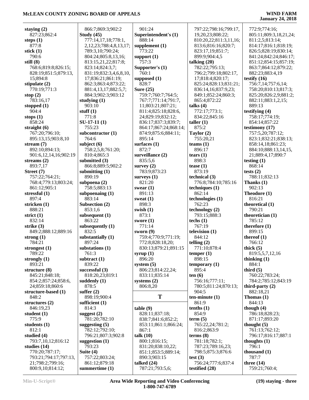| staying $(2)$                        | 866:7;869:3;902:2               | 901:24                           | 797:22;798:16;799:17,                | 772:9;774:16;                 |
|--------------------------------------|---------------------------------|----------------------------------|--------------------------------------|-------------------------------|
| 827:23;862:4                         | Study $(45)$                    | Superintendent's (1)             | 19, 20, 23; 808: 22;                 | 805:11;809:3,18,21,24;        |
| steps $(1)$                          | 777:14,17,18;778:1,             | 888:14                           | 810:20,22;811:3,11,16;               | 811:2,5;813:14;               |
| 877:8                                | 2, 12, 23; 788: 4, 8, 13, 17;   | supplement $(1)$                 | 813:6;816:16;820:7;                  | 814:17;816:1;818:19;          |
|                                      |                                 | 773:22                           |                                      |                               |
| stick $(1)$                          | 789:3,10;790:24;                |                                  | 823:17,19;851:7;                     | 826:5;828:19;830:14;          |
| 790:6                                | 804:24;805:8,13,16;             | support $(1)$                    | 899:9;904:4,5                        | 841:24;842:24;846:17;         |
| still $(8)$                          | 813:15,21,22;817:8;             | 757:3                            | talking $(20)$                       | 851:12;854:15;857:19;         |
| 768:6;819:8;826:15;                  | 823:14;824:3,7;                 | Supporter's (1)                  | 782:22;795:13;                       | 863:7;864:12;879:22;          |
| 828:19;851:5;879:13,                 | 831:19;832:3,4,6,8,10,          | 760:1                            | 796:2;799:18;802:17,                 | 882:23;883:4,19               |
| 15;894:8                             | 17;836:21;861:19;               | supposed (1)                     | 17;818:4;820:17;                     | testify $(16)$                |
| stipulate $(2)$                      | 862:3;863:4;873:22;             | 828:7                            | 825:24;828:13;831:21;                | 756:7,14;757:6,14;            |
| 770:19;771:3                         | 881:4,13,17;882:5,7;            | Sure $(25)$                      | 836:14,16;837:9,23;                  | 758:20;810:13;817:3;          |
|                                      |                                 |                                  |                                      |                               |
| stop $(2)$                           | 884:3;902:3;903:12              | 759:7;760:7;764:5;               | 849:1;852:24;860:3;                  | 825:20;826:2,9;881:2;         |
| 783:16,17                            | studying $(1)$                  | 767:7;771:14;791:7,              | 865:4;872:22                         | 882:11;883:1,2,15;            |
| stopped $(1)$                        | 903:10                          | 11;803:21;807:21;                | talks $(4)$                          | 889:13                        |
| 904:4                                | stuff $(1)$                     | 811:4;825:18;828:6,              | 772:17;773:1;                        | testifying $(4)$              |
| stops $(1)$                          | 771:8                           | 24;829:19;832:12;                | 834:22;845:16                        | 758:17;774:19;                |
| 858:24                               | $SU-17-11(1)$                   | 836:17;837:3;839:7;              | taller $(1)$                         | 854:14;857:22                 |
| straight $(6)$                       | 755:23                          | 864:17;867:24;868:14;            | 875:2                                | testimony (17)                |
| 767:20;796:10;                       | subcontractor $(1)$             | 874:9;875:6;884:11;              | Taylor (2)                           | 757:5,20;787:12;              |
|                                      |                                 |                                  |                                      |                               |
| 895:13,15;903:8,10                   | 764:6                           | 895:14                           | 755:20,21                            | 823:1;832:21;838:13;          |
| stream $(7)$                         | subject $(6)$                   | surfaces $(1)$                   | teams $(1)$                          | 858:14,18;861:23;             |
| 892:10;894:13;                       | 758:2,5,8;761:20;               | 872:7                            | 896:17                               | 884:10;888:13,14,15,          |
| 901:6,12,14,16;902:19                | 810:4;865:3                     | surveillance (2)                 | tears $(1)$                          | 21;889:4,17;890:7             |
| streams $(2)$                        | submitted $(3)$                 | 835:5,6                          | 898:3                                | testing $(1)$                 |
| 893:7,17                             | 866:8;889:5;902:2               | survey $(2)$                     | tease $(1)$                          | 868:14                        |
| Street (7)                           | submitting $(1)$                | 783:9;873:23                     | 873:19                               | tests $(2)$                   |
| 757:22;764:21;                       | 890:19                          | surveys $(1)$                    | technical (3)                        | 788:11;832:13                 |
|                                      |                                 |                                  |                                      |                               |
| 768:4;779:13;803:24;                 | subpoena (2)                    | 821:20                           | 776:8;784:10;785:16                  | Thanks $(1)$                  |
| 861:12;905:1                         | 758:5;883:13                    | swear $(1)$                      | techniques $(1)$                     | 902:13                        |
| stressful $(1)$                      | subpoenaing $(1)$               | 891:13                           | 862:14                               | Theodore (1)                  |
| 897:4                                | 883:14                          | sweat $(1)$                      | technologies (1)                     | 816:21                        |
|                                      |                                 |                                  |                                      |                               |
|                                      |                                 | 898:3                            | 762:23                               |                               |
| stricken $(1)$                       | Subsection (2)                  |                                  |                                      | theoretical (1)               |
| 888:21                               | 853:1,6                         | swish $(1)$                      | technology (2)                       | 790:21                        |
| strict $(1)$                         | subsequent (1)                  | 873:1                            | 793:15;888:3                         | theoretician (1)              |
| 832:14                               | 863:22                          | swore $(1)$                      | techs $(1)$                          | 785:12                        |
| strike $(3)$                         | subsequently $(1)$              | 771:14                           | 767:19                               | therefore $(1)$               |
| 849:2;888:12;889:16                  | 832:5                           | sworn $(9)$                      | television $(1)$                     | 899:15                        |
| strong $(1)$                         | substantially (1)               | 759:4;770:9;771:19;              | 844:12                               | thereof $(1)$                 |
| 784:21                               | 897:24                          | 772:8;828:18,20;                 | telling $(2)$                        | 766:12                        |
|                                      | substations (1)                 | 830:13;879:21;891:15             | 771:10;878:4                         |                               |
| strongest (1)<br>789:22              |                                 |                                  |                                      | thick $(5)$                   |
|                                      | 761:3                           | syrup $(1)$                      | temper $(1)$                         | 819:5,5,7,12,16               |
| strongly $(1)$                       | subtract $(1)$                  | 896:20                           | 898:15                               | thinking $(1)$                |
| 893:21                               | 839:22                          | system $(5)$                     | temporary $(1)$                      | 884:1                         |
| structure $(8)$                      | successful (3)                  | 806:23;814:22,24;                | 895:4                                | third $(5)$                   |
| 845:21;848:18;                       | 818:20,23;819:1                 | 833:11;835:14                    | ten(6)                               | 760:22;783:24;                |
| 854:2;857:24;858:6,                  | suddenly $(1)$                  | systems $(2)$                    | 756:16;777:11;                       | 784:2;785:12;843:19           |
| 24;859:18;860:6                      | 878:5                           | 806:8,20                         | 780:5;811:24;870:13;                 | third-party $(2)$             |
| structure-based (1)                  | suffer $(2)$                    |                                  | 904:5                                | 882:18,21                     |
| 848:2                                | 898:19;900:4                    | T                                | $ten-minute(1)$                      | Thomas $(1)$                  |
|                                      |                                 |                                  |                                      |                               |
| structures $(2)$                     | sufficient $(1)$                |                                  | 861:9                                | 844:13                        |
| 846:19,23                            | 814:3                           | table(9)                         | tenths $(1)$                         | though $(4)$                  |
| student $(1)$                        | suggest $(2)$                   | 828:11;837:18;                   | 854:9                                | 786:18;828:23;                |
| 775:9                                | 781:20;782:10                   | 838:7;841:6;852:2;               | term (5)                             | 871:17;893:20                 |
| students $(1)$                       | suggesting $(5)$                | 853:11;861:1;866:24;             | 765:22,24;781:2;                     | thought $(5)$                 |
| 812:1                                | 782:12;792:10;                  | 867:1                            | 816:2;863:9                          | 761:13;762:12;                |
| studied (4)                          | 796:21;807:3;902:8              | talk $(10)$                      | terms $(8)$                          | 796:17;816:17;887:1           |
| 793:7,10,12;816:12                   | suggestion $(1)$                | 800:1;816:15;                    | 781:18;782:1;                        | thoughts $(1)$                |
|                                      | 793:23                          |                                  |                                      | 796:1                         |
| studies $(14)$                       |                                 | 831:20;838:10,22;                | 787:23;789:16,23;                    |                               |
| 770:20;787:17;                       | Suite $(4)$                     | 851:1;853:5;889:14;              | 798:5;875:3;876:6                    | thousand $(1)$                |
| 793:21;794:17;797:13,                | 757:22;803:24;                  | 890:3;903:15                     | test $(3)$                           | 787:7                         |
| 21;798:2;799:16;<br>800:9,10;814:12; | 861:12;879:18<br>summertime (1) | talked $(24)$<br>787:21;793:5,6; | 756:24;777:6;837:4<br>testified (28) | three $(14)$<br>759:21;760:4; |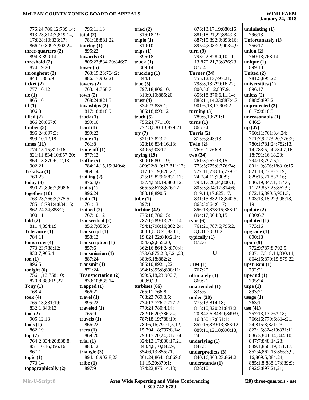**January 24, 2018**

| 776:24;786:12;789:14;                    | 796:11,13                     |
|------------------------------------------|-------------------------------|
| 813:23;814:7;819:14,                     | total $(2)$                   |
| 17;828:10;833:17;                        | 781:18;881:22                 |
| 866:10;899:7;902:24                      | touring $(1)$                 |
| three-quarters $(2)$                     | 895:22                        |
| 894:3;899:14                             | towards $(3)$                 |
| threshold (2)                            | 805:22;834:20;                |
| 874:19,20                                | tower $(5)$                   |
| throughout (2)<br>843:1;885:9            | 763:19,23;764:                |
| ticket $(2)$                             | 886:17;902:21<br>towers $(2)$ |
| 777:10,12                                | 763:14;768:7                  |
| tie $(1)$                                | town(2)                       |
| 865:16                                   | 768:24;821:5                  |
| til(1)                                   | townships (2)                 |
| 906:3                                    | 817:18;818:9                  |
| tilled $(2)$                             | track(1)                      |
| 866:20;867:6                             | 899:10                        |
| timber(5)                                | tract $(1)$                   |
| 896:24;897:3;<br>899:10,12,18            | 899:23<br>trade(1)            |
| times $(11)$                             | 761:8                         |
| 774:15,15;811:16;                        | trade-off $(1)$               |
| 821:11;834:10;857:20;                    | 877:12                        |
| 869:13;870:6,12,13;                      | traffic $(5)$                 |
| 902:21                                   | 784:14,15,15;8                |
| Tiskilwa (1)                             | 869:14                        |
| 760:23                                   | trailing $(2)$                |
| today $(3)$                              | 876:4,6                       |
| 890:22;896:2;898:6<br>together (10)      | trails $(1)$<br>896:24        |
| 763:23;766:3;775:5;                      | train $(1)$                   |
| 785:18;791:4;834:16;                     | 761:13                        |
| 862:24,24;888:2;                         | trained $(2)$                 |
| 900:11                                   | 767:10,12                     |
| told(2)                                  | transcribed (2)               |
| 811:4;894:19                             | 856:7;858:5                   |
| Tolerance (1)                            | transcript $(1)$<br>858:12    |
| 784:11                                   | transcription (1)             |
| tomorrow (4)<br>773:23;788:12;           | 857:6                         |
| 830:7;906:4                              | transmission (1)              |
| ton(1)                                   | 887:24                        |
| 896:5                                    | transmit $(1)$                |
| tonight (6)                              | 871:24                        |
| 756:1,13;758:10;                         | <b>Transportation</b>         |
| 820:8;889:19,22                          | 833:10;835:14                 |
| Tony $(1)$<br>768:4                      | trapped $(1)$<br>866:21       |
| took(4)                                  | travel $(1)$                  |
| 765:13;831:19;                           | 895:22                        |
| 832:1;840:13                             | traveled $(1)$                |
| tool (2)                                 | 765:9                         |
| 905:12,13                                | travels $(1)$                 |
| tools(1)                                 | 866:22                        |
| 862:19                                   | trees $(1)$                   |
| top(7)                                   | 869:20                        |
| 764:2;834:20;838:8;<br>851:10,16;856:16; | trial $(1)$<br>883:12         |
| 867:1                                    | triangle $(3)$                |
| topic $(1)$                              | 894:16;902:8,2                |
| 773:14                                   | tribe(1)                      |
| topographically (2)                      | 897:9                         |

| 796:11,13                     | tried $(2)$            |
|-------------------------------|------------------------|
| otal (2)                      | 816:18,19              |
| 781:18;881:22                 | triple $(1)$           |
| ouring $(1)$                  | 819:10                 |
| 895:22                        | trips $(1)$            |
| owards (3)                    | 896:18                 |
| 805:22;834:20;846:7           | truck $(1)$            |
| ower (5)                      | 869:14                 |
| 763:19,23;764:2;              | trucking (1)           |
| 886:17;902:21                 | 844:11                 |
| owers (2)                     | true(5)                |
| 763:14;768:7                  | 797:18;806:10;         |
| own (2)                       | 813:9,10;885:20        |
| 768:24;821:5                  | trust $(4)$            |
| ownships (2)                  | 834:23;835:1;          |
| 817:18;818:9                  | 885:18;893:12          |
| rack $(1)$                    | truth $(5)$            |
| 899:10                        | 756:24;771:10;         |
| ract (1)                      | 772:8;830:13;879:21    |
| 899:23                        | try(7)                 |
| rade (1)                      | 821:17;823:7;          |
| 761:8                         | 828:16;834:16,18;      |
| rade-off (1)                  | 840:5;903:17           |
| 877:12                        | trying $(19)$          |
| raffic $(5)$                  | 800:16;801:19;         |
| 784:14,15,15;840:4;           | 809:22;810:17;811:12;  |
| 869:14                        | 817:17,19;820:22;      |
| railing (2)                   | 825:15;829:6;831:17;   |
| 876:4,6                       | 837:4;858:19;860:12;   |
| raise(1)                      | 865:5;867:8;876:22;    |
| 896:24                        | 883:18;890:5           |
| rain(1)                       | tube(1)                |
| 761:13                        | 897:11                 |
|                               | turbine $(42)$         |
| rained (2)                    |                        |
| 767:10,12                     | 776:18;786:15;         |
| ranscribed (2)                | 787:1;789:13;791:14;   |
| 856:7;858:5                   | 794:1;798:16;802:24;   |
| ranscript (1)                 | 803:1;818:21;820:1,    |
| 858:12                        | 19;824:22;840:2,14;    |
| ranscription (1)              | 854:6,9;855:20;        |
| 857:6                         | 862:16;864:24;870:4;   |
| ransmission (1)               | 873:6;875:2,3,7,21,23; |
| 887:24                        | 880:6,18;882:2;        |
| ransmit (1)                   | 886:10;892:1,22;       |
| 871:24                        | 894:1;895:8;898:11;    |
| Transportation (2)            | 899:5,18,23;900:7;     |
| 833:10;835:14                 | 903:9,23               |
| rapped (1)                    | turbines (66)          |
| 866:21                        | 765:11;766:8;          |
| ravel (1)                     | 768:23;769:3,5;        |
| 895:22                        | 774:13;776:7;777:2;    |
| raveled (1)                   | 779:24;780:4,14;       |
| 765:9                         | 782:16,20;786:24;      |
| ravels (1)                    | 787:18,19;788:19;      |
| 866:22                        | 789:6,16;791:1,5,12,   |
| rees (1)                      | 15;794:18;797:8,14;    |
| 869:20                        | 798:17,20,24;817:24;   |
| rial (1)                      | 824:12,17;830:17,21;   |
| 883:12                        | 840:4,8,10;842:9;      |
| riangle (3)                   | 854:6,13;855:21;       |
| 894:16;902:8,23               | 861:24;864:18;869:8,   |
| $\mathbf{ribe}\left(1\right)$ | 11,15,20;870:1;        |

|   | 876:13,17,19;880:16;      | undul      |
|---|---------------------------|------------|
|   | 881:18,21,22;884:23;      | 796        |
|   | 887:15;892:9;893:16;      | Unfor      |
|   | 895:4;898:22;903:4,9      |            |
|   |                           | 756        |
|   | turn(9)                   | union      |
|   | 793:22;828:4,10,11,       | 760        |
|   | 13;870:21,23;876:23;      | uniqu      |
|   | 877:4                     | 899        |
|   | Turner (24)               | Unite      |
|   | 755:12,13;797:21;         | 781        |
|   | 798:8,13;799:16,22;       | unive      |
|   | 800:5,8,12;837:9;         | 896        |
|   | 856:18;870:6,11,14;       | unless     |
|   | 886:11,14,23;887:4,7;     | 888        |
|   | 901:6,13,17;903:2         | unpro      |
|   | turning $(3)$             | 817        |
|   | 789:6,13;791:1            | unrea      |
|   | turns(1)                  | 846        |
|   | 865:24                    | up (4)     |
|   | Turris (2)                | 760        |
|   | 815:6;843:13              | 771        |
|   | Twin $(2)$                | 780        |
|   | 760:21;766:8              | 14;        |
|   | two(34)                   | 18;        |
|   | 761:3;767:13,15;          | 794        |
| ; | 773:5;775:8;776:24;       | 801        |
|   | 777:11;778:15;779:21,     | 821        |
|   | 24;784:12;790:9;          | 829        |
|   | 798:17,20,24;800:1;       | 836        |
|   | 803:3;804:17;814:6;       | 11,        |
|   | 819:14,17;825:17;         | 872        |
|   | 831:15;832:18;840:5;      | 903        |
|   | 863:3;864:6,17;           | 19         |
|   | 866:13;878:15;888:11;     | updat      |
|   | 894:17;904:3,15           | 830        |
|   | type(6)                   | updat      |
|   | 761:21;787:6;795:2,       | 773        |
|   | 3;801:2;831:2             | upgra      |
|   | typically (1)             | 800        |
|   | 872:6                     | upon       |
|   |                           | 772        |
| ; | U                         | 807        |
|   |                           | 864        |
|   | UIM(1)                    | upstr      |
|   | 767:20                    | 792        |
|   | ultimately (1)            | upwir      |
|   | 869:21                    | 795        |
|   | unattended (1)            | urge (     |
|   | 833:6                     | 893        |
|   | under $(20)$              | usage      |
|   | 775:13;814:18;            | 763        |
|   | 815:10;820:21;843:2,      | use (4     |
|   | 20;847:6;848:9;849:9,     | 757        |
|   | 16;850:17;851:1;          | 766        |
|   | 867:16;879:13;883:12;     | 24:        |
|   | 889:11,12,18;890:18,      | 822        |
|   | 24                        | 836        |
|   | underlying $(1)$          | 847        |
|   |                           |            |
|   | 847:8                     | 849        |
|   | underpredicts (3)         | 852        |
|   | 840:16;863:23;864:2       | 16;        |
|   | understands (1)<br>826:10 | 885<br>892 |

**undulating (1)** 796:13 **Unfortunately (1)** 756:17 **nion** (2) 760:13;768:14 **unique (1)** 899:10 **United (2)** 781:5;895:22 **universities (1)** 896:17 **unless (2)** 888:5;893:2 **unprotected (2)** 817:9;818:3 **unreasonably (1)** 846:3 **up (47)** 760:11;761:3,4,24; 771:7,9;773:20;776:2; 780:1;781:24;782:13, 14;783:5,24;784:7,16, 18;791:16,18,20; 794:13;797:6,7; 801:19;806:18;810:15; 821:18,23;827:19; 829:15,21;832:16; 836:19;847:1;854:6, 11,22;857:23;862:9; 872:16;890:6;901:3; 903:13,18,22;905:18, 19 **update (2)** 830:6,7 **updated (1)** 773:16 **upgrade (1)** 800:18 **upon (9)** 772:9;787:8;792:5; 807:17;818:14;830:14; 864:15;870:15;879:22 **upstream (1)** 792:21 **upwind (1)** 795:24 **urge (1)** 893:21 **usage (1)** 763:1 **use (41)** 757:13,17;763:18; 766:16;779:6;814:21, 24;815:3;821:23; 822:16;824:19;831:11; 836:3;841:14;844:10; 847:7;848:14,23; 849:1;850:19;851:17;

 852:4;862:13;866:3,9, 16;869:5;884:24; 885:1,8;888:17;889:9; 892:3;897:21,21;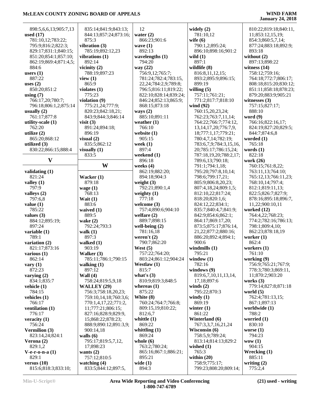| 898:5,6,6,13;905:7,13                | 835:14;841:9;843:13;                  | 12                         | widely $(2)$                           | 810:22;819:18;840:11,    |
|--------------------------------------|---------------------------------------|----------------------------|----------------------------------------|--------------------------|
|                                      |                                       |                            |                                        |                          |
| used $(17)$                          | 844:13;857:24;873:16;                 | water $(2)$                | 781:10,12                              | 11;853:12,15,19;         |
| 781:10,12;783:22;                    | 875:3                                 | 866:23;901:6               | wife $(6)$                             | 854:3;860:5,7,14;        |
| 795:9;816:2;822:3;                   | vibration (3)                         | wave $(1)$                 | 790:1,2;895:24;                        | 877:24;883:18;892:9;     |
|                                      |                                       | 892:13                     | 896:10;898:16;901:2                    |                          |
| 829:17;831:1;840:15;                 | 785:19;892:12,23                      |                            |                                        | 893:18                   |
| 851:20;854:1;857:10;                 | vibrations (1)                        | wavelengths $(1)$          | wild $(1)$                             | without $(2)$            |
| 862:19;869:4;871:4,5;                | 892:14                                | 794:20                     | 897:1                                  | 897:13;898:22            |
| 884:6                                | vicinity $(2)$                        | way (22)                   | wildlife (8)                           | witness $(14)$           |
|                                      |                                       |                            |                                        |                          |
| users $(1)$                          | 788:19;897:23                         | 756:9,12;765:7;            | 816:8,11,12,15;                        | 758:12;759:16;           |
| 887:22                               | view $(1)$                            | 781:24;782:4;783:15,       | 893:2;895:9;896:15;                    | 764:18;772:7;806:17;     |
| uses $(2)$                           | 865:9                                 | 22, 24; 784: 2, 9; 789: 8; | 899:19                                 | 808:18;815:20;830:12;    |
|                                      |                                       |                            |                                        |                          |
| 850:20;851:2                         | violates $(1)$                        | 796:5;816:11;819:22;       | willing $(5)$                          | 851:11;858:18;878:23;    |
| using $(7)$                          | 775:23                                | 822:10;828:14;839:24;      | 757:11;761:21;                         | 879:20;883:9;905:21      |
| 766:17,20;780:7;                     | violation (9)                         | 846:24;852:13;865:9;       | 771:2;817:7;818:10                     | witnesses $(3)$          |
| 796:18;806:1,2;875:14                | 775:21,24;777:9;                      | 868:15;873:18              | wind (92)                              | 757:15;827:17;           |
|                                      |                                       |                            |                                        |                          |
| usually $(2)$                        | 820:23;842:18,21;                     | ways $(2)$                 | 760:15,20,23,24;                       | 888:10                   |
| 761:17;877:8                         | 843:9;844:3;846:14                    | 885:10;891:11              | 762:23;763:7,11,14;                    | word $(9)$               |
| utility-scale (1)                    | visit $(3)$                           | weather $(1)$              | 764:22;766:7;774:12,                   | 766:16;822:16,17;        |
|                                      | 891:24;894:18;                        | 766:10                     |                                        | 824:19;827:20;829:5;     |
| 762:20                               |                                       |                            | 13, 14, 17, 20; 776: 7, 9,             |                          |
| utilize $(2)$                        | 896:19                                | website (1)                | 18;777:1,17;779:21;                    | 844:7;874:6,8            |
| 865:20;868:12                        | visual $(2)$                          | 905:15                     | 780:4,7,14;782:19;                     | worded $(1)$             |
| utilized $(3)$                       | 835:5;862:12                          | week $(1)$                 | 783:6,7,9;784:3,15,16,                 | 765:18                   |
|                                      |                                       |                            |                                        |                          |
| 830:22;866:15;888:4                  | visually $(1)$                        | 897:4                      | 20;785:17;786:15,24;                   | words $(1)$              |
|                                      | 833:5                                 | weekend (1)                | 787:18,19,20;788:2,17;                 | 822:18                   |
| $\mathbf{V}$                         |                                       | 896:18                     | 789:6,13;790:18;                       | work (26)                |
|                                      | W                                     | weeks $(4)$                | 791:1;794:1,18;                        |                          |
|                                      |                                       |                            |                                        | 760:15;761:8,22;         |
| validating $(1)$                     |                                       | 862:19;882:20;             | 795:20;797:8,10,14;                    | 763:11,13;764:10;        |
| 821:24                               | Wacker (1)                            | 894:18;904:3               | 798:6;799:17,21;                       | 765:12,13;766:11,23;     |
| valley $(1)$                         | 879:18                                | weight $(3)$               | 805:9;806:8,20,23;                     | 768:10,14;797:4;         |
|                                      |                                       |                            |                                        |                          |
| 797:9                                | wage $(1)$                            | 792:21;890:1,4             | 807:4,18,24;809:1,5;                   | 812:1;819:11,13;         |
| valleys (2)                          | 768:13                                | weighty $(1)$              | 812:10,22;817:24;                      | 822:5;826:7;827:9;       |
| 797:6,8                              | Wait $(1)$                            | 777:18                     | 818:20;820:1,6;                        | 878:16;895:18;896:7,     |
|                                      | 883:6                                 | welcome $(3)$              | 824:12,22;834:1;                       | 11,22;900:10,11          |
| value(1)                             |                                       |                            |                                        |                          |
| 785:22                               | waived (1)                            | 757:4;890:6;904:10         | 835:7;840:4,7;841:9;                   | worked (12)              |
| values $(3)$                         | 889:5                                 | welfare $(2)$              | 842:9;854:6;862:1;                     | 764:4,22;768:23;         |
| 884:12;895:19;                       | wake $(2)$                            | 889:7:898:15               | 864:17;869:17,20;                      | 774:2;782:16;786:13;     |
|                                      |                                       |                            |                                        |                          |
| 897:24                               | 792:24;793:3                          | well-being $(2)$           | 873:5;875:17;876:14,                   | 798:1;809:4,10;          |
| variable (1)                         | walk $(1)$                            | 781:16,18                  | 21,22;877:2;880:16;                    | 862:23;878:18,19         |
| 789:1                                | 897:3                                 | weren't $(2)$              | 886:20;892:4;894:1;                    | worker $(1)$             |
| variation (2)                        | walked $(1)$                          | 790:7;862:20               | 900:6                                  | 862:4                    |
|                                      |                                       |                            |                                        |                          |
| 821:17;873:16                        | 903:19                                | West $(5)$                 | windmills $(1)$                        | workers $(1)$            |
| various $(1)$                        | Walker (3)                            | 757:22;764:20;             | 795:21                                 | 761:10                   |
| 862:14                               | 785:11;786:1;790:15                   | 803:24;861:12;904:24       | window $(1)$                           | working (9)              |
| vary $(1)$                           | walking $(1)$                         | Westlaw $(1)$              | 782:16                                 | 756:9;765:21;767:9;      |
|                                      | 897:12                                | 815:7                      |                                        |                          |
| 872:23                               |                                       |                            |                                        |                          |
|                                      |                                       |                            | windows (9)                            | 778:3;780:3;869:11,      |
| varying $(2)$                        | Wall $(4)$                            | what's $(3)$               | 819:6,7,10,11,13,14,                   | 11;870:2;903:20          |
|                                      |                                       |                            |                                        |                          |
| 834:1;835:7                          | 758:24;819:5,9,18                     | 810:9;819:3;848:5          | 17,18;897:6                            | works $(3)$              |
| vehicle $(1)$                        | <b>WALLEY</b> (29)                    | whereas $(1)$              | winds $(2)$                            | 779:14;827:8;871:18      |
| 784:15                               | 756:3;758:18,20,23;                   | 875:22                     | 795:22;870:3                           | world $(5)$              |
|                                      | 759:10,14,18;760:3,6;                 | White (8)                  | windy $(1)$                            | 762:4;781:13,15;         |
| vehicles (1)                         |                                       |                            |                                        |                          |
| 766:17                               | 770:1,4,17,22;771:2,                  | 760:24;764:7;766:8;        | 869:19                                 | 867:1;897:13             |
| ventilation (1)                      | 11;777:21;806:15;                     | 809:15,19;810:22;          | winter $(1)$                           | worldwide (1)            |
| 776:17                               | 827:16;828:9;829:9,                   | 812:6,7                    | 861:22                                 | 788:2                    |
|                                      | 15;868:22;878:23;                     | whittle $(1)$              | Winterland (6)                         | worried (1)              |
| veracity $(1)$                       |                                       |                            |                                        |                          |
| 756:24                               | 888:9;890:12;891:3,9;                 | 869:22                     | 767:3,3,7,16,21,24                     | 830:10                   |
| Vermilion (3)                        | 900:14,18                             | whittling $(1)$            | Wisconsin (6)                          | worse $(1)$              |
| 823:14,24;824:1                      | walls $(6)$                           | 869:24                     | 758:5,9;789:24;                        | 794:23                   |
|                                      |                                       |                            |                                        |                          |
| Verona $(2)$                         | 795:17;819:5,7,12,                    | whole $(6)$                | 813:14;814:13;829:2                    | wow(1)                   |
| 829:1,2                              | 17;898:23                             | 763:2;780:24;              | wished $(1)$                           | 904:15                   |
| $V-e-r-o-n-a(1)$                     | wants $(2)$                           | 865:16;867:1;886:21;       | 765:3                                  | Wrecking (1)             |
| 829:1                                | 757:12;810:5                          | 895:21                     | within $(20)$                          | 885:11                   |
|                                      |                                       |                            |                                        |                          |
| versus $(10)$<br>815:6;818:3;833:10; | watching $(4)$<br>833:5;844:12;897:5, | wide $(1)$<br>894:3        | 758:9;775:17;<br>799:23;808:20;809:14; | writing $(2)$<br>775:2,4 |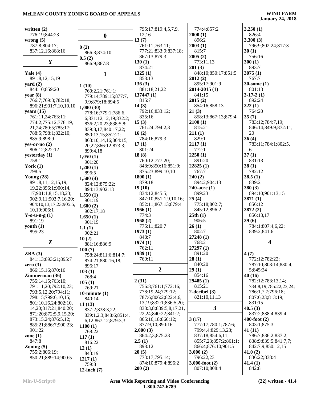| written $(2)$               |                                          | 795:17;819:4,5,7,9,         | 774:4;857:2                            | 3,250(1)                     |
|-----------------------------|------------------------------------------|-----------------------------|----------------------------------------|------------------------------|
| 776:19;844:23               | $\boldsymbol{0}$                         | 12,16                       | 2000(1)                                | 826:4                        |
| wrong $(5)$                 |                                          | 13(7)                       | 896:2                                  | 3,300(3)                     |
| 787:8;804:17;               | 0(2)                                     | 761:11;763:11;              | 2003(1)                                | 796:9;802:24;817:3           |
| 837:12,16;868:16            | 866:3;874:10                             | 777:21;833:9;837:18;        | 815:7                                  | 30(1)                        |
|                             | 0.5(2)                                   | 867:13;879:3                | 2005(2)                                | 756:16                       |
| Y                           | 866:9;867:8                              | 130(1)                      | 773:11,13                              | 300(1)                       |
|                             |                                          | 874:21                      | 201(3)                                 | 893:7                        |
| Yale $(4)$                  | $\mathbf{1}$                             | 1325(1)                     | 848:10;850:17;851:5                    | 3075(1)                      |
| 891:8,12,15,19              |                                          | 858:13<br>136(3)            | 2012(2)<br>895:17;901:9                | 767:7<br>$30$ -some $(1)$    |
| yard $(2)$<br>844:10;859:20 | 1(10)                                    | 881:18,21,22                | $2014 - 2015(1)$                       | 801:13                       |
| year $(8)$                  | 760:2,21;761:1;                          | 137447(1)                   | 841:15                                 | $3-17-2(1)$                  |
| 766:7;769:3;782:18;         | 779:14;789:15;877:7,<br>9,9;879:18;894:5 | 815:7                       | 2015(2)                                | 892:24                       |
| 896:21;901:7,10,10,10       | 1,000(30)                                | 14(3)                       | 854:16;858:13                          | 322(1)                       |
| years $(15)$                | 778:16;779:1;786:6,                      | 792:16;833:12;              | 21(3)                                  | 764:20                       |
| 761:11,24;763:11;           | 6;831:12,12,19;832:2;                    | 835:16                      | 858:13;867:13;879:4                    | 35(7)                        |
| 774:2;775:12;776:19,        | 836:2,20,23;838:5,8;                     | 15(3)                       | 2100(1)                                | 783:12;784:7,19;             |
| 21, 24; 780: 5; 785: 17;    | 839:8,17;840:17,22;                      | 761:24;794:2,3              | 815:21                                 | 846:14;849:9;872:11,         |
| 788:5;798:1;822:10;         | 850:13,15;852:21;                        | 16(2)                       | 211(1)                                 | 20                           |
| 885:9;898:9                 | 863:10,14,16;864:15,                     | 784:16;879:3                | 829:1                                  | 36(4)                        |
| yes-or-no $(2)$             | 20,22;866:12;873:3;                      | 17(1)                       | 2117(1)                                | 783:11;784:1;802:5,          |
| 806:12;822:12               | 899:4,18                                 | 801:24                      | 772:1                                  | 6                            |
| yesterday (1)               | 1,050(1)                                 | 18(8)<br>760:12;777:20;     | 2250(1)<br>891:20                      | 37(1)<br>831:13              |
| 758:1<br>York $(1)$         | 901:20                                   | 848:9;850:16;851:9;         | 22825(1)                               | 38(1)                        |
| 798:5                       | 1,200(1)                                 | 875:23;899:10,10            | 767:7                                  | 782:12                       |
| Young $(28)$                | 896:5                                    | 1800(1)                     | 240(2)                                 | 38.5(1)                      |
| 891:8,11,12,15,19,          | 1,500(4)                                 | 879:18                      | 894:2;904:13                           | 839:2                        |
| 19,22;896:1;900:14,         | 824:12;875:22;<br>894:13;902:13          | 19(10)                      | 240-acre (1)                           | 380(3)                       |
| 17;901:1,8,15,18,23;        | 1,550(1)                                 | 834:12;845:5;               | 899:23                                 | 894:10;901:13,15             |
| 902:9,11;903:7,16,20;       | 901:19                                   | 847:10;851:1,9,10,16;       | 25(4)                                  | 3871(1)                      |
| 904:10,13,17,23;905:5,      | 1,600(2)                                 | 852:11;867:13;879:4         | 775:18;802:7;                          | 856:12                       |
| 10,19;906:1                 | 902:17,18                                | 1966(1)                     | 845:12;896:2                           | 3872(2)                      |
| Y-o-u-n-g $(1)$             | 1,650(1)                                 | 774:3                       | 25th(1)                                | 856:13,17                    |
| 891:19                      | 901:19                                   | 1968(2)                     | 906:5                                  | 39(6)                        |
| youth $(1)$                 | 1.1(1)                                   | 775:11;820:7                | 26(1)                                  | 784:1;807:4,6,22;            |
| 895:23                      | 902:21                                   | 1973(1)                     | 802:7                                  | 839:2;841:6                  |
|                             | 10(2)                                    | 848:7                       | 27248(1)                               |                              |
| $\mathbf{Z}$                | 881:16;886:9                             | 1974(1)                     | 768:21<br>27297(1)                     | 4                            |
| ZBA(3)                      | 100(7)                                   | 762:11<br>1989(1)           | 891:20                                 |                              |
| 841:13;893:21;895:7         | 758:24;811:6;814:7;                      | 760:11                      | 28(1)                                  | 4(7)<br>772:12;782:22;       |
| zero $(3)$                  | 874:21;880:16,18;                        |                             | 840:20                                 | 787:10;803:14;830:4,         |
| 866:15,16;870:16            | 896:17                                   | $\overline{2}$              | 29(1)                                  | 5;845:24                     |
| Zimmerman (36)              | 103(1)<br>768:4                          |                             | 854:16                                 | 40(16)                       |
| 755:14,15;763:10;           | 105(1)                                   | 2(31)                       | 29485 (1)                              | 782:12;783:13,14;            |
| 791:11,20;792:10,23;        | 769:21                                   | 756:8;761:1;772:16;         | 815:21                                 | 784:8,19;785:22,23,24;       |
| 793:5,12,20;794:11;         | 10-minute $(1)$                          | 778:19,24;779:12;           | $2$ -decibel $(3)$                     | 786:1,7,7;796:18;            |
| 798:15;799:6,10,15;         | 840:14                                   | 787:6;806:2;822:4,6,        | 821:10,11,13                           | 807:6,23;813:19;             |
| 801:10,16,24;802:10,        | 11(13)                                   | 13, 19; 832: 1; 836: 5, 20; |                                        | 831:15                       |
| 14, 20; 817: 21; 840: 20;   | 837:2;838:3,22;                          | 838:3,8;839:5,8,17,21,      | 3                                      | 40.5(3)                      |
| 871:20;872:5,9,15,20;       | 839:1,2,3;848:6;851:4,                   | 22, 24; 840: 22; 841: 2;    |                                        | 837:2;838:4;839:4            |
| 873:15,24;876:5,12;         | 6, 12; 867: 12; 879: 3, 3                | 865:16,18;866:12;           | 3(17)                                  | $400$ -foot $(2)$            |
| 885:21;886:7;900:23;        | 1100(1)                                  | 877:9,10;890:16             | 777:17;780:1;787:6;                    | 803:1;875:3                  |
| 901:22<br>zone $(1)$        | 768:22                                   | 2,000(3)<br>864:2,3;875:23  | 799:4,4;829:13,23;<br>837:18;854:6,11; | 41(11)<br>786:7;836:2;837:2; |
| 847:8                       | 117(1)                                   | 2.5(1)                      | 855:7,23;857:2;861:1;                  | 838:9;839:5;841:7,7;         |
| Zoning $(5)$                | 816:22                                   | 898:12                      | 866:4;876:10;901:5                     | 842:7,9;850:12,15            |
| 755:2;806:19;               | 12(1)<br>843:19                          | 20(5)                       | 3,000(2)                               | 41.0 $(2)$                   |
| 850:21;889:14;900:5         | 1217(1)                                  | 773:17;795:14;              | 796:22,23                              | 836:22;838:4                 |
|                             | 759:8                                    | 874:10;879:4;896:2          | $3,000$ -foot $(2)$                    | 41.4(1)                      |
|                             | 12-inch $(7)$                            | 200(2)                      | 807:10;808:4                           | 842:8                        |
|                             |                                          |                             |                                        |                              |